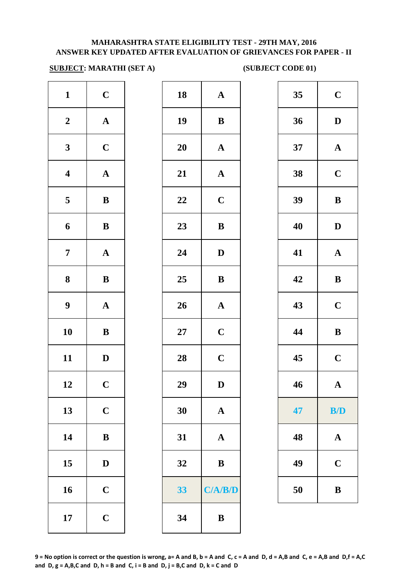#### **MAHARASHTRA STATE ELIGIBILITY TEST - 29TH MAY, 2016 ANSWER KEY UPDATED AFTER EVALUATION OF GRIEVANCES FOR PAPER - II**

#### **SUBJECT: MARATHI (SET A)** (SUBJECT CODE 01)

| $\mathbf{1}$     | $\mathbf C$           | 18        | $\mathbf A$  |
|------------------|-----------------------|-----------|--------------|
| $\boldsymbol{2}$ | $\mathbf A$           | 19        | $\bf{B}$     |
| $\mathbf{3}$     | $\mathbf C$           | <b>20</b> | $\mathbf{A}$ |
| $\boldsymbol{4}$ | ${\bf A}$             | 21        | $\mathbf{A}$ |
| 5                | $\, {\bf B}$          | 22        | $\mathbf C$  |
| 6                | $\bf{B}$              | 23        | $\bf{B}$     |
| $\boldsymbol{7}$ | $\boldsymbol{\rm{A}}$ | 24        | D            |
| $\bf 8$          | $\, {\bf B}$          | 25        | $\bf{B}$     |
| $\boldsymbol{9}$ | ${\bf A}$             | 26        | $\mathbf A$  |
| 10               | $\bf{B}$              | $27\,$    | $\mathbf C$  |
| 11               | $\mathbf D$           | 28        | $\mathbf C$  |
| 12               | $\mathbf C$           | 29        | D            |
| 13               | $\mathbf C$           | 30        | $\mathbf A$  |
| 14               | $\, {\bf B}$          | 31        | $\mathbf{A}$ |
| 15               | $\mathbf D$           | 32        | $\bf{B}$     |
| 16               | $\mathbf C$           | 33        | $C/ \Delta $ |
| 17               | $\mathbf C$           | 34        | $\bf{B}$     |
|                  |                       |           |              |

| $\mathbf{1}$            | $\mathbf C$  | 18     | $\boldsymbol{\rm{A}}$ | 35 <sub>1</sub> | $\mathbf C$           |
|-------------------------|--------------|--------|-----------------------|-----------------|-----------------------|
| $\overline{2}$          | ${\bf A}$    | 19     | $\, {\bf B}$          | 36              | $\mathbf D$           |
| $\mathbf{3}$            | $\mathbf C$  | 20     | ${\bf A}$             | 37              | $\mathbf A$           |
| $\overline{\mathbf{4}}$ | $\mathbf A$  | 21     | $\boldsymbol{\rm{A}}$ | 38              | $\mathbf C$           |
| $\overline{\mathbf{5}}$ | ${\bf B}$    | 22     | $\mathbf C$           | 39              | $\, {\bf B}$          |
| 6                       | ${\bf B}$    | 23     | $\, {\bf B}$          | 40              | $\mathbf{D}$          |
| $\overline{7}$          | ${\bf A}$    | 24     | $\mathbf D$           | 41              | $\boldsymbol{\rm{A}}$ |
| 8                       | ${\bf B}$    | 25     | $\, {\bf B}$          | 42              | $\, {\bf B}$          |
| $\boldsymbol{9}$        | ${\bf A}$    | 26     | ${\bf A}$             | 43              | $\mathbf C$           |
| 10                      | ${\bf B}$    | $27\,$ | $\mathbf C$           | 44              | $\bf{B}$              |
| 11                      | $\mathbf{D}$ | 28     | $\mathbf C$           | 45              | $\mathbf C$           |
| 12                      | $\mathbf C$  | 29     | $\mathbf{D}%$         | 46              | $\mathbf A$           |
| 13                      | $\mathbf C$  | 30     | $\mathbf A$           | 47              | B/D                   |
| 14                      | $\bf{B}$     | 31     | $\mathbf{A}$          | 48              | $\mathbf{A}$          |
| 15                      | $\mathbf D$  | 32     | $\bf{B}$              | 49              | $\mathbf C$           |
| 16                      | $\mathbf C$  | 33     | C/A/B/D               | 50              | $\bf{B}$              |
| 17                      | $\mathbf C$  | 34     | $\bf{B}$              |                 |                       |

| 35 | $\mathbf C$             |
|----|-------------------------|
| 36 | D                       |
| 37 | $\mathbf A$             |
| 38 | $\mathbf C$             |
| 39 | B                       |
| 40 | D                       |
| 41 | $\mathbf A$             |
| 42 | B                       |
| 43 | $\mathbf C$             |
| 44 | B                       |
| 45 | $\overline{\mathbf{C}}$ |
| 46 | $\mathbf A$             |
| 47 | B/D                     |
| 48 | A                       |
| 49 | $\mathbf C$             |
| 50 | B                       |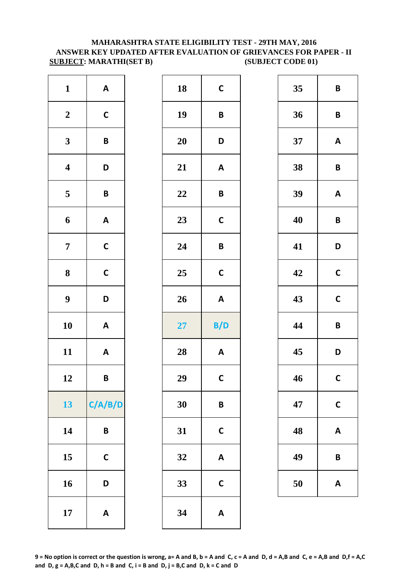#### **MAHARASHTRA STATE ELIGIBILITY TEST - 29TH MAY, 2016 ANSWER KEY UPDATED AFTER EVALUATION OF GRIEVANCES FOR PAPER - II SUBJECT: MARATHI(SET B)** (SUBJECT CODE 01)

| $\mathbf{1}$            | $\pmb{\mathsf{A}}$        | 18 | $\mathsf{C}$            |
|-------------------------|---------------------------|----|-------------------------|
| $\boldsymbol{2}$        | $\mathsf C$               | 19 | B                       |
| $\mathbf{3}$            | $\pmb B$                  | 20 | D                       |
| $\overline{\mathbf{4}}$ | D                         | 21 | A                       |
| $\mathbf 5$             | $\pmb B$                  | 22 | B                       |
| $\boldsymbol{6}$        | $\boldsymbol{\mathsf{A}}$ | 23 | $\mathsf{C}$            |
| $\boldsymbol{7}$        | $\mathsf{C}$              | 24 | B                       |
| $\boldsymbol{8}$        | $\mathsf{C}$              | 25 | $\mathsf{C}$            |
| $\boldsymbol{9}$        | D                         | 26 | A                       |
| 10                      | $\boldsymbol{\mathsf{A}}$ | 27 | B/                      |
| 11                      | $\boldsymbol{\mathsf{A}}$ | 28 | $\overline{\mathsf{A}}$ |
| 12                      | B                         | 29 | $\mathsf{C}$            |
| 13                      | C/A/B/D                   | 30 | B                       |
| 14                      | B                         | 31 | $\mathsf{C}$            |
| 15                      | $\mathsf{C}$              | 32 | A                       |
| 16                      | D                         | 33 | $\mathsf{C}$            |
| 17                      | $\boldsymbol{\mathsf{A}}$ | 34 | A                       |
|                         |                           |    |                         |

| $\mathbf{1}$            | $\mathbf{A}$              | 18 | $\mathbf C$               | 35 | $\overline{\mathsf{B}}$ |
|-------------------------|---------------------------|----|---------------------------|----|-------------------------|
| $\boldsymbol{2}$        | $\mathsf C$               | 19 | $\pmb B$                  | 36 | $\mathsf{B}$            |
| $\mathbf{3}$            | $\pmb B$                  | 20 | D                         | 37 | A                       |
| $\overline{\mathbf{4}}$ | D                         | 21 | A                         | 38 | $\overline{\mathsf{B}}$ |
| $\overline{\mathbf{5}}$ | $\pmb B$                  | 22 | $\pmb B$                  | 39 | A                       |
| $\boldsymbol{6}$        | $\boldsymbol{\mathsf{A}}$ | 23 | $\mathsf{C}$              | 40 | B                       |
| $\overline{7}$          | $\mathsf{C}$              | 24 | $\pmb B$                  | 41 | D                       |
| $\boldsymbol{8}$        | $\mathsf C$               | 25 | $\mathsf C$               | 42 | $\mathbf C$             |
| $\boldsymbol{9}$        | D                         | 26 | $\mathbf{A}$              | 43 | $\mathbf C$             |
| 10                      | $\boldsymbol{\mathsf{A}}$ | 27 | B/D                       | 44 | $\overline{\mathsf{B}}$ |
| 11                      | $\mathbf{A}$              | 28 | $\boldsymbol{\mathsf{A}}$ | 45 | D                       |
| 12                      | $\pmb B$                  | 29 | $\mathsf{C}$              | 46 | $\mathbf c$             |
| 13                      | C/A/B/D                   | 30 | $\pmb B$                  | 47 | $\mathsf{C}$            |
| 14                      | $\pmb B$                  | 31 | $\mathsf{C}$              | 48 | A                       |
| 15                      | $\mathsf{C}$              | 32 | $\boldsymbol{\mathsf{A}}$ | 49 | $\mathbf B$             |
| 16                      | D                         | 33 | $\mathsf{C}$              | 50 | A                       |
| 17                      | $\mathbf{A}$              | 34 | $\pmb{\mathsf{A}}$        |    |                         |

| 35 | B            |
|----|--------------|
| 36 | B            |
| 37 | A            |
| 38 | B            |
| 39 | A            |
| 40 | B            |
| 41 | D            |
| 42 | $\mathsf{C}$ |
| 43 | C            |
| 44 | B            |
| 45 | D            |
| 46 | C            |
| 47 | C            |
| 48 | A            |
| 49 | B            |
| 50 | A            |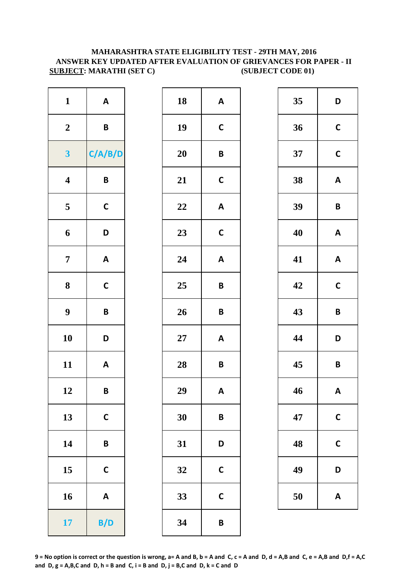#### **MAHARASHTRA STATE ELIGIBILITY TEST - 29TH MAY, 2016 ANSWER KEY UPDATED AFTER EVALUATION OF GRIEVANCES FOR PAPER - II SUBJECT: MARATHI (SET C)** (SUBJECT CODE 01)

| $\mathbf{1}$     | $\pmb{\mathsf{A}}$        | 18        | A                       |
|------------------|---------------------------|-----------|-------------------------|
| $\boldsymbol{2}$ | B                         | 19        | $\mathbf C$             |
| $\mathbf{3}$     | C/A/B/D                   | 20        | B                       |
| $\boldsymbol{4}$ | B                         | 21        | $\mathbf C$             |
| 5                | $\mathbf C$               | 22        | $\overline{\mathsf{A}}$ |
| 6                | D                         | 23        | $\mathsf{C}$            |
| $\overline{7}$   | $\boldsymbol{\mathsf{A}}$ | 24        | A                       |
| 8                | $\mathsf{C}$              | 25        | B                       |
| $\boldsymbol{9}$ | B                         | 26        | B                       |
| 10               | D                         | <b>27</b> | A                       |
| 11               | $\boldsymbol{\mathsf{A}}$ | 28        | B                       |
| 12               | B                         | 29        | A                       |
| 13               | $\mathsf{C}$              | 30        | B                       |
| 14               | B                         | 31        | D                       |
| 15               | $\mathsf{C}$              | 32        | $\mathsf{C}$            |
| 16               | $\boldsymbol{\mathsf{A}}$ | 33        | $\mathsf{C}$            |
| 17               | B/D                       | 34        | B                       |

| $\mathbf{1}$            | $\mathbf{A}$ | 18     | $\boldsymbol{\mathsf{A}}$ | 35 | D                       |
|-------------------------|--------------|--------|---------------------------|----|-------------------------|
| $\boldsymbol{2}$        | $\pmb B$     | 19     | $\mathsf{C}$              | 36 | $\mathbf C$             |
| $\overline{\mathbf{3}}$ | C/A/B/D      | 20     | $\pmb B$                  | 37 | $\mathbf C$             |
| $\overline{\mathbf{4}}$ | $\pmb B$     | 21     | $\mathsf{C}$              | 38 | $\mathsf{A}$            |
| $5\overline{)}$         | $\mathsf{C}$ | 22     | $\boldsymbol{\mathsf{A}}$ | 39 | $\mathbf B$             |
| $\boldsymbol{6}$        | D            | 23     | $\mathsf{C}$              | 40 | A                       |
| $\overline{7}$          | $\mathbf{A}$ | 24     | $\boldsymbol{\mathsf{A}}$ | 41 | A                       |
| $\boldsymbol{8}$        | $\mathsf C$  | 25     | $\pmb B$                  | 42 | $\mathbf C$             |
| $\boldsymbol{9}$        | $\pmb B$     | 26     | $\pmb B$                  | 43 | $\mathsf B$             |
| 10                      | D            | $27\,$ | $\boldsymbol{\mathsf{A}}$ | 44 | D                       |
| 11                      | $\mathbf{A}$ | 28     | $\pmb B$                  | 45 | $\overline{\mathsf{B}}$ |
| 12                      | $\pmb B$     | 29     | $\boldsymbol{\mathsf{A}}$ | 46 | A                       |
| 13                      | $\mathsf{C}$ | 30     | B                         | 47 | $\mathsf{C}$            |
| 14                      | $\pmb B$     | 31     | D                         | 48 | $\mathsf{C}$            |
| 15                      | $\mathsf{C}$ | 32     | $\mathsf{C}$              | 49 | D                       |
| 16                      | $\mathbf{A}$ | 33     | $\mathsf{C}$              | 50 | A                       |
| 17                      | B/D          | 34     | B                         |    |                         |

| 35 | D            |
|----|--------------|
| 36 | $\mathsf{C}$ |
| 37 | $\mathsf{C}$ |
| 38 | A            |
| 39 | B            |
| 40 | A            |
| 41 | A            |
| 42 | $\mathbf C$  |
| 43 | B            |
| 44 | D            |
| 45 | B            |
| 46 | A            |
| 47 | $\mathsf{C}$ |
| 48 | C            |
| 49 | D            |
| 50 | A            |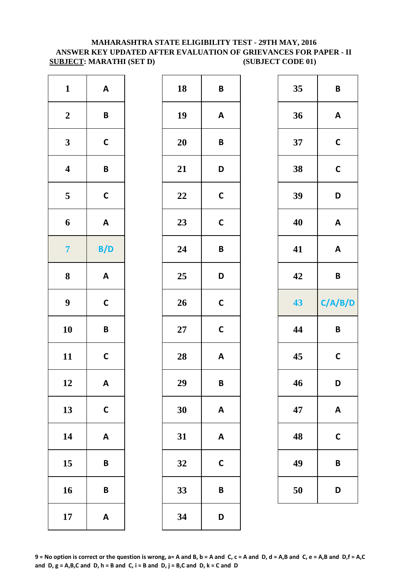#### **ANSWER KEY UPDATED AFTER EVALUATION OF GRIEVANCES FOR PAPER - II SUBJECT: MARATHI (SET D)** (SUBJECT CODE 01) **MAHARASHTRA STATE ELIGIBILITY TEST - 29TH MAY, 2016**

| $\mathbf{1}$            | $\boldsymbol{\mathsf{A}}$ | 18     | B            |
|-------------------------|---------------------------|--------|--------------|
| $\boldsymbol{2}$        | B                         | 19     | $\mathsf{A}$ |
| $\mathbf{3}$            | $\mathsf{C}$              | 20     | B            |
| $\boldsymbol{4}$        | B                         | 21     | D            |
| $\overline{\mathbf{5}}$ | $\mathsf{C}$              | 22     | $\mathsf{C}$ |
| 6                       | $\boldsymbol{\mathsf{A}}$ | 23     | $\mathsf{C}$ |
| $\overline{7}$          | B/D                       | 24     | B            |
| 8                       | $\boldsymbol{\mathsf{A}}$ | 25     | D            |
| $\boldsymbol{9}$        | $\mathsf{C}$              | 26     | $\mathsf{C}$ |
| 10                      | B                         | $27\,$ | $\mathsf{C}$ |
| 11                      | $\mathsf{C}$              | 28     | $\mathsf{A}$ |
| 12                      | A                         | 29     | B            |
| 13                      | $\mathsf{C}$              | 30     | A            |
| 14                      | $\boldsymbol{\mathsf{A}}$ | 31     | A            |
| 15                      | B                         | 32     | $\mathsf{C}$ |
| 16                      | B                         | 33     | B            |
| 17                      | $\boldsymbol{\mathsf{A}}$ | 34     | D            |

| $\mathbf{1}$            | $\boldsymbol{\mathsf{A}}$ | 18     | $\pmb B$                  | 35 | $\overline{\mathsf{B}}$ |
|-------------------------|---------------------------|--------|---------------------------|----|-------------------------|
| $\boldsymbol{2}$        | $\pmb B$                  | 19     | $\boldsymbol{\mathsf{A}}$ | 36 | A                       |
| $\mathbf{3}$            | $\mathsf C$               | 20     | $\pmb B$                  | 37 | $\mathbf C$             |
| $\overline{\mathbf{4}}$ | $\pmb B$                  | 21     | D                         | 38 | $\mathbf c$             |
| $\overline{\mathbf{5}}$ | $\mathsf C$               | 22     | $\mathsf{C}$              | 39 | D                       |
| $\boldsymbol{6}$        | $\boldsymbol{\mathsf{A}}$ | 23     | $\mathbf C$               | 40 | A                       |
| $\overline{7}$          | B/D                       | 24     | $\pmb B$                  | 41 | A                       |
| $\boldsymbol{8}$        | $\mathbf{A}$              | 25     | D                         | 42 | $\mathbf B$             |
| $\boldsymbol{9}$        | $\mathsf{C}$              | 26     | $\mathsf{C}$              | 43 | C/A/                    |
| 10                      | $\mathsf B$               | $27\,$ | $\mathsf{C}$              | 44 | $\mathbf B$             |
| 11                      | $\mathsf{C}$              | 28     | $\boldsymbol{\mathsf{A}}$ | 45 | $\mathbf C$             |
| 12                      | $\boldsymbol{\mathsf{A}}$ | 29     | $\pmb B$                  | 46 | D                       |
| 13                      | $\mathbf C$               | 30     | $\boldsymbol{\mathsf{A}}$ | 47 | A                       |
| 14                      | $\boldsymbol{\mathsf{A}}$ | 31     | $\pmb{\mathsf{A}}$        | 48 | $\mathbf C$             |
| 15                      | $\pmb B$                  | 32     | $\mathbf C$               | 49 | B                       |
| 16                      | $\pmb B$                  | 33     | $\pmb B$                  | 50 | D                       |
| 17                      | $\boldsymbol{\mathsf{A}}$ | 34     | D                         |    |                         |

| $\mathbf{1}$            | $\boldsymbol{\mathsf{A}}$ | 18        | $\boldsymbol{B}$          | 35 | $\pmb B$                  |
|-------------------------|---------------------------|-----------|---------------------------|----|---------------------------|
| $\overline{\mathbf{2}}$ | $\boldsymbol{B}$          | 19        | $\mathbf{A}$              | 36 | $\boldsymbol{\mathsf{A}}$ |
| $\overline{\mathbf{3}}$ | $\mathsf C$               | 20        | $\pmb B$                  | 37 | $\mathsf{C}$              |
| 4                       | $\boldsymbol{B}$          | 21        | D                         | 38 | $\mathsf{C}$              |
| 5                       | $\mathsf C$               | 22        | $\mathsf{C}$              | 39 | D                         |
| 6                       | $\mathbf{A}$              | 23        | $\mathsf{C}$              | 40 | $\boldsymbol{\mathsf{A}}$ |
| $\overline{7}$          | B/D                       | 24        | $\pmb B$                  | 41 | $\pmb{\mathsf{A}}$        |
| 8                       | $\boldsymbol{\mathsf{A}}$ | 25        | D                         | 42 | $\pmb B$                  |
|                         |                           |           |                           |    |                           |
| 9                       | $\mathsf{C}$              | 26        | $\mathsf{C}$              | 43 | C/A/B/D                   |
| $\overline{\mathbf{0}}$ | B                         | <b>27</b> | $\mathsf{C}$              | 44 | $\pmb B$                  |
| $\overline{1}$          | $\mathsf{C}$              | 28        | $\boldsymbol{\mathsf{A}}$ | 45 | $\mathsf{C}$              |
| $\overline{2}$          | $\mathsf{A}$              | 29        | B                         | 46 | D                         |
| $\overline{3}$          | $\mathsf{C}$              | 30        | $\boldsymbol{\mathsf{A}}$ | 47 | $\boldsymbol{\mathsf{A}}$ |
| $\overline{4}$          | $\boldsymbol{\mathsf{A}}$ | 31        | $\boldsymbol{\mathsf{A}}$ | 48 | $\mathsf{C}$              |
| $\overline{5}$          | B                         | 32        | $\mathsf{C}$              | 49 | $\pmb B$                  |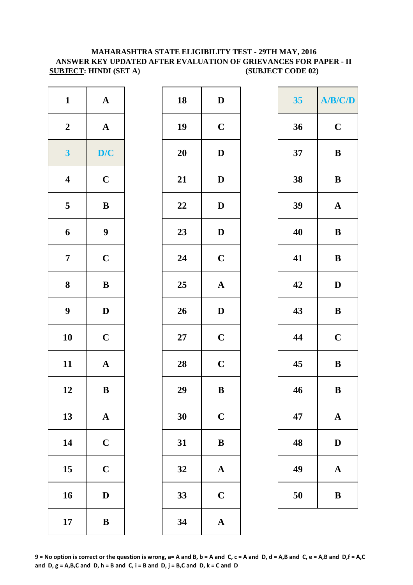### **MAHARASHTRA STATE ELIGIBILITY TEST - 29TH MAY, 2016 ANSWER KEY UPDATED AFTER EVALUATION OF GRIEVANCES FOR PAPER - II SUBJECT: HINDI (SET A) (SUBJECT CODE 02)**

| $\mathbf{1}$            | ${\bf A}$        | 18 | $\mathbf D$           | 35 | A/B/         |
|-------------------------|------------------|----|-----------------------|----|--------------|
| $\boldsymbol{2}$        | ${\bf A}$        | 19 | $\mathbf C$           | 36 | $\mathbf C$  |
| $\overline{\mathbf{3}}$ | D/C              | 20 | $\mathbf D$           | 37 | $\bf{B}$     |
| $\overline{\mathbf{4}}$ | $\mathbf C$      | 21 | $\mathbf{D}$          | 38 | $\bf{B}$     |
| $5\phantom{.0}$         | $\, {\bf B}$     | 22 | $\mathbf{D}$          | 39 | $\mathbf{A}$ |
| 6                       | $\boldsymbol{9}$ | 23 | $\mathbf D$           | 40 | $\bf{B}$     |
| $\overline{7}$          | $\mathbf C$      | 24 | $\mathbf C$           | 41 | $\bf{B}$     |
| 8                       | $\, {\bf B}$     | 25 | $\mathbf A$           | 42 | $\mathbf{D}$ |
| $\boldsymbol{9}$        | $\mathbf D$      | 26 | $\mathbf{D}$          | 43 | $\bf{B}$     |
| 10                      | $\mathbf C$      | 27 | $\mathbf C$           | 44 | $\mathbf C$  |
| 11                      | ${\bf A}$        | 28 | $\mathbf C$           | 45 | $\bf{B}$     |
| 12                      | $\, {\bf B}$     | 29 | $\, {\bf B}$          | 46 | $\bf{B}$     |
| 13                      | ${\bf A}$        | 30 | $\mathbf C$           | 47 | $\mathbf A$  |
| 14                      | $\mathbf C$      | 31 | $\, {\bf B}$          | 48 | $\mathbf{D}$ |
| 15                      | $\mathbf C$      | 32 | ${\bf A}$             | 49 | $\mathbf{A}$ |
| 16                      | $\mathbf D$      | 33 | $\mathbf C$           | 50 | $\bf{B}$     |
| 17                      | $\, {\bf B}$     | 34 | $\boldsymbol{\rm{A}}$ |    |              |

| $\mathbf{1}$            | $\mathbf A$           | 18     | $\mathbf D$           | 35 | A/B/         |
|-------------------------|-----------------------|--------|-----------------------|----|--------------|
| $\overline{\mathbf{2}}$ | $\mathbf A$           | 19     | $\mathbf C$           | 36 | $\mathbf C$  |
| $\overline{\mathbf{3}}$ | D/C                   | 20     | $\mathbf D$           | 37 | $\bf{B}$     |
| 4                       | $\mathbf C$           | 21     | $\mathbf D$           | 38 | $\bf{B}$     |
| 5                       | $\, {\bf B}$          | 22     | $\mathbf D$           | 39 | $\mathbf A$  |
| 6                       | $\boldsymbol{9}$      | 23     | $\mathbf{D}$          | 40 | $\bf{B}$     |
| 7                       | $\mathbf C$           | 24     | $\mathbf C$           | 41 | $\bf{B}$     |
| 8                       | $\, {\bf B}$          | 25     | ${\bf A}$             | 42 | D            |
| 9                       | $\mathbf{D}$          | 26     | $\mathbf D$           | 43 | $\bf{B}$     |
| $\overline{\mathbf{0}}$ | $\mathbf C$           | $27\,$ | $\mathbf C$           | 44 | $\mathbf C$  |
| $\overline{1}$          | ${\bf A}$             | 28     | $\mathbf C$           | 45 | $\bf{B}$     |
| $\overline{2}$          | $\, {\bf B}$          | 29     | $\, {\bf B}$          | 46 | $\bf{B}$     |
| $\overline{3}$          | $\boldsymbol{\rm{A}}$ | 30     | $\mathbf C$           | 47 | $\mathbf A$  |
| $\overline{4}$          | $\mathbf C$           | 31     | $\, {\bf B}$          | 48 | $\mathbf{D}$ |
| $\overline{5}$          | $\mathbf C$           | 32     | $\boldsymbol{\rm{A}}$ | 49 | $\mathbf A$  |
| $16 \,$                 | $\mathbf D$           | 33     | $\mathbf C$           | 50 | $\bf{B}$     |
| $\overline{17}$         | $\bf{B}$              | 34     | ${\bf A}$             |    |              |

| $\mathbf{1}$            | ${\bf A}$        | 18     | $\mathbf D$           | 35 | A/B/C/D               |
|-------------------------|------------------|--------|-----------------------|----|-----------------------|
| $\overline{\mathbf{2}}$ | ${\bf A}$        | 19     | $\mathbf C$           | 36 | $\mathbf C$           |
| $\overline{\mathbf{3}}$ | D/C              | 20     | $\mathbf D$           | 37 | $\, {\bf B}$          |
| 4                       | $\mathbf C$      | 21     | $\mathbf D$           | 38 | $\, {\bf B}$          |
| 5                       | ${\bf B}$        | 22     | $\mathbf D$           | 39 | ${\bf A}$             |
| 6                       | $\boldsymbol{9}$ | 23     | $\mathbf{D}$          | 40 | $\bf{B}$              |
| $\overline{7}$          | $\mathbf C$      | 24     | $\mathbf C$           | 41 | $\, {\bf B}$          |
| 8                       | $\bf{B}$         | 25     | $\mathbf A$           | 42 | $\mathbf D$           |
| 9                       | $\mathbf D$      | 26     | $\mathbf D$           | 43 | $\, {\bf B}$          |
| $\overline{\mathbf{0}}$ | $\mathbf C$      | $27\,$ | $\mathbf C$           | 44 | $\mathbf C$           |
| $\overline{1}$          | ${\bf A}$        | 28     | $\mathbf C$           | 45 | $\, {\bf B}$          |
| $\overline{2}$          | $\bf{B}$         | 29     | $\, {\bf B}$          | 46 | $\, {\bf B}$          |
| $\overline{3}$          | ${\bf A}$        | 30     | $\mathbf C$           | 47 | ${\bf A}$             |
| $\overline{4}$          | $\mathbf C$      | 31     | $\, {\bf B}$          | 48 | $\mathbf D$           |
| $\overline{5}$          | $\mathbf C$      | 32     | $\boldsymbol{\rm{A}}$ | 49 | $\boldsymbol{\rm{A}}$ |
| $16 \,$                 | $\mathbf D$      | 33     | $\mathbf C$           | 50 | $\, {\bf B}$          |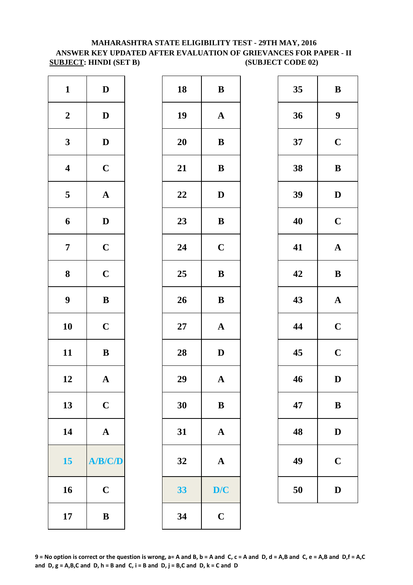# **MAHARASHTRA STATE ELIGIBILITY TEST - 29TH MAY, 2016 ANSWER KEY UPDATED AFTER EVALUATION OF GRIEVANCES FOR PAPER - II SUBJECT: HINDI (SET B) (SUBJECT CODE 02)**

| $\mathbf{1}$            | $\mathbf D$           | 18        | B            |
|-------------------------|-----------------------|-----------|--------------|
| $\boldsymbol{2}$        | $\mathbf D$           | 19        | $\mathbf{A}$ |
| $\mathbf{3}$            | $\mathbf D$           | 20        | $\bf{B}$     |
| $\boldsymbol{4}$        | $\mathbf C$           | 21        | $\bf{B}$     |
| $\overline{\mathbf{5}}$ | $\boldsymbol{\rm{A}}$ | 22        | $\mathbf{D}$ |
| 6                       | $\mathbf D$           | 23        | $\bf{B}$     |
| $\boldsymbol{7}$        | $\mathbf C$           | 24        | $\mathbf C$  |
| 8                       | $\mathbf C$           | 25        | $\bf{B}$     |
| $\boldsymbol{9}$        | $\, {\bf B}$          | 26        | $\bf{B}$     |
| 10                      | $\mathbf C$           | <b>27</b> | $\mathbf{A}$ |
| 11                      | $\bf{B}$              | 28        | $\mathbf{D}$ |
| 12                      | $\boldsymbol{\rm{A}}$ | 29        | $\mathbf{A}$ |
| 13                      | $\mathbf C$           | 30        | B            |
| 14                      | $\boldsymbol{\rm{A}}$ | 31        | ${\bf A}$    |
| 15                      | A/B/C/D               | 32        | $\mathbf A$  |
| 16                      | $\mathbf C$           | 33        | D/           |
| 17                      | $\, {\bf B}$          | 34        | $\mathbf C$  |

| $\mathbf{1}$            | $\mathbf D$  | 18 | $\bf{B}$              | 35 | $\bf{B}$         |
|-------------------------|--------------|----|-----------------------|----|------------------|
| $\boldsymbol{2}$        | $\mathbf D$  | 19 | ${\bf A}$             | 36 | $\boldsymbol{9}$ |
| $\mathbf{3}$            | $\mathbf{D}$ | 20 | ${\bf B}$             | 37 | $\mathbf C$      |
| $\overline{\mathbf{4}}$ | $\mathbf C$  | 21 | $\bf{B}$              | 38 | $\bf{B}$         |
| $\overline{\mathbf{5}}$ | ${\bf A}$    | 22 | $\mathbf D$           | 39 | $\mathbf{D}$     |
| $\boldsymbol{6}$        | $\mathbf D$  | 23 | $\bf{B}$              | 40 | $\mathbf C$      |
| $\overline{7}$          | $\mathbf C$  | 24 | $\mathbf C$           | 41 | $\mathbf A$      |
| $\boldsymbol{8}$        | $\mathbf C$  | 25 | $\, {\bf B}$          | 42 | $\bf{B}$         |
| $\boldsymbol{9}$        | $\bf{B}$     | 26 | $\bf{B}$              | 43 | $\mathbf A$      |
| 10                      | $\mathbf C$  | 27 | $\mathbf{A}$          | 44 | $\mathbf C$      |
| 11                      | $\, {\bf B}$ | 28 | $\mathbf D$           | 45 | $\mathbf C$      |
| 12                      | ${\bf A}$    | 29 | $\boldsymbol{\rm{A}}$ | 46 | $\mathbf{D}$     |
| 13                      | $\mathbf C$  | 30 | ${\bf B}$             | 47 | $\bf{B}$         |
| 14                      | ${\bf A}$    | 31 | $\mathbf{A}$          | 48 | $\mathbf{D}$     |
| 15                      | A/B/C/D      | 32 | $\mathbf A$           | 49 | $\mathbf C$      |
| 16                      | $\mathbf C$  | 33 | D/C                   | 50 | $\mathbf{D}$     |
| 17                      | $\, {\bf B}$ | 34 | $\mathbf C$           |    |                  |
|                         |              |    |                       |    |                  |

| 35 | B                       |
|----|-------------------------|
| 36 | 9                       |
| 37 | $\mathbf C$             |
| 38 | B                       |
| 39 | $\mathbf D$             |
| 40 | $\mathbf C$             |
| 41 | $\mathbf A$             |
| 42 | B                       |
| 43 | $\mathbf A$             |
| 44 | $\mathbf C$             |
| 45 | $\overline{\mathbf{C}}$ |
| 46 | D                       |
| 47 | B                       |
| 48 | $\mathbf D$             |
| 49 | $\mathbf C$             |
| 50 | $\mathbf D$             |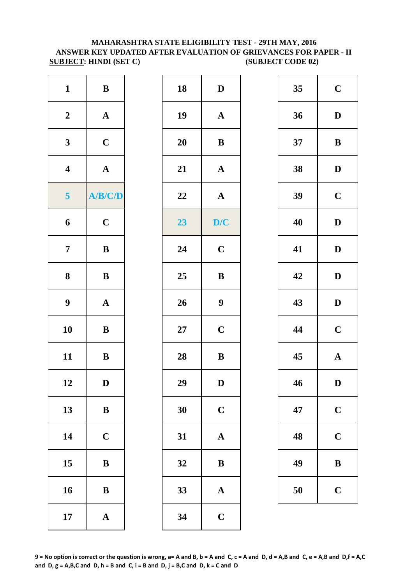#### **SUBJECT: HINDI (SET C) (SUBJECT CODE 02) MAHARASHTRA STATE ELIGIBILITY TEST - 29TH MAY, 2016 ANSWER KEY UPDATED AFTER EVALUATION OF GRIEVANCES FOR PAPER - II**

| $\mathbf{1}$            | $\, {\bf B}$          | 18     | $\mathbf{D}$     |
|-------------------------|-----------------------|--------|------------------|
| $\boldsymbol{2}$        | $\boldsymbol{\rm{A}}$ | 19     | $\mathbf{A}$     |
| $\mathbf{3}$            | $\mathbf C$           | 20     | $\bf{B}$         |
| $\overline{\mathbf{4}}$ | $\boldsymbol{\rm{A}}$ | 21     | $\mathbf{A}$     |
| $\overline{\mathbf{5}}$ | A/B/C/D               | 22     | $\mathbf{A}$     |
| 6                       | $\mathbf C$           | 23     | D/               |
| $\overline{7}$          | ${\bf B}$             | 24     | $\mathbf C$      |
| 8                       | ${\bf B}$             | 25     | $\bf{B}$         |
| $\boldsymbol{9}$        | $\boldsymbol{\rm{A}}$ | 26     | $\boldsymbol{9}$ |
| 10                      | $\bf{B}$              | $27\,$ | $\mathbf C$      |
| 11                      | $\bf{B}$              | 28     | $\bf{B}$         |
| 12                      | D                     | 29     | D                |
| 13                      | ${\bf B}$             | 30     | $\mathbf C$      |
| 14                      | $\mathbf C$           | 31     | $\mathbf{A}$     |
| 15                      | $\bf{B}$              | 32     | $\bf{B}$         |
| 16                      | $\bf{B}$              | 33     | $\mathbf{A}$     |
| 17                      | $\boldsymbol{\rm{A}}$ | 34     | $\mathbf C$      |

| $\mathbf{1}$            | $\, {\bf B}$          | 18     | ${\bf D}$             | 35 | $\mathbf C$  |
|-------------------------|-----------------------|--------|-----------------------|----|--------------|
| $\boldsymbol{2}$        | $\mathbf{A}$          | 19     | ${\bf A}$             | 36 | $\mathbf{D}$ |
| $\mathbf{3}$            | $\mathbf C$           | 20     | ${\bf B}$             | 37 | $\bf{B}$     |
| $\overline{\mathbf{4}}$ | ${\bf A}$             | 21     | $\boldsymbol{\rm{A}}$ | 38 | $\mathbf{D}$ |
| $\overline{\mathbf{5}}$ | A/B/C/D               | 22     | $\boldsymbol{\rm{A}}$ | 39 | $\mathbf C$  |
| $\boldsymbol{6}$        | $\mathbf C$           | 23     | D/C                   | 40 | $\mathbf{D}$ |
| $\overline{7}$          | ${\bf B}$             | 24     | $\mathbf C$           | 41 | $\mathbf{D}$ |
| $\boldsymbol{8}$        | $\bf{B}$              | 25     | $\bf{B}$              | 42 | $\mathbf{D}$ |
| $\boldsymbol{9}$        | ${\bf A}$             | 26     | $\boldsymbol{9}$      | 43 | $\mathbf{D}$ |
| 10                      | ${\bf B}$             | $27\,$ | $\mathbf C$           | 44 | $\mathbf C$  |
| 11                      | ${\bf B}$             | 28     | $\, {\bf B}$          | 45 | $\mathbf A$  |
| 12                      | $\mathbf D$           | 29     | $\mathbf D$           | 46 | $\mathbf{D}$ |
| 13                      | $\bf{B}$              | 30     | $\mathbf C$           | 47 | $\mathbf C$  |
| 14                      | $\mathbf C$           | 31     | $\mathbf A$           | 48 | $\mathbf C$  |
| 15                      | $\bf{B}$              | 32     | $\bf{B}$              | 49 | $\bf{B}$     |
| 16                      | $\, {\bf B}$          | 33     | $\mathbf{A}$          | 50 | $\mathbf C$  |
| 17                      | $\boldsymbol{\rm{A}}$ | 34     | $\mathbf C$           |    |              |

| 35 | $\mathbf C$  |
|----|--------------|
| 36 | D            |
| 37 | B            |
| 38 | D            |
| 39 | $\mathbf C$  |
| 40 | D            |
| 41 | D            |
| 42 | D            |
|    |              |
| 43 | D            |
| 44 | $\mathbf C$  |
| 45 | $\mathbf{A}$ |
| 46 | D            |
| 47 | $\mathbf C$  |
| 48 | $\mathbf C$  |
| 49 | B            |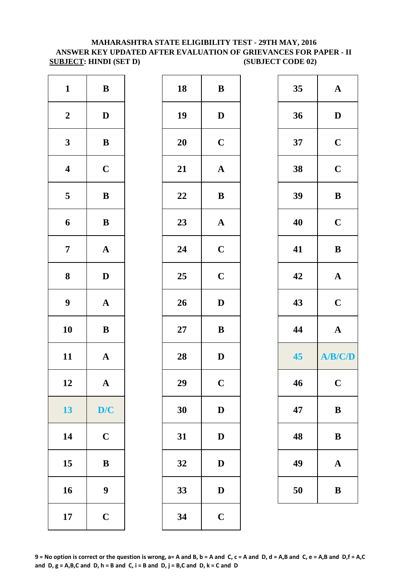#### **MAHARASHTRA STATE ELIGIBILITY TEST - 29TH MAY, 2016 ANSWER KEY UPDATED AFTER EVALUATION OF GRIEVANCES FOR PAPER - II SUBJECT:** HINDI (SET D) (SUBJECT CODE 02)

| $\mathbf{1}$     | $\, {\bf B}$          | 18     | $\bf{B}$     |
|------------------|-----------------------|--------|--------------|
| $\boldsymbol{2}$ | $\mathbf D$           | 19     | $\mathbf{D}$ |
| $\mathbf{3}$     | $\bf{B}$              | 20     | $\mathbf C$  |
| $\boldsymbol{4}$ | $\mathbf C$           | 21     | $\mathbf A$  |
| 5                | $\, {\bf B}$          | 22     | $\bf{B}$     |
| $\boldsymbol{6}$ | $\, {\bf B}$          | 23     | $\mathbf A$  |
| $\boldsymbol{7}$ | $\boldsymbol{\rm{A}}$ | 24     | $\mathbf C$  |
| $\boldsymbol{8}$ | $\mathbf D$           | 25     | $\mathbf C$  |
| $\boldsymbol{9}$ | $\boldsymbol{\rm{A}}$ | 26     | $\mathbf{D}$ |
| 10               | $\bf{B}$              | $27\,$ | $\bf{B}$     |
| 11               | $\mathbf A$           | 28     | $\mathbf{D}$ |
| 12               | A                     | 29     | $\mathbf C$  |
| 13               | D/C                   | 30     | $\mathbf{D}$ |
| 14               | $\mathbf C$           | 31     | $\mathbf{D}$ |
| 15               | $\bf{B}$              | 32     | $\mathbf{D}$ |
| 16               | 9                     | 33     | $\mathbf{D}$ |
| 17               | $\mathbf C$           | 34     | $\mathbf C$  |

| $\mathbf{1}$            | $\, {\bf B}$     | 18 | $\bf{B}$              | 35 | $\mathbf{A}$ |
|-------------------------|------------------|----|-----------------------|----|--------------|
| $\boldsymbol{2}$        | $\mathbf{D}$     | 19 | $\mathbf{D}$          | 36 | $\mathbf D$  |
| $\mathbf{3}$            | ${\bf B}$        | 20 | $\mathbf C$           | 37 | $\mathbf C$  |
| $\overline{\mathbf{4}}$ | $\mathbf C$      | 21 | $\boldsymbol{\rm{A}}$ | 38 | $\mathbf C$  |
| $5\overline{)}$         | $\, {\bf B}$     | 22 | ${\bf B}$             | 39 | $\, {\bf B}$ |
| $\boldsymbol{6}$        | $\, {\bf B}$     | 23 | ${\bf A}$             | 40 | $\mathbf C$  |
| $\overline{7}$          | $\mathbf{A}$     | 24 | $\mathbf C$           | 41 | $\, {\bf B}$ |
| 8                       | $\mathbf D$      | 25 | $\mathbf C$           | 42 | ${\bf A}$    |
| $\boldsymbol{9}$        | ${\bf A}$        | 26 | $\mathbf{D}$          | 43 | $\mathbf C$  |
| 10                      | $\, {\bf B}$     | 27 | ${\bf B}$             | 44 | $\mathbf{A}$ |
| 11                      | ${\bf A}$        | 28 | $\mathbf D$           | 45 | A/B/C/D      |
| 12                      | $\mathbf{A}$     | 29 | $\mathbf C$           | 46 | $\mathbf C$  |
| 13                      | D/C              | 30 | $\mathbf{D}$          | 47 | $\bf{B}$     |
| 14                      | $\mathbf C$      | 31 | $\mathbf{D}$          | 48 | ${\bf B}$    |
| 15                      | $\bf{B}$         | 32 | $\mathbf{D}$          | 49 | $\mathbf A$  |
| 16                      | $\boldsymbol{9}$ | 33 | $\mathbf D$           | 50 | $\, {\bf B}$ |
| 17                      | $\mathbf C$      | 34 | $\mathbf C$           |    |              |
|                         |                  |    |                       |    |              |

| 35 | $\mathbf A$    |
|----|----------------|
| 36 | D              |
| 37 | $\mathbf C$    |
| 38 | $\mathbf C$    |
| 39 | B              |
| 40 | $\mathbf C$    |
| 41 | B              |
| 42 | $\mathbf A$    |
|    |                |
| 43 | $\mathbf C$    |
| 44 | $\mathbf{A}$   |
| 45 | <b>A/B/C/D</b> |
| 46 | $\mathbf C$    |
| 47 | $\bf{B}$       |
| 48 | B              |
| 49 | $\mathbf A$    |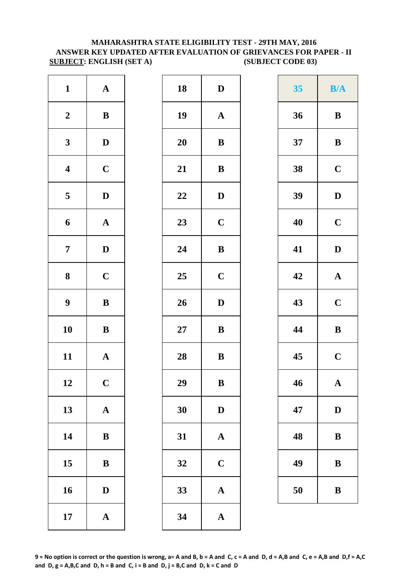#### **SUBJECT: ENGLISH (SET A)** (SUBJECT CODE 03) **MAHARASHTRA STATE ELIGIBILITY TEST - 29TH MAY, 2016 ANSWER KEY UPDATED AFTER EVALUATION OF GRIEVANCES FOR PAPER - II**

| $\mathbf{1}$            | ${\bf A}$             | 18        | $\mathbf{D}$ |
|-------------------------|-----------------------|-----------|--------------|
| $\boldsymbol{2}$        | $\, {\bf B}$          | 19        | $\mathbf A$  |
| $\mathbf{3}$            | $\mathbf D$           | <b>20</b> | $\bf{B}$     |
| $\overline{\mathbf{4}}$ | $\mathbf C$           | 21        | $\bf{B}$     |
| $\overline{\mathbf{5}}$ | $\mathbf D$           | 22        | $\mathbf{D}$ |
| 6                       | $\boldsymbol{\rm{A}}$ | 23        | $\mathbf C$  |
| $\overline{7}$          | $\mathbf D$           | 24        | $\bf{B}$     |
| ${\bf 8}$               | $\mathbf C$           | 25        | $\mathbf C$  |
| $\boldsymbol{9}$        | $\, {\bf B}$          | 26        | $\mathbf{D}$ |
| 10                      | $\bf{B}$              | $27\,$    | $\bf{B}$     |
| 11                      | $\mathbf A$           | 28        | $\bf{B}$     |
| 12                      | $\mathbf C$           | 29        | B            |
| 13                      | ${\bf A}$             | 30        | $\mathbf{D}$ |
| 14                      | $\, {\bf B}$          | 31        | $\mathbf{A}$ |
| 15                      | $\, {\bf B}$          | 32        | $\mathbf C$  |
| 16                      | $\mathbf D$           | 33        | $\mathbf{A}$ |
| 17                      | $\boldsymbol{\rm{A}}$ | 34        | $\mathbf{A}$ |

| $\mathbf{1}$            | ${\bf A}$    | 18 | $\mathbf D$           | 35 | <b>B/A</b>   |
|-------------------------|--------------|----|-----------------------|----|--------------|
| $\boldsymbol{2}$        | $\bf{B}$     | 19 | ${\bf A}$             | 36 | $\bf{B}$     |
| $\mathbf{3}$            | $\mathbf{D}$ | 20 | $\, {\bf B}$          | 37 | $\bf{B}$     |
| $\overline{\mathbf{4}}$ | $\mathbf C$  | 21 | $\, {\bf B}$          | 38 | $\mathbf C$  |
| $\overline{\mathbf{5}}$ | $\mathbf{D}$ | 22 | $\mathbf D$           | 39 | $\mathbf D$  |
| $\boldsymbol{6}$        | ${\bf A}$    | 23 | $\mathbf C$           | 40 | $\mathbf C$  |
| $\overline{7}$          | $\mathbf D$  | 24 | $\, {\bf B}$          | 41 | $\mathbf D$  |
| $\boldsymbol{8}$        | $\mathbf C$  | 25 | $\mathbf C$           | 42 | $\mathbf{A}$ |
| $\boldsymbol{9}$        | $\, {\bf B}$ | 26 | $\mathbf D$           | 43 | $\mathbf C$  |
| 10                      | $\bf{B}$     | 27 | $\, {\bf B}$          | 44 | $\, {\bf B}$ |
| 11                      | ${\bf A}$    | 28 | $\, {\bf B}$          | 45 | $\mathbf C$  |
| 12                      | $\mathbf C$  | 29 | $\, {\bf B}$          | 46 | $\mathbf A$  |
| 13                      | ${\bf A}$    | 30 | $\mathbf D$           | 47 | $\mathbf{D}$ |
| 14                      | $\, {\bf B}$ | 31 | $\boldsymbol{\rm{A}}$ | 48 | $\bf{B}$     |
| 15                      | ${\bf B}$    | 32 | $\mathbf C$           | 49 | B            |
| 16                      | D            | 33 | $\boldsymbol{\rm{A}}$ | 50 | B            |
| 17                      | $\mathbf A$  | 34 | $\boldsymbol{\rm{A}}$ |    |              |

| 35 | B/A         |
|----|-------------|
| 36 | B           |
| 37 | B           |
| 38 | $\mathbf C$ |
| 39 | D           |
| 40 | $\mathbf C$ |
| 41 | D           |
| 42 | $\mathbf A$ |
| 43 | $\mathbf C$ |
| 44 | B           |
| 45 | $\mathbf C$ |
| 46 | $\mathbf A$ |
| 47 | D           |
| 48 | B           |
| 49 | B           |
| 50 | B           |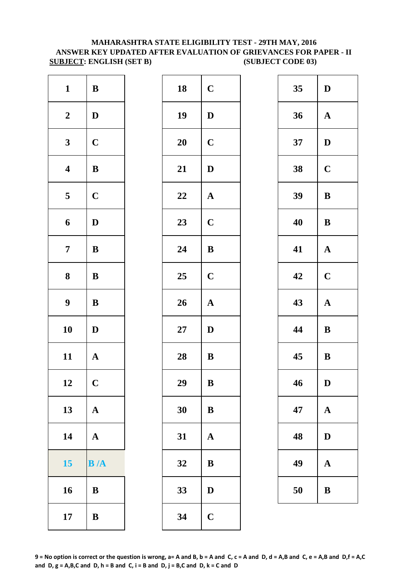#### **ANSWER KEY UPDATED AFTER EVALUATION OF GRIEVANCES FOR PAPER - II SUBJECT: ENGLISH (SET B) (SUBJECT CODE 03) MAHARASHTRA STATE ELIGIBILITY TEST - 29TH MAY, 2016**

| $\mathbf{1}$            | $\bf{B}$    | 18        | $\mathbf C$           |
|-------------------------|-------------|-----------|-----------------------|
| $\boldsymbol{2}$        | $\mathbf D$ | 19        | $\mathbf D$           |
| $\mathbf{3}$            | $\mathbf C$ | <b>20</b> | $\mathbf C$           |
| $\boldsymbol{4}$        | ${\bf B}$   | 21        | $\mathbf D$           |
| $\overline{\mathbf{5}}$ | $\mathbf C$ | 22        | ${\bf A}$             |
| 6                       | $\mathbf D$ | 23        | $\mathbf C$           |
| $\overline{7}$          | $\bf{B}$    | 24        | $\bf{B}$              |
| $\boldsymbol{8}$        | $\bf{B}$    | 25        | $\mathbf C$           |
| $\boldsymbol{9}$        | $\bf{B}$    | 26        | $\boldsymbol{\rm{A}}$ |
| 10                      | $\mathbf D$ | 27        | $\mathbf D$           |
| 11                      | $\mathbf A$ | 28        | $\bf{B}$              |
| 12                      | $\mathbf C$ | 29        | B                     |
| 13                      | ${\bf A}$   | 30        | $\bf{B}$              |
| 14                      | ${\bf A}$   | 31        | $\mathbf A$           |
| 15                      | B/A         | 32        | $\bf{B}$              |
| 16                      | $\bf{B}$    | 33        | $\mathbf D$           |
| 17                      | $\bf{B}$    | 34        | $\mathbf C$           |

| $\mathbf{1}$            | $\mathbf{B}$ | 18 | $\mathbf C$  | 35 | D            |
|-------------------------|--------------|----|--------------|----|--------------|
| $\boldsymbol{2}$        | $\mathbf D$  | 19 | $\mathbf{D}$ | 36 | $\mathbf{A}$ |
| $\mathbf{3}$            | $\mathbf C$  | 20 | $\mathbf C$  | 37 | D            |
| $\overline{\mathbf{4}}$ | $\bf{B}$     | 21 | D            | 38 | $\mathbf C$  |
| $\overline{5}$          | $\mathbf C$  | 22 | $\mathbf{A}$ | 39 | $\bf{B}$     |
| 6                       | $\mathbf{D}$ | 23 | $\mathbf C$  | 40 | $\bf{B}$     |
| $\overline{7}$          | $\bf{B}$     | 24 | $\bf{B}$     | 41 | $\mathbf{A}$ |
| $\boldsymbol{8}$        | $\bf{B}$     | 25 | $\mathbf C$  | 42 | $\mathbf C$  |
| $\boldsymbol{9}$        | $\bf{B}$     | 26 | ${\bf A}$    | 43 | ${\bf A}$    |
| 10                      | $\mathbf{D}$ | 27 | D            | 44 | $\bf{B}$     |
| 11                      | $\mathbf{A}$ | 28 | $\bf{B}$     | 45 | $\, {\bf B}$ |
| 12                      | $\mathbf C$  | 29 | $\bf{B}$     | 46 | D            |
| 13                      | $\mathbf{A}$ | 30 | B            | 47 | $\mathbf{A}$ |
| 14                      | $\mathbf{A}$ | 31 | $\mathbf{A}$ | 48 | D            |
| 15                      | B/A          | 32 | B            | 49 | $\mathbf{A}$ |
| 16                      | B            | 33 | D            | 50 | $\bf{B}$     |
| 17                      | $\bf{B}$     | 34 | $\mathbf C$  |    |              |
|                         |              |    |              |    |              |

| 35 | D            |
|----|--------------|
| 36 | $\mathbf A$  |
| 37 | D            |
| 38 | $\mathbf C$  |
| 39 | B            |
| 40 | B            |
| 41 | $\mathbf A$  |
| 42 | $\mathbf C$  |
| 43 | $\mathbf{A}$ |
| 44 | $\bf{B}$     |
| 45 | B            |
| 46 | D            |
| 47 | $\mathbf A$  |
| 48 | D            |
| 49 | $\mathbf A$  |
| 50 | B            |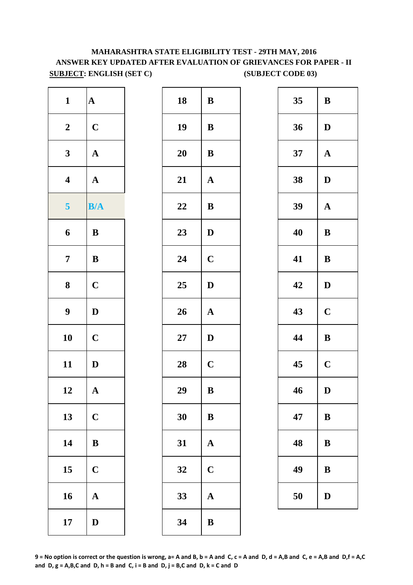# **MAHARASHTRA STATE ELIGIBILITY TEST - 29TH MAY, 2016 ANSWER KEY UPDATED AFTER EVALUATION OF GRIEVANCES FOR PAPER - II SUBJECT: ENGLISH (SET C)** (SUBJECT CODE 03)

| $\mathbf{1}$            | $\boldsymbol{\rm{A}}$ | 18        | $\bf{B}$     |
|-------------------------|-----------------------|-----------|--------------|
| $\boldsymbol{2}$        | $\mathbf C$           | 19        | $\bf{B}$     |
| $\mathbf{3}$            | $\mathbf A$           | 20        | $\bf{B}$     |
| $\overline{\mathbf{4}}$ | $\mathbf A$           | 21        | $\mathbf A$  |
| 5                       | B/A                   | 22        | $\, {\bf B}$ |
| 6                       | $\bf{B}$              | 23        | $\mathbf D$  |
| $\overline{7}$          | $\bf{B}$              | 24        | $\mathbf C$  |
| 8                       | $\mathbf C$           | 25        | $\mathbf D$  |
| $\boldsymbol{9}$        | $\mathbf D$           | 26        | $\mathbf A$  |
| 10                      | $\mathbf C$           | <b>27</b> | $\mathbf D$  |
| 11                      | $\mathbf{D}$          | 28        | $\mathbf C$  |
| 12                      | ${\bf A}$             | 29        | $\bf{B}$     |
| 13                      | $\mathbf C$           | 30        | $\bf{B}$     |
| 14                      | $\bf{B}$              | 31        | $\mathbf A$  |
| 15                      | $\mathbf C$           | 32        | $\mathbf C$  |
| 16                      | $\mathbf A$           | 33        | $\mathbf A$  |
| 17                      | $\mathbf D$           | 34        | $\bf{B}$     |

| $\mathbf{1}$            | ${\bf A}$    | 18     | $\mathbf{B}$ | 35 | $\bf{B}$     |
|-------------------------|--------------|--------|--------------|----|--------------|
| $\boldsymbol{2}$        | $\mathbf C$  | 19     | $\bf{B}$     | 36 | $\mathbf{D}$ |
| $\mathbf{3}$            | $\mathbf{A}$ | 20     | $\bf{B}$     | 37 | ${\bf A}$    |
| $\overline{\mathbf{4}}$ | $\mathbf{A}$ | 21     | $\mathbf{A}$ | 38 | $\mathbf D$  |
| 5 <sup>5</sup>          | B/A          | 22     | $\bf{B}$     | 39 | ${\bf A}$    |
| $\boldsymbol{6}$        | B            | 23     | $\mathbf D$  | 40 | $\bf{B}$     |
| $\overline{7}$          | $\bf{B}$     | 24     | $\mathbf C$  | 41 | $\bf{B}$     |
| $\boldsymbol{8}$        | $\mathbf C$  | 25     | D            | 42 | $\mathbf{D}$ |
| $\boldsymbol{9}$        | $\mathbf D$  | 26     | $\mathbf{A}$ | 43 | $\mathbf C$  |
| 10                      | $\mathbf C$  | $27\,$ | D            | 44 | ${\bf B}$    |
| 11                      | $\mathbf D$  | 28     | $\mathbf C$  | 45 | $\mathbf C$  |
| 12                      | $\mathbf A$  | 29     | $\, {\bf B}$ | 46 | $\mathbf D$  |
| 13                      | $\mathbf C$  | 30     | $\bf{B}$     | 47 | $\bf{B}$     |
| 14                      | $\bf{B}$     | 31     | $\mathbf{A}$ | 48 | $\bf{B}$     |
| 15                      | $\mathbf C$  | 32     | $\mathbf C$  | 49 | $\bf{B}$     |
| 16                      | $\mathbf{A}$ | 33     | $\mathbf{A}$ | 50 | D            |
| 17                      | D            | 34     | $\bf{B}$     |    |              |
|                         |              |        |              |    |              |

| 35 | B              |
|----|----------------|
| 36 | D              |
| 37 | $\mathbf A$    |
| 38 | D              |
| 39 | $\mathbf{A}$   |
| 40 | $\bf{B}$       |
| 41 | B              |
| 42 | D              |
| 43 | $\mathbf C$    |
| 44 | B              |
| 45 | $\overline{C}$ |
| 46 | D              |
| 47 | B              |
| 48 | B              |
| 49 | B              |
| 50 | D              |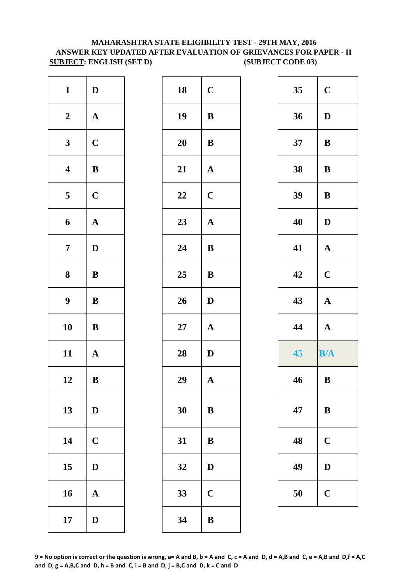## **MAHARASHTRA STATE ELIGIBILITY TEST - 29TH MAY, 2016 SUBJECT: ENGLISH (SET D) (SUBJECT CODE 03) ANSWER KEY UPDATED AFTER EVALUATION OF GRIEVANCES FOR PAPER - II**

| $\mathbf{1}$     | $\mathbf D$  | 18        | $\mathbf C$  |
|------------------|--------------|-----------|--------------|
| $\boldsymbol{2}$ | $\mathbf A$  | 19        | $\, {\bf B}$ |
| $\mathbf{3}$     | $\mathbf C$  | <b>20</b> | $\bf{B}$     |
| $\boldsymbol{4}$ | $\bf{B}$     | 21        | ${\bf A}$    |
| 5                | $\mathbf C$  | 22        | $\mathbf C$  |
| 6                | $\mathbf{A}$ | 23        | ${\bf A}$    |
| $\overline{7}$   | $\mathbf D$  | 24        | $\bf{B}$     |
| 8                | $\bf{B}$     | 25        | $\bf{B}$     |
| $\boldsymbol{9}$ | $\bf{B}$     | 26        | $\mathbf D$  |
| 10               | $\bf{B}$     | 27        | $\mathbf A$  |
| 11               | $\mathbf A$  | 28        | $\mathbf D$  |
| 12               | $\bf{B}$     | 29        | $\mathbf A$  |
| 13               | $\mathbf D$  | 30        | $\bf{B}$     |
| 14               | $\mathbf C$  | 31        | $\bf{B}$     |
| 15               | $\mathbf D$  | 32        | $\mathbf D$  |
| 16               | ${\bf A}$    | 33        | $\mathbf C$  |
| 17               | $\mathbf D$  | 34        | $\bf{B}$     |

| $\mathbf{1}$            | $\mathbf{D}$ | 18         | $\mathbf C$  | 35 | $\mathbf C$  |
|-------------------------|--------------|------------|--------------|----|--------------|
| $\boldsymbol{2}$        | $\mathbf{A}$ | 19         | $\, {\bf B}$ | 36 | D            |
| $\mathbf{3}$            | $\mathbf C$  | 20         | $\bf{B}$     | 37 | $\bf{B}$     |
| $\overline{\mathbf{4}}$ | ${\bf B}$    | 21         | $\mathbf{A}$ | 38 | $\bf{B}$     |
| $\overline{\mathbf{5}}$ | $\mathbf C$  | 22         | $\mathbf C$  | 39 | $\, {\bf B}$ |
| $\boldsymbol{6}$        | ${\bf A}$    | 23         | $\mathbf{A}$ | 40 | D            |
| $\overline{7}$          | $\mathbf D$  | 24         | $\bf{B}$     | 41 | $\mathbf{A}$ |
| $\boldsymbol{8}$        | $\bf{B}$     | 25         | $\bf{B}$     | 42 | $\mathbf C$  |
| $\boldsymbol{9}$        | ${\bf B}$    | 26         | D            | 43 | $\mathbf A$  |
| 10                      | $\bf{B}$     | ${\bf 27}$ | ${\bf A}$    | 44 | $\mathbf{A}$ |
| 11                      | $\mathbf{A}$ | 28         | $\mathbf D$  | 45 | B/A          |
| 12                      | $\bf{B}$     | 29         | ${\bf A}$    | 46 | $\, {\bf B}$ |
| 13                      | $\mathbf D$  | 30         | $\, {\bf B}$ | 47 | $\bf{B}$     |
| 14                      | $\mathbf C$  | 31         | $\bf{B}$     | 48 | $\mathbf C$  |
| 15                      | $\mathbf D$  | 32         | D            | 49 | D            |
| 16                      | $\mathbf{A}$ | 33         | $\mathbf C$  | 50 | $\mathbf C$  |
| 17                      | D            | 34         | $\bf{B}$     |    |              |

| 35 | $\mathbf C$ |
|----|-------------|
| 36 | D           |
| 37 | B           |
| 38 | B           |
| 39 | B           |
| 40 | D           |
| 41 | $\mathbf A$ |
| 42 | $\mathbf C$ |
|    |             |
| 43 | $\mathbf A$ |
| 44 | $\mathbf A$ |
| 45 | B/A         |
| 46 | B           |
| 47 | B           |
| 48 | $\mathbf C$ |
| 49 | D           |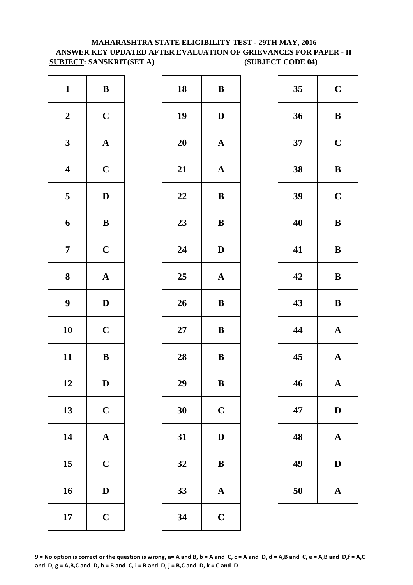# **ANSWER KEY UPDATED AFTER EVALUATION OF GRIEVANCES FOR PAPER - II SUBJECT: SANSKRIT(SET A)** (SUBJECT CODE 04) **MAHARASHTRA STATE ELIGIBILITY TEST - 29TH MAY, 2016**

| $\mathbf{1}$            | $\bf{B}$     | 18         | $\bf{B}$     |
|-------------------------|--------------|------------|--------------|
| $\boldsymbol{2}$        | $\mathbf C$  | 19         | $\mathbf{D}$ |
| $\mathbf{3}$            | ${\bf A}$    | <b>20</b>  | $\mathbf A$  |
| $\overline{\mathbf{4}}$ | $\mathbf C$  | 21         | $\mathbf A$  |
| $\overline{\mathbf{5}}$ | $\mathbf D$  | 22         | $\bf{B}$     |
| 6                       | $\, {\bf B}$ | 23         | $\bf{B}$     |
| $\overline{7}$          | $\mathbf C$  | 24         | $\mathbf{D}$ |
| $\boldsymbol{8}$        | $\mathbf A$  | 25         | $\mathbf A$  |
| $\boldsymbol{9}$        | $\mathbf D$  | 26         | $\bf{B}$     |
| 10                      | $\mathbf C$  | ${\bf 27}$ | $\bf{B}$     |
| 11                      | $\, {\bf B}$ | 28         | $\bf{B}$     |
| 12                      | D            | 29         | $\bf{B}$     |
| 13                      | $\mathbf C$  | 30         | $\mathbf C$  |
| 14                      | ${\bf A}$    | 31         | $\mathbf{D}$ |
| 15                      | $\mathbf C$  | 32         | $\bf{B}$     |
| 16                      | $\mathbf D$  | 33         | $\mathbf{A}$ |
| 17                      | $\mathbf C$  | 34         | $\mathbf C$  |

| $\mathbf{1}$            | $\, {\bf B}$ | ${\bf 18}$ | $\bf{B}$     | 35 | $\mathbf C$  |
|-------------------------|--------------|------------|--------------|----|--------------|
| $\boldsymbol{2}$        | $\mathbf C$  | 19         | $\mathbf{D}$ | 36 | $\bf{B}$     |
| $\mathbf{3}$            | ${\bf A}$    | 20         | ${\bf A}$    | 37 | $\mathbf C$  |
| $\overline{\mathbf{4}}$ | $\mathbf C$  | 21         | ${\bf A}$    | 38 | $\bf{B}$     |
| $5\overline{)}$         | $\mathbf D$  | 22         | $\bf{B}$     | 39 | $\mathbf C$  |
| $\boldsymbol{6}$        | ${\bf B}$    | 23         | $\bf{B}$     | 40 | $\bf{B}$     |
| $\overline{7}$          | $\mathbf C$  | 24         | $\mathbf{D}$ | 41 | $\bf{B}$     |
| $\boldsymbol{8}$        | ${\bf A}$    | 25         | ${\bf A}$    | 42 | $\bf{B}$     |
| $\boldsymbol{9}$        | $\mathbf{D}$ | 26         | ${\bf B}$    | 43 | $\bf{B}$     |
| 10                      | $\mathbf C$  | 27         | $\, {\bf B}$ | 44 | $\mathbf A$  |
| 11                      | ${\bf B}$    | 28         | ${\bf B}$    | 45 | $\mathbf A$  |
| 12                      | D            | 29         | $\bf{B}$     | 46 | $\mathbf A$  |
| 13                      | $\mathbf C$  | 30         | $\mathbf C$  | 47 | $\mathbf{D}$ |
| 14                      | ${\bf A}$    | 31         | $\mathbf D$  | 48 | $\mathbf A$  |
| 15                      | $\mathbf C$  | 32         | $\, {\bf B}$ | 49 | $\mathbf{D}$ |
| 16                      | $\mathbf D$  | 33         | ${\bf A}$    | 50 | $\mathbf A$  |
| 17                      | $\mathbf C$  | 34         | $\mathbf C$  |    |              |
|                         |              |            |              |    |              |

| 35 | $\mathbf C$             |
|----|-------------------------|
| 36 | B                       |
| 37 | $\mathbf C$             |
| 38 | B                       |
| 39 | $\mathbf C$             |
| 40 | B                       |
| 41 | B                       |
| 42 | B                       |
| 43 | B                       |
| 44 | $\mathbf A$             |
| 45 | $\mathbf A$             |
| 46 | $\overline{\mathbf{A}}$ |
| 47 | $\bf{D}$                |
| 48 |                         |
|    | $\mathbf A$             |
| 49 | D                       |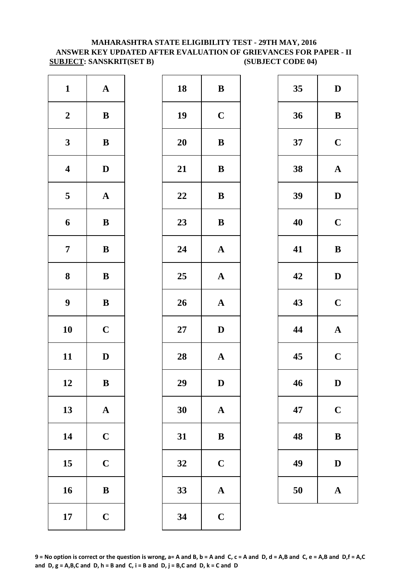#### **MAHARASHTRA STATE ELIGIBILITY TEST - 29TH MAY, 2016 ANSWER KEY UPDATED AFTER EVALUATION OF GRIEVANCES FOR PAPER - II SUBJECT: SANSKRIT(SET B) (SUBJECT CODE 04)**

| $\mathbf{1}$            | ${\bf A}$             | 18        | $\bf{B}$     |
|-------------------------|-----------------------|-----------|--------------|
| $\boldsymbol{2}$        | $\, {\bf B}$          | 19        | $\mathbf C$  |
| $\mathbf{3}$            | $\, {\bf B}$          | <b>20</b> | $\bf{B}$     |
| $\overline{\mathbf{4}}$ | $\mathbf D$           | 21        | $\bf{B}$     |
| $\overline{\mathbf{5}}$ | $\boldsymbol{\rm{A}}$ | 22        | $\bf{B}$     |
| 6                       | $\, {\bf B}$          | 23        | $\bf{B}$     |
| $\overline{7}$          | $\, {\bf B}$          | 24        | $\mathbf{A}$ |
| $\boldsymbol{8}$        | $\, {\bf B}$          | 25        | $\mathbf{A}$ |
| $\boldsymbol{9}$        | $\, {\bf B}$          | 26        | $\mathbf{A}$ |
| 10                      | $\mathbf C$           | $27\,$    | $\mathbf{D}$ |
| 11                      | $\mathbf D$           | 28        | $\mathbf{A}$ |
| 12                      | B                     | 29        | D            |
| 13                      | ${\bf A}$             | 30        | $\mathbf{A}$ |
| 14                      | $\mathbf C$           | 31        | $\bf{B}$     |
| 15                      | $\mathbf C$           | 32        | $\mathbf C$  |
| 16                      | $\, {\bf B}$          | 33        | $\mathbf{A}$ |
| 17                      | $\mathbf C$           | 34        | $\mathbf C$  |

| $\mathbf{1}$            | ${\bf A}$    | 18     | ${\bf B}$             | 35 | $\mathbf{D}$ |
|-------------------------|--------------|--------|-----------------------|----|--------------|
| $\boldsymbol{2}$        | $\, {\bf B}$ | 19     | $\mathbf C$           | 36 | $\bf{B}$     |
| $\mathbf{3}$            | ${\bf B}$    | 20     | $\, {\bf B}$          | 37 | $\mathbf C$  |
| $\overline{\mathbf{4}}$ | $\mathbf D$  | 21     | $\, {\bf B}$          | 38 | $\mathbf A$  |
| $\overline{5}$          | ${\bf A}$    | 22     | ${\bf B}$             | 39 | $\mathbf{D}$ |
| $\boldsymbol{6}$        | $\, {\bf B}$ | 23     | $\bf{B}$              | 40 | $\mathbf C$  |
| $\overline{7}$          | ${\bf B}$    | 24     | $\boldsymbol{\rm{A}}$ | 41 | $\bf{B}$     |
| $\boldsymbol{8}$        | ${\bf B}$    | 25     | ${\bf A}$             | 42 | $\mathbf{D}$ |
| $\boldsymbol{9}$        | $\, {\bf B}$ | 26     | ${\bf A}$             | 43 | $\mathbf C$  |
| 10                      | $\mathbf C$  | $27\,$ | $\mathbf{D}$          | 44 | $\mathbf A$  |
| 11                      | $\mathbf D$  | 28     | ${\bf A}$             | 45 | $\mathbf C$  |
| 12                      | $\, {\bf B}$ | 29     | $\mathbf D$           | 46 | D            |
| 13                      | ${\bf A}$    | 30     | $\mathbf A$           | 47 | $\mathbf C$  |
| 14                      | $\mathbf C$  | 31     | $\bf{B}$              | 48 | $\bf{B}$     |
| 15                      | $\mathbf C$  | 32     | $\mathbf C$           | 49 | $\mathbf{D}$ |
| 16                      | $\, {\bf B}$ | 33     | ${\bf A}$             | 50 | $\mathbf A$  |
| 17                      | $\mathbf C$  | 34     | $\mathbf C$           |    |              |
|                         |              |        |                       |    |              |

| 35 | D                       |
|----|-------------------------|
| 36 | B                       |
| 37 | $\mathbf C$             |
| 38 | $\mathbf A$             |
| 39 | D                       |
| 40 | $\mathbf C$             |
| 41 | B                       |
| 42 | D                       |
| 43 | $\mathbf C$             |
| 44 | $\mathbf A$             |
| 45 | $\overline{\mathbf{C}}$ |
| 46 | D                       |
| 47 | $\mathbf C$             |
| 48 | B                       |
| 49 | D                       |
| 50 | $\mathbf A$             |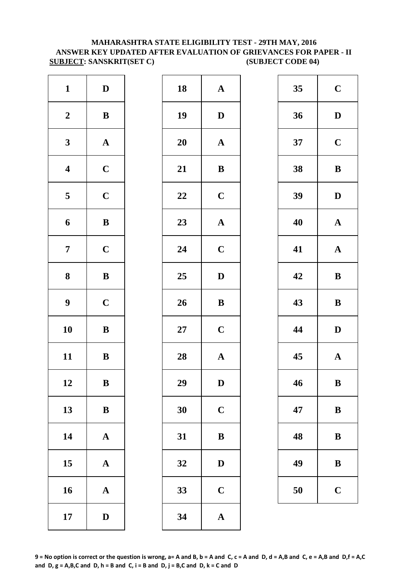#### **MAHARASHTRA STATE ELIGIBILITY TEST - 29TH MAY, 2016 ANSWER KEY UPDATED AFTER EVALUATION OF GRIEVANCES FOR PAPER - II SUBJECT: SANSKRIT(SET C) (SUBJECT CODE 04)**

| $\mathbf{1}$            | $\mathbf D$           | 18        | $\mathbf{A}$ |
|-------------------------|-----------------------|-----------|--------------|
| $\boldsymbol{2}$        | $\, {\bf B}$          | 19        | $\mathbf{D}$ |
| $\mathbf{3}$            | $\boldsymbol{\rm{A}}$ | <b>20</b> | $\mathbf A$  |
| $\overline{\mathbf{4}}$ | $\mathbf C$           | 21        | $\bf{B}$     |
| $\overline{\mathbf{5}}$ | $\mathbf C$           | 22        | $\mathbf C$  |
| 6                       | $\, {\bf B}$          | 23        | $\mathbf{A}$ |
| $\overline{7}$          | $\mathbf C$           | 24        | $\mathbf C$  |
| ${\bf 8}$               | $\, {\bf B}$          | 25        | $\mathbf{D}$ |
| $\boldsymbol{9}$        | $\mathbf C$           | 26        | $\bf{B}$     |
| 10                      | $\bf{B}$              | $27\,$    | $\mathbf C$  |
| 11                      | $\, {\bf B}$          | 28        | $\mathbf{A}$ |
| 12                      | B                     | 29        | D            |
| 13                      | $\, {\bf B}$          | 30        | $\mathbf C$  |
| 14                      | $\boldsymbol{\rm{A}}$ | 31        | $\bf{B}$     |
| 15                      | ${\bf A}$             | 32        | $\mathbf{D}$ |
| 16                      | $\boldsymbol{\rm{A}}$ | 33        | $\mathbf C$  |
| 17                      | $\mathbf D$           | 34        | $\mathbf{A}$ |

| $\mathbf{1}$            | $\mathbf{D}$ | 18     | ${\bf A}$             | 35 | $\mathbf C$  |
|-------------------------|--------------|--------|-----------------------|----|--------------|
| $\boldsymbol{2}$        | ${\bf B}$    | 19     | $\mathbf D$           | 36 | $\mathbf{D}$ |
| $\mathbf{3}$            | ${\bf A}$    | 20     | $\mathbf{A}$          | 37 | $\mathbf C$  |
| $\overline{\mathbf{4}}$ | $\mathbf C$  | 21     | $\, {\bf B}$          | 38 | $\bf{B}$     |
| $\overline{\mathbf{5}}$ | $\mathbf C$  | 22     | $\mathbf C$           | 39 | $\mathbf{D}$ |
| $\boldsymbol{6}$        | ${\bf B}$    | 23     | ${\bf A}$             | 40 | $\mathbf A$  |
| $\overline{7}$          | $\mathbf C$  | 24     | $\mathbf C$           | 41 | $\mathbf A$  |
| $\boldsymbol{8}$        | ${\bf B}$    | 25     | $\mathbf{D}$          | 42 | $\bf{B}$     |
| $\boldsymbol{9}$        | $\mathbf C$  | 26     | $\, {\bf B}$          | 43 | $\bf{B}$     |
| 10                      | $\, {\bf B}$ | $27\,$ | $\mathbf C$           | 44 | $\mathbf{D}$ |
| 11                      | ${\bf B}$    | 28     | ${\bf A}$             | 45 | $\mathbf A$  |
| 12                      | $\bf{B}$     | 29     | $\mathbf D$           | 46 | $\bf{B}$     |
| 13                      | $\, {\bf B}$ | 30     | $\mathbf C$           | 47 | $\bf{B}$     |
| 14                      | ${\bf A}$    | 31     | $\, {\bf B}$          | 48 | $\bf{B}$     |
| 15                      | ${\bf A}$    | 32     | $\mathbf D$           | 49 | $\bf{B}$     |
| 16                      | ${\bf A}$    | 33     | $\mathbf C$           | 50 | $\mathbf C$  |
| 17                      | $\mathbf D$  | 34     | $\boldsymbol{\rm{A}}$ |    |              |
|                         |              |        |                       |    |              |

| 35 | $\mathbf C$ |
|----|-------------|
| 36 | D           |
| 37 | $\mathbf C$ |
| 38 | B           |
| 39 | D           |
| 40 | $\mathbf A$ |
| 41 | $\mathbf A$ |
| 42 | B           |
| 43 | B           |
| 44 | D           |
| 45 | $\mathbf A$ |
| 46 | B           |
| 47 | B           |
| 48 | B           |
| 49 | B           |
| 50 | $\mathbf C$ |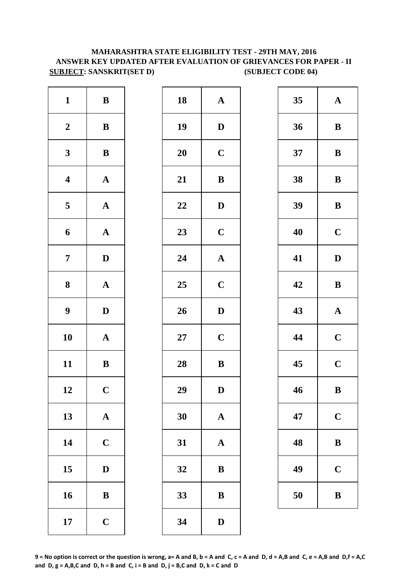# **MAHARASHTRA STATE ELIGIBILITY TEST - 29TH MAY, 2016 ANSWER KEY UPDATED AFTER EVALUATION OF GRIEVANCES FOR PAPER - II SUBJECT: SANSKRIT(SET D)** (SUBJECT CODE 04)

| $\mathbf{1}$            | ${\bf B}$    | 18     | ${\bf A}$    | 35 | $\mathbf{A}$ |
|-------------------------|--------------|--------|--------------|----|--------------|
| $\boldsymbol{2}$        | ${\bf B}$    | 19     | $\mathbf{D}$ | 36 | $\bf{B}$     |
| $\mathbf{3}$            | ${\bf B}$    | 20     | $\mathbf C$  | 37 | $\bf{B}$     |
| $\overline{\mathbf{4}}$ | ${\bf A}$    | 21     | $\, {\bf B}$ | 38 | $\bf{B}$     |
| $5\phantom{.0}$         | ${\bf A}$    | 22     | $\mathbf{D}$ | 39 | $\bf{B}$     |
| 6                       | ${\bf A}$    | 23     | $\mathbf C$  | 40 | $\mathbf C$  |
| $\overline{7}$          | $\mathbf D$  | 24     | ${\bf A}$    | 41 | $\mathbf{D}$ |
| 8                       | ${\bf A}$    | 25     | $\mathbf C$  | 42 | $\bf{B}$     |
| $\boldsymbol{9}$        | $\mathbf D$  | 26     | $\mathbf D$  | 43 | $\mathbf A$  |
| 10                      | ${\bf A}$    | $27\,$ | $\mathbf C$  | 44 | $\mathbf C$  |
| 11                      | $\bf{B}$     | 28     | ${\bf B}$    | 45 | $\mathbf C$  |
| 12                      | $\mathbf C$  | 29     | $\mathbf D$  | 46 | $\bf{B}$     |
| 13                      | ${\bf A}$    | 30     | ${\bf A}$    | 47 | $\mathbf C$  |
| 14                      | $\mathbf C$  | 31     | ${\bf A}$    | 48 | $\bf{B}$     |
| 15                      | $\mathbf D$  | 32     | ${\bf B}$    | 49 | $\mathbf C$  |
| 16                      | $\, {\bf B}$ | 33     | $\, {\bf B}$ | 50 | $\bf{B}$     |
| 17                      | $\mathbf C$  | 34     | $\mathbf D$  |    |              |

| 18 | $\mathbf A$             |
|----|-------------------------|
| 19 | D                       |
| 20 | $\mathbf C$             |
| 21 | B                       |
| 22 | $\bf{D}$                |
| 23 | $\mathbf C$             |
| 24 | $\mathbf A$             |
| 25 | $\mathbf C$             |
| 26 | D                       |
| 27 | $\overline{\mathbf{C}}$ |
| 28 | B                       |
| 29 | $\mathbf D$             |
| 30 | $\mathbf A$             |
| 31 | $\mathbf A$             |
| 32 | B                       |
| 33 | B                       |
| 34 | D                       |

| 35 | $\mathbf A$             |
|----|-------------------------|
| 36 | B                       |
| 37 | B                       |
| 38 | B                       |
| 39 | B                       |
| 40 | $\mathbf C$             |
| 41 | D                       |
| 42 | B                       |
|    |                         |
| 43 | $\mathbf{A}$            |
| 44 | $\mathbf C$             |
| 45 | $\overline{\mathbf{C}}$ |
| 46 | B                       |
| 47 | $\mathbf C$             |
| 48 | B                       |
| 49 | $\mathbf C$             |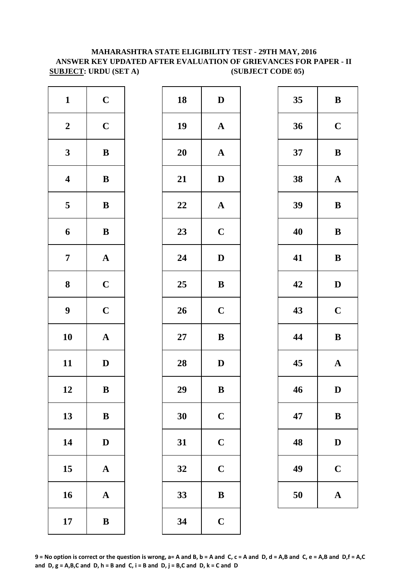# **SUBJECT: URDU (SET A)** (SUBJECT CODE 05) **MAHARASHTRA STATE ELIGIBILITY TEST - 29TH MAY, 2016 ANSWER KEY UPDATED AFTER EVALUATION OF GRIEVANCES FOR PAPER - II**

| $\mathbf{1}$            | $\mathbf C$           | 18 | $\mathbf D$           | 35 | $\bf{B}$     |
|-------------------------|-----------------------|----|-----------------------|----|--------------|
| $\boldsymbol{2}$        | $\mathbf C$           | 19 | ${\bf A}$             | 36 | $\mathbf C$  |
| $\mathbf{3}$            | $\, {\bf B}$          | 20 | ${\bf A}$             | 37 | $\bf{B}$     |
| $\overline{\mathbf{4}}$ | $\bf{B}$              | 21 | $\mathbf{D}$          | 38 | $\mathbf{A}$ |
| $5\phantom{.0}$         | $\, {\bf B}$          | 22 | $\boldsymbol{\rm{A}}$ | 39 | $\bf{B}$     |
| 6                       | $\, {\bf B}$          | 23 | $\mathbf C$           | 40 | $\bf{B}$     |
| $\overline{7}$          | ${\bf A}$             | 24 | $\mathbf D$           | 41 | $\bf{B}$     |
| 8                       | $\mathbf C$           | 25 | $\, {\bf B}$          | 42 | $\mathbf{D}$ |
| $\boldsymbol{9}$        | $\mathbf C$           | 26 | $\mathbf C$           | 43 | $\mathbf C$  |
| 10                      | ${\bf A}$             | 27 | $\bf{B}$              | 44 | $\bf{B}$     |
| 11                      | $\mathbf D$           | 28 | $\mathbf D$           | 45 | $\mathbf{A}$ |
| 12                      | $\, {\bf B}$          | 29 | $\, {\bf B}$          | 46 | $\mathbf{D}$ |
| 13                      | $\bf{B}$              | 30 | $\mathbf C$           | 47 | $\bf{B}$     |
| 14                      | $\mathbf D$           | 31 | $\mathbf C$           | 48 | $\mathbf{D}$ |
| 15                      | ${\bf A}$             | 32 | $\mathbf C$           | 49 | $\mathbf C$  |
| 16                      | $\boldsymbol{\rm{A}}$ | 33 | $\bf{B}$              | 50 | $\mathbf A$  |
| 17                      | $\, {\bf B}$          | 34 | $\mathbf C$           |    |              |

| $\mathbf{1}$            | $\mathbf C$           | 18     | $\mathbf D$           | 35 | $\bf{B}$     |
|-------------------------|-----------------------|--------|-----------------------|----|--------------|
| $\overline{\mathbf{2}}$ | $\mathbf C$           | 19     | $\mathbf{A}$          | 36 | $\mathbf C$  |
| $\overline{\mathbf{3}}$ | $\, {\bf B}$          | 20     | $\boldsymbol{\rm{A}}$ | 37 | $\bf{B}$     |
| 4                       | $\, {\bf B}$          | 21     | $\mathbf D$           | 38 | $\mathbf A$  |
| 5                       | $\, {\bf B}$          | 22     | ${\bf A}$             | 39 | $\bf{B}$     |
| 6                       | ${\bf B}$             | 23     | $\mathbf C$           | 40 | $\bf{B}$     |
| 7                       | $\boldsymbol{\rm{A}}$ | 24     | $\mathbf D$           | 41 | $\bf{B}$     |
| 8                       | $\mathbf C$           | 25     | ${\bf B}$             | 42 | $\mathbf{D}$ |
| 9                       | $\mathbf C$           | 26     | $\mathbf C$           | 43 | $\mathbf C$  |
| $\overline{\mathbf{0}}$ | $\boldsymbol{\rm{A}}$ | $27\,$ | $\, {\bf B}$          | 44 | $\bf{B}$     |
| $\overline{\mathbf{1}}$ | $\mathbf D$           | 28     | $\mathbf D$           | 45 | $\mathbf A$  |
| $\overline{2}$          | $\, {\bf B}$          | 29     | $\, {\bf B}$          | 46 | $\mathbf{D}$ |
| $\overline{3}$          | $\, {\bf B}$          | 30     | $\mathbf C$           | 47 | $\bf{B}$     |
| $\overline{4}$          | $\mathbf D$           | 31     | $\mathbf C$           | 48 | $\mathbf{D}$ |
| $\overline{5}$          | $\boldsymbol{\rm{A}}$ | 32     | $\mathbf C$           | 49 | $\mathbf C$  |
| $16 \,$                 | $\boldsymbol{\rm{A}}$ | 33     | $\mathbf B$           | 50 | $\mathbf A$  |
| $\overline{17}$         | $\, {\bf B}$          | 34     | $\mathbf C$           |    |              |
|                         |                       |        |                       |    |              |

| 35 | B            |
|----|--------------|
| 36 | $\mathbf C$  |
| 37 | B            |
| 38 | $\mathbf A$  |
| 39 | B            |
| 40 | B            |
| 41 | B            |
| 42 | D            |
| 43 | $\mathbf C$  |
| 44 | B            |
| 45 | $\mathbf{A}$ |
| 46 | D            |
| 47 | B            |
| 48 | D            |
| 49 | $\mathbf C$  |
| 50 | $\bf A$      |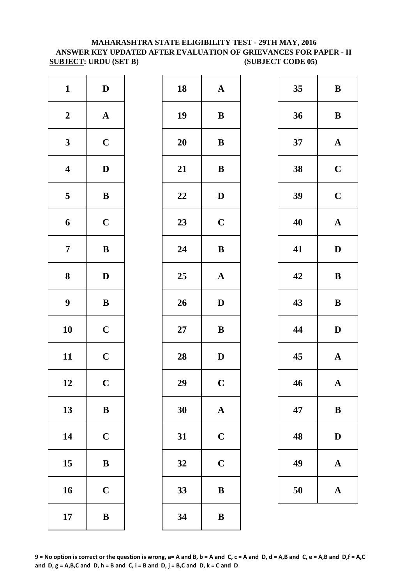#### **MAHARASHTRA STATE ELIGIBILITY TEST - 29TH MAY, 2016 ANSWER KEY UPDATED AFTER EVALUATION OF GRIEVANCES FOR PAPER - II SUBJECT: URDU (SET B) (SUBJECT CODE 05)**

| $\mathbf{1}$            | $\mathbf D$           | 18        | $\mathbf A$             |
|-------------------------|-----------------------|-----------|-------------------------|
| $\boldsymbol{2}$        | $\boldsymbol{\rm{A}}$ | 19        | $\bf{B}$                |
| $\mathbf{3}$            | $\mathbf C$           | <b>20</b> | $\bf{B}$                |
| $\overline{\mathbf{4}}$ | $\mathbf D$           | 21        | $\bf{B}$                |
| $\overline{\mathbf{5}}$ | $\, {\bf B}$          | 22        | D                       |
| 6                       | $\mathbf C$           | 23        | $\mathbf C$             |
| $\overline{7}$          | $\bf{B}$              | 24        | $\bf{B}$                |
| ${\bf 8}$               | $\mathbf D$           | 25        | $\mathbf{A}$            |
| $\boldsymbol{9}$        | $\, {\bf B}$          | 26        | D                       |
| 10                      | $\mathbf C$           | $27\,$    | $\bf{B}$                |
| 11                      | $\mathbf C$           | 28        | D                       |
| 12                      | $\mathbf C$           | 29        | $\overline{\mathbf{C}}$ |
| 13                      | $\bf{B}$              | 30        | $\mathbf{A}$            |
| 14                      | $\mathbf C$           | 31        | $\mathbf C$             |
| 15                      | $\bf{B}$              | 32        | $\mathbf C$             |
| 16                      | $\mathbf C$           | 33        | $\bf{B}$                |
| 17                      | $\bf{B}$              | 34        | $\bf{B}$                |

| $\mathbf{1}$            | $\mathbf D$  | 18     | ${\bf A}$    | 35 | $\bf{B}$     |
|-------------------------|--------------|--------|--------------|----|--------------|
| $\boldsymbol{2}$        | ${\bf A}$    | 19     | $\, {\bf B}$ | 36 | $\bf{B}$     |
| $\mathbf{3}$            | $\mathbf C$  | 20     | $\bf{B}$     | 37 | $\mathbf A$  |
| $\overline{\mathbf{4}}$ | $\mathbf D$  | 21     | $\, {\bf B}$ | 38 | $\mathbf C$  |
| $\overline{\mathbf{5}}$ | $\, {\bf B}$ | 22     | $\mathbf{D}$ | 39 | $\mathbf C$  |
| $\boldsymbol{6}$        | $\mathbf C$  | 23     | $\mathbf C$  | 40 | $\mathbf A$  |
| $\overline{7}$          | $\bf{B}$     | 24     | ${\bf B}$    | 41 | $\mathbf{D}$ |
| $\boldsymbol{8}$        | $\mathbf{D}$ | 25     | ${\bf A}$    | 42 | $\bf{B}$     |
| $\boldsymbol{9}$        | $\, {\bf B}$ | 26     | $\mathbf D$  | 43 | $\bf{B}$     |
| 10                      | $\mathbf C$  | $27\,$ | ${\bf B}$    | 44 | $\mathbf{D}$ |
| 11                      | $\mathbf C$  | 28     | $\mathbf D$  | 45 | $\mathbf A$  |
| 12                      | $\mathbf C$  | 29     | $\mathbf C$  | 46 | $\mathbf A$  |
| 13                      | $\, {\bf B}$ | 30     | $\mathbf{A}$ | 47 | $\bf{B}$     |
| 14                      | $\mathbf C$  | 31     | $\mathbf C$  | 48 | $\mathbf{D}$ |
| 15                      | $\bf{B}$     | 32     | $\mathbf C$  | 49 | $\mathbf A$  |
| 16                      | $\mathbf C$  | 33     | $\, {\bf B}$ | 50 | $\mathbf A$  |
| 17                      | $\, {\bf B}$ | 34     | $\bf{B}$     |    |              |
|                         |              |        |              |    |              |

| 35 | B           |
|----|-------------|
| 36 | B           |
| 37 | $\mathbf A$ |
| 38 | $\mathbf C$ |
| 39 | $\mathbf C$ |
| 40 | $\mathbf A$ |
| 41 | D           |
| 42 | B           |
| 43 | B           |
| 44 | D           |
| 45 | $\mathbf A$ |
| 46 | $\mathbf A$ |
| 47 | B           |
| 48 | $\mathbf D$ |
| 49 | A           |
| 50 | $\mathbf A$ |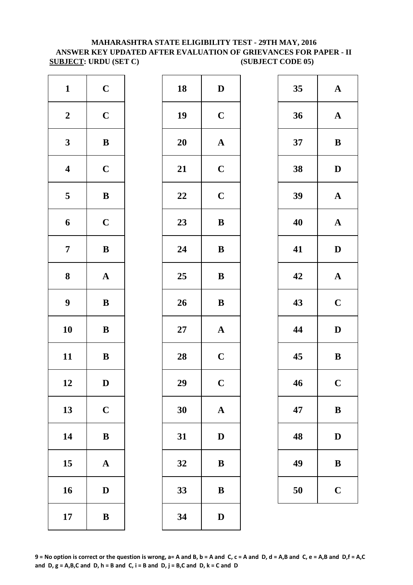#### **MAHARASHTRA STATE ELIGIBILITY TEST - 29TH MAY, 2016 ANSWER KEY UPDATED AFTER EVALUATION OF GRIEVANCES FOR PAPER - II SUBJECT: URDU (SET C)** (SUBJECT CODE 05)

| $\mathbf{1}$            | $\mathbf C$  | 18        | $\mathbf{D}$            |
|-------------------------|--------------|-----------|-------------------------|
| $\boldsymbol{2}$        | $\mathbf C$  | 19        | $\mathbf C$             |
| $\mathbf{3}$            | $\bf{B}$     | <b>20</b> | $\mathbf{A}$            |
| $\overline{\mathbf{4}}$ | $\mathbf C$  | 21        | $\mathbf C$             |
| $\overline{\mathbf{5}}$ | $\bf{B}$     | 22        | $\mathbf C$             |
| 6                       | $\mathbf C$  | 23        | $\bf{B}$                |
| $\boldsymbol{7}$        | $\, {\bf B}$ | 24        | $\bf{B}$                |
| $\boldsymbol{8}$        | $\mathbf A$  | 25        | $\bf{B}$                |
| $\boldsymbol{9}$        | $\bf{B}$     | 26        | $\bf{B}$                |
| 10                      | $\bf{B}$     | $27\,$    | $\mathbf{A}$            |
| 11                      | $\, {\bf B}$ | 28        | $\mathbf C$             |
| 12                      | D            | 29        | $\overline{\mathbf{C}}$ |
| 13                      | $\mathbf C$  | 30        | $\mathbf{A}$            |
| 14                      | $\bf{B}$     | 31        | $\mathbf{D}$            |
| 15                      | $\mathbf A$  | 32        | B                       |
| 16                      | $\mathbf D$  | 33        | $\bf{B}$                |
| 17                      | $\bf{B}$     | 34        | $\mathbf{D}$            |

| $\mathbf{1}$            | $\mathbf C$  | 18 | $\mathbf{D}$ | 35 | $\mathbf A$  |
|-------------------------|--------------|----|--------------|----|--------------|
| $\boldsymbol{2}$        | $\mathbf C$  | 19 | $\mathbf C$  | 36 | $\mathbf A$  |
| $\mathbf{3}$            | ${\bf B}$    | 20 | $\mathbf A$  | 37 | $\bf{B}$     |
| $\overline{\mathbf{4}}$ | $\mathbf C$  | 21 | $\mathbf C$  | 38 | $\mathbf{D}$ |
| $\overline{\mathbf{5}}$ | $\, {\bf B}$ | 22 | $\mathbf C$  | 39 | $\mathbf A$  |
| $\boldsymbol{6}$        | $\mathbf C$  | 23 | $\, {\bf B}$ | 40 | $\mathbf A$  |
| $\overline{7}$          | $\, {\bf B}$ | 24 | $\, {\bf B}$ | 41 | $\mathbf{D}$ |
| $\boldsymbol{8}$        | ${\bf A}$    | 25 | ${\bf B}$    | 42 | $\mathbf A$  |
| $\boldsymbol{9}$        | $\, {\bf B}$ | 26 | $\, {\bf B}$ | 43 | $\mathbf C$  |
| 10                      | $\, {\bf B}$ | 27 | ${\bf A}$    | 44 | $\mathbf{D}$ |
| 11                      | ${\bf B}$    | 28 | $\mathbf C$  | 45 | $\bf{B}$     |
| 12                      | $\mathbf D$  | 29 | $\mathbf C$  | 46 | $\mathbf C$  |
| 13                      | $\mathbf C$  | 30 | $\mathbf A$  | 47 | $\bf{B}$     |
| 14                      | $\, {\bf B}$ | 31 | $\mathbf D$  | 48 | $\mathbf{D}$ |
| 15                      | $\mathbf{A}$ | 32 | ${\bf B}$    | 49 | $\bf{B}$     |
| 16                      | $\mathbf D$  | 33 | $\, {\bf B}$ | 50 | $\mathbf C$  |
| 17                      | $\, {\bf B}$ | 34 | ${\bf D}$    |    |              |
|                         |              |    |              |    |              |

| 35 | $\mathbf A$ |
|----|-------------|
| 36 | $\mathbf A$ |
| 37 | B           |
| 38 | D           |
| 39 | $\mathbf A$ |
| 40 | $\mathbf A$ |
| 41 | D           |
| 42 | $\mathbf A$ |
| 43 | $\mathbf C$ |
| 44 | D           |
| 45 | B           |
| 46 | $\mathbf C$ |
| 47 | B           |
| 48 | $\mathbf D$ |
| 49 | B           |
| 50 | $\mathbf C$ |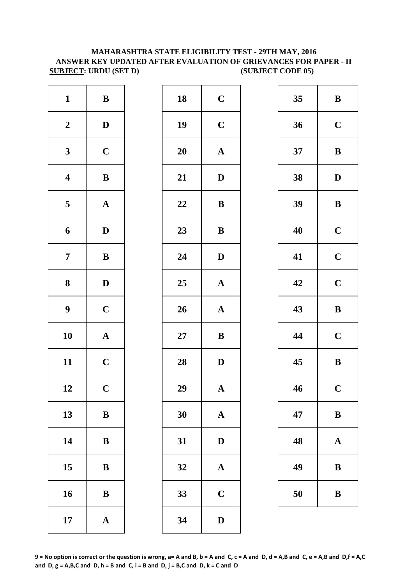#### **MAHARASHTRA STATE ELIGIBILITY TEST - 29TH MAY, 2016 ANSWER KEY UPDATED AFTER EVALUATION OF GRIEVANCES FOR PAPER - II SUBJECT: URDU (SET D)** (SUBJECT CODE 05)

| $\mathbf{1}$            | $\, {\bf B}$          | 18        | $\mathbf C$  |
|-------------------------|-----------------------|-----------|--------------|
| $\boldsymbol{2}$        | $\mathbf D$           | 19        | $\mathbf C$  |
| $\mathbf{3}$            | $\mathbf C$           | <b>20</b> | $\mathbf{A}$ |
| $\boldsymbol{4}$        | $\, {\bf B}$          | 21        | $\mathbf{D}$ |
| $\overline{\mathbf{5}}$ | ${\bf A}$             | 22        | $\bf{B}$     |
| 6                       | $\mathbf D$           | 23        | $\bf{B}$     |
| $\overline{7}$          | $\, {\bf B}$          | 24        | $\mathbf{D}$ |
| 8                       | $\mathbf D$           | 25        | $\mathbf{A}$ |
| $\boldsymbol{9}$        | $\mathbf C$           | 26        | $\mathbf{A}$ |
| 10                      | $\boldsymbol{\rm{A}}$ | $27\,$    | $\bf{B}$     |
| 11                      | $\mathbf C$           | 28        | $\mathbf{D}$ |
| 12                      | $\mathbf C$           | 29        | $\mathbf{A}$ |
| 13                      | $\, {\bf B}$          | 30        | $\mathbf{A}$ |
| 14                      | $\bf{B}$              | 31        | D            |
| 15                      | $\bf{B}$              | 32        | $\mathbf{A}$ |
| 16                      | $\, {\bf B}$          | 33        | $\mathbf C$  |
| 17                      | $\boldsymbol{\rm{A}}$ | 34        | $\mathbf{D}$ |

| $\mathbf{1}$            | ${\bf B}$    | 18     | $\mathbf C$           | 35 | $\bf{B}$     |
|-------------------------|--------------|--------|-----------------------|----|--------------|
| $\boldsymbol{2}$        | $\mathbf{D}$ | 19     | $\mathbf C$           | 36 | $\mathbf C$  |
| $\mathbf{3}$            | $\mathbf C$  | 20     | $\boldsymbol{\rm{A}}$ | 37 | $\bf{B}$     |
| $\overline{\mathbf{4}}$ | $\, {\bf B}$ | 21     | $\mathbf D$           | 38 | $\mathbf{D}$ |
| $\overline{\mathbf{5}}$ | ${\bf A}$    | 22     | ${\bf B}$             | 39 | $\bf{B}$     |
| $\boldsymbol{6}$        | $\mathbf D$  | 23     | $\bf{B}$              | 40 | $\mathbf C$  |
| $\overline{7}$          | ${\bf B}$    | 24     | $\mathbf{D}$          | 41 | $\mathbf C$  |
| $\boldsymbol{8}$        | $\mathbf{D}$ | 25     | $\mathbf{A}$          | 42 | $\mathbf C$  |
| $\boldsymbol{9}$        | $\mathbf C$  | 26     | $\mathbf A$           | 43 | $\bf{B}$     |
| 10                      | ${\bf A}$    | $27\,$ | $\bf{B}$              | 44 | $\mathbf C$  |
| 11                      | $\mathbf C$  | 28     | $\mathbf D$           | 45 | $\bf{B}$     |
| 12                      | $\mathbf C$  | 29     | $\boldsymbol{\rm{A}}$ | 46 | $\mathbf C$  |
| 13                      | $\, {\bf B}$ | 30     | $\mathbf{A}$          | 47 | $\bf{B}$     |
| 14                      | $\, {\bf B}$ | 31     | $\mathbf D$           | 48 | $\mathbf A$  |
| 15                      | $\bf{B}$     | 32     | $\mathbf{A}$          | 49 | $\bf{B}$     |
| 16                      | ${\bf B}$    | 33     | $\mathbf C$           | 50 | $\bf{B}$     |
| 17                      | ${\bf A}$    | 34     | $\mathbf D$           |    |              |
|                         |              |        |                       |    |              |

| 35 | $\bf{B}$                |
|----|-------------------------|
| 36 | $\mathbf C$             |
| 37 | B                       |
| 38 | D                       |
| 39 | B                       |
| 40 | $\mathbf C$             |
| 41 | $\mathbf C$             |
| 42 | $\mathbf C$             |
|    |                         |
| 43 | B                       |
| 44 | $\mathbf C$             |
| 45 | B                       |
| 46 | $\overline{\mathbf{C}}$ |
| 47 | $\bf{B}$                |
| 48 | $\mathbf A$             |
| 49 | B                       |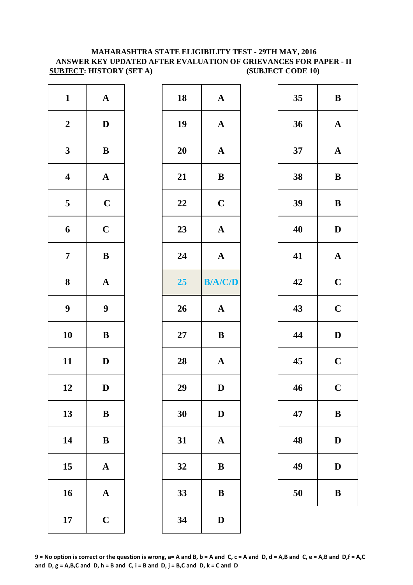#### **MAHARASHTRA STATE ELIGIBILITY TEST - 29TH MAY, 2016 ANSWER KEY UPDATED AFTER EVALUATION OF GRIEVANCES FOR PAPER - II SUBJECT: HISTORY (SET A)** (SUBJECT CODE 10)

| $\mathbf{1}$            | $\boldsymbol{\rm{A}}$ | 18        | $\mathbf A$  |
|-------------------------|-----------------------|-----------|--------------|
| $\boldsymbol{2}$        | $\mathbf D$           | 19        | $\mathbf A$  |
| $\mathbf{3}$            | $\, {\bf B}$          | <b>20</b> | $\mathbf A$  |
| $\overline{\mathbf{4}}$ | $\boldsymbol{\rm{A}}$ | 21        | $\bf{B}$     |
| 5                       | $\mathbf C$           | 22        | $\mathbf C$  |
| 6                       | $\mathbf C$           | 23        | $\mathbf{A}$ |
| $\overline{7}$          | $\, {\bf B}$          | 24        | $\mathbf{A}$ |
| $\bf 8$                 | ${\bf A}$             | 25        | B/A/         |
| $\boldsymbol{9}$        | $\boldsymbol{9}$      | 26        | $\mathbf{A}$ |
| 10                      | $\, {\bf B}$          | $27\,$    | $\bf{B}$     |
| 11                      | $\mathbf D$           | 28        | $\mathbf A$  |
| 12                      | $\mathbf D$           | 29        | D            |
| 13                      | $\bf{B}$              | 30        | $\mathbf{D}$ |
| 14                      | $\, {\bf B}$          | 31        | $\mathbf{A}$ |
| 15                      | $\boldsymbol{\rm{A}}$ | 32        | B            |
| 16                      | $\boldsymbol{\rm{A}}$ | 33        | B            |
| 17                      | $\mathbf C$           | 34        | D            |

| $\mathbf{1}$            | ${\bf A}$        | 18     | $\boldsymbol{\rm{A}}$ | 35 | $\bf{B}$     |
|-------------------------|------------------|--------|-----------------------|----|--------------|
| $\boldsymbol{2}$        | $\mathbf{D}$     | 19     | $\mathbf A$           | 36 | $\mathbf A$  |
| $\mathbf{3}$            | ${\bf B}$        | 20     | $\mathbf{A}$          | 37 | $\mathbf A$  |
| $\overline{\mathbf{4}}$ | ${\bf A}$        | 21     | $\, {\bf B}$          | 38 | $\bf{B}$     |
| $\overline{5}$          | $\mathbf C$      | 22     | $\mathbf C$           | 39 | $\bf{B}$     |
| 6                       | $\mathbf C$      | 23     | ${\bf A}$             | 40 | $\mathbf{D}$ |
| $\overline{7}$          | $\, {\bf B}$     | 24     | ${\bf A}$             | 41 | $\mathbf A$  |
| $\boldsymbol{8}$        | ${\bf A}$        | 25     | <b>B/A/C/D</b>        | 42 | $\mathbf C$  |
| $\boldsymbol{9}$        | $\boldsymbol{9}$ | 26     | ${\bf A}$             | 43 | $\mathbf C$  |
| 10                      | $\, {\bf B}$     | $27\,$ | $\, {\bf B}$          | 44 | $\mathbf{D}$ |
| 11                      | $\mathbf D$      | 28     | $\mathbf A$           | 45 | $\mathbf C$  |
| 12                      | $\mathbf D$      | 29     | $\mathbf{D}%$         | 46 | $\mathbf C$  |
| 13                      | $\, {\bf B}$     | 30     | $\mathbf D$           | 47 | $\bf{B}$     |
| 14                      | $\, {\bf B}$     | 31     | $\mathbf A$           | 48 | $\mathbf{D}$ |
| 15                      | ${\bf A}$        | 32     | $\, {\bf B}$          | 49 | D            |
| 16                      | ${\bf A}$        | 33     | $\bf{B}$              | 50 | $\bf{B}$     |
| 17                      | $\mathbf C$      | 34     | $\mathbf D$           |    |              |
|                         |                  |        |                       |    |              |

| 35 | B                       |
|----|-------------------------|
| 36 | $\mathbf A$             |
| 37 | $\mathbf A$             |
| 38 | B                       |
| 39 | B                       |
| 40 | D                       |
| 41 | $\mathbf A$             |
| 42 | $\mathbf C$             |
| 43 | $\mathbf C$             |
| 44 | D                       |
| 45 | $\mathbf C$             |
| 46 | $\overline{\mathbf{C}}$ |
| 47 | B                       |
| 48 | $\bf{D}$                |
| 49 | $\mathbf D$             |
| 50 | B                       |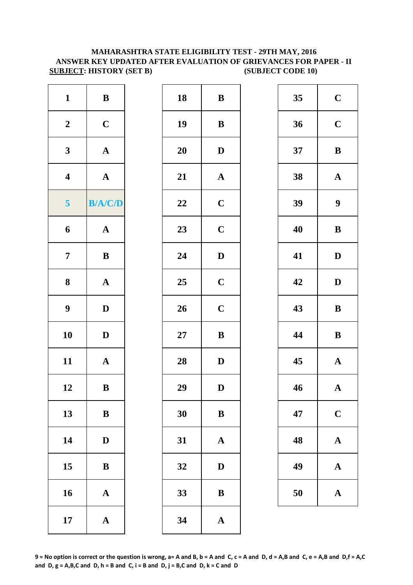#### **MAHARASHTRA STATE ELIGIBILITY TEST - 29TH MAY, 2016 ANSWER KEY UPDATED AFTER EVALUATION OF GRIEVANCES FOR PAPER - II SUBJECT: HISTORY (SET B)** (SUBJECT CODE 10)

| $\mathbf{1}$            | $\bf{B}$              | 18     | $\bf{B}$     |
|-------------------------|-----------------------|--------|--------------|
| $\boldsymbol{2}$        | $\mathbf C$           | 19     | $\bf{B}$     |
| $\mathbf{3}$            | ${\bf A}$             | 20     | $\mathbf{D}$ |
| $\overline{\mathbf{4}}$ | $\boldsymbol{\rm{A}}$ | 21     | $\mathbf{A}$ |
| $\overline{\mathbf{5}}$ | <b>B/A/C/D</b>        | 22     | $\mathbf C$  |
| 6                       | $\boldsymbol{\rm{A}}$ | 23     | $\mathbf C$  |
| $\boldsymbol{7}$        | $\, {\bf B}$          | 24     | $\mathbf{D}$ |
| 8                       | $\boldsymbol{\rm{A}}$ | 25     | $\mathbf C$  |
| $\boldsymbol{9}$        | $\mathbf D$           | 26     | $\mathbf C$  |
| 10                      | $\mathbf D$           | $27\,$ | $\bf{B}$     |
| 11                      | $\boldsymbol{\rm{A}}$ | 28     | $\mathbf{D}$ |
| 12                      | $\, {\bf B}$          | 29     | $\mathbf{D}$ |
| 13                      | $\, {\bf B}$          | 30     | $\bf{B}$     |
| 14                      | $\mathbf D$           | 31     | $\mathbf{A}$ |
| 15                      | $\bf{B}$              | 32     | D            |
| 16                      | $\boldsymbol{\rm{A}}$ | 33     | B            |
| 17                      | ${\bf A}$             | 34     | $\mathbf{A}$ |

| $\mathbf{1}$            | $\, {\bf B}$   | 18 | ${\bf B}$     | 35 | $\mathbf C$      |
|-------------------------|----------------|----|---------------|----|------------------|
| $\boldsymbol{2}$        | $\mathbf C$    | 19 | $\, {\bf B}$  | 36 | $\mathbf C$      |
| $\mathbf{3}$            | ${\bf A}$      | 20 | $\mathbf{D}$  | 37 | $\bf{B}$         |
| $\overline{\mathbf{4}}$ | ${\bf A}$      | 21 | $\mathbf{A}$  | 38 | $\mathbf A$      |
| $\overline{\mathbf{5}}$ | <b>B/A/C/D</b> | 22 | $\mathbf C$   | 39 | $\boldsymbol{9}$ |
| 6                       | ${\bf A}$      | 23 | $\mathbf C$   | 40 | $\bf{B}$         |
| $\overline{7}$          | ${\bf B}$      | 24 | $\mathbf D$   | 41 | $\mathbf{D}$     |
| $\boldsymbol{8}$        | ${\bf A}$      | 25 | $\mathbf C$   | 42 | $\mathbf{D}$     |
| $\boldsymbol{9}$        | $\mathbf{D}$   | 26 | $\mathbf C$   | 43 | $\bf{B}$         |
| 10                      | $\mathbf{D}$   | 27 | $\, {\bf B}$  | 44 | $\bf{B}$         |
| 11                      | ${\bf A}$      | 28 | $\mathbf D$   | 45 | $\mathbf A$      |
| 12                      | $\, {\bf B}$   | 29 | $\mathbf{D}%$ | 46 | $\mathbf A$      |
| 13                      | $\, {\bf B}$   | 30 | $\, {\bf B}$  | 47 | $\mathbf C$      |
| 14                      | $\mathbf D$    | 31 | ${\bf A}$     | 48 | $\mathbf A$      |
| 15                      | $\, {\bf B}$   | 32 | $\mathbf{D}$  | 49 | $\mathbf A$      |
| 16                      | ${\bf A}$      | 33 | $\bf{B}$      | 50 | $\mathbf A$      |
| 17                      | ${\bf A}$      | 34 | $\mathbf A$   |    |                  |
|                         |                |    |               |    |                  |

| 35 | $\mathbf C$ |
|----|-------------|
| 36 | $\mathbf C$ |
| 37 | B           |
| 38 | $\mathbf A$ |
| 39 | 9           |
| 40 | B           |
| 41 | D           |
| 42 | D           |
| 43 | B           |
| 44 | $\bf{B}$    |
| 45 | $\mathbf A$ |
| 46 | $\mathbf A$ |
| 47 | $\mathbf C$ |
| 48 | $\mathbf A$ |
| 49 | $\mathbf A$ |
| 50 | $\mathbf A$ |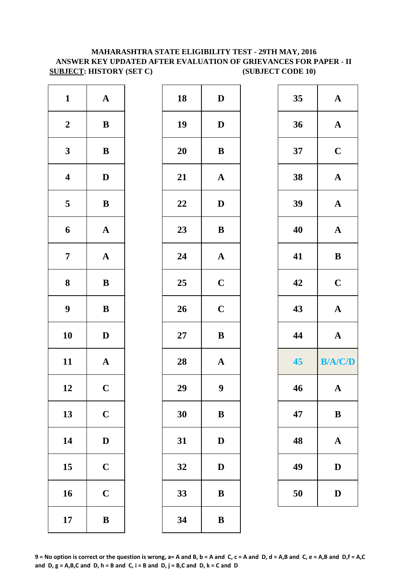## **MAHARASHTRA STATE ELIGIBILITY TEST - 29TH MAY, 2016 ANSWER KEY UPDATED AFTER EVALUATION OF GRIEVANCES FOR PAPER - II SUBJECT: HISTORY (SET C)** (SUBJECT CODE 10)

| $\mathbf{1}$            | ${\bf A}$    | 18     | $\mathbf{D}$     | 35 | $\mathbf A$           |
|-------------------------|--------------|--------|------------------|----|-----------------------|
| $\boldsymbol{2}$        | $\bf{B}$     | 19     | $\mathbf{D}$     | 36 | $\mathbf{A}$          |
| $\mathbf{3}$            | ${\bf B}$    | 20     | $\, {\bf B}$     | 37 | $\mathbf C$           |
| $\overline{\mathbf{4}}$ | $\mathbf D$  | 21     | ${\bf A}$        | 38 | ${\bf A}$             |
| 5                       | ${\bf B}$    | 22     | $\mathbf D$      | 39 | $\mathbf A$           |
| 6                       | ${\bf A}$    | 23     | ${\bf B}$        | 40 | ${\bf A}$             |
| $\overline{7}$          | ${\bf A}$    | 24     | ${\bf A}$        | 41 | $\, {\bf B}$          |
| ${\bf 8}$               | $\bf{B}$     | 25     | $\mathbf C$      | 42 | $\mathbf C$           |
| $\boldsymbol{9}$        | $\, {\bf B}$ | 26     | $\mathbf C$      | 43 | $\boldsymbol{\rm{A}}$ |
| 10                      | $\mathbf D$  | $27\,$ | $\bf{B}$         | 44 | ${\bf A}$             |
| 11                      | ${\bf A}$    | 28     | $\mathbf{A}$     | 45 | <b>B/A/C/D</b>        |
| 12                      | $\mathbf C$  | 29     | $\boldsymbol{9}$ | 46 | $\mathbf A$           |
| 13                      | $\mathbf C$  | 30     | $\bf{B}$         | 47 | $\, {\bf B}$          |
| 14                      | $\mathbf D$  | 31     | $\mathbf D$      | 48 | $\mathbf A$           |
| 15                      | $\mathbf C$  | 32     | D                | 49 | $\mathbf D$           |
| 16                      | $\mathbf C$  | 33     | $\bf{B}$         | 50 | $\mathbf D$           |
| 17                      | ${\bf B}$    | 34     | ${\bf B}$        |    |                       |
|                         |              |        |                  |    |                       |

| $\mathbf{1}$            | ${\bf A}$             | 18 | $\mathbf D$           | 35 | $\mathbf A$  |
|-------------------------|-----------------------|----|-----------------------|----|--------------|
| $\overline{\mathbf{2}}$ | $\, {\bf B}$          | 19 | $\mathbf D$           | 36 | $\mathbf A$  |
| $\overline{\mathbf{3}}$ | $\, {\bf B}$          | 20 | $\bf{B}$              | 37 | $\mathbf C$  |
| 4                       | $\mathbf{D}$          | 21 | ${\bf A}$             | 38 | $\mathbf A$  |
| 5                       | $\, {\bf B}$          | 22 | $\mathbf D$           | 39 | $\mathbf A$  |
| 6                       | $\boldsymbol{\rm{A}}$ | 23 | $\, {\bf B}$          | 40 | $\mathbf A$  |
| $\overline{7}$          | $\boldsymbol{\rm{A}}$ | 24 | $\boldsymbol{\rm{A}}$ | 41 | $\bf{B}$     |
| 8                       | $\, {\bf B}$          | 25 | $\mathbf C$           | 42 | $\mathbf C$  |
| 9                       | $\, {\bf B}$          | 26 | $\mathbf C$           | 43 | $\mathbf A$  |
| $\overline{10}$         | $\mathbf D$           | 27 | $\, {\bf B}$          | 44 | $\mathbf A$  |
| $\overline{1}$          | $\boldsymbol{\rm{A}}$ | 28 | $\boldsymbol{\rm{A}}$ | 45 | B/A/         |
| $\overline{2}$          | $\mathbf C$           | 29 | $\boldsymbol{9}$      | 46 | $\mathbf A$  |
| $\overline{3}$          | $\mathbf C$           | 30 | $\bf{B}$              | 47 | $\bf{B}$     |
| $\overline{14}$         | $\mathbf D$           | 31 | $\mathbf D$           | 48 | $\mathbf A$  |
| $\overline{5}$          | $\mathbf C$           | 32 | $\mathbf D$           | 49 | $\mathbf{D}$ |
| $16 \,$                 | $\mathbf C$           | 33 | $\bf{B}$              | 50 | $\mathbf{D}$ |
| $\overline{17}$         | $\, {\bf B}$          | 34 | $\, {\bf B}$          |    |              |

| 35 | A                       |
|----|-------------------------|
| 36 | $\mathbf A$             |
| 37 | $\mathbf C$             |
| 38 | $\mathbf A$             |
| 39 | $\mathbf A$             |
| 40 | $\overline{\mathbf{A}}$ |
| 41 | B                       |
| 42 | $\mathbf C$             |
| 43 | $\mathbf{A}$            |
|    |                         |
| 44 | $\mathbf A$             |
| 45 | <b>B/A/C/D</b>          |
| 46 | A                       |
| 47 | $\bf{B}$                |
| 48 | A                       |
| 49 | $\mathbf{D}$            |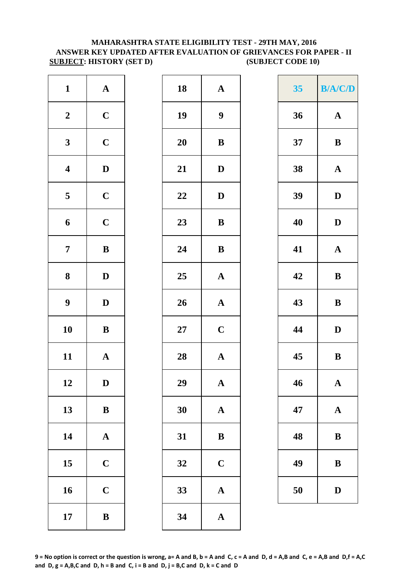#### **MAHARASHTRA STATE ELIGIBILITY TEST - 29TH MAY, 2016 ANSWER KEY UPDATED AFTER EVALUATION OF GRIEVANCES FOR PAPER - II SUBJECT: HISTORY (SET D)** (SUBJECT CODE 10)

| $\mathbf{1}$            | ${\bf A}$             | 18         | $\mathbf{A}$     |
|-------------------------|-----------------------|------------|------------------|
| $\boldsymbol{2}$        | $\mathbf C$           | 19         | $\boldsymbol{9}$ |
| $\mathbf{3}$            | $\mathbf C$           | <b>20</b>  | $\bf{B}$         |
| $\overline{\mathbf{4}}$ | $\mathbf D$           | 21         | $\mathbf{D}$     |
| $\overline{\mathbf{5}}$ | $\mathbf C$           | 22         | $\mathbf{D}$     |
| 6                       | $\mathbf C$           | 23         | $\bf{B}$         |
| $\overline{7}$          | $\, {\bf B}$          | 24         | $\bf{B}$         |
| ${\bf 8}$               | $\mathbf D$           | 25         | $\mathbf{A}$     |
| $\boldsymbol{9}$        | $\mathbf D$           | 26         | $\mathbf{A}$     |
| 10                      | $\, {\bf B}$          | ${\bf 27}$ | $\mathbf C$      |
| 11                      | $\mathbf A$           | 28         | $\mathbf{A}$     |
| 12                      | D                     | 29         | A                |
| 13                      | $\, {\bf B}$          | 30         | $\mathbf{A}$     |
| 14                      | $\boldsymbol{\rm{A}}$ | 31         | $\bf{B}$         |
| 15                      | $\mathbf C$           | 32         | $\mathbf C$      |
| 16                      | $\mathbf C$           | 33         | $\mathbf{A}$     |
| 17                      | $\, {\bf B}$          | 34         | $\mathbf{A}$     |

| $\mathbf{1}$            | ${\bf A}$    | 18     | $\mathbf A$           | 35 | B/A/         |
|-------------------------|--------------|--------|-----------------------|----|--------------|
| $\boldsymbol{2}$        | $\mathbf C$  | 19     | $\boldsymbol{9}$      | 36 | $\mathbf{A}$ |
| $\mathbf{3}$            | $\mathbf C$  | 20     | $\bf{B}$              | 37 | $\bf{B}$     |
| $\overline{\mathbf{4}}$ | $\mathbf D$  | 21     | $\mathbf D$           | 38 | $\mathbf A$  |
| $5\overline{)}$         | $\mathbf C$  | 22     | $\mathbf{D}$          | 39 | $\mathbf{D}$ |
| $\boldsymbol{6}$        | $\mathbf C$  | 23     | $\, {\bf B}$          | 40 | $\mathbf{D}$ |
| $\overline{7}$          | $\, {\bf B}$ | 24     | ${\bf B}$             | 41 | $\mathbf A$  |
| $\boldsymbol{8}$        | $\mathbf{D}$ | 25     | ${\bf A}$             | 42 | $\bf{B}$     |
| $\boldsymbol{9}$        | $\mathbf D$  | 26     | $\boldsymbol{\rm{A}}$ | 43 | $\bf{B}$     |
| 10                      | $\, {\bf B}$ | $27\,$ | $\mathbf C$           | 44 | $\mathbf{D}$ |
| 11                      | ${\bf A}$    | 28     | $\boldsymbol{\rm{A}}$ | 45 | $\bf{B}$     |
| 12                      | $\mathbf D$  | 29     | $\mathbf A$           | 46 | $\mathbf A$  |
| 13                      | $\bf{B}$     | 30     | $\mathbf{A}$          | 47 | $\mathbf A$  |
| 14                      | ${\bf A}$    | 31     | $\bf{B}$              | 48 | $\bf{B}$     |
| 15                      | $\mathbf C$  | 32     | $\mathbf C$           | 49 | $\bf{B}$     |
| 16                      | $\mathbf C$  | 33     | ${\bf A}$             | 50 | D            |
| 17                      | $\, {\bf B}$ | 34     | $\mathbf{A}$          |    |              |

| $\mathbf{1}$            | ${\bf A}$    | 18     | $\boldsymbol{\rm{A}}$     | 35 | B/A/C/D               |
|-------------------------|--------------|--------|---------------------------|----|-----------------------|
| $\overline{\mathbf{2}}$ | $\mathbf C$  | 19     | $\boldsymbol{9}$          | 36 | $\boldsymbol{\rm{A}}$ |
| $\overline{\mathbf{3}}$ | $\mathbf C$  | 20     | ${\bf B}$                 | 37 | $\, {\bf B}$          |
| 4                       | $\mathbf D$  | 21     | $\boldsymbol{\mathrm{D}}$ | 38 | $\mathbf A$           |
| 5                       | $\mathbf C$  | 22     | $\mathbf D$               | 39 | $\mathbf D$           |
| 6                       | $\mathbf C$  | 23     | ${\bf B}$                 | 40 | $\mathbf D$           |
| $\overline{7}$          | $\, {\bf B}$ | 24     | $\bf{B}$                  | 41 | $\boldsymbol{\rm{A}}$ |
| 8                       | $\mathbf D$  | 25     | $\mathbf A$               | 42 | $\, {\bf B}$          |
| 9                       | $\mathbf D$  | 26     | $\boldsymbol{\rm{A}}$     | 43 | $\, {\bf B}$          |
| $\overline{\mathbf{0}}$ | $\bf{B}$     | $27\,$ | $\mathbf C$               | 44 | $\mathbf D$           |
| $\overline{1}$          | ${\bf A}$    | 28     | $\boldsymbol{\rm{A}}$     | 45 | $\, {\bf B}$          |
| $\overline{2}$          | $\mathbf D$  | 29     | $\mathbf A$               | 46 | ${\bf A}$             |
| $\overline{3}$          | $\bf{B}$     | 30     | $\boldsymbol{\rm{A}}$     | 47 | $\boldsymbol{\rm{A}}$ |
| $\overline{4}$          | ${\bf A}$    | 31     | $\, {\bf B}$              | 48 | $\, {\bf B}$          |
| $\overline{5}$          | $\mathbf C$  | 32     | $\mathbf C$               | 49 | $\, {\bf B}$          |
| $16 \,$                 | $\mathbf C$  | 33     | $\mathbf A$               | 50 | $\mathbf D$           |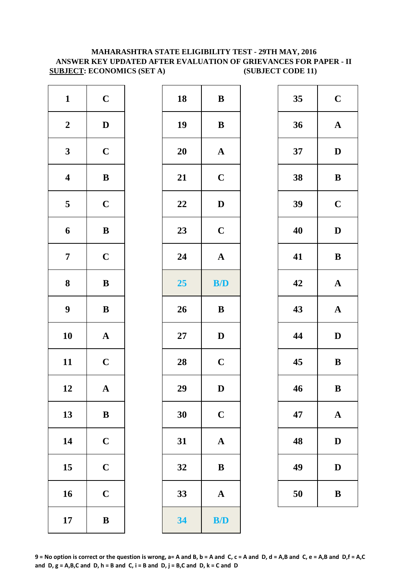#### **MAHARASHTRA STATE ELIGIBILITY TEST - 29TH MAY, 2016 ANSWER KEY UPDATED AFTER EVALUATION OF GRIEVANCES FOR PAPER - II SUBJECT: ECONOMICS (SET A) (SUBJECT CODE 11)**

| $\mathbf{1}$            | $\mathbf C$           | 18        | $\bf{B}$              |
|-------------------------|-----------------------|-----------|-----------------------|
| $\boldsymbol{2}$        | $\mathbf D$           | 19        | $\bf{B}$              |
| $\mathbf{3}$            | $\mathbf C$           | <b>20</b> | $\mathbf A$           |
| $\overline{\mathbf{4}}$ | $\bf{B}$              | 21        | $\mathbf C$           |
| 5                       | $\mathbf C$           | 22        | $\mathbf D$           |
| 6                       | $\bf{B}$              | 23        | $\mathbf C$           |
| $\boldsymbol{7}$        | $\mathbf C$           | 24        | $\boldsymbol{\rm{A}}$ |
| 8                       | $\bf{B}$              | 25        | B/D                   |
| 9                       | $\, {\bf B}$          | 26        | $\bf{B}$              |
| 10                      | $\boldsymbol{\rm{A}}$ | $27\,$    | $\mathbf D$           |
| 11                      | $\mathbf C$           | 28        | $\mathbf C$           |
| 12                      | $\mathbf A$           | 29        | $\mathbf D$           |
| 13                      | $\, {\bf B}$          | 30        | $\mathbf C$           |
| 14                      | $\mathbf C$           | 31        | $\boldsymbol{\rm{A}}$ |
| 15                      | $\mathbf C$           | 32        | $\, {\bf B}$          |
| 16                      | $\mathbf C$           | 33        | ${\bf A}$             |
| 17                      | $\bf{B}$              | 34        | <b>B/D</b>            |

| $\mathbf{1}$            | $\mathbf C$  | 18 | ${\bf B}$             | 35 | $\mathbf C$  |
|-------------------------|--------------|----|-----------------------|----|--------------|
| $\overline{\mathbf{2}}$ | $\mathbf D$  | 19 | $\, {\bf B}$          | 36 | $\mathbf A$  |
| $\mathbf{3}$            | $\mathbf C$  | 20 | $\boldsymbol{\rm{A}}$ | 37 | $\mathbf{D}$ |
| $\overline{\mathbf{4}}$ | $\, {\bf B}$ | 21 | $\mathbf C$           | 38 | $\bf{B}$     |
| $5\overline{)}$         | $\mathbf C$  | 22 | $\mathbf D$           | 39 | $\mathbf C$  |
| $\boldsymbol{6}$        | ${\bf B}$    | 23 | $\mathbf C$           | 40 | $\mathbf{D}$ |
| $\overline{7}$          | $\mathbf C$  | 24 | $\mathbf{A}$          | 41 | $\bf{B}$     |
| $\boldsymbol{8}$        | $\, {\bf B}$ | 25 | B/D                   | 42 | $\mathbf A$  |
| $\boldsymbol{9}$        | $\, {\bf B}$ | 26 | $\, {\bf B}$          | 43 | $\mathbf A$  |
| 10                      | ${\bf A}$    | 27 | $\mathbf D$           | 44 | $\mathbf{D}$ |
| 11                      | $\mathbf C$  | 28 | $\mathbf C$           | 45 | $\bf{B}$     |
| 12                      | ${\bf A}$    | 29 | $\mathbf D$           | 46 | $\bf{B}$     |
| 13                      | ${\bf B}$    | 30 | $\mathbf C$           | 47 | $\mathbf A$  |
| 14                      | $\mathbf C$  | 31 | $\mathbf A$           | 48 | $\mathbf{D}$ |
| 15                      | $\mathbf C$  | 32 | ${\bf B}$             | 49 | D            |
| 16                      | $\mathbf C$  | 33 | $\mathbf{A}$          | 50 | $\bf{B}$     |
| 17                      | ${\bf B}$    | 34 | B/D                   |    |              |
|                         |              |    |                       |    |              |

| 35 | $\mathbf C$  |
|----|--------------|
| 36 | $\mathbf A$  |
| 37 | D            |
| 38 | B            |
| 39 | $\mathbf C$  |
| 40 | $\bf{D}$     |
| 41 | B            |
| 42 | $\mathbf A$  |
| 43 | $\bf A$      |
| 44 | $\mathbf{D}$ |
| 45 | B            |
| 46 | B            |
| 47 | A            |
| 48 | $\mathbf D$  |
| 49 | $\mathbf D$  |
| 50 | B            |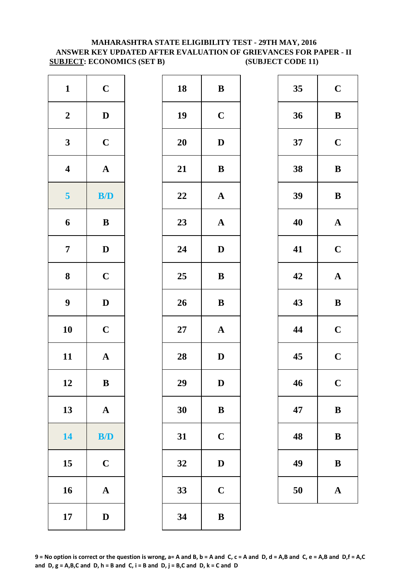#### **MAHARASHTRA STATE ELIGIBILITY TEST - 29TH MAY, 2016 ANSWER KEY UPDATED AFTER EVALUATION OF GRIEVANCES FOR PAPER - II SUBJECT: ECONOMICS (SET B) (SUBJECT CODE 11)**

| $\mathbf{1}$            | $\mathbf C$  | 18     | $\bf{B}$     |
|-------------------------|--------------|--------|--------------|
| $\boldsymbol{2}$        | $\mathbf D$  | 19     | $\mathbf C$  |
| $\mathbf{3}$            | $\mathbf C$  | 20     | $\mathbf{D}$ |
| $\overline{\mathbf{4}}$ | ${\bf A}$    | 21     | $\bf{B}$     |
| 5                       | B/D          | 22     | $\mathbf A$  |
| $\boldsymbol{6}$        | $\, {\bf B}$ | 23     | $\mathbf{A}$ |
| $\boldsymbol{7}$        | $\mathbf D$  | 24     | D            |
| ${\bf 8}$               | $\mathbf C$  | 25     | $\bf{B}$     |
| $\boldsymbol{9}$        | $\mathbf D$  | 26     | $\bf{B}$     |
| 10                      | $\mathbf C$  | $27\,$ | $\mathbf{A}$ |
| 11                      | ${\bf A}$    | 28     | D            |
| 12                      | $\bf{B}$     | 29     | D            |
| 13                      | ${\bf A}$    | 30     | $\bf{B}$     |
| 14                      | B/D          | 31     | $\mathbf C$  |
| 15                      | $\mathbf C$  | 32     | D            |
| 16                      | ${\bf A}$    | 33     | $\mathbf C$  |
| 17                      | $\mathbf D$  | 34     | $\bf{B}$     |

| $\mathbf{1}$            | $\mathbf C$  | 18 | $\bf{B}$     | 35 | $\mathbf C$ |
|-------------------------|--------------|----|--------------|----|-------------|
| $\boldsymbol{2}$        | $\mathbf{D}$ | 19 | $\mathbf C$  | 36 | $\bf{B}$    |
| $\mathbf{3}$            | $\mathbf C$  | 20 | $\mathbf D$  | 37 | $\mathbf C$ |
| $\overline{\mathbf{4}}$ | ${\bf A}$    | 21 | $\, {\bf B}$ | 38 | $\bf{B}$    |
| $\overline{\mathbf{5}}$ | B/D          | 22 | ${\bf A}$    | 39 | $\bf{B}$    |
| $\boldsymbol{6}$        | $\, {\bf B}$ | 23 | ${\bf A}$    | 40 | $\mathbf A$ |
| $\overline{7}$          | $\mathbf{D}$ | 24 | $\mathbf D$  | 41 | $\mathbf C$ |
| $\boldsymbol{8}$        | $\mathbf C$  | 25 | $\, {\bf B}$ | 42 | $\mathbf A$ |
| $\boldsymbol{9}$        | $\mathbf D$  | 26 | $\bf{B}$     | 43 | $\bf{B}$    |
| 10                      | $\mathbf C$  | 27 | ${\bf A}$    | 44 | $\mathbf C$ |
| 11                      | ${\bf A}$    | 28 | $\mathbf D$  | 45 | $\mathbf C$ |
| 12                      | B            | 29 | D            | 46 | $\mathbf C$ |
| 13                      | ${\bf A}$    | 30 | $\bf{B}$     | 47 | $\bf{B}$    |
| 14                      | B/D          | 31 | $\mathbf C$  | 48 | $\bf{B}$    |
| 15                      | $\mathbf C$  | 32 | $\mathbf D$  | 49 | $\bf{B}$    |
| 16                      | ${\bf A}$    | 33 | $\mathbf C$  | 50 | $\mathbf A$ |
| 17                      | $\mathbf D$  | 34 | $\, {\bf B}$ |    |             |

| 35 | $\mathbf C$ |
|----|-------------|
| 36 | B           |
| 37 | $\mathbf C$ |
| 38 | B           |
| 39 | B           |
| 40 | $\mathbf A$ |
| 41 | $\mathbf C$ |
| 42 | $\mathbf A$ |
| 43 | B           |
| 44 | $\mathbf C$ |
| 45 | $\mathbf C$ |
| 46 | $\mathbf C$ |
| 47 | B           |
| 48 | B           |
| 49 | B           |
|    |             |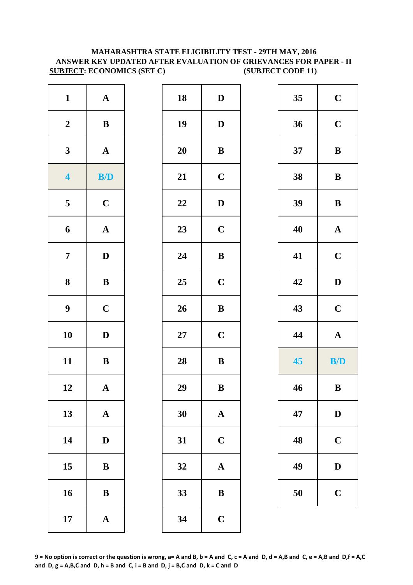### **SUBJECT: ECONOMICS (SET C) (SUBJECT CODE 11) MAHARASHTRA STATE ELIGIBILITY TEST - 29TH MAY, 2016 ANSWER KEY UPDATED AFTER EVALUATION OF GRIEVANCES FOR PAPER - II**

| $\mathbf{1}$            | ${\bf A}$             | 18     | $\mathbf{D}$ |
|-------------------------|-----------------------|--------|--------------|
| $\boldsymbol{2}$        | $\, {\bf B}$          | 19     | $\mathbf{D}$ |
| $\mathbf{3}$            | $\boldsymbol{\rm{A}}$ | 20     | $\bf{B}$     |
| $\overline{\mathbf{4}}$ | B/D                   | 21     | $\mathbf C$  |
| $\overline{\mathbf{5}}$ | $\mathbf C$           | 22     | $\mathbf{D}$ |
| 6                       | $\boldsymbol{\rm{A}}$ | 23     | $\mathbf C$  |
| $\overline{7}$          | $\mathbf D$           | 24     | $\bf{B}$     |
| 8                       | $\, {\bf B}$          | 25     | $\mathbf C$  |
| $\boldsymbol{9}$        | $\mathbf C$           | 26     | $\bf{B}$     |
| 10                      | ${\bf D}$             | $27\,$ | $\mathbf C$  |
| 11                      | $\, {\bf B}$          | 28     | $\bf{B}$     |
| 12                      | $\boldsymbol{\rm{A}}$ | 29     | $\bf{B}$     |
| 13                      | ${\bf A}$             | 30     | $\mathbf A$  |
| 14                      | $\mathbf D$           | 31     | $\mathbf C$  |
| 15                      | $\, {\bf B}$          | 32     | $\mathbf{A}$ |
| 16                      | $\bf{B}$              | 33     | $\bf{B}$     |
| 17                      | $\boldsymbol{\rm{A}}$ | 34     | $\mathbf C$  |

| $\mathbf{1}$            | ${\bf A}$    | 18     | $\mathbf D$           | 35 | $\mathbf C$  |
|-------------------------|--------------|--------|-----------------------|----|--------------|
| $\boldsymbol{2}$        | ${\bf B}$    | 19     | $\mathbf D$           | 36 | $\mathbf C$  |
| $\mathbf{3}$            | ${\bf A}$    | 20     | $\, {\bf B}$          | 37 | $\bf{B}$     |
| $\overline{\mathbf{4}}$ | B/D          | 21     | $\mathbf C$           | 38 | $\, {\bf B}$ |
| $5\overline{)}$         | $\mathbf C$  | 22     | $\mathbf D$           | 39 | $\, {\bf B}$ |
| 6                       | ${\bf A}$    | 23     | $\mathbf C$           | 40 | $\mathbf A$  |
| $\overline{7}$          | $\mathbf{D}$ | 24     | $\, {\bf B}$          | 41 | $\mathbf C$  |
| $\boldsymbol{8}$        | $\bf{B}$     | 25     | $\mathbf C$           | 42 | $\mathbf D$  |
| $\boldsymbol{9}$        | $\mathbf C$  | 26     | $\, {\bf B}$          | 43 | $\mathbf C$  |
| 10                      | $\mathbf{D}$ | $27\,$ | $\mathbf C$           | 44 | ${\bf A}$    |
| 11                      | $\bf{B}$     | 28     | $\, {\bf B}$          | 45 | B/D          |
| 12                      | ${\bf A}$    | 29     | $\, {\bf B}$          | 46 | $\, {\bf B}$ |
| 13                      | ${\bf A}$    | 30     | ${\bf A}$             | 47 | $\mathbf D$  |
| 14                      | $\mathbf{D}$ | 31     | $\mathbf C$           | 48 | $\mathbf C$  |
| 15                      | ${\bf B}$    | 32     | $\boldsymbol{\rm{A}}$ | 49 | D            |
| 16                      | $\bf{B}$     | 33     | $\, {\bf B}$          | 50 | $\mathbf C$  |
| 17                      | $\mathbf A$  | 34     | $\mathbf C$           |    |              |

| 35 | $\mathbf C$             |
|----|-------------------------|
| 36 | $\mathbf C$             |
| 37 | B                       |
| 38 | B                       |
| 39 | B                       |
| 40 | $\mathbf{A}$            |
| 41 | $\mathbf C$             |
| 42 | D                       |
| 43 | $\overline{\mathbf{C}}$ |
| 44 | $\mathbf{A}$            |
| 45 | <b>B/D</b>              |
| 46 | B                       |
| 47 | $\mathbf D$             |
| 48 | $\mathbf C$             |
| 49 | $\mathbf D$             |
| 50 | $\mathbf C$             |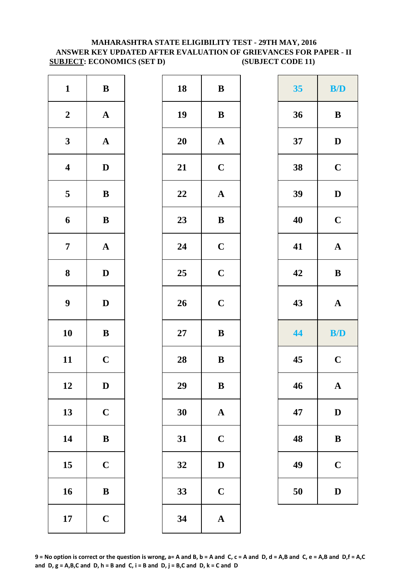#### **MAHARASHTRA STATE ELIGIBILITY TEST - 29TH MAY, 2016 ANSWER KEY UPDATED AFTER EVALUATION OF GRIEVANCES FOR PAPER - II SUBJECT: ECONOMICS (SET D) (SUBJECT CODE 11)**

| $\mathbf{1}$            | $\, {\bf B}$          | 18     | $\bf{B}$     |
|-------------------------|-----------------------|--------|--------------|
| $\boldsymbol{2}$        | $\boldsymbol{\rm{A}}$ | 19     | $\bf{B}$     |
| $\mathbf{3}$            | $\boldsymbol{\rm{A}}$ | 20     | $\mathbf A$  |
| $\overline{\mathbf{4}}$ | $\mathbf D$           | 21     | $\mathbf C$  |
| $\overline{\mathbf{5}}$ | $\, {\bf B}$          | 22     | $\mathbf{A}$ |
| 6                       | $\, {\bf B}$          | 23     | $\bf{B}$     |
| $\boldsymbol{7}$        | $\boldsymbol{\rm{A}}$ | 24     | $\mathbf C$  |
| 8                       | $\mathbf D$           | 25     | $\mathbf C$  |
| $\boldsymbol{9}$        | $\mathbf D$           | 26     | $\mathbf C$  |
| 10                      | $\bf{B}$              | $27\,$ | $\bf{B}$     |
| 11                      | $\mathbf C$           | 28     | $\bf{B}$     |
| 12                      | D                     | 29     | $\bf{B}$     |
| 13                      | $\mathbf C$           | 30     | $\mathbf{A}$ |
| 14                      | $\, {\bf B}$          | 31     | $\mathbf C$  |
| 15                      | $\mathbf C$           | 32     | $\mathbf{D}$ |
| 16                      | $\, {\bf B}$          | 33     | $\mathbf C$  |
| 17                      | $\mathbf C$           | 34     | $\mathbf{A}$ |

| $\mathbf{1}$            | ${\bf B}$    | 18 | $\, {\bf B}$          | 35 | B/D                   |
|-------------------------|--------------|----|-----------------------|----|-----------------------|
| $\boldsymbol{2}$        | ${\bf A}$    | 19 | $\, {\bf B}$          | 36 | ${\bf B}$             |
| $\mathbf{3}$            | ${\bf A}$    | 20 | $\boldsymbol{\rm{A}}$ | 37 | $\mathbf D$           |
| $\overline{\mathbf{4}}$ | $\mathbf{D}$ | 21 | $\mathbf C$           | 38 | $\mathbf C$           |
| $\overline{\mathbf{5}}$ | $\, {\bf B}$ | 22 | $\boldsymbol{\rm{A}}$ | 39 | $\mathbf D$           |
| 6                       | $\, {\bf B}$ | 23 | $\, {\bf B}$          | 40 | $\mathbf C$           |
| $\overline{7}$          | ${\bf A}$    | 24 | $\mathbf C$           | 41 | $\boldsymbol{\rm{A}}$ |
| 8                       | $\mathbf{D}$ | 25 | $\mathbf C$           | 42 | ${\bf B}$             |
| $\boldsymbol{9}$        | $\mathbf{D}$ | 26 | $\mathbf C$           | 43 | ${\bf A}$             |
| 10                      | $\bf{B}$     | 27 | $\, {\bf B}$          | 44 | B/D                   |
| 11                      | $\mathbf C$  | 28 | $\, {\bf B}$          | 45 | $\mathbf C$           |
| 12                      | $\mathbf{D}$ | 29 | $\bf{B}$              | 46 | ${\bf A}$             |
| 13                      | $\mathbf C$  | 30 | ${\bf A}$             | 47 | $\mathbf D$           |
| 14                      | $\bf{B}$     | 31 | $\mathbf C$           | 48 | $\bf{B}$              |
| 15                      | $\mathbf C$  | 32 | $\mathbf D$           | 49 | $\mathbf C$           |
| 16                      | $\, {\bf B}$ | 33 | $\mathbf C$           | 50 | $\mathbf D$           |
| 17                      | $\mathbf C$  | 34 | $\mathbf A$           |    |                       |

| 35 | <b>B/D</b>   |
|----|--------------|
| 36 | B            |
| 37 | D            |
| 38 | $\mathbf C$  |
| 39 | D            |
| 40 | $\mathbf C$  |
| 41 | $\mathbf A$  |
| 42 | B            |
| 43 | $\mathbf A$  |
| 44 | <b>B/D</b>   |
| 45 | $\mathbf C$  |
| 46 | $\mathbf{A}$ |
| 47 | $\bf{D}$     |
| 48 | B            |
| 49 | $\mathbf C$  |
| 50 | $\bf{D}$     |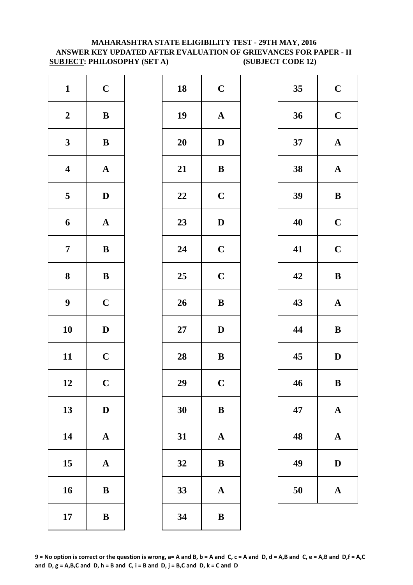#### **MAHARASHTRA STATE ELIGIBILITY TEST - 29TH MAY, 2016 ANSWER KEY UPDATED AFTER EVALUATION OF GRIEVANCES FOR PAPER - II SUBJECT: PHILOSOPHY (SET A) (SUBJECT CODE 12)**

| $\mathbf{1}$            | $\mathbf C$           | 18        | $\mathbf C$             |
|-------------------------|-----------------------|-----------|-------------------------|
| $\boldsymbol{2}$        | $\, {\bf B}$          | 19        | $\mathbf A$             |
| $\mathbf{3}$            | $\, {\bf B}$          | <b>20</b> | $\mathbf{D}$            |
| $\overline{\mathbf{4}}$ | $\boldsymbol{\rm{A}}$ | 21        | $\bf{B}$                |
| $\overline{\mathbf{5}}$ | $\mathbf D$           | 22        | $\mathbf C$             |
| 6                       | $\boldsymbol{\rm{A}}$ | 23        | $\mathbf{D}$            |
| $\overline{7}$          | $\, {\bf B}$          | 24        | $\mathbf C$             |
| ${\bf 8}$               | $\, {\bf B}$          | 25        | $\mathbf C$             |
| $\boldsymbol{9}$        | $\mathbf C$           | 26        | $\bf{B}$                |
| 10                      | $\mathbf D$           | $27\,$    | D                       |
| 11                      | $\mathbf C$           | 28        | $\bf{B}$                |
| 12                      | $\mathbf C$           | 29        | $\overline{\mathbf{C}}$ |
| 13                      | $\mathbf D$           | 30        | $\bf{B}$                |
| 14                      | $\boldsymbol{\rm{A}}$ | 31        | $\mathbf A$             |
| 15                      | $\boldsymbol{\rm{A}}$ | 32        | $\bf{B}$                |
| 16                      | $\bf{B}$              | 33        | $\mathbf A$             |
| 17                      | $\, {\bf B}$          | 34        | $\bf{B}$                |

| $\mathbf{1}$            | $\mathbf C$  | 18 | $\mathbf C$           | 35 | $\mathbf C$  |
|-------------------------|--------------|----|-----------------------|----|--------------|
| $\boldsymbol{2}$        | $\bf{B}$     | 19 | $\boldsymbol{\rm{A}}$ | 36 | $\mathbf C$  |
| $\mathbf{3}$            | $\bf{B}$     | 20 | $\mathbf D$           | 37 | $\mathbf A$  |
| $\overline{\mathbf{4}}$ | ${\bf A}$    | 21 | $\, {\bf B}$          | 38 | $\mathbf A$  |
| $\overline{\mathbf{5}}$ | $\mathbf D$  | 22 | $\mathbf C$           | 39 | $\bf{B}$     |
| $\boldsymbol{6}$        | ${\bf A}$    | 23 | $\mathbf D$           | 40 | $\mathbf C$  |
| $\overline{7}$          | ${\bf B}$    | 24 | $\mathbf C$           | 41 | $\mathbf C$  |
| $\boldsymbol{8}$        | ${\bf B}$    | 25 | $\mathbf C$           | 42 | $\bf{B}$     |
| $\boldsymbol{9}$        | $\mathbf C$  | 26 | $\, {\bf B}$          | 43 | $\mathbf A$  |
| 10                      | $\mathbf D$  | 27 | $\mathbf D$           | 44 | $\bf{B}$     |
| 11                      | $\mathbf C$  | 28 | $\, {\bf B}$          | 45 | $\mathbf{D}$ |
| 12                      | $\mathbf C$  | 29 | $\mathbf C$           | 46 | $\bf{B}$     |
| 13                      | $\mathbf D$  | 30 | $\bf{B}$              | 47 | $\mathbf A$  |
| 14                      | ${\bf A}$    | 31 | $\mathbf{A}$          | 48 | $\mathbf A$  |
| 15                      | ${\bf A}$    | 32 | $\bf{B}$              | 49 | $\mathbf{D}$ |
| 16                      | $\, {\bf B}$ | 33 | $\boldsymbol{\rm{A}}$ | 50 | $\mathbf A$  |
| 17                      | $\, {\bf B}$ | 34 | $\bf{B}$              |    |              |
|                         |              |    |                       |    |              |

| 35 | $\mathbf C$  |
|----|--------------|
| 36 | $\mathbf C$  |
| 37 | $\mathbf A$  |
| 38 | $\mathbf{A}$ |
| 39 | B            |
| 40 | $\mathbf C$  |
| 41 | $\mathbf C$  |
| 42 | B            |
| 43 | $\mathbf A$  |
| 44 | B            |
| 45 | D            |
| 46 | B            |
| 47 | $\mathbf A$  |
| 48 | A            |
| 49 | D            |
| 50 | $\mathbf A$  |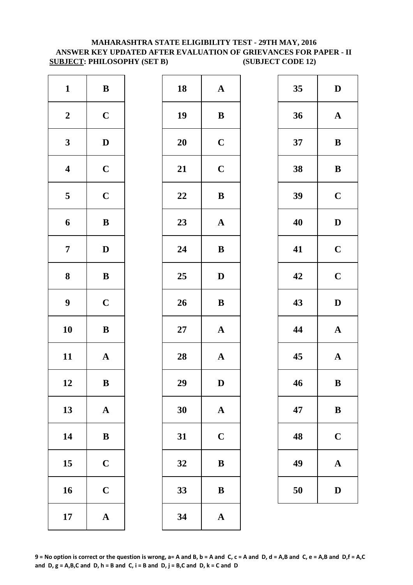#### **SUBJECT: PHILOSOPHY (SET B) (SUBJECT CODE 12) MAHARASHTRA STATE ELIGIBILITY TEST - 29TH MAY, 2016 ANSWER KEY UPDATED AFTER EVALUATION OF GRIEVANCES FOR PAPER - II**

| $\mathbf{1}$            | $\, {\bf B}$          | 18        | $\mathbf A$  |
|-------------------------|-----------------------|-----------|--------------|
| $\boldsymbol{2}$        | $\mathbf C$           | 19        | $\bf{B}$     |
| $\mathbf{3}$            | $\mathbf D$           | <b>20</b> | $\mathbf C$  |
| $\overline{\mathbf{4}}$ | $\mathbf C$           | 21        | $\mathbf C$  |
| $\overline{\mathbf{5}}$ | $\mathbf C$           | 22        | $\bf{B}$     |
| 6                       | $\, {\bf B}$          | 23        | $\mathbf A$  |
| $\overline{7}$          | $\mathbf D$           | 24        | $\bf{B}$     |
| ${\bf 8}$               | $\, {\bf B}$          | 25        | $\mathbf{D}$ |
| $\boldsymbol{9}$        | $\mathbf C$           | 26        | $\bf{B}$     |
| 10                      | $\, {\bf B}$          | $27\,$    | $\mathbf{A}$ |
| 11                      | $\mathbf A$           | 28        | $\mathbf{A}$ |
| 12                      | B                     | 29        | D            |
| 13                      | ${\bf A}$             | 30        | $\mathbf A$  |
| 14                      | $\, {\bf B}$          | 31        | $\mathbf C$  |
| 15                      | $\mathbf C$           | 32        | $\bf{B}$     |
| 16                      | $\mathbf C$           | 33        | $\bf{B}$     |
| 17                      | $\boldsymbol{\rm{A}}$ | 34        | $\mathbf{A}$ |

| $\mathbf{1}$            | ${\bf B}$    | 18 | ${\bf A}$             | 35 | $\mathbf{D}$ |
|-------------------------|--------------|----|-----------------------|----|--------------|
| $\boldsymbol{2}$        | $\mathbf C$  | 19 | $\bf{B}$              | 36 | $\mathbf A$  |
| $\mathbf{3}$            | $\mathbf D$  | 20 | $\mathbf C$           | 37 | $\bf{B}$     |
| $\overline{\mathbf{4}}$ | $\mathbf C$  | 21 | $\mathbf C$           | 38 | $\bf{B}$     |
| $\overline{\mathbf{5}}$ | $\mathbf C$  | 22 | $\, {\bf B}$          | 39 | $\mathbf C$  |
| $\boldsymbol{6}$        | $\, {\bf B}$ | 23 | ${\bf A}$             | 40 | $\mathbf{D}$ |
| $\overline{7}$          | $\mathbf D$  | 24 | ${\bf B}$             | 41 | $\mathbf C$  |
| $\boldsymbol{8}$        | ${\bf B}$    | 25 | $\mathbf{D}$          | 42 | $\mathbf C$  |
| $\boldsymbol{9}$        | $\mathbf C$  | 26 | $\, {\bf B}$          | 43 | $\mathbf{D}$ |
| 10                      | $\, {\bf B}$ | 27 | ${\bf A}$             | 44 | $\mathbf A$  |
| 11                      | ${\bf A}$    | 28 | ${\bf A}$             | 45 | $\mathbf A$  |
| 12                      | $\bf{B}$     | 29 | D                     | 46 | $\bf{B}$     |
| 13                      | ${\bf A}$    | 30 | $\boldsymbol{\rm{A}}$ | 47 | $\bf{B}$     |
| 14                      | ${\bf B}$    | 31 | $\mathbf C$           | 48 | $\mathbf C$  |
| 15                      | $\mathbf C$  | 32 | $\, {\bf B}$          | 49 | $\mathbf A$  |
| 16                      | $\mathbf C$  | 33 | $\, {\bf B}$          | 50 | $\mathbf{D}$ |
| 17                      | ${\bf A}$    | 34 | $\mathbf A$           |    |              |
|                         |              |    |                       |    |              |

| 35 | D                       |
|----|-------------------------|
| 36 | $\mathbf A$             |
| 37 | B                       |
| 38 | $\bf{B}$                |
| 39 | $\mathbf C$             |
| 40 | D                       |
| 41 | $\mathbf C$             |
| 42 | $\overline{\mathbf{C}}$ |
| 43 | D                       |
|    |                         |
| 44 | $\mathbf A$             |
| 45 | $\mathbf{A}$            |
| 46 | B                       |
| 47 | B                       |
| 48 | $\mathbf C$             |
| 49 | A                       |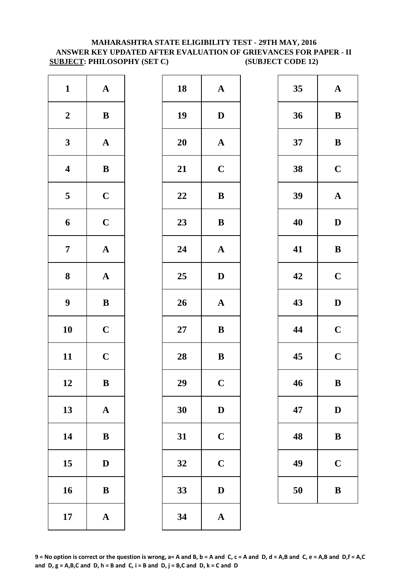#### **MAHARASHTRA STATE ELIGIBILITY TEST - 29TH MAY, 2016 ANSWER KEY UPDATED AFTER EVALUATION OF GRIEVANCES FOR PAPER - II SUBJECT: PHILOSOPHY (SET C) (SUBJECT CODE 12)**

| $\mathbf{1}$            | ${\bf A}$             | 18        | $\mathbf{A}$            |
|-------------------------|-----------------------|-----------|-------------------------|
| $\boldsymbol{2}$        | $\bf{B}$              | 19        | $\mathbf{D}$            |
| $\mathbf{3}$            | ${\bf A}$             | <b>20</b> | $\mathbf A$             |
| $\overline{\mathbf{4}}$ | $\, {\bf B}$          | 21        | $\mathbf C$             |
| $\overline{\mathbf{5}}$ | $\mathbf C$           | 22        | $\bf{B}$                |
| 6                       | $\mathbf C$           | 23        | $\bf{B}$                |
| $\overline{7}$          | ${\bf A}$             | 24        | $\mathbf{A}$            |
| 8                       | $\boldsymbol{\rm{A}}$ | 25        | $\mathbf{D}$            |
| $\boldsymbol{9}$        | $\bf{B}$              | 26        | $\mathbf{A}$            |
| 10                      | $\mathbf C$           | $27\,$    | $\bf{B}$                |
| 11                      | $\mathbf C$           | 28        | $\bf{B}$                |
| 12                      | B                     | 29        | $\overline{\mathbf{C}}$ |
| 13                      | $\mathbf A$           | 30        | $\mathbf{D}$            |
| 14                      | $\bf{B}$              | 31        | $\mathbf C$             |
| 15                      | $\bf{D}$              | 32        | $\mathbf C$             |
| 16                      | $\bf{B}$              | 33        | $\mathbf{D}$            |
| 17                      | ${\bf A}$             | 34        | $\mathbf{A}$            |
|                         |                       |           |                         |

| $\mathbf{1}$            | ${\bf A}$    | 18 | ${\bf A}$             | 35 | $\mathbf A$  |
|-------------------------|--------------|----|-----------------------|----|--------------|
| $\boldsymbol{2}$        | $\bf{B}$     | 19 | $\mathbf{D}$          | 36 | $\bf{B}$     |
| $\mathbf{3}$            | ${\bf A}$    | 20 | $\mathbf{A}$          | 37 | $\bf{B}$     |
| $\overline{\mathbf{4}}$ | $\, {\bf B}$ | 21 | $\mathbf C$           | 38 | $\mathbf C$  |
| $\overline{\mathbf{5}}$ | $\mathbf C$  | 22 | $\bf{B}$              | 39 | $\mathbf A$  |
| $\boldsymbol{6}$        | $\mathbf C$  | 23 | $\, {\bf B}$          | 40 | $\mathbf{D}$ |
| $\overline{7}$          | ${\bf A}$    | 24 | ${\bf A}$             | 41 | $\bf{B}$     |
| $\boldsymbol{8}$        | ${\bf A}$    | 25 | $\mathbf{D}$          | 42 | $\mathbf C$  |
| $\boldsymbol{9}$        | $\, {\bf B}$ | 26 | $\boldsymbol{\rm{A}}$ | 43 | $\mathbf{D}$ |
| 10                      | $\mathbf C$  | 27 | ${\bf B}$             | 44 | $\mathbf C$  |
| 11                      | $\mathbf C$  | 28 | $\, {\bf B}$          | 45 | $\mathbf C$  |
| 12                      | $\bf{B}$     | 29 | $\mathbf C$           | 46 | $\bf{B}$     |
| 13                      | ${\bf A}$    | 30 | ${\bf D}$             | 47 | $\mathbf{D}$ |
| 14                      | ${\bf B}$    | 31 | $\mathbf C$           | 48 | $\bf{B}$     |
| 15                      | $\mathbf D$  | 32 | $\mathbf C$           | 49 | $\mathbf C$  |
| 16                      | $\, {\bf B}$ | 33 | $\mathbf D$           | 50 | $\bf{B}$     |
| 17                      | ${\bf A}$    | 34 | $\boldsymbol{\rm{A}}$ |    |              |
|                         |              |    |                       |    |              |

| 35 | $\mathbf A$ |
|----|-------------|
| 36 | B           |
| 37 | B           |
| 38 | $\mathbf C$ |
| 39 | $\mathbf A$ |
| 40 | D           |
| 41 | B           |
| 42 | $\mathbf C$ |
| 43 | D           |
| 44 | $\mathbf C$ |
| 45 | $\mathbf C$ |
| 46 | $\bf{B}$    |
| 47 | D           |
| 48 | B           |
| 49 | $\mathbf C$ |
| 50 | B           |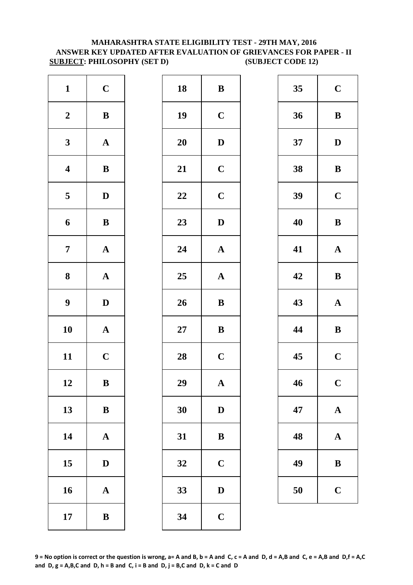#### **SUBJECT: PHILOSOPHY (SET D) (SUBJECT CODE 12) MAHARASHTRA STATE ELIGIBILITY TEST - 29TH MAY, 2016 ANSWER KEY UPDATED AFTER EVALUATION OF GRIEVANCES FOR PAPER - II**

| $\mathbf{1}$            | $\mathbf C$           | 18        | $\bf{B}$     |
|-------------------------|-----------------------|-----------|--------------|
| $\boldsymbol{2}$        | $\, {\bf B}$          | 19        | $\mathbf C$  |
| $\mathbf{3}$            | ${\bf A}$             | <b>20</b> | $\mathbf{D}$ |
| $\overline{\mathbf{4}}$ | $\, {\bf B}$          | 21        | $\mathbf C$  |
| $\overline{\mathbf{5}}$ | ${\bf D}$             | 22        | $\mathbf C$  |
| 6                       | $\, {\bf B}$          | 23        | $\mathbf{D}$ |
| $\overline{7}$          | $\boldsymbol{\rm{A}}$ | 24        | $\mathbf A$  |
| 8                       | $\boldsymbol{\rm{A}}$ | 25        | $\mathbf A$  |
| $\boldsymbol{9}$        | ${\bf D}$             | 26        | $\bf{B}$     |
| 10                      | $\boldsymbol{\rm{A}}$ | $27\,$    | $\bf{B}$     |
| 11                      | $\mathbf C$           | 28        | $\mathbf C$  |
| 12                      | B                     | 29        | A            |
| 13                      | ${\bf B}$             | 30        | $\mathbf{D}$ |
| 14                      | $\mathbf A$           | 31        | $\bf{B}$     |
| 15                      | $\bf{D}$              | 32        | $\mathbf C$  |
| 16                      | $\mathbf A$           | 33        | $\mathbf{D}$ |
| 17                      | $\bf{B}$              | 34        | $\mathbf C$  |

| $\mathbf{1}$            | $\mathbf C$  | 18     | $\bf{B}$              | 35 | $\mathbf C$  |
|-------------------------|--------------|--------|-----------------------|----|--------------|
| $\boldsymbol{2}$        | $\, {\bf B}$ | 19     | $\mathbf C$           | 36 | $\bf{B}$     |
| $\mathbf{3}$            | ${\bf A}$    | 20     | $\mathbf D$           | 37 | $\mathbf{D}$ |
| $\overline{\mathbf{4}}$ | $\, {\bf B}$ | 21     | $\mathbf C$           | 38 | $\bf{B}$     |
| $\overline{5}$          | $\mathbf{D}$ | 22     | $\mathbf C$           | 39 | $\mathbf C$  |
| $\boldsymbol{6}$        | $\, {\bf B}$ | 23     | $\mathbf D$           | 40 | $\bf{B}$     |
| $\overline{7}$          | ${\bf A}$    | 24     | $\boldsymbol{\rm{A}}$ | 41 | $\mathbf A$  |
| $\boldsymbol{8}$        | ${\bf A}$    | 25     | ${\bf A}$             | 42 | $\bf{B}$     |
| $\boldsymbol{9}$        | $\mathbf D$  | 26     | $\, {\bf B}$          | 43 | $\mathbf A$  |
| 10                      | ${\bf A}$    | $27\,$ | ${\bf B}$             | 44 | $\bf{B}$     |
| 11                      | $\mathbf C$  | 28     | $\mathbf C$           | 45 | $\mathbf C$  |
| 12                      | $\, {\bf B}$ | 29     | $\mathbf A$           | 46 | $\mathbf C$  |
| 13                      | $\, {\bf B}$ | 30     | $\mathbf D$           | 47 | $\mathbf A$  |
| 14                      | $\mathbf A$  | 31     | $\bf{B}$              | 48 | $\mathbf A$  |
| 15                      | $\mathbf D$  | 32     | $\mathbf C$           | 49 | $\bf{B}$     |
| 16                      | ${\bf A}$    | 33     | $\mathbf D$           | 50 | $\mathbf C$  |
| 17                      | $\bf{B}$     | 34     | $\mathbf C$           |    |              |
|                         |              |        |                       |    |              |

| 35 | $\mathbf C$ |
|----|-------------|
| 36 | B           |
| 37 | D           |
| 38 | B           |
| 39 | $\mathbf C$ |
| 40 | B           |
| 41 | ${\bf A}$   |
| 42 | B           |
|    |             |
| 43 | $\mathbf A$ |
| 44 | B           |
| 45 | $\mathbf C$ |
| 46 | $\mathbf C$ |
| 47 | $\mathbf A$ |
| 48 | $\mathbf A$ |
| 49 | B           |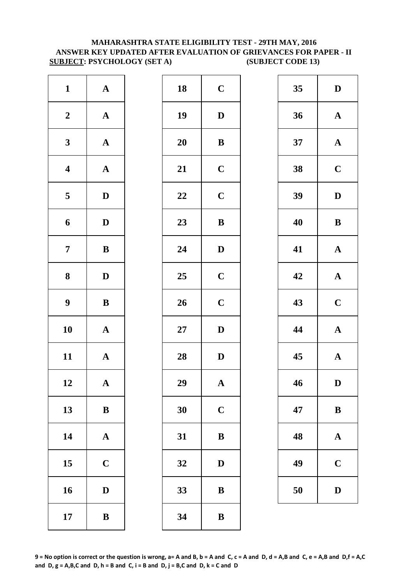#### **MAHARASHTRA STATE ELIGIBILITY TEST - 29TH MAY, 2016 ANSWER KEY UPDATED AFTER EVALUATION OF GRIEVANCES FOR PAPER - II SUBJECT: PSYCHOLOGY (SET A) (SUBJECT CODE 13)**

| $\mathbf{1}$            | $\mathbf A$           | 18        | $\mathbf C$  |
|-------------------------|-----------------------|-----------|--------------|
| $\boldsymbol{2}$        | $\boldsymbol{\rm{A}}$ | 19        | D            |
| $\mathbf{3}$            | $\boldsymbol{\rm{A}}$ | <b>20</b> | $\bf{B}$     |
| $\overline{\mathbf{4}}$ | $\boldsymbol{\rm{A}}$ | 21        | $\mathbf C$  |
| $\overline{\mathbf{5}}$ | $\mathbf D$           | 22        | $\mathbf C$  |
| 6                       | $\mathbf D$           | 23        | $\bf{B}$     |
| $\boldsymbol{7}$        | $\, {\bf B}$          | 24        | $\mathbf{D}$ |
| ${\bf 8}$               | $\mathbf D$           | 25        | $\mathbf C$  |
| $\boldsymbol{9}$        | $\bf{B}$              | 26        | $\mathbf C$  |
| 10                      | $\boldsymbol{\rm{A}}$ | $27\,$    | D            |
| 11                      | ${\bf A}$             | 28        | $\mathbf{D}$ |
| 12                      | A                     | 29        | A            |
| 13                      | $\bf{B}$              | 30        | $\mathbf C$  |
| 14                      | $\boldsymbol{\rm{A}}$ | 31        | $\bf{B}$     |
| 15                      | $\mathbf C$           | 32        | D            |
| 16                      | $\mathbf D$           | 33        | $\bf{B}$     |
| 17                      | $\, {\bf B}$          | 34        | $\bf{B}$     |

| $\mathbf{1}$            | ${\bf A}$    | 18 | $\mathbf C$  | 35 | $\mathbf{D}$ |
|-------------------------|--------------|----|--------------|----|--------------|
| $\boldsymbol{2}$        | ${\bf A}$    | 19 | $\mathbf{D}$ | 36 | $\mathbf A$  |
| $\mathbf{3}$            | ${\bf A}$    | 20 | ${\bf B}$    | 37 | $\mathbf A$  |
| $\overline{\mathbf{4}}$ | ${\bf A}$    | 21 | $\mathbf C$  | 38 | $\mathbf C$  |
| $\overline{\mathbf{5}}$ | $\mathbf D$  | 22 | $\mathbf C$  | 39 | $\mathbf{D}$ |
| $\boldsymbol{6}$        | $\mathbf D$  | 23 | $\, {\bf B}$ | 40 | $\bf{B}$     |
| $\overline{7}$          | $\, {\bf B}$ | 24 | $\mathbf D$  | 41 | $\mathbf A$  |
| $\boldsymbol{8}$        | $\mathbf{D}$ | 25 | $\mathbf C$  | 42 | $\mathbf{A}$ |
| $\boldsymbol{9}$        | $\, {\bf B}$ | 26 | $\mathbf C$  | 43 | $\mathbf C$  |
| 10                      | ${\bf A}$    | 27 | $\mathbf D$  | 44 | $\mathbf A$  |
| 11                      | ${\bf A}$    | 28 | $\mathbf D$  | 45 | $\mathbf A$  |
| 12                      | $\mathbf{A}$ | 29 | $\mathbf{A}$ | 46 | D            |
| 13                      | $\, {\bf B}$ | 30 | $\mathbf C$  | 47 | $\bf{B}$     |
| 14                      | ${\bf A}$    | 31 | $\bf{B}$     | 48 | $\mathbf A$  |
| 15                      | $\mathbf C$  | 32 | $\mathbf D$  | 49 | $\mathbf C$  |
| 16                      | $\mathbf D$  | 33 | $\, {\bf B}$ | 50 | $\mathbf{D}$ |
| 17                      | $\, {\bf B}$ | 34 | ${\bf B}$    |    |              |
|                         |              |    |              |    |              |

| 35 | $\mathbf{D}$            |
|----|-------------------------|
| 36 | $\mathbf A$             |
| 37 | $\mathbf{A}$            |
| 38 | $\mathbf C$             |
| 39 | D                       |
| 40 | B                       |
| 41 | $\mathbf A$             |
| 42 | $\mathbf A$             |
| 43 | $\overline{\mathbf{C}}$ |
| 44 | $\mathbf A$             |
| 45 | $\mathbf A$             |
| 46 | D                       |
| 47 | B                       |
| 48 | A                       |
| 49 | $\mathbf C$             |
| 50 | $\mathbf{D}$            |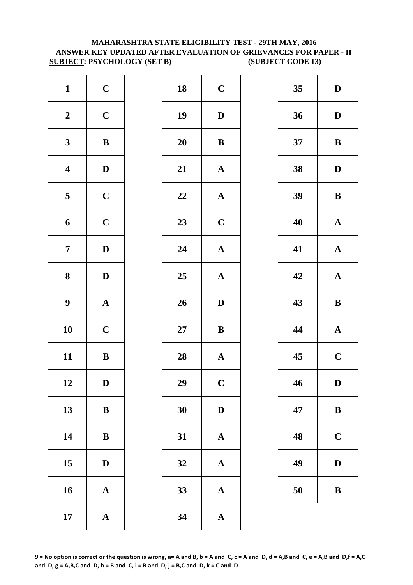#### **MAHARASHTRA STATE ELIGIBILITY TEST - 29TH MAY, 2016 ANSWER KEY UPDATED AFTER EVALUATION OF GRIEVANCES FOR PAPER - II SUBJECT: PSYCHOLOGY (SET B) (SUBJECT CODE 13)**

| $\mathbf{1}$            | $\mathbf C$           | 18        | $\mathbf C$             |
|-------------------------|-----------------------|-----------|-------------------------|
| $\boldsymbol{2}$        | $\mathbf C$           | 19        | $\mathbf{D}$            |
| $\mathbf{3}$            | ${\bf B}$             | <b>20</b> | $\bf{B}$                |
| $\overline{\mathbf{4}}$ | $\mathbf D$           | 21        | $\mathbf{A}$            |
| $\overline{\mathbf{5}}$ | $\mathbf C$           | 22        | $\mathbf{A}$            |
| 6                       | $\mathbf C$           | 23        | $\mathbf C$             |
| $\overline{7}$          | $\mathbf D$           | 24        | $\mathbf{A}$            |
| 8                       | $\mathbf D$           | 25        | $\mathbf{A}$            |
| $\boldsymbol{9}$        | $\boldsymbol{\rm{A}}$ | 26        | $\mathbf{D}$            |
| 10                      | $\mathbf C$           | $27\,$    | $\bf{B}$                |
| 11                      | $\, {\bf B}$          | 28        | $\mathbf{A}$            |
| 12                      | D                     | 29        | $\overline{\mathbf{C}}$ |
| 13                      | ${\bf B}$             | 30        | $\mathbf{D}$            |
| 14                      | $\bf{B}$              | 31        | $\mathbf{A}$            |
| 15                      | $\bf{D}$              | 32        | $\mathbf{A}$            |
| 16                      | $\mathbf A$           | 33        | $\mathbf{A}$            |
| 17                      | ${\bf A}$             | 34        | $\mathbf{A}$            |

| $\mathbf{1}$            | $\mathbf C$  | 18 | $\mathbf C$           | 35 | $\mathbf{D}$ |
|-------------------------|--------------|----|-----------------------|----|--------------|
| $\boldsymbol{2}$        | $\mathbf C$  | 19 | $\mathbf D$           | 36 | $\mathbf{D}$ |
| $\mathbf{3}$            | ${\bf B}$    | 20 | ${\bf B}$             | 37 | $\bf{B}$     |
| $\overline{\mathbf{4}}$ | $\mathbf D$  | 21 | ${\bf A}$             | 38 | $\mathbf{D}$ |
| $5\phantom{.0}$         | $\mathbf C$  | 22 | $\boldsymbol{\rm{A}}$ | 39 | $\bf{B}$     |
| $\boldsymbol{6}$        | $\mathbf C$  | 23 | $\mathbf C$           | 40 | $\mathbf A$  |
| $\overline{7}$          | $\mathbf D$  | 24 | $\boldsymbol{\rm{A}}$ | 41 | $\mathbf A$  |
| $\boldsymbol{8}$        | $\mathbf{D}$ | 25 | $\boldsymbol{\rm{A}}$ | 42 | $\mathbf A$  |
| $\boldsymbol{9}$        | ${\bf A}$    | 26 | $\mathbf D$           | 43 | $\bf{B}$     |
| 10                      | $\mathbf C$  | 27 | ${\bf B}$             | 44 | $\mathbf A$  |
| 11                      | ${\bf B}$    | 28 | ${\bf A}$             | 45 | $\mathbf C$  |
| 12                      | $\mathbf D$  | 29 | $\mathbf C$           | 46 | $\mathbf{D}$ |
| 13                      | $\bf{B}$     | 30 | $\mathbf D$           | 47 | $\bf{B}$     |
| 14                      | $\, {\bf B}$ | 31 | $\mathbf A$           | 48 | $\mathbf C$  |
| 15                      | $\mathbf D$  | 32 | $\mathbf A$           | 49 | $\mathbf{D}$ |
| 16                      | ${\bf A}$    | 33 | ${\bf A}$             | 50 | $\bf{B}$     |
| 17                      | ${\bf A}$    | 34 | $\mathbf{A}$          |    |              |
|                         |              |    |                       |    |              |

| 35 | D                       |
|----|-------------------------|
| 36 | D                       |
| 37 | B                       |
| 38 | D                       |
| 39 | B                       |
| 40 | $\mathbf A$             |
| 41 | $\mathbf A$             |
| 42 | $\mathbf{A}$            |
|    |                         |
| 43 | B                       |
| 44 | $\mathbf A$             |
| 45 | $\overline{\mathbf{C}}$ |
| 46 | D                       |
| 47 | $\bf{B}$                |
| 48 | $\mathbf C$             |
| 49 | D                       |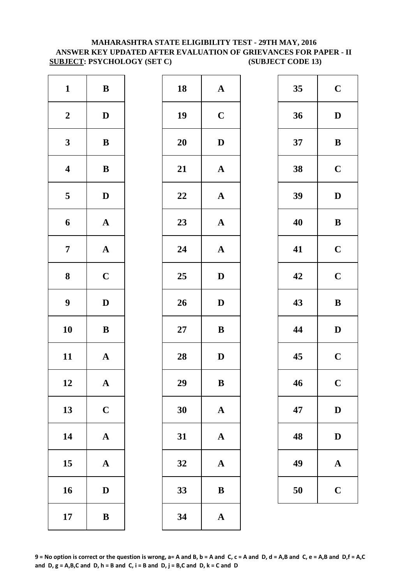#### **MAHARASHTRA STATE ELIGIBILITY TEST - 29TH MAY, 2016 ANSWER KEY UPDATED AFTER EVALUATION OF GRIEVANCES FOR PAPER - II SUBJECT: PSYCHOLOGY (SET C) (SUBJECT CODE 13)**

| $\, {\bf B}$          | 18        | $\mathbf{A}$ |
|-----------------------|-----------|--------------|
| $\mathbf D$           | 19        | $\mathbf C$  |
| $\, {\bf B}$          | <b>20</b> | $\mathbf{D}$ |
| $\, {\bf B}$          | 21        | $\mathbf{A}$ |
| $\mathbf D$           | 22        | $\mathbf{A}$ |
| ${\bf A}$             | 23        | $\mathbf{A}$ |
| $\boldsymbol{\rm{A}}$ | 24        | $\mathbf{A}$ |
| $\mathbf C$           | 25        | $\mathbf{D}$ |
| $\mathbf D$           | 26        | $\mathbf{D}$ |
| $\, {\bf B}$          | $27\,$    | $\bf{B}$     |
| $\mathbf A$           | 28        | $\mathbf{D}$ |
| A                     | 29        | $\bf{B}$     |
| $\mathbf C$           | 30        | $\mathbf{A}$ |
| $\boldsymbol{\rm{A}}$ | 31        | $\mathbf{A}$ |
| $\mathbf A$           | 32        | $\mathbf A$  |
| $\mathbf D$           | 33        | $\bf{B}$     |
| $\, {\bf B}$          | 34        | $\mathbf{A}$ |
|                       |           |              |

| $\mathbf{1}$            | $\, {\bf B}$ | 18 | ${\bf A}$             | 35 | $\mathbf C$  |
|-------------------------|--------------|----|-----------------------|----|--------------|
| $\boldsymbol{2}$        | $\mathbf{D}$ | 19 | $\mathbf C$           | 36 | $\mathbf{D}$ |
| $\mathbf{3}$            | $\bf{B}$     | 20 | $\mathbf D$           | 37 | $\bf{B}$     |
| $\overline{\mathbf{4}}$ | $\, {\bf B}$ | 21 | $\boldsymbol{\rm{A}}$ | 38 | $\mathbf C$  |
| $\overline{\mathbf{5}}$ | $\mathbf D$  | 22 | ${\bf A}$             | 39 | $\mathbf{D}$ |
| $\boldsymbol{6}$        | ${\bf A}$    | 23 | $\boldsymbol{\rm{A}}$ | 40 | $\bf{B}$     |
| $\overline{7}$          | ${\bf A}$    | 24 | ${\bf A}$             | 41 | $\mathbf C$  |
| $\boldsymbol{8}$        | $\mathbf C$  | 25 | $\mathbf D$           | 42 | $\mathbf C$  |
| $\boldsymbol{9}$        | $\mathbf D$  | 26 | $\mathbf D$           | 43 | $\bf{B}$     |
| 10                      | ${\bf B}$    | 27 | ${\bf B}$             | 44 | $\mathbf{D}$ |
| 11                      | ${\bf A}$    | 28 | $\mathbf{D}$          | 45 | $\mathbf C$  |
| 12                      | $\mathbf{A}$ | 29 | B                     | 46 | $\mathbf C$  |
| 13                      | $\mathbf C$  | 30 | ${\bf A}$             | 47 | $\mathbf{D}$ |
| 14                      | ${\bf A}$    | 31 | $\mathbf{A}$          | 48 | $\mathbf{D}$ |
| 15                      | ${\bf A}$    | 32 | ${\bf A}$             | 49 | $\mathbf A$  |
| 16                      | $\mathbf D$  | 33 | $\, {\bf B}$          | 50 | $\mathbf C$  |
| 17                      | $\, {\bf B}$ | 34 | $\mathbf A$           |    |              |
|                         |              |    |                       |    |              |

| 35 | $\mathbf C$ |
|----|-------------|
| 36 | D           |
| 37 | B           |
| 38 | $\mathbf C$ |
| 39 | D           |
| 40 | B           |
| 41 | $\mathbf C$ |
| 42 | $\mathbf C$ |
|    |             |
| 43 | B           |
| 44 | D           |
| 45 | $\mathbf C$ |
| 46 | $\mathbf C$ |
| 47 | D           |
| 48 | D           |
| 49 | $\mathbf A$ |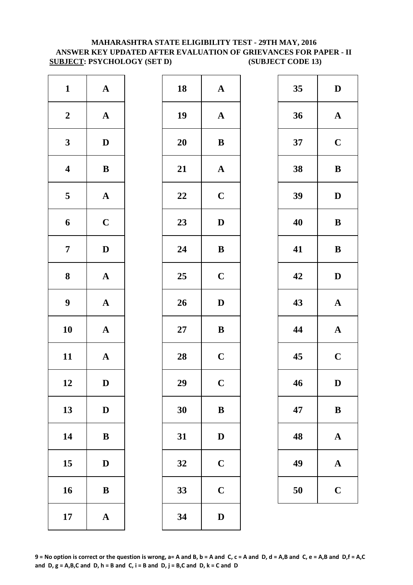#### **ANSWER KEY UPDATED AFTER EVALUATION OF GRIEVANCES FOR PAPER - II SUBJECT: PSYCHOLOGY (SET D) (SUBJECT CODE 13) MAHARASHTRA STATE ELIGIBILITY TEST - 29TH MAY, 2016**

| $\mathbf{1}$            | $\mathbf A$           | 18        | $\mathbf{A}$   |
|-------------------------|-----------------------|-----------|----------------|
| $\boldsymbol{2}$        | $\boldsymbol{\rm{A}}$ | 19        | $\mathbf{A}$   |
| $\mathbf{3}$            | $\mathbf D$           | <b>20</b> | $\bf{B}$       |
| $\overline{\mathbf{4}}$ | $\, {\bf B}$          | 21        | $\mathbf{A}$   |
| $\overline{\mathbf{5}}$ | ${\bf A}$             | 22        | $\mathbf C$    |
| 6                       | $\mathbf C$           | 23        | $\mathbf{D}$   |
| $\overline{7}$          | $\mathbf D$           | 24        | $\bf{B}$       |
| 8                       | $\boldsymbol{\rm{A}}$ | 25        | $\mathbf C$    |
| $\boldsymbol{9}$        | ${\bf A}$             | 26        | $\mathbf{D}$   |
| 10                      | $\mathbf A$           | $27\,$    | $\bf{B}$       |
| 11                      | $\mathbf A$           | 28        | $\mathbf C$    |
| 12                      | D                     | 29        | $\overline{C}$ |
| 13                      | $\mathbf D$           | 30        | $\bf{B}$       |
| 14                      | $\bf{B}$              | 31        | $\mathbf{D}$   |
| 15                      | $\mathbf D$           | 32        | $\mathbf C$    |
| 16                      | $\bf{B}$              | 33        | $\mathbf C$    |
| 17                      | $\boldsymbol{\rm{A}}$ | 34        | D              |

| $\mathbf{1}$            | ${\bf A}$    | 18 | ${\bf A}$             | 35 | $\mathbf{D}$ |
|-------------------------|--------------|----|-----------------------|----|--------------|
| $\boldsymbol{2}$        | ${\bf A}$    | 19 | $\mathbf{A}$          | 36 | $\mathbf A$  |
| $\mathbf{3}$            | $\mathbf D$  | 20 | $\, {\bf B}$          | 37 | $\mathbf C$  |
| $\overline{\mathbf{4}}$ | $\, {\bf B}$ | 21 | $\boldsymbol{\rm{A}}$ | 38 | $\bf{B}$     |
| $5\overline{)}$         | ${\bf A}$    | 22 | $\mathbf C$           | 39 | $\mathbf{D}$ |
| $\boldsymbol{6}$        | $\mathbf C$  | 23 | $\mathbf D$           | 40 | $\bf{B}$     |
| $\overline{7}$          | $\mathbf D$  | 24 | $\, {\bf B}$          | 41 | $\bf{B}$     |
| $\boldsymbol{8}$        | ${\bf A}$    | 25 | $\mathbf C$           | 42 | $\mathbf{D}$ |
| $\boldsymbol{9}$        | ${\bf A}$    | 26 | $\mathbf D$           | 43 | $\mathbf A$  |
| 10                      | ${\bf A}$    | 27 | $\, {\bf B}$          | 44 | $\mathbf A$  |
| 11                      | ${\bf A}$    | 28 | $\mathbf C$           | 45 | $\mathbf C$  |
| 12                      | D            | 29 | $\mathbf C$           | 46 | D            |
| 13                      | $\mathbf D$  | 30 | $\, {\bf B}$          | 47 | $\bf{B}$     |
| 14                      | $\bf{B}$     | 31 | $\mathbf D$           | 48 | $\mathbf A$  |
| 15                      | $\mathbf D$  | 32 | $\mathbf C$           | 49 | $\mathbf A$  |
| 16                      | $\, {\bf B}$ | 33 | $\mathbf C$           | 50 | $\mathbf C$  |
| 17                      | ${\bf A}$    | 34 | $\mathbf D$           |    |              |
|                         |              |    |                       |    |              |

| 35 | D           |
|----|-------------|
| 36 | $\mathbf A$ |
| 37 | $\mathbf C$ |
| 38 | B           |
| 39 | D           |
| 40 | B           |
| 41 | B           |
| 42 | D           |
| 43 | $\mathbf A$ |
| 44 | $\mathbf A$ |
| 45 | $\mathbf C$ |
| 46 | $\mathbf D$ |
| 47 | B           |
| 48 | $\mathbf A$ |
| 49 | A           |
| 50 | $\mathbf C$ |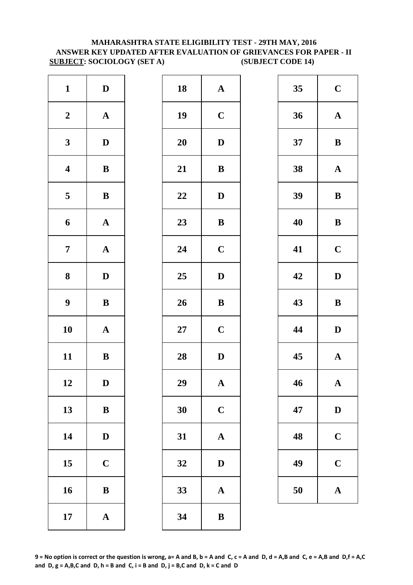# **MAHARASHTRA STATE ELIGIBILITY TEST - 29TH MAY, 2016 ANSWER KEY UPDATED AFTER EVALUATION OF GRIEVANCES FOR PAPER - II SUBJECT: SOCIOLOGY (SET A) (SUBJECT CODE 14)**

| $\mathbf{1}$            | $\mathbf D$           | 18        | $\mathbf A$  |
|-------------------------|-----------------------|-----------|--------------|
| $\boldsymbol{2}$        | $\boldsymbol{\rm{A}}$ | 19        | $\mathbf C$  |
| $\mathbf{3}$            | $\mathbf D$           | <b>20</b> | $\mathbf{D}$ |
| $\overline{\mathbf{4}}$ | $\, {\bf B}$          | 21        | $\bf{B}$     |
| $\overline{\mathbf{5}}$ | $\, {\bf B}$          | 22        | D            |
| 6                       | $\boldsymbol{\rm{A}}$ | 23        | $\bf{B}$     |
| $\overline{7}$          | $\boldsymbol{\rm{A}}$ | 24        | $\mathbf C$  |
| ${\bf 8}$               | $\mathbf D$           | 25        | $\mathbf{D}$ |
| $\boldsymbol{9}$        | $\, {\bf B}$          | 26        | $\bf{B}$     |
| 10                      | $\boldsymbol{\rm{A}}$ | $27\,$    | $\mathbf C$  |
| 11                      | $\, {\bf B}$          | 28        | $\mathbf{D}$ |
| 12                      | D                     | 29        | A            |
| 13                      | $\bf{B}$              | 30        | $\mathbf C$  |
| 14                      | $\mathbf D$           | 31        | $\mathbf{A}$ |
| 15                      | $\mathbf C$           | 32        | $\mathbf{D}$ |
| 16                      | $\bf{B}$              | 33        | $\mathbf{A}$ |
| 17                      | $\boldsymbol{\rm{A}}$ | 34        | $\bf{B}$     |

| $\mathbf{1}$            | $\mathbf D$  | 18     | ${\bf A}$    | 35 | $\mathbf C$  |
|-------------------------|--------------|--------|--------------|----|--------------|
| $\boldsymbol{2}$        | ${\bf A}$    | 19     | $\mathbf C$  | 36 | $\mathbf A$  |
| $\mathbf{3}$            | $\mathbf D$  | 20     | $\mathbf D$  | 37 | $\bf{B}$     |
| $\overline{\mathbf{4}}$ | $\, {\bf B}$ | 21     | $\, {\bf B}$ | 38 | $\mathbf A$  |
| $\overline{\mathbf{5}}$ | $\, {\bf B}$ | 22     | $\mathbf{D}$ | 39 | $\bf{B}$     |
| $\boldsymbol{6}$        | ${\bf A}$    | 23     | $\, {\bf B}$ | 40 | $\bf{B}$     |
| $\overline{7}$          | ${\bf A}$    | 24     | $\mathbf C$  | 41 | $\mathbf C$  |
| $\boldsymbol{8}$        | $\mathbf{D}$ | 25     | $\mathbf D$  | 42 | $\mathbf{D}$ |
| $\boldsymbol{9}$        | $\, {\bf B}$ | 26     | $\, {\bf B}$ | 43 | $\bf{B}$     |
| 10                      | ${\bf A}$    | $27\,$ | $\mathbf C$  | 44 | $\mathbf{D}$ |
| 11                      | ${\bf B}$    | 28     | $\mathbf D$  | 45 | $\mathbf A$  |
| 12                      | $\mathbf D$  | 29     | $\mathbf{A}$ | 46 | $\mathbf A$  |
| 13                      | $\, {\bf B}$ | 30     | $\mathbf C$  | 47 | $\mathbf{D}$ |
| 14                      | $\mathbf D$  | 31     | $\mathbf A$  | 48 | $\mathbf C$  |
| 15                      | $\mathbf C$  | 32     | $\mathbf D$  | 49 | $\mathbf C$  |
| 16                      | $\, {\bf B}$ | 33     | ${\bf A}$    | 50 | $\mathbf A$  |
| 17                      | ${\bf A}$    | 34     | $\bf{B}$     |    |              |

| 35 | $\mathbf C$  |
|----|--------------|
| 36 | $\mathbf A$  |
| 37 | B            |
| 38 | $\mathbf A$  |
| 39 | $\bf{B}$     |
| 40 | B            |
| 41 | $\mathbf C$  |
| 42 | D            |
|    |              |
| 43 | B            |
| 44 | D            |
| 45 | $\mathbf{A}$ |
| 46 | $\mathbf A$  |
| 47 | D            |
| 48 | $\mathbf C$  |
| 49 | $\mathbf C$  |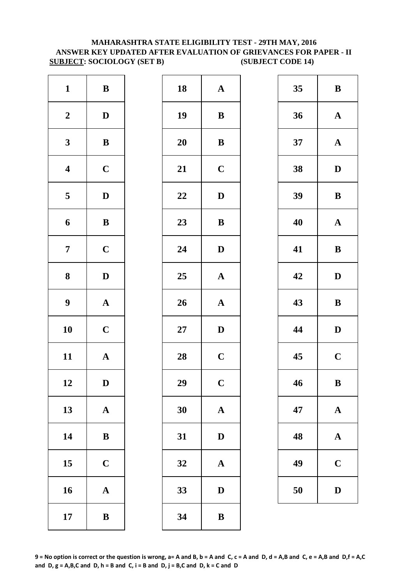# **MAHARASHTRA STATE ELIGIBILITY TEST - 29TH MAY, 2016 ANSWER KEY UPDATED AFTER EVALUATION OF GRIEVANCES FOR PAPER - II SUBJECT: SOCIOLOGY (SET B) (SUBJECT CODE 14)**

| $\mathbf{1}$            | $\, {\bf B}$          | 18        | $\mathbf A$             |
|-------------------------|-----------------------|-----------|-------------------------|
| $\boldsymbol{2}$        | $\mathbf D$           | 19        | $\bf{B}$                |
| $\mathbf{3}$            | $\, {\bf B}$          | <b>20</b> | $\bf{B}$                |
| $\overline{\mathbf{4}}$ | $\mathbf C$           | 21        | $\mathbf C$             |
| $\overline{\mathbf{5}}$ | $\mathbf D$           | 22        | D                       |
| 6                       | $\, {\bf B}$          | 23        | $\bf{B}$                |
| $\overline{7}$          | $\mathbf C$           | 24        | D                       |
| ${\bf 8}$               | $\mathbf D$           | 25        | $\mathbf{A}$            |
| $\boldsymbol{9}$        | $\boldsymbol{\rm{A}}$ | 26        | $\mathbf{A}$            |
| 10                      | $\mathbf C$           | $27\,$    | D                       |
| 11                      | ${\bf A}$             | 28        | $\mathbf C$             |
| 12                      | D                     | 29        | $\overline{\mathbf{C}}$ |
| 13                      | $\mathbf A$           | 30        | $\mathbf A$             |
| 14                      | $\bf{B}$              | 31        | D                       |
| 15                      | $\mathbf C$           | 32        | $\mathbf A$             |
| 16                      | $\boldsymbol{\rm{A}}$ | 33        | D                       |
| 17                      | $\, {\bf B}$          | 34        | B                       |

| $\mathbf{1}$            | $\, {\bf B}$ | 18 | ${\bf A}$    | 35 | $\bf{B}$     |
|-------------------------|--------------|----|--------------|----|--------------|
| $\boldsymbol{2}$        | $\mathbf{D}$ | 19 | ${\bf B}$    | 36 | $\mathbf A$  |
| $\mathbf{3}$            | ${\bf B}$    | 20 | ${\bf B}$    | 37 | $\mathbf A$  |
| $\overline{\mathbf{4}}$ | $\mathbf C$  | 21 | $\mathbf C$  | 38 | $\mathbf{D}$ |
| $\overline{\mathbf{5}}$ | $\mathbf D$  | 22 | $\mathbf D$  | 39 | $\bf{B}$     |
| $\boldsymbol{6}$        | $\, {\bf B}$ | 23 | $\, {\bf B}$ | 40 | $\mathbf A$  |
| $\overline{7}$          | $\mathbf C$  | 24 | $\mathbf{D}$ | 41 | $\bf{B}$     |
| $\boldsymbol{8}$        | $\mathbf{D}$ | 25 | ${\bf A}$    | 42 | $\mathbf{D}$ |
| $\boldsymbol{9}$        | ${\bf A}$    | 26 | ${\bf A}$    | 43 | $\bf{B}$     |
| 10                      | $\mathbf C$  | 27 | $\mathbf D$  | 44 | $\mathbf{D}$ |
| 11                      | ${\bf A}$    | 28 | $\mathbf C$  | 45 | $\mathbf C$  |
| 12                      | D            | 29 | $\mathbf C$  | 46 | $\bf{B}$     |
| 13                      | ${\bf A}$    | 30 | ${\bf A}$    | 47 | $\mathbf A$  |
| 14                      | ${\bf B}$    | 31 | $\mathbf D$  | 48 | $\mathbf A$  |
| 15                      | $\mathbf C$  | 32 | $\mathbf A$  | 49 | $\mathbf C$  |
| 16                      | ${\bf A}$    | 33 | ${\bf D}$    | 50 | $\mathbf{D}$ |
| 17                      | $\, {\bf B}$ | 34 | $\bf{B}$     |    |              |
|                         |              |    |              |    |              |

| 35 | B           |
|----|-------------|
| 36 | $\mathbf A$ |
| 37 | $\mathbf A$ |
| 38 | D           |
| 39 | B           |
| 40 | $\mathbf A$ |
| 41 | B           |
| 42 | D           |
|    |             |
| 43 | B           |
| 44 | D           |
| 45 | $\mathbf C$ |
| 46 | B           |
| 47 | $\mathbf A$ |
| 48 | $\mathbf A$ |
| 49 | $\mathbf C$ |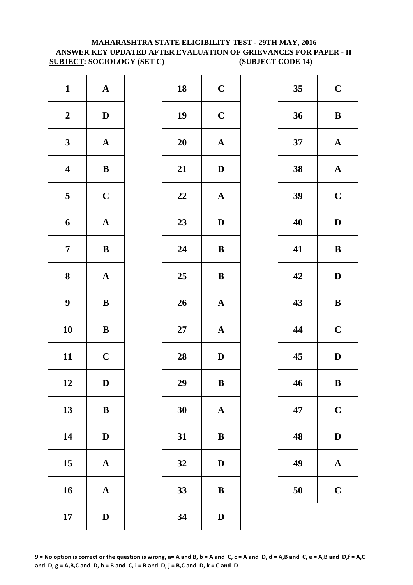# **SUBJECT: SOCIOLOGY (SET C) (SUBJECT CODE 14) MAHARASHTRA STATE ELIGIBILITY TEST - 29TH MAY, 2016 ANSWER KEY UPDATED AFTER EVALUATION OF GRIEVANCES FOR PAPER - II**

| $\mathbf{1}$            | $\boldsymbol{\rm{A}}$ | 18        | $\mathbf C$  |
|-------------------------|-----------------------|-----------|--------------|
| $\boldsymbol{2}$        | $\mathbf D$           | 19        | $\mathbf C$  |
| $\mathbf{3}$            | $\mathbf A$           | <b>20</b> | $\mathbf A$  |
| $\overline{\mathbf{4}}$ | $\, {\bf B}$          | 21        | $\mathbf{D}$ |
| $\overline{\mathbf{5}}$ | $\mathbf C$           | 22        | $\mathbf A$  |
| 6                       | $\mathbf A$           | 23        | $\mathbf{D}$ |
| $\overline{7}$          | $\, {\bf B}$          | 24        | $\bf{B}$     |
| ${\bf 8}$               | $\boldsymbol{\rm{A}}$ | 25        | $\bf{B}$     |
| $\boldsymbol{9}$        | $\, {\bf B}$          | 26        | $\mathbf{A}$ |
| 10                      | $\bf{B}$              | $27\,$    | $\mathbf{A}$ |
| 11                      | $\mathbf C$           | 28        | $\mathbf{D}$ |
| 12                      | D                     | 29        | B            |
| 13                      | $\, {\bf B}$          | 30        | $\mathbf{A}$ |
| 14                      | $\mathbf D$           | 31        | $\bf{B}$     |
| 15                      | $\mathbf A$           | 32        | $\mathbf{D}$ |
| 16                      | $\boldsymbol{\rm{A}}$ | 33        | $\bf{B}$     |
| 17                      | $\mathbf D$           | 34        | $\bf{D}$     |

| $\mathbf{1}$            | ${\bf A}$    | 18     | $\mathbf C$           | 35 | $\mathbf C$  |
|-------------------------|--------------|--------|-----------------------|----|--------------|
| $\boldsymbol{2}$        | $\mathbf D$  | 19     | $\mathbf C$           | 36 | $\bf{B}$     |
| $\mathbf{3}$            | ${\bf A}$    | 20     | $\boldsymbol{\rm{A}}$ | 37 | $\mathbf A$  |
| $\overline{\mathbf{4}}$ | $\, {\bf B}$ | 21     | ${\bf D}$             | 38 | $\mathbf A$  |
| $\overline{5}$          | $\mathbf C$  | 22     | ${\bf A}$             | 39 | $\mathbf C$  |
| 6                       | ${\bf A}$    | 23     | $\mathbf D$           | 40 | $\mathbf{D}$ |
| $\overline{7}$          | ${\bf B}$    | 24     | $\bf{B}$              | 41 | $\bf{B}$     |
| $\boldsymbol{8}$        | ${\bf A}$    | 25     | ${\bf B}$             | 42 | $\mathbf{D}$ |
| $\boldsymbol{9}$        | $\, {\bf B}$ | 26     | $\boldsymbol{\rm{A}}$ | 43 | $\bf{B}$     |
| 10                      | ${\bf B}$    | $27\,$ | ${\bf A}$             | 44 | $\mathbf C$  |
| 11                      | $\mathbf C$  | 28     | $\mathbf{D}$          | 45 | $\mathbf{D}$ |
| 12                      | $\mathbf D$  | 29     | $\, {\bf B}$          | 46 | $\bf{B}$     |
| 13                      | $\bf{B}$     | 30     | $\mathbf A$           | 47 | $\mathbf C$  |
| 14                      | $\mathbf D$  | 31     | $\bf{B}$              | 48 | $\mathbf{D}$ |
| 15                      | ${\bf A}$    | 32     | $\mathbf D$           | 49 | $\mathbf A$  |
| 16                      | ${\bf A}$    | 33     | $\, {\bf B}$          | 50 | $\mathbf C$  |
| 17                      | $\mathbf D$  | 34     | $\mathbf D$           |    |              |
|                         |              |        |                       |    |              |

| 35 | $\mathbf C$  |
|----|--------------|
| 36 | B            |
| 37 | $\mathbf A$  |
| 38 | $\mathbf A$  |
| 39 | $\mathbf C$  |
| 40 | D            |
| 41 | B            |
| 42 | D            |
|    |              |
| 43 | B            |
| 44 | $\mathbf C$  |
| 45 | $\mathbf D$  |
| 46 | B            |
| 47 | $\mathbf C$  |
| 48 | $\mathbf{D}$ |
| 49 | $\mathbf A$  |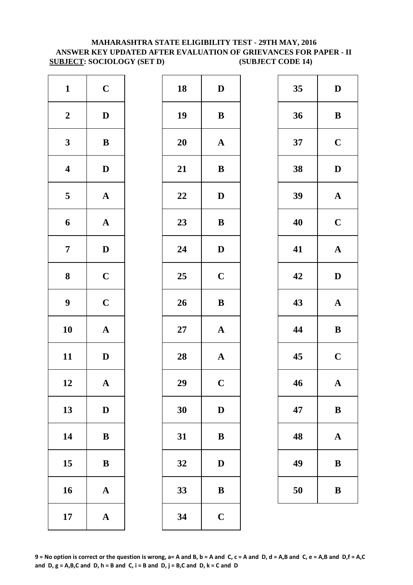# **MAHARASHTRA STATE ELIGIBILITY TEST - 29TH MAY, 2016 ANSWER KEY UPDATED AFTER EVALUATION OF GRIEVANCES FOR PAPER - II SUBJECT: SOCIOLOGY (SET D) (SUBJECT CODE 14)**

| $\mathbf{1}$            | $\mathbf C$           | 18        | $\mathbf{D}$   |
|-------------------------|-----------------------|-----------|----------------|
| $\boldsymbol{2}$        | $\mathbf D$           | 19        | $\bf{B}$       |
| $\mathbf{3}$            | ${\bf B}$             | <b>20</b> | $\mathbf A$    |
| $\overline{\mathbf{4}}$ | $\mathbf D$           | 21        | $\bf{B}$       |
| $\overline{\mathbf{5}}$ | $\boldsymbol{\rm{A}}$ | 22        | $\mathbf{D}$   |
| 6                       | $\mathbf A$           | 23        | $\bf{B}$       |
| $\overline{7}$          | $\mathbf D$           | 24        | $\mathbf{D}$   |
| 8                       | $\mathbf C$           | 25        | $\mathbf C$    |
| $\boldsymbol{9}$        | $\mathbf C$           | 26        | $\bf{B}$       |
| 10                      | $\mathbf A$           | $27\,$    | $\mathbf{A}$   |
| 11                      | $\mathbf D$           | 28        | $\mathbf{A}$   |
| 12                      | A                     | 29        | $\overline{C}$ |
| 13                      | $\mathbf D$           | 30        | $\mathbf{D}$   |
| 14                      | ${\bf B}$             | 31        | $\bf{B}$       |
| 15                      | ${\bf B}$             | 32        | D              |
| 16                      | $\mathbf A$           | 33        | $\bf{B}$       |
| 17                      | ${\bf A}$             | 34        | $\mathbf C$    |

| $\mathbf{1}$            | $\mathbf C$  | 18 | $\mathbf D$  | 35 | $\mathbf{D}$ |
|-------------------------|--------------|----|--------------|----|--------------|
| $\boldsymbol{2}$        | $\mathbf D$  | 19 | $\bf{B}$     | 36 | $\bf{B}$     |
| $\mathbf{3}$            | $\bf{B}$     | 20 | ${\bf A}$    | 37 | $\mathbf C$  |
| $\overline{\mathbf{4}}$ | $\mathbf D$  | 21 | $\, {\bf B}$ | 38 | $\mathbf{D}$ |
| $\overline{\mathbf{5}}$ | ${\bf A}$    | 22 | $\mathbf D$  | 39 | $\mathbf A$  |
| $\boldsymbol{6}$        | ${\bf A}$    | 23 | $\, {\bf B}$ | 40 | $\mathbf C$  |
| $\overline{7}$          | $\mathbf{D}$ | 24 | $\mathbf D$  | 41 | $\mathbf A$  |
| $\boldsymbol{8}$        | $\mathbf C$  | 25 | $\mathbf C$  | 42 | $\mathbf{D}$ |
| $\boldsymbol{9}$        | $\mathbf C$  | 26 | $\, {\bf B}$ | 43 | $\mathbf A$  |
| 10                      | ${\bf A}$    | 27 | ${\bf A}$    | 44 | $\bf{B}$     |
| 11                      | $\mathbf D$  | 28 | ${\bf A}$    | 45 | $\mathbf C$  |
| 12                      | $\mathbf{A}$ | 29 | $\mathbf C$  | 46 | $\mathbf A$  |
| 13                      | $\mathbf D$  | 30 | $\mathbf D$  | 47 | $\bf{B}$     |
| 14                      | ${\bf B}$    | 31 | $\bf{B}$     | 48 | $\mathbf A$  |
| 15                      | $\, {\bf B}$ | 32 | $\mathbf D$  | 49 | $\bf{B}$     |
| 16                      | ${\bf A}$    | 33 | $\, {\bf B}$ | 50 | $\bf{B}$     |
| 17                      | ${\bf A}$    | 34 | $\mathbf C$  |    |              |
|                         |              |    |              |    |              |

| 35 | D           |
|----|-------------|
| 36 | B           |
| 37 | $\mathbf C$ |
| 38 | $\mathbf D$ |
| 39 | $\mathbf A$ |
| 40 | $\mathbf C$ |
| 41 | $\mathbf A$ |
| 42 | D           |
|    |             |
| 43 | $\mathbf A$ |
| 44 | B           |
| 45 | $\mathbf C$ |
| 46 | $\mathbf A$ |
| 47 | B           |
| 48 | $\mathbf A$ |
| 49 | B           |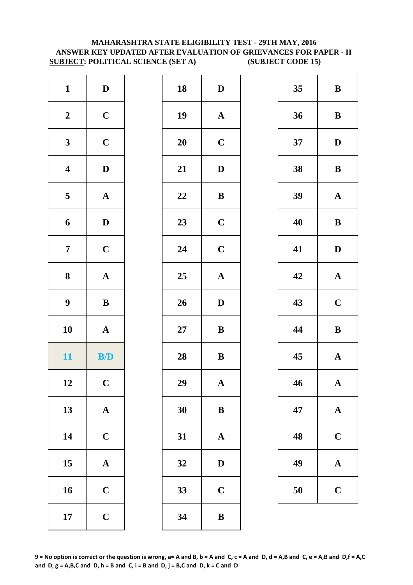# **MAHARASHTRA STATE ELIGIBILITY TEST - 29TH MAY, 2016 ANSWER KEY UPDATED AFTER EVALUATION OF GRIEVANCES FOR PAPER - II SUBJECT: POLITICAL SCIENCE (SET A) (SUBJECT CODE 15)**

| $\mathbf D$           | 18        | D                |
|-----------------------|-----------|------------------|
| $\mathbf C$           | 19        | $\mathbf A$      |
| $\mathbf C$           | <b>20</b> | $\mathbf C$      |
| $\mathbf D$           | 21        | D                |
| $\boldsymbol{\rm{A}}$ | 22        | $\bf{B}$         |
| $\mathbf D$           | 23        | $\mathbf C$      |
| $\mathbf C$           | 24        | $\mathbf C$      |
| $\boldsymbol{\rm{A}}$ | 25        | $\mathbf A$      |
|                       |           |                  |
| $\, {\bf B}$          | 26        | D                |
| $\boldsymbol{\rm{A}}$ | $27\,$    | $\bf{B}$         |
| B/D                   | 28        | $\bf{B}$         |
| $\mathbf C$           | 29        | A                |
| $\mathbf A$           | 30        | $\bf{B}$         |
| $\mathbf C$           | 31        | $\mathbf A$      |
| $\mathbf A$           | 32        |                  |
| $\mathbf C$           | 33        | D<br>$\mathbf C$ |
|                       |           |                  |

| $\mathbf{1}$            | $\mathbf D$             | 18 | $\mathbf D$           | 35 | $\bf{B}$     |
|-------------------------|-------------------------|----|-----------------------|----|--------------|
| $\boldsymbol{2}$        | $\mathbf C$             | 19 | $\boldsymbol{\rm{A}}$ | 36 | $\bf{B}$     |
| $\mathbf{3}$            | $\mathbf C$             | 20 | $\mathbf C$           | 37 | $\mathbf{D}$ |
| $\overline{\mathbf{4}}$ | $\mathbf D$             | 21 | $\mathbf D$           | 38 | $\bf{B}$     |
| $\overline{\mathbf{5}}$ | ${\bf A}$               | 22 | ${\bf B}$             | 39 | $\mathbf A$  |
| $\boldsymbol{6}$        | $\mathbf D$             | 23 | $\mathbf C$           | 40 | $\bf{B}$     |
| $\overline{7}$          | $\mathbf C$             | 24 | $\mathbf C$           | 41 | $\mathbf{D}$ |
| $\boldsymbol{8}$        | ${\bf A}$               | 25 | ${\bf A}$             | 42 | $\mathbf A$  |
| $\boldsymbol{9}$        | $\, {\bf B}$            | 26 | $\mathbf D$           | 43 | $\mathbf C$  |
| 10                      | ${\bf A}$               | 27 | $\bf{B}$              | 44 | $\bf{B}$     |
| 11                      | $\mathbf{B}/\mathbf{D}$ | 28 | $\, {\bf B}$          | 45 | $\mathbf A$  |
| 12                      | $\mathbf C$             | 29 | $\mathbf{A}$          | 46 | $\mathbf A$  |
| 13                      | ${\bf A}$               | 30 | $\bf{B}$              | 47 | $\mathbf A$  |
| 14                      | $\mathbf C$             | 31 | $\mathbf{A}$          | 48 | $\mathbf C$  |
| 15                      | ${\bf A}$               | 32 | $\mathbf D$           | 49 | $\mathbf A$  |
| 16                      | $\mathbf C$             | 33 | $\mathbf C$           | 50 | $\mathbf C$  |
| 17                      | $\mathbf C$             | 34 | $\bf{B}$              |    |              |
|                         |                         |    |                       |    |              |

| 35 | B           |
|----|-------------|
| 36 | B           |
| 37 | D           |
| 38 | B           |
| 39 | $\mathbf A$ |
| 40 | B           |
| 41 | D           |
| 42 | ${\bf A}$   |
| 43 | $\mathbf C$ |
| 44 | B           |
| 45 | $\mathbf A$ |
| 46 | $\mathbf A$ |
| 47 | $\mathbf A$ |
| 48 | $\mathbf C$ |
| 49 | A           |
| 50 | $\mathbf C$ |

**9 = No option is correct or the question is wrong, a= A and B, b = A and C, c = A and D, d = A,B and C, e = A,B and D,f = A,C**  and  $D$ ,  $g = A$ ,  $B$ ,  $C$  and  $D$ ,  $h = B$  and  $C$ ,  $i = B$  and  $D$ ,  $j = B$ ,  $C$  and  $D$ ,  $k = C$  and  $D$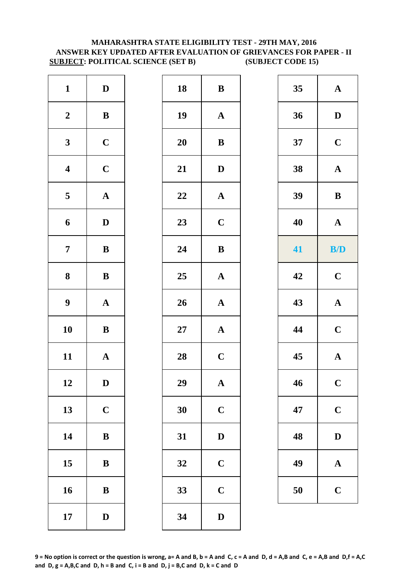# **MAHARASHTRA STATE ELIGIBILITY TEST - 29TH MAY, 2016 ANSWER KEY UPDATED AFTER EVALUATION OF GRIEVANCES FOR PAPER - II SUBJECT: POLITICAL SCIENCE (SET B) (SUBJECT CODE 15)**

| $\mathbf{1}$            | $\mathbf D$           | 18     | $\bf{B}$     |
|-------------------------|-----------------------|--------|--------------|
| $\boldsymbol{2}$        | $\, {\bf B}$          | 19     | $\mathbf A$  |
| $\mathbf{3}$            | $\mathbf C$           | 20     | $\bf{B}$     |
| $\boldsymbol{4}$        | $\mathbf C$           | 21     | $\mathbf{D}$ |
| $\overline{\mathbf{5}}$ | $\boldsymbol{\rm{A}}$ | 22     | $\mathbf{A}$ |
| 6                       | $\mathbf D$           | 23     | $\mathbf C$  |
| $\overline{7}$          | $\bf{B}$              | 24     | $\bf{B}$     |
| 8                       | ${\bf B}$             | 25     | $\mathbf{A}$ |
| $\boldsymbol{9}$        | $\boldsymbol{\rm{A}}$ | 26     | $\mathbf{A}$ |
| 10                      | $\bf{B}$              | $27\,$ | $\mathbf A$  |
| 11                      | $\mathbf A$           | 28     | $\mathbf C$  |
| 12                      | $\mathbf{D}$          | 29     | A            |
| 13                      | $\mathbf C$           | 30     | $\mathbf C$  |
| 14                      | $\bf{B}$              | 31     | $\mathbf{D}$ |
| 15                      | $\bf{B}$              | 32     | $\mathbf C$  |
| 16                      | $\, {\bf B}$          | 33     | $\mathbf C$  |
| 17                      | $\mathbf D$           | 34     | $\mathbf{D}$ |

| $\mathbf{1}$            | $\mathbf{D}$ | 18 | $\, {\bf B}$          | 35 | $\boldsymbol{\rm{A}}$ |
|-------------------------|--------------|----|-----------------------|----|-----------------------|
| $\boldsymbol{2}$        | ${\bf B}$    | 19 | ${\bf A}$             | 36 | $\mathbf D$           |
| $\mathbf{3}$            | $\mathbf C$  | 20 | $\, {\bf B}$          | 37 | $\mathbf C$           |
| $\overline{\mathbf{4}}$ | $\mathbf C$  | 21 | $\mathbf D$           | 38 | ${\bf A}$             |
| $5\overline{)}$         | ${\bf A}$    | 22 | ${\bf A}$             | 39 | $\, {\bf B}$          |
| 6                       | $\mathbf{D}$ | 23 | $\mathbf C$           | 40 | $\mathbf{A}$          |
| $\overline{7}$          | $\, {\bf B}$ | 24 | $\, {\bf B}$          | 41 | B/D                   |
| $\boldsymbol{8}$        | ${\bf B}$    | 25 | $\boldsymbol{\rm{A}}$ | 42 | $\mathbf C$           |
| $\boldsymbol{9}$        | ${\bf A}$    | 26 | $\boldsymbol{\rm{A}}$ | 43 | ${\bf A}$             |
| 10                      | $\bf{B}$     | 27 | ${\bf A}$             | 44 | $\mathbf C$           |
| 11                      | ${\bf A}$    | 28 | $\mathbf C$           | 45 | $\boldsymbol{\rm{A}}$ |
| 12                      | $\mathbf D$  | 29 | ${\bf A}$             | 46 | $\mathbf C$           |
| 13                      | $\mathbf C$  | 30 | $\mathbf C$           | 47 | $\mathbf C$           |
| 14                      | $\, {\bf B}$ | 31 | $\mathbf D$           | 48 | $\mathbf D$           |
| 15                      | ${\bf B}$    | 32 | $\mathbf C$           | 49 | $\mathbf{A}$          |
| 16                      | $\, {\bf B}$ | 33 | $\mathbf C$           | 50 | $\mathbf C$           |
| 17                      | $\mathbf{D}$ | 34 | $\mathbf D$           |    |                       |
|                         |              |    |                       |    |                       |

| 35 | A            |
|----|--------------|
| 36 | D            |
| 37 | $\mathbf C$  |
| 38 | $\mathbf{A}$ |
| 39 | B            |
| 40 | $\mathbf A$  |
| 41 | B/D          |
| 42 | $\mathbf C$  |
| 43 | $\mathbf{A}$ |
| 44 | $\mathbf C$  |
| 45 | $\mathbf A$  |
| 46 | $\mathbf C$  |
| 47 | $\mathbf C$  |
| 48 | $\mathbf D$  |
| 49 | A            |
| 50 | $\mathbf C$  |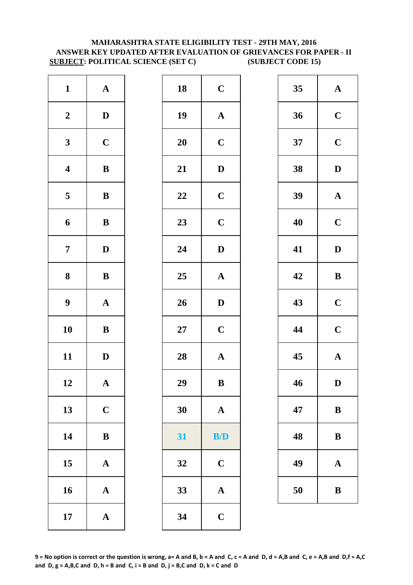# **MAHARASHTRA STATE ELIGIBILITY TEST - 29TH MAY, 2016 ANSWER KEY UPDATED AFTER EVALUATION OF GRIEVANCES FOR PAPER - II SUBJECT: POLITICAL SCIENCE (SET C) (SUBJECT CODE 15)**

| $\mathbf{1}$            | $\mathbf A$           | 18        | $\mathbf C$  |
|-------------------------|-----------------------|-----------|--------------|
| $\boldsymbol{2}$        | $\mathbf D$           | 19        | $\mathbf{A}$ |
| $\mathbf{3}$            | $\mathbf C$           | <b>20</b> | $\mathbf C$  |
| $\overline{\mathbf{4}}$ | $\bf{B}$              | 21        | $\mathbf{D}$ |
| $\overline{\mathbf{5}}$ | $\, {\bf B}$          | 22        | $\mathbf C$  |
| $\boldsymbol{6}$        | $\, {\bf B}$          | 23        | $\mathbf C$  |
| $\overline{7}$          | $\mathbf D$           | 24        | $\mathbf{D}$ |
| 8                       | $\, {\bf B}$          | 25        | $\mathbf A$  |
| $\boldsymbol{9}$        | $\boldsymbol{\rm{A}}$ | 26        | $\mathbf{D}$ |
| 10                      | $\bf{B}$              | $27\,$    | $\mathbf C$  |
| 11                      | $\mathbf D$           | 28        | $\mathbf{A}$ |
| 12                      | A                     | 29        | B            |
| 13                      | $\mathbf C$           | 30        | $\mathbf A$  |
| 14                      | $\, {\bf B}$          | 31        | B/           |
| 15                      | $\mathbf A$           | 32        | $\mathbf C$  |
| 16                      | $\boldsymbol{\rm{A}}$ | 33        | $\mathbf A$  |
| 17                      | $\boldsymbol{\rm{A}}$ | 34        | $\mathbf C$  |

| $\mathbf{1}$            | ${\bf A}$    | 18 | $\mathbf C$           | 35 | $\mathbf A$  |
|-------------------------|--------------|----|-----------------------|----|--------------|
| $\boldsymbol{2}$        | $\mathbf D$  | 19 | ${\bf A}$             | 36 | $\mathbf C$  |
| $\mathbf{3}$            | $\mathbf C$  | 20 | $\mathbf C$           | 37 | $\mathbf C$  |
| $\overline{\mathbf{4}}$ | $\, {\bf B}$ | 21 | $\mathbf D$           | 38 | $\mathbf{D}$ |
| $\overline{\mathbf{5}}$ | $\, {\bf B}$ | 22 | $\mathbf C$           | 39 | $\mathbf A$  |
| $\boldsymbol{6}$        | $\, {\bf B}$ | 23 | $\mathbf C$           | 40 | $\mathbf C$  |
| $\overline{7}$          | $\mathbf{D}$ | 24 | $\mathbf D$           | 41 | $\mathbf{D}$ |
| $\boldsymbol{8}$        | ${\bf B}$    | 25 | $\mathbf A$           | 42 | $\bf{B}$     |
| $\boldsymbol{9}$        | ${\bf A}$    | 26 | $\mathbf D$           | 43 | $\mathbf C$  |
| 10                      | $\, {\bf B}$ | 27 | $\mathbf C$           | 44 | $\mathbf C$  |
| 11                      | $\mathbf{D}$ | 28 | $\boldsymbol{\rm{A}}$ | 45 | $\mathbf A$  |
| 12                      | $\mathbf A$  | 29 | $\bf{B}$              | 46 | D            |
| 13                      | $\mathbf C$  | 30 | $\boldsymbol{\rm{A}}$ | 47 | $\bf{B}$     |
| 14                      | ${\bf B}$    | 31 | B/D                   | 48 | $\bf{B}$     |
| 15                      | $\mathbf A$  | 32 | $\mathbf C$           | 49 | $\mathbf A$  |
| 16                      | ${\bf A}$    | 33 | $\boldsymbol{\rm{A}}$ | 50 | $\bf{B}$     |
| 17                      | ${\bf A}$    | 34 | $\mathbf C$           |    |              |
|                         |              |    |                       |    |              |

| 35 | $\mathbf A$ |
|----|-------------|
| 36 | $\mathbf C$ |
| 37 | $\mathbf C$ |
| 38 | D           |
| 39 | $\mathbf A$ |
| 40 | $\mathbf C$ |
| 41 | D           |
| 42 | B           |
| 43 | $\mathbf C$ |
| 44 | $\mathbf C$ |
| 45 | $\mathbf A$ |
| 46 | $\mathbf D$ |
| 47 | B           |
| 48 | B           |
| 49 | A           |
| 50 | B           |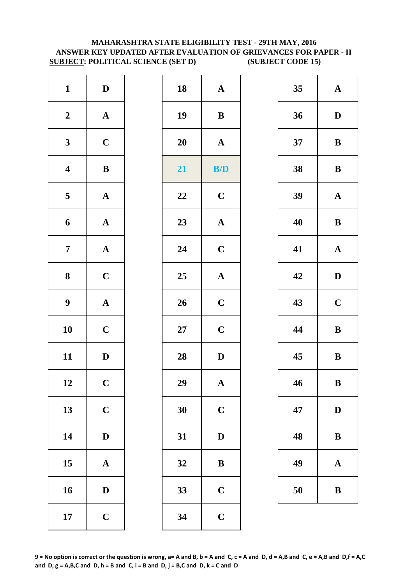# **MAHARASHTRA STATE ELIGIBILITY TEST - 29TH MAY, 2016 ANSWER KEY UPDATED AFTER EVALUATION OF GRIEVANCES FOR PAPER - II SUBJECT: POLITICAL SCIENCE (SET D) (SUBJECT CODE 15)**

| $\mathbf{1}$            | $\mathbf D$           | 18        | $\mathbf A$  |
|-------------------------|-----------------------|-----------|--------------|
| $\boldsymbol{2}$        | $\boldsymbol{\rm{A}}$ | 19        | $\bf{B}$     |
| $\mathbf{3}$            | $\mathbf C$           | <b>20</b> | $\mathbf A$  |
| $\overline{\mathbf{4}}$ | $\bf{B}$              | 21        | B/           |
| $\overline{\mathbf{5}}$ | $\boldsymbol{\rm{A}}$ | 22        | $\mathbf C$  |
| 6                       | $\mathbf A$           | 23        | $\mathbf{A}$ |
| $\overline{7}$          | ${\bf A}$             | 24        | $\mathbf C$  |
| $\bf 8$                 | $\mathbf C$           | 25        | $\mathbf{A}$ |
| $\boldsymbol{9}$        | ${\bf A}$             | 26        | $\mathbf C$  |
| 10                      | $\mathbf C$           | $27\,$    | $\mathbf C$  |
| 11                      | $\mathbf D$           | 28        | $\mathbf{D}$ |
| 12                      | $\mathbf C$           | 29        | A            |
| 13                      | $\mathbf C$           | 30        | $\mathbf C$  |
| 14                      | $\mathbf D$           | 31        | $\mathbf{D}$ |
| 15                      | $\mathbf A$           | 32        | $\bf{B}$     |
| 16                      | $\mathbf D$           | 33        | $\mathbf C$  |
| 17                      | $\mathbf C$           | 34        | $\mathbf C$  |

| $\mathbf{1}$            | $\mathbf D$  | 18 | ${\bf A}$    | 35 | $\mathbf A$  |
|-------------------------|--------------|----|--------------|----|--------------|
| $\boldsymbol{2}$        | ${\bf A}$    | 19 | ${\bf B}$    | 36 | $\mathbf{D}$ |
| $\mathbf{3}$            | $\mathbf C$  | 20 | $\mathbf A$  | 37 | $\bf{B}$     |
| $\overline{\mathbf{4}}$ | $\, {\bf B}$ | 21 | B/D          | 38 | $\bf{B}$     |
| $\overline{\mathbf{5}}$ | ${\bf A}$    | 22 | $\mathbf C$  | 39 | $\mathbf A$  |
| $\boldsymbol{6}$        | ${\bf A}$    | 23 | ${\bf A}$    | 40 | $\bf{B}$     |
| $\overline{7}$          | ${\bf A}$    | 24 | $\mathbf C$  | 41 | $\mathbf A$  |
| $\boldsymbol{8}$        | $\mathbf C$  | 25 | ${\bf A}$    | 42 | $\mathbf{D}$ |
| $\boldsymbol{9}$        | ${\bf A}$    | 26 | $\mathbf C$  | 43 | $\mathbf C$  |
| 10                      | $\mathbf C$  | 27 | $\mathbf C$  | 44 | $\bf{B}$     |
| 11                      | $\mathbf D$  | 28 | $\mathbf D$  | 45 | $\bf{B}$     |
| 12                      | $\mathbf C$  | 29 | $\mathbf{A}$ | 46 | $\bf{B}$     |
| 13                      | $\mathbf C$  | 30 | $\mathbf C$  | 47 | $\mathbf{D}$ |
| 14                      | $\mathbf{D}$ | 31 | $\mathbf D$  | 48 | $\bf{B}$     |
| 15                      | ${\bf A}$    | 32 | $\, {\bf B}$ | 49 | $\mathbf A$  |
| 16                      | $\mathbf D$  | 33 | $\mathbf C$  | 50 | $\bf{B}$     |
| 17                      | $\mathbf C$  | 34 | $\mathbf C$  |    |              |
|                         |              |    |              |    |              |

| 35 | $\mathbf A$  |
|----|--------------|
| 36 | D            |
| 37 | B            |
| 38 | B            |
| 39 | $\mathbf A$  |
| 40 | B            |
| 41 | ${\bf A}$    |
| 42 | D            |
| 43 | $\mathbf C$  |
| 44 | B            |
| 45 | B            |
| 46 | B            |
| 47 | $\mathbf{D}$ |
| 48 | B            |
| 49 | $\mathbf A$  |
| 50 | B            |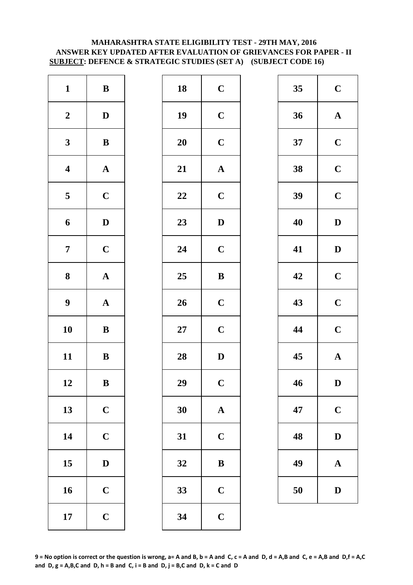# **MAHARASHTRA STATE ELIGIBILITY TEST - 29TH MAY, 2016 ANSWER KEY UPDATED AFTER EVALUATION OF GRIEVANCES FOR PAPER - II SUBJECT: DEFENCE & STRATEGIC STUDIES (SET A) (SUBJECT CODE 16)**

| $\mathbf{1}$            | $\, {\bf B}$          | 18        | $\mathbf C$             |
|-------------------------|-----------------------|-----------|-------------------------|
| $\boldsymbol{2}$        | $\mathbf D$           | 19        | $\mathbf C$             |
| $\mathbf{3}$            | $\bf{B}$              | <b>20</b> | $\mathbf C$             |
| $\overline{\mathbf{4}}$ | $\boldsymbol{\rm{A}}$ | 21        | $\mathbf{A}$            |
| $\overline{\mathbf{5}}$ | $\mathbf C$           | 22        | $\mathbf C$             |
| 6                       | $\mathbf D$           | 23        | $\mathbf{D}$            |
| $\overline{7}$          | $\mathbf C$           | 24        | $\mathbf C$             |
| 8                       | $\boldsymbol{\rm{A}}$ | 25        | $\bf{B}$                |
| $\boldsymbol{9}$        | $\boldsymbol{\rm{A}}$ | 26        | $\mathbf C$             |
| 10                      | $\bf{B}$              | $27\,$    | $\mathbf C$             |
| 11                      | $\, {\bf B}$          | 28        | $\mathbf{D}$            |
| 12                      | B                     | 29        | $\overline{\mathbf{C}}$ |
| 13                      | $\mathbf C$           | 30        | $\mathbf{A}$            |
| 14                      | $\mathbf C$           | 31        | $\mathbf C$             |
| 15                      | $\mathbf D$           | 32        | $\bf{B}$                |
| 16                      | $\mathbf C$           | 33        | $\mathbf C$             |
| 17                      | $\mathbf C$           | 34        | $\mathbf C$             |

| 35<br>36<br>37<br>38 | $\mathbf C$<br>$\mathbf A$<br>$\mathbf C$<br>$\mathbf C$ |
|----------------------|----------------------------------------------------------|
|                      |                                                          |
|                      |                                                          |
|                      |                                                          |
|                      |                                                          |
| 39                   | $\mathbf C$                                              |
| 40                   | $\mathbf{D}$                                             |
| 41                   | $\mathbf{D}$                                             |
| 42                   | $\mathbf C$                                              |
| 43                   | $\mathbf C$                                              |
| 44                   | $\mathbf C$                                              |
| 45                   | $\mathbf A$                                              |
| 46                   | D                                                        |
| 47                   | $\mathbf C$                                              |
| 48                   | $\mathbf{D}$                                             |
| 49                   | $\mathbf A$                                              |
| 50                   | $\mathbf{D}$                                             |
|                      |                                                          |
|                      |                                                          |

| 35 | $\mathbf C$             |
|----|-------------------------|
| 36 | $\mathbf{A}$            |
| 37 | $\mathbf C$             |
| 38 | $\overline{\mathbf{C}}$ |
| 39 | $\mathbf C$             |
| 40 | $\mathbf D$             |
| 41 | D                       |
| 42 | $\overline{\mathbf{C}}$ |
| 43 | $\overline{\mathbf{C}}$ |
| 44 | $\mathbf C$             |
| 45 | $\mathbf{A}$            |
| 46 | D                       |
| 47 | $\mathbf C$             |
| 48 | $\mathbf D$             |
| 49 | $\mathbf A$             |
| 50 | $\mathbf D$             |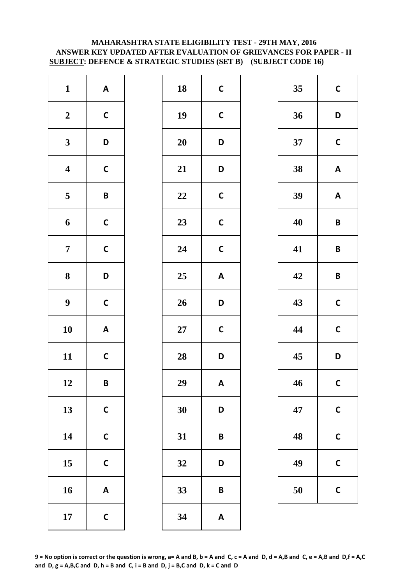# **ANSWER KEY UPDATED AFTER EVALUATION OF GRIEVANCES FOR PAPER - II SUBJECT: DEFENCE & STRATEGIC STUDIES (SET B) (SUBJECT CODE 16) MAHARASHTRA STATE ELIGIBILITY TEST - 29TH MAY, 2016**

| $\mathbf{1}$            | $\boldsymbol{\mathsf{A}}$ | 18        | $\mathsf{C}$ |
|-------------------------|---------------------------|-----------|--------------|
| $\boldsymbol{2}$        | $\mathsf{C}$              | 19        | $\mathbf C$  |
| $\mathbf{3}$            | D                         | <b>20</b> | D            |
| $\overline{\mathbf{4}}$ | $\mathsf{C}$              | 21        | D            |
| $\overline{\mathbf{5}}$ | $\pmb B$                  | 22        | $\mathsf{C}$ |
| 6                       | $\mathsf{C}$              | 23        | $\mathsf{C}$ |
| $\overline{7}$          | $\mathbf C$               | 24        | $\mathsf{C}$ |
| $\bf 8$                 | D                         | 25        | A            |
| $\boldsymbol{9}$        | $\mathsf{C}$              | 26        | D            |
| 10                      | $\boldsymbol{\mathsf{A}}$ | $27\,$    | $\mathsf{C}$ |
| 11                      | $\mathsf{C}$              | 28        | D            |
| 12                      | B                         | 29        | A            |
| 13                      | $\mathsf{C}$              | 30        | D            |
| 14                      | $\mathbf C$               | 31        | B            |
| 15                      | $\mathsf{C}$              | 32        | D            |
| 16                      | $\boldsymbol{\mathsf{A}}$ | 33        | B            |
| 17                      | $\mathsf{C}$              | 34        | A            |

| $\mathbf{1}$            | $\mathbf{A}$              | 18        | $\mathsf{C}$              | 35 | $\mathbf c$             |
|-------------------------|---------------------------|-----------|---------------------------|----|-------------------------|
| $\boldsymbol{2}$        | $\mathsf{C}$              | 19        | $\mathsf{C}$              | 36 | D                       |
| $\mathbf{3}$            | D                         | 20        | D                         | 37 | $\mathbf C$             |
| $\overline{\mathbf{4}}$ | $\mathsf{C}$              | 21        | D                         | 38 | $\boldsymbol{A}$        |
| $\overline{\mathbf{5}}$ | $\pmb B$                  | 22        | $\mathbf C$               | 39 | $\boldsymbol{A}$        |
| $\boldsymbol{6}$        | $\mathsf{C}$              | 23        | $\mathsf C$               | 40 | $\overline{\mathsf{B}}$ |
| $\overline{7}$          | $\mathsf{C}$              | 24        | $\mathsf{C}$              | 41 | $\mathsf{B}$            |
| $\boldsymbol{8}$        | D                         | 25        | $\boldsymbol{\mathsf{A}}$ | 42 | $\mathbf B$             |
| $\boldsymbol{9}$        | $\mathsf{C}$              | 26        | D                         | 43 | $\mathbf C$             |
| 10                      | $\mathbf{A}$              | <b>27</b> | $\mathsf{C}$              | 44 | $\mathbf C$             |
| 11                      | $\mathsf{C}$              | 28        | D                         | 45 | D                       |
| 12                      | $\pmb B$                  | 29        | A                         | 46 | $\mathbf C$             |
| 13                      | $\mathbf C$               | 30        | D                         | 47 | $\mathsf{C}$            |
| 14                      | $\mathsf C$               | 31        | $\pmb B$                  | 48 | $\mathsf{C}$            |
| 15                      | $\mathbf C$               | 32        | D                         | 49 | $\mathbf C$             |
| 16                      | $\boldsymbol{\mathsf{A}}$ | 33        | $\pmb B$                  | 50 | $\mathbf c$             |
| 17                      | $\mathbf C$               | 34        | $\boldsymbol{\mathsf{A}}$ |    |                         |

| 35 | $\mathbf C$  |
|----|--------------|
| 36 | D            |
| 37 | $\mathbf C$  |
| 38 | A            |
| 39 | A            |
| 40 | B            |
| 41 | B            |
| 42 | B            |
| 43 | $\mathsf{C}$ |
| 44 | $\mathsf{C}$ |
| 45 | D            |
| 46 | $\mathbf C$  |
| 47 | $\mathbf C$  |
| 48 | C            |
| 49 | C            |
| 50 | C            |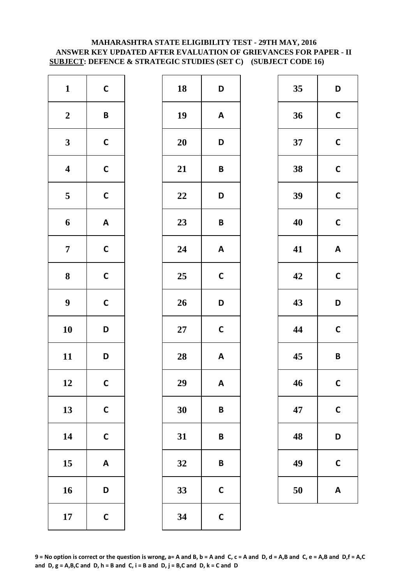# **MAHARASHTRA STATE ELIGIBILITY TEST - 29TH MAY, 2016 ANSWER KEY UPDATED AFTER EVALUATION OF GRIEVANCES FOR PAPER - II SUBJECT: DEFENCE & STRATEGIC STUDIES (SET C) (SUBJECT CODE 16)**

| $\mathbf{1}$            | $\mathsf{C}$              | 18        | D            |
|-------------------------|---------------------------|-----------|--------------|
| $\boldsymbol{2}$        | $\pmb B$                  | 19        | A            |
| $\mathbf{3}$            | $\mathsf{C}$              | <b>20</b> | D            |
| $\overline{\mathbf{4}}$ | $\mathsf{C}$              | 21        | B            |
| $\overline{\mathbf{5}}$ | $\mathbf C$               | 22        | D            |
| 6                       | $\boldsymbol{\mathsf{A}}$ | 23        | B            |
| $\boldsymbol{7}$        | $\mathsf{C}$              | 24        | A            |
| ${\bf 8}$               | $\mathbf C$               | 25        | $\mathsf{C}$ |
| $\boldsymbol{9}$        | $\mathsf{C}$              | 26        | D            |
| 10                      | D                         | $27\,$    | $\mathsf{C}$ |
| 11                      | D                         | 28        | A            |
| 12                      | $\mathsf{C}$              | 29        | A            |
| 13                      | $\mathsf{C}$              | 30        | B            |
| 14                      | $\mathsf{C}$              | 31        | B            |
| 15                      | $\boldsymbol{\mathsf{A}}$ | 32        | B            |
| 16                      | D                         | 33        | $\mathsf{C}$ |
| 17                      | $\mathsf{C}$              | 34        | $\mathsf{C}$ |

| $\mathbf{1}$            | $\mathsf C$               | 18     | D                         | 35 | D                       |
|-------------------------|---------------------------|--------|---------------------------|----|-------------------------|
| $\boldsymbol{2}$        | $\pmb B$                  | 19     | $\boldsymbol{\mathsf{A}}$ | 36 | $\mathbf C$             |
| $\mathbf{3}$            | $\mathsf{C}$              | 20     | D                         | 37 | $\mathbf C$             |
| $\overline{\mathbf{4}}$ | $\mathsf{C}$              | 21     | $\pmb B$                  | 38 | $\mathbf C$             |
| $\overline{\mathbf{5}}$ | $\mathsf{C}$              | 22     | D                         | 39 | $\mathbf C$             |
| $\boldsymbol{6}$        | $\boldsymbol{\mathsf{A}}$ | 23     | $\pmb B$                  | 40 | $\mathbf C$             |
| $\overline{7}$          | $\mathsf{C}$              | 24     | $\boldsymbol{\mathsf{A}}$ | 41 | A                       |
| $\boldsymbol{8}$        | $\mathsf C$               | 25     | $\mathbf C$               | 42 | $\mathbf C$             |
| $\boldsymbol{9}$        | $\mathsf{C}$              | 26     | D                         | 43 | D                       |
| 10                      | D                         | $27\,$ | $\mathbf C$               | 44 | $\mathbf c$             |
| 11                      | D                         | 28     | $\boldsymbol{\mathsf{A}}$ | 45 | $\overline{\mathsf{B}}$ |
| 12                      | $\mathsf{C}$              | 29     | $\pmb{\mathsf{A}}$        | 46 | $\mathbf C$             |
| 13                      | $\mathsf C$               | 30     | $\pmb B$                  | 47 | $\mathsf{C}$            |
| 14                      | $\mathsf{C}$              | 31     | $\pmb B$                  | 48 | D                       |
| 15                      | $\boldsymbol{\mathsf{A}}$ | 32     | $\pmb B$                  | 49 | $\mathsf{C}$            |
| 16                      | D                         | 33     | $\mathsf{C}$              | 50 | A                       |
| 17                      | $\mathsf C$               | 34     | $\mathbf C$               |    |                         |

| 35 | D            |
|----|--------------|
| 36 | $\mathsf{C}$ |
| 37 | $\mathsf{C}$ |
| 38 | $\mathsf{C}$ |
| 39 | $\mathbf C$  |
| 40 | $\mathsf{C}$ |
| 41 | A            |
| 42 | C            |
| 43 | D            |
| 44 | $\mathsf{C}$ |
| 45 | B            |
|    |              |
| 46 | $\mathbf C$  |
| 47 | C            |
| 48 | D            |
| 49 | C            |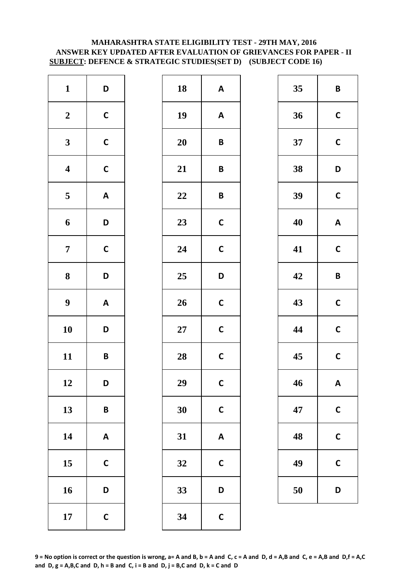# **MAHARASHTRA STATE ELIGIBILITY TEST - 29TH MAY, 2016 ANSWER KEY UPDATED AFTER EVALUATION OF GRIEVANCES FOR PAPER - II SUBJECT: DEFENCE & STRATEGIC STUDIES(SET D) (SUBJECT CODE 16)**

| $\mathbf{1}$            | D                         | 18        | A            |
|-------------------------|---------------------------|-----------|--------------|
| $\boldsymbol{2}$        | $\mathsf{C}$              | 19        | A            |
| $\mathbf{3}$            | $\mathsf{C}$              | <b>20</b> | B            |
| $\overline{\mathbf{4}}$ | $\mathsf{C}$              | 21        | B            |
| $\overline{\mathbf{5}}$ | $\boldsymbol{\mathsf{A}}$ | 22        | B            |
| 6                       | D                         | 23        | $\mathsf{C}$ |
| $\overline{7}$          | $\mathbf C$               | 24        | $\mathsf{C}$ |
| 8                       | D                         | 25        | D            |
| $\boldsymbol{9}$        | $\boldsymbol{\mathsf{A}}$ | 26        | $\mathsf{C}$ |
| 10                      | D                         | $27\,$    | $\mathsf{C}$ |
| 11                      | B                         | 28        | $\mathsf{C}$ |
| 12                      | D                         | 29        | $\mathbf C$  |
| 13                      | B                         | 30        | $\mathsf{C}$ |
| 14                      | $\boldsymbol{\mathsf{A}}$ | 31        | A            |
| 15                      | $\mathbf C$               | 32        | $\mathsf{C}$ |
| 16                      | D                         | 33        | D            |
| 17                      | $\mathsf{C}$              | 34        | $\mathsf{C}$ |

| $\mathbf{1}$            | D                         | 18     | $\boldsymbol{\mathsf{A}}$ | 35 | $\mathsf{B}$ |
|-------------------------|---------------------------|--------|---------------------------|----|--------------|
| $\boldsymbol{2}$        | $\mathsf{C}$              | 19     | $\boldsymbol{\mathsf{A}}$ | 36 | $\mathbf C$  |
| $\mathbf{3}$            | $\mathsf C$               | 20     | $\pmb B$                  | 37 | $\mathbf C$  |
| $\overline{\mathbf{4}}$ | $\mathsf{C}$              | 21     | $\pmb B$                  | 38 | D            |
| $\overline{\mathbf{5}}$ | $\boldsymbol{\mathsf{A}}$ | 22     | $\pmb B$                  | 39 | $\mathbf c$  |
| $\boldsymbol{6}$        | D                         | 23     | $\mathsf{C}$              | 40 | A            |
| $\overline{7}$          | $\mathsf{C}$              | 24     | $\mathsf{C}$              | 41 | $\mathbf C$  |
| $\boldsymbol{8}$        | D                         | 25     | D                         | 42 | $\mathbf B$  |
| $\boldsymbol{9}$        | $\mathbf{A}$              | 26     | $\mathsf{C}$              | 43 | $\mathbf C$  |
| 10                      | D                         | $27\,$ | $\mathsf{C}$              | 44 | $\mathbf C$  |
| 11                      | $\pmb B$                  | 28     | $\mathsf{C}$              | 45 | $\mathbf C$  |
| 12                      | D                         | 29     | $\mathsf{C}$              | 46 | A            |
| 13                      | $\pmb B$                  | 30     | $\mathbf C$               | 47 | $\mathsf{C}$ |
| 14                      | $\boldsymbol{\mathsf{A}}$ | 31     | $\boldsymbol{\mathsf{A}}$ | 48 | $\mathbf C$  |
| 15                      | $\mathbf C$               | 32     | $\mathsf{C}$              | 49 | $\mathsf{C}$ |
| 16                      | D                         | 33     | D                         | 50 | D            |
| 17                      | $\mathbf C$               | 34     | $\mathbf C$               |    |              |

| 35 | B            |
|----|--------------|
| 36 | $\mathbf C$  |
| 37 | $\mathsf{C}$ |
| 38 | D            |
| 39 | $\mathsf{C}$ |
| 40 | A            |
| 41 | $\mathsf{C}$ |
| 42 | B            |
| 43 | $\mathsf{C}$ |
| 44 | $\mathsf{C}$ |
| 45 | $\mathsf{C}$ |
| 46 | A            |
| 47 | C            |
| 48 | $\mathsf{C}$ |
| 49 | C            |
| 50 | D            |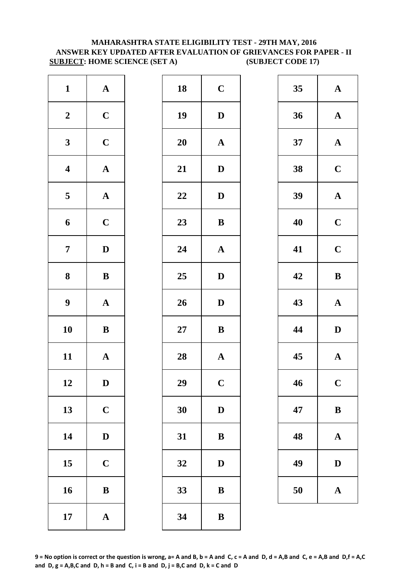# **SUBJECT: HOME SCIENCE (SET A)** (SUBJECT CODE 17) **MAHARASHTRA STATE ELIGIBILITY TEST - 29TH MAY, 2016 ANSWER KEY UPDATED AFTER EVALUATION OF GRIEVANCES FOR PAPER - II**

| $\mathbf{1}$            | $\mathbf A$           | 18        | $\mathbf C$    |
|-------------------------|-----------------------|-----------|----------------|
| $\boldsymbol{2}$        | $\mathbf C$           | 19        | $\mathbf{D}$   |
| $\mathbf{3}$            | $\mathbf C$           | <b>20</b> | $\mathbf A$    |
| $\overline{\mathbf{4}}$ | ${\bf A}$             | 21        | D              |
| $\overline{\mathbf{5}}$ | $\boldsymbol{\rm{A}}$ | 22        | $\mathbf{D}$   |
| 6                       | $\mathbf C$           | 23        | $\bf{B}$       |
| $\overline{7}$          | $\mathbf D$           | 24        | $\mathbf A$    |
| $\bf 8$                 | $\bf{B}$              | 25        | D              |
| $\boldsymbol{9}$        | $\boldsymbol{\rm{A}}$ | 26        | D              |
| 10                      | $\bf{B}$              | $27\,$    | $\bf{B}$       |
| 11                      | ${\bf A}$             | 28        | $\mathbf A$    |
| 12                      | D                     | 29        | $\overline{C}$ |
| 13                      | $\mathbf C$           | 30        | D              |
| 14                      | $\mathbf D$           | 31        | $\bf{B}$       |
| 15                      | $\mathbf C$           | 32        | D              |
| 16                      | $\bf{B}$              | 33        | $\bf{B}$       |
| 17                      | $\boldsymbol{\rm{A}}$ | 34        | $\bf{B}$       |

| $\mathbf{1}$            | ${\bf A}$    | 18 | $\mathbf C$           | 35 | $\mathbf A$  |
|-------------------------|--------------|----|-----------------------|----|--------------|
| $\boldsymbol{2}$        | $\mathbf C$  | 19 | $\mathbf{D}$          | 36 | $\mathbf A$  |
| $\mathbf{3}$            | $\mathbf C$  | 20 | $\mathbf{A}$          | 37 | $\mathbf A$  |
| $\overline{\mathbf{4}}$ | ${\bf A}$    | 21 | $\mathbf D$           | 38 | $\mathbf C$  |
| $\overline{\mathbf{5}}$ | ${\bf A}$    | 22 | $\mathbf D$           | 39 | $\mathbf A$  |
| $\boldsymbol{6}$        | $\mathbf C$  | 23 | $\, {\bf B}$          | 40 | $\mathbf C$  |
| $\overline{7}$          | $\mathbf{D}$ | 24 | $\mathbf A$           | 41 | $\mathbf C$  |
| $\boldsymbol{8}$        | $\, {\bf B}$ | 25 | $\mathbf{D}$          | 42 | $\bf{B}$     |
| $\boldsymbol{9}$        | ${\bf A}$    | 26 | $\mathbf{D}$          | 43 | $\mathbf A$  |
| 10                      | ${\bf B}$    | 27 | $\, {\bf B}$          | 44 | $\mathbf{D}$ |
| 11                      | ${\bf A}$    | 28 | $\boldsymbol{\rm{A}}$ | 45 | $\mathbf A$  |
| 12                      | D            | 29 | $\mathbf C$           | 46 | $\mathbf C$  |
| 13                      | $\mathbf C$  | 30 | $\mathbf D$           | 47 | $\bf{B}$     |
| 14                      | $\mathbf{D}$ | 31 | ${\bf B}$             | 48 | $\mathbf A$  |
| 15                      | $\mathbf C$  | 32 | $\mathbf D$           | 49 | $\mathbf{D}$ |
| 16                      | $\, {\bf B}$ | 33 | $\, {\bf B}$          | 50 | $\mathbf A$  |
| 17                      | ${\bf A}$    | 34 | ${\bf B}$             |    |              |
|                         |              |    |                       |    |              |

| 35 | $\mathbf A$  |
|----|--------------|
| 36 | $\mathbf{A}$ |
| 37 | $\mathbf A$  |
| 38 | $\mathbf C$  |
| 39 | $\mathbf A$  |
| 40 | $\mathbf C$  |
| 41 | $\mathbf C$  |
| 42 | B            |
|    |              |
| 43 | $\mathbf A$  |
| 44 | D            |
| 45 | $\mathbf A$  |
| 46 | $\mathbf C$  |
| 47 | B            |
| 48 | $\mathbf A$  |
| 49 | D            |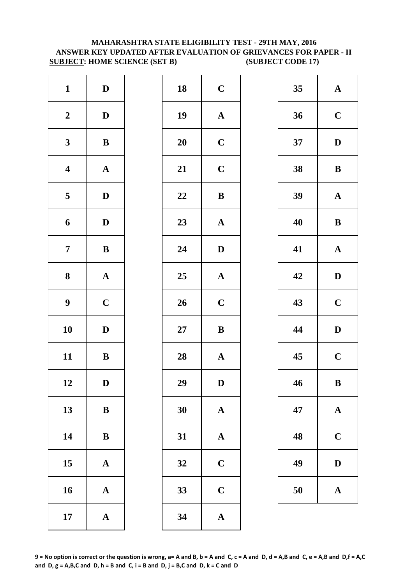# **MAHARASHTRA STATE ELIGIBILITY TEST - 29TH MAY, 2016 ANSWER KEY UPDATED AFTER EVALUATION OF GRIEVANCES FOR PAPER - II SUBJECT: HOME SCIENCE (SET B) (SUBJECT CODE 17)**

| $\mathbf{1}$            | $\mathbf D$           | 18        | $\mathbf C$  |
|-------------------------|-----------------------|-----------|--------------|
| $\boldsymbol{2}$        | $\mathbf D$           | 19        | $\mathbf{A}$ |
| $\mathbf{3}$            | $\bf{B}$              | <b>20</b> | $\mathbf C$  |
| $\boldsymbol{4}$        | $\boldsymbol{\rm{A}}$ | 21        | $\mathbf C$  |
| $\overline{\mathbf{5}}$ | $\mathbf D$           | 22        | $\bf{B}$     |
| 6                       | $\mathbf D$           | 23        | $\mathbf{A}$ |
| $\overline{7}$          | $\bf{B}$              | 24        | $\mathbf{D}$ |
| 8                       | $\boldsymbol{\rm{A}}$ | 25        | $\mathbf{A}$ |
| $\boldsymbol{9}$        | $\mathbf C$           | 26        | $\mathbf C$  |
| 10                      | $\mathbf D$           | $27\,$    | $\bf{B}$     |
| 11                      | $\, {\bf B}$          | 28        | $\mathbf{A}$ |
| 12                      | D                     | 29        | D            |
| 13                      | ${\bf B}$             | 30        | $\mathbf{A}$ |
| 14                      | $\bf{B}$              | 31        | $\mathbf{A}$ |
| 15                      | $\mathbf A$           | 32        | $\mathbf C$  |
| 16                      | $\mathbf A$           | 33        | $\mathbf C$  |
| 17                      | ${\bf A}$             | 34        | $\mathbf{A}$ |

| $\mathbf{1}$            | $\mathbf D$  | 18 | $\mathbf C$           | 35 | $\mathbf A$  |
|-------------------------|--------------|----|-----------------------|----|--------------|
| $\boldsymbol{2}$        | $\mathbf D$  | 19 | $\boldsymbol{\rm{A}}$ | 36 | $\mathbf C$  |
| $\mathbf{3}$            | ${\bf B}$    | 20 | $\mathbf C$           | 37 | $\mathbf{D}$ |
| $\overline{\mathbf{4}}$ | ${\bf A}$    | 21 | $\mathbf C$           | 38 | $\bf{B}$     |
| $\overline{\mathbf{5}}$ | $\mathbf{D}$ | 22 | $\bf{B}$              | 39 | $\mathbf A$  |
| $\boldsymbol{6}$        | $\mathbf D$  | 23 | ${\bf A}$             | 40 | $\bf{B}$     |
| $\overline{7}$          | $\, {\bf B}$ | 24 | $\mathbf{D}$          | 41 | $\mathbf A$  |
| $\boldsymbol{8}$        | ${\bf A}$    | 25 | $\mathbf A$           | 42 | $\mathbf{D}$ |
| $\boldsymbol{9}$        | $\mathbf C$  | 26 | $\mathbf C$           | 43 | $\mathbf C$  |
| 10                      | $\mathbf D$  | 27 | $\, {\bf B}$          | 44 | $\mathbf{D}$ |
| 11                      | $\, {\bf B}$ | 28 | $\boldsymbol{\rm{A}}$ | 45 | $\mathbf C$  |
| 12                      | D            | 29 | D                     | 46 | $\bf{B}$     |
| 13                      | $\, {\bf B}$ | 30 | $\mathbf A$           | 47 | $\mathbf A$  |
| 14                      | $\, {\bf B}$ | 31 | $\mathbf A$           | 48 | $\mathbf C$  |
| 15                      | ${\bf A}$    | 32 | $\mathbf C$           | 49 | D            |
| 16                      | ${\bf A}$    | 33 | $\mathbf C$           | 50 | $\mathbf A$  |
| 17                      | ${\bf A}$    | 34 | ${\bf A}$             |    |              |
|                         |              |    |                       |    |              |

| 35 | $\mathbf A$ |
|----|-------------|
| 36 | $\mathbf C$ |
| 37 | D           |
| 38 | B           |
| 39 | $\mathbf A$ |
| 40 | B           |
| 41 | $\mathbf A$ |
| 42 | D           |
| 43 | $\mathbf C$ |
| 44 | D           |
| 45 | $\mathbf C$ |
|    |             |
| 46 | B           |
| 47 | A           |
| 48 | $\mathbf C$ |
| 49 | $\bf{D}$    |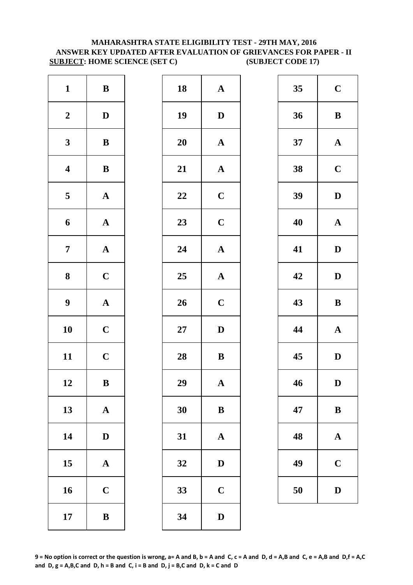# **MAHARASHTRA STATE ELIGIBILITY TEST - 29TH MAY, 2016 ANSWER KEY UPDATED AFTER EVALUATION OF GRIEVANCES FOR PAPER - II SUBJECT: HOME SCIENCE (SET C) (SUBJECT CODE 17)**

| $\mathbf{1}$            | $\, {\bf B}$          | 18        | $\mathbf{A}$ |
|-------------------------|-----------------------|-----------|--------------|
| $\boldsymbol{2}$        | $\mathbf D$           | 19        | $\mathbf{D}$ |
| $\mathbf{3}$            | $\, {\bf B}$          | <b>20</b> | $\mathbf A$  |
| $\overline{\mathbf{4}}$ | $\, {\bf B}$          | 21        | $\mathbf{A}$ |
| 5                       | ${\bf A}$             | 22        | $\mathbf C$  |
| 6                       | ${\bf A}$             | 23        | $\mathbf C$  |
| $\overline{7}$          | $\boldsymbol{\rm{A}}$ | 24        | $\mathbf{A}$ |
| ${\bf 8}$               | $\mathbf C$           | 25        | $\mathbf{A}$ |
| $\boldsymbol{9}$        | $\boldsymbol{\rm{A}}$ | 26        | $\mathbf C$  |
| 10                      | $\mathbf C$           | $27\,$    | D            |
| 11                      | $\mathbf C$           | 28        | $\bf{B}$     |
| 12                      | B                     | 29        | A            |
| 13                      | ${\bf A}$             | 30        | $\bf{B}$     |
| 14                      | $\mathbf D$           | 31        | $\mathbf{A}$ |
| 15                      | ${\bf A}$             | 32        | $\mathbf{D}$ |
| 16                      | $\mathbf C$           | 33        | $\mathbf C$  |
| 17                      | $\, {\bf B}$          | 34        | D            |

| $\mathbf{1}$            | $\bf{B}$     | 18 | ${\bf A}$             | 35 | $\mathbf C$  |
|-------------------------|--------------|----|-----------------------|----|--------------|
| $\boldsymbol{2}$        | $\mathbf{D}$ | 19 | $\mathbf D$           | 36 | $\bf{B}$     |
| $\mathbf{3}$            | $\, {\bf B}$ | 20 | $\boldsymbol{\rm{A}}$ | 37 | $\mathbf A$  |
| $\overline{\mathbf{4}}$ | ${\bf B}$    | 21 | $\boldsymbol{\rm{A}}$ | 38 | $\mathbf C$  |
| $\overline{\mathbf{5}}$ | ${\bf A}$    | 22 | $\mathbf C$           | 39 | $\mathbf{D}$ |
| $\boldsymbol{6}$        | ${\bf A}$    | 23 | $\mathbf C$           | 40 | $\mathbf A$  |
| $\overline{7}$          | ${\bf A}$    | 24 | ${\bf A}$             | 41 | $\mathbf{D}$ |
| $\boldsymbol{8}$        | $\mathbf C$  | 25 | $\mathbf A$           | 42 | $\mathbf{D}$ |
| $\boldsymbol{9}$        | ${\bf A}$    | 26 | $\mathbf C$           | 43 | $\bf{B}$     |
| 10                      | $\mathbf C$  | 27 | $\mathbf D$           | 44 | $\mathbf A$  |
| 11                      | $\mathbf C$  | 28 | ${\bf B}$             | 45 | $\mathbf{D}$ |
| 12                      | $\bf{B}$     | 29 | $\mathbf{A}$          | 46 | D            |
| 13                      | ${\bf A}$    | 30 | $\, {\bf B}$          | 47 | $\bf{B}$     |
| 14                      | $\mathbf{D}$ | 31 | $\mathbf A$           | 48 | $\mathbf A$  |
| 15                      | ${\bf A}$    | 32 | $\mathbf D$           | 49 | $\mathbf C$  |
| 16                      | $\mathbf C$  | 33 | $\mathbf C$           | 50 | $\mathbf{D}$ |
| 17                      | $\, {\bf B}$ | 34 | $\mathbf D$           |    |              |

| 35 | $\mathbf C$ |  |  |
|----|-------------|--|--|
| 36 | B           |  |  |
| 37 | $\mathbf A$ |  |  |
| 38 | $\mathbf C$ |  |  |
| 39 | D           |  |  |
| 40 | $\mathbf A$ |  |  |
| 41 | D           |  |  |
| 42 | D           |  |  |
| 43 | B           |  |  |
| 44 | $\mathbf A$ |  |  |
| 45 | D           |  |  |
| 46 | D           |  |  |
| 47 | B           |  |  |
| 48 | $\mathbf A$ |  |  |
| 49 | $\mathbf C$ |  |  |
| 50 | D           |  |  |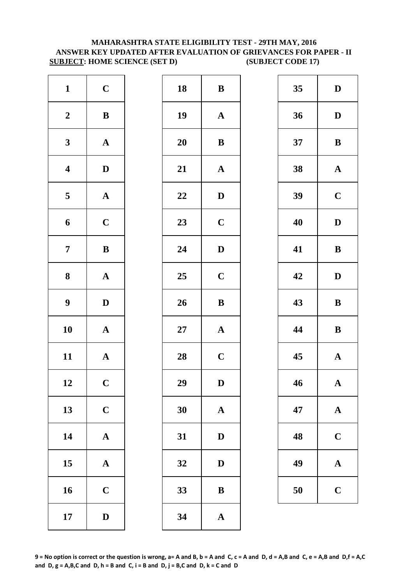# **MAHARASHTRA STATE ELIGIBILITY TEST - 29TH MAY, 2016 ANSWER KEY UPDATED AFTER EVALUATION OF GRIEVANCES FOR PAPER - II SUBJECT: HOME SCIENCE (SET D) (SUBJECT CODE 17)**

| $\mathbf{1}$            | $\mathbf C$           | 18        | $\bf{B}$     |
|-------------------------|-----------------------|-----------|--------------|
| $\boldsymbol{2}$        | $\, {\bf B}$          | 19        | $\mathbf{A}$ |
| $\mathbf{3}$            | $\boldsymbol{\rm{A}}$ | <b>20</b> | $\bf{B}$     |
| $\overline{\mathbf{4}}$ | $\mathbf D$           | 21        | $\mathbf{A}$ |
| $\overline{\mathbf{5}}$ | $\boldsymbol{\rm{A}}$ | 22        | $\mathbf{D}$ |
| 6                       | $\mathbf C$           | 23        | $\mathbf C$  |
| $\overline{7}$          | $\bf{B}$              | 24        | $\mathbf{D}$ |
| ${\bf 8}$               | $\boldsymbol{\rm{A}}$ | 25        | $\mathbf C$  |
| $\boldsymbol{9}$        | $\mathbf D$           | 26        | $\bf{B}$     |
| 10                      | $\mathbf A$           | $27\,$    | $\mathbf{A}$ |
| 11                      | $\mathbf A$           | 28        | $\mathbf C$  |
| 12                      | $\mathbf C$           | 29        | D            |
| 13                      | $\mathbf C$           | 30        | $\mathbf{A}$ |
| 14                      | $\mathbf A$           | 31        | $\mathbf{D}$ |
| 15                      | $\mathbf A$           | 32        | D            |
| 16                      | $\mathbf C$           | 33        | $\bf{B}$     |
| 17                      | $\mathbf D$           | 34        | $\mathbf{A}$ |

| $\mathbf{1}$            | $\mathbf C$  | 18     | ${\bf B}$    | 35 | $\mathbf{D}$ |
|-------------------------|--------------|--------|--------------|----|--------------|
| $\boldsymbol{2}$        | $\bf{B}$     | 19     | $\mathbf{A}$ | 36 | $\mathbf{D}$ |
| $\mathbf{3}$            | ${\bf A}$    | 20     | $\, {\bf B}$ | 37 | $\bf{B}$     |
| $\overline{\mathbf{4}}$ | $\mathbf{D}$ | 21     | ${\bf A}$    | 38 | $\mathbf A$  |
| $5\overline{)}$         | ${\bf A}$    | 22     | $\mathbf D$  | 39 | $\mathbf C$  |
| 6                       | $\mathbf C$  | 23     | $\mathbf C$  | 40 | $\mathbf{D}$ |
| $\overline{7}$          | $\, {\bf B}$ | 24     | $\mathbf D$  | 41 | $\bf{B}$     |
| $\boldsymbol{8}$        | ${\bf A}$    | 25     | $\mathbf C$  | 42 | $\mathbf{D}$ |
| $\boldsymbol{9}$        | $\mathbf{D}$ | 26     | ${\bf B}$    | 43 | $\bf{B}$     |
| 10                      | ${\bf A}$    | $27\,$ | ${\bf A}$    | 44 | $\bf{B}$     |
| 11                      | ${\bf A}$    | 28     | $\mathbf C$  | 45 | $\mathbf A$  |
| 12                      | $\mathbf C$  | 29     | D            | 46 | $\mathbf A$  |
| 13                      | $\mathbf C$  | 30     | $\mathbf A$  | 47 | $\mathbf A$  |
| 14                      | ${\bf A}$    | 31     | $\mathbf D$  | 48 | $\mathbf C$  |
| 15                      | ${\bf A}$    | 32     | $\mathbf D$  | 49 | $\mathbf A$  |
| 16                      | $\mathbf C$  | 33     | ${\bf B}$    | 50 | $\mathbf C$  |
| 17                      | $\mathbf D$  | 34     | $\mathbf{A}$ |    |              |

| 35 | D           |
|----|-------------|
| 36 | D           |
| 37 | B           |
| 38 | $\mathbf A$ |
| 39 | $\mathbf C$ |
| 40 | D           |
| 41 | B           |
| 42 | D           |
| 43 | B           |
| 44 | B           |
| 45 | $\mathbf A$ |
| 46 | $\mathbf A$ |
| 47 | $\mathbf A$ |
| 48 | $\mathbf C$ |
| 49 | A           |
| 50 | $\mathbf C$ |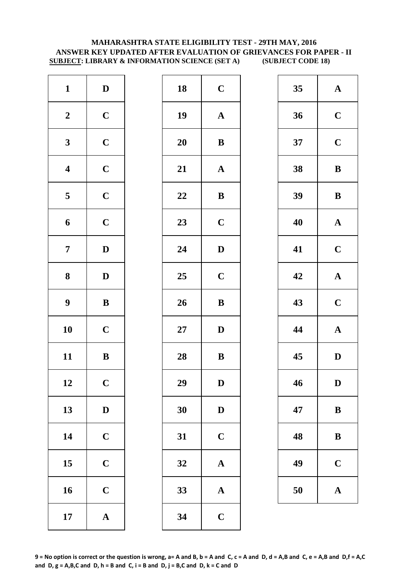#### **MAHARASHTRA STATE ELIGIBILITY TEST - 29TH MAY, 2016 ANSWER KEY UPDATED AFTER EVALUATION OF GRIEVANCES FOR PAPER - II SUBJECT: LIBRARY & INFORMATION SCIENCE (SET A) (SUBJECT CODE 18)**

| $\mathbf{1}$            | $\mathbf D$  | 18         | $\mathbf C$  |
|-------------------------|--------------|------------|--------------|
| $\boldsymbol{2}$        | $\mathbf C$  | 19         | $\mathbf A$  |
| $\mathbf{3}$            | $\mathbf C$  | 20         | $\bf{B}$     |
| $\boldsymbol{4}$        | $\mathbf C$  | 21         | $\mathbf{A}$ |
| $\overline{\mathbf{5}}$ | $\mathbf C$  | 22         | $\bf{B}$     |
| 6                       | $\mathbf C$  | 23         | $\mathbf C$  |
| $\overline{7}$          | $\mathbf D$  | 24         | $\mathbf{D}$ |
| 8                       | $\mathbf D$  | 25         | $\mathbf C$  |
| $\boldsymbol{9}$        | $\, {\bf B}$ | 26         | $\bf{B}$     |
| 10                      | $\mathbf C$  | ${\bf 27}$ | $\mathbf{D}$ |
| 11                      | $\, {\bf B}$ | 28         | $\bf{B}$     |
| 12                      | $\mathbf C$  | 29         | D            |
| 13                      | $\mathbf D$  | 30         | $\mathbf{D}$ |
| 14                      | $\mathbf C$  | 31         | $\mathbf C$  |
| 15                      | $\mathbf C$  | 32         | $\mathbf{A}$ |
| 16                      | $\mathbf C$  | 33         | $\mathbf{A}$ |
| 17                      | $\mathbf A$  | 34         | $\mathbf C$  |

| $\mathbf{1}$            | $\mathbf D$  | 18 | $\mathbf C$           | 35 | $\mathbf A$  |
|-------------------------|--------------|----|-----------------------|----|--------------|
| $\boldsymbol{2}$        | $\mathbf C$  | 19 | $\boldsymbol{\rm{A}}$ | 36 | $\mathbf C$  |
| $\mathbf{3}$            | $\mathbf C$  | 20 | ${\bf B}$             | 37 | $\mathbf C$  |
| $\overline{\mathbf{4}}$ | $\mathbf C$  | 21 | ${\bf A}$             | 38 | $\bf{B}$     |
| $\overline{5}$          | $\mathbf C$  | 22 | $\, {\bf B}$          | 39 | $\bf{B}$     |
| $\boldsymbol{6}$        | $\mathbf C$  | 23 | $\mathbf C$           | 40 | $\mathbf A$  |
| $\overline{7}$          | $\mathbf D$  | 24 | $\mathbf D$           | 41 | $\mathbf C$  |
| $\boldsymbol{8}$        | $\mathbf{D}$ | 25 | $\mathbf C$           | 42 | $\mathbf A$  |
| $\boldsymbol{9}$        | $\, {\bf B}$ | 26 | $\, {\bf B}$          | 43 | $\mathbf C$  |
| 10                      | $\mathbf C$  | 27 | $\mathbf D$           | 44 | $\mathbf A$  |
| 11                      | ${\bf B}$    | 28 | ${\bf B}$             | 45 | $\mathbf{D}$ |
| 12                      | $\mathbf C$  | 29 | ${\bf D}$             | 46 | $\mathbf{D}$ |
| 13                      | $\mathbf D$  | 30 | $\mathbf D$           | 47 | $\bf{B}$     |
| 14                      | $\mathbf C$  | 31 | $\mathbf C$           | 48 | $\bf{B}$     |
| 15                      | $\mathbf C$  | 32 | $\mathbf A$           | 49 | $\mathbf C$  |
| 16                      | $\mathbf C$  | 33 | ${\bf A}$             | 50 | $\mathbf A$  |
| 17                      | ${\bf A}$    | 34 | $\mathbf C$           |    |              |
|                         |              |    |                       |    |              |

| 35 | $\mathbf A$ |
|----|-------------|
| 36 | $\mathbf C$ |
| 37 | $\mathbf C$ |
| 38 | B           |
| 39 | B           |
| 40 | $\mathbf A$ |
| 41 | $\mathbf C$ |
| 42 | $\mathbf A$ |
| 43 | $\mathbf C$ |
| 44 | $\mathbf A$ |
| 45 | D           |
| 46 | $\bf{D}$    |
| 47 | B           |
| 48 | B           |
| 49 | $\mathbf C$ |
| 50 | $\mathbf A$ |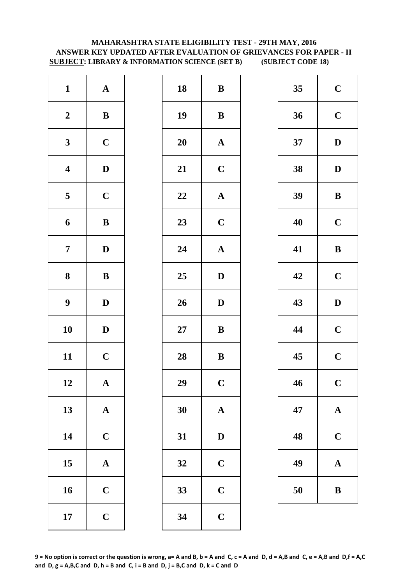# **MAHARASHTRA STATE ELIGIBILITY TEST - 29TH MAY, 2016 ANSWER KEY UPDATED AFTER EVALUATION OF GRIEVANCES FOR PAPER - II SUBJECT: LIBRARY & INFORMATION SCIENCE (SET B) (SUBJECT CODE 18)**

| $\mathbf{1}$            | ${\bf A}$    | 18        | $\bf{B}$       |
|-------------------------|--------------|-----------|----------------|
| $\boldsymbol{2}$        | $\, {\bf B}$ | 19        | $\bf{B}$       |
| $\mathbf{3}$            | $\mathbf C$  | <b>20</b> | $\mathbf A$    |
| $\overline{\mathbf{4}}$ | $\mathbf D$  | 21        | $\mathbf C$    |
| $\overline{\mathbf{5}}$ | $\mathbf C$  | 22        | $\mathbf{A}$   |
| 6                       | $\, {\bf B}$ | 23        | $\mathbf C$    |
| $\overline{7}$          | $\mathbf D$  | 24        | $\mathbf{A}$   |
| 8                       | ${\bf B}$    | 25        | $\mathbf{D}$   |
| $\boldsymbol{9}$        | $\mathbf D$  | 26        | $\mathbf{D}$   |
| 10                      | $\mathbf D$  | $27\,$    | $\bf{B}$       |
| 11                      | $\mathbf C$  | 28        | $\bf{B}$       |
| 12                      | A            | 29        | $\overline{C}$ |
| 13                      | ${\bf A}$    | 30        | $\mathbf{A}$   |
| 14                      | $\mathbf C$  | 31        | $\mathbf{D}$   |
| 15                      | $\mathbf A$  | 32        | $\mathbf C$    |
| 16                      | $\mathbf C$  | 33        | $\mathbf C$    |
| 17                      | $\mathbf C$  | 34        | $\mathbf C$    |

| $\mathbf{1}$            | ${\bf A}$    | 18 | $\bf{B}$              | 35 | $\mathbf C$  |
|-------------------------|--------------|----|-----------------------|----|--------------|
| $\boldsymbol{2}$        | ${\bf B}$    | 19 | ${\bf B}$             | 36 | $\mathbf C$  |
| $\mathbf{3}$            | $\mathbf C$  | 20 | $\mathbf A$           | 37 | $\mathbf{D}$ |
| $\overline{\mathbf{4}}$ | $\mathbf D$  | 21 | $\mathbf C$           | 38 | $\mathbf{D}$ |
| $\overline{\mathbf{5}}$ | $\mathbf C$  | 22 | ${\bf A}$             | 39 | $\bf{B}$     |
| $\boldsymbol{6}$        | $\, {\bf B}$ | 23 | $\mathbf C$           | 40 | $\mathbf C$  |
| $\overline{7}$          | $\mathbf{D}$ | 24 | $\boldsymbol{\rm{A}}$ | 41 | $\bf{B}$     |
| $\boldsymbol{8}$        | $\, {\bf B}$ | 25 | $\mathbf{D}$          | 42 | $\mathbf C$  |
| $\boldsymbol{9}$        | $\mathbf D$  | 26 | $\mathbf D$           | 43 | $\mathbf{D}$ |
| 10                      | $\mathbf D$  | 27 | $\bf{B}$              | 44 | $\mathbf C$  |
| 11                      | $\mathbf C$  | 28 | $\, {\bf B}$          | 45 | $\mathbf C$  |
| 12                      | $\mathbf{A}$ | 29 | $\mathbf C$           | 46 | $\mathbf C$  |
| 13                      | ${\bf A}$    | 30 | ${\bf A}$             | 47 | $\mathbf A$  |
| 14                      | $\mathbf C$  | 31 | $\mathbf D$           | 48 | $\mathbf C$  |
| 15                      | ${\bf A}$    | 32 | $\mathbf C$           | 49 | $\mathbf A$  |
| 16                      | $\mathbf C$  | 33 | $\mathbf C$           | 50 | $\bf{B}$     |
| 17                      | $\mathbf C$  | 34 | $\mathbf C$           |    |              |
|                         |              |    |                       |    |              |

| 35 | $\mathbf C$             |
|----|-------------------------|
| 36 | $\mathbf C$             |
| 37 | D                       |
| 38 | D                       |
| 39 | B                       |
| 40 | $\mathbf C$             |
| 41 | B                       |
| 42 | $\mathbf C$             |
| 43 | D                       |
| 44 | $\mathbf C$             |
| 45 | $\overline{\mathbf{C}}$ |
| 46 | $\overline{\mathbf{C}}$ |
| 47 | $\mathbf A$             |
| 48 | $\mathbf C$             |
| 49 | $\mathbf A$             |
| 50 | B                       |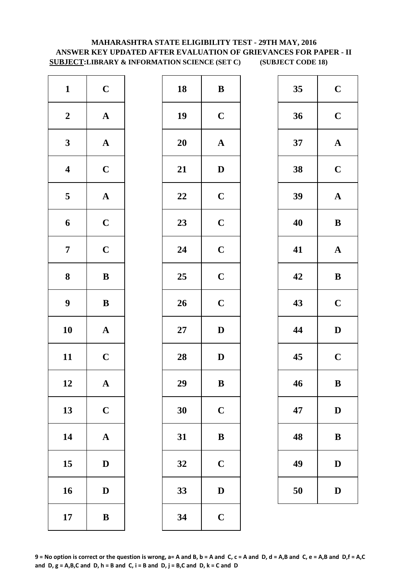# **MAHARASHTRA STATE ELIGIBILITY TEST - 29TH MAY, 2016 ANSWER KEY UPDATED AFTER EVALUATION OF GRIEVANCES FOR PAPER - II SUBJECT:LIBRARY & INFORMATION SCIENCE (SET C) (SUBJECT CODE 18)**

| $\mathbf{1}$            | $\mathbf C$           | 18        | $\bf{B}$     |
|-------------------------|-----------------------|-----------|--------------|
| $\boldsymbol{2}$        | $\boldsymbol{\rm{A}}$ | 19        | $\mathbf C$  |
| $\mathbf{3}$            | $\boldsymbol{\rm{A}}$ | <b>20</b> | $\mathbf A$  |
| $\overline{\mathbf{4}}$ | $\mathbf C$           | 21        | $\mathbf{D}$ |
| $\overline{\mathbf{5}}$ | $\boldsymbol{\rm{A}}$ | 22        | $\mathbf C$  |
| $\boldsymbol{6}$        | $\mathbf C$           | 23        | $\mathbf C$  |
| $\boldsymbol{7}$        | $\mathbf C$           | 24        | $\mathbf C$  |
| $\bf 8$                 | $\, {\bf B}$          | 25        | $\mathbf C$  |
| $\boldsymbol{9}$        | $\, {\bf B}$          | 26        | $\mathbf C$  |
| 10                      | $\mathbf A$           | $27\,$    | $\mathbf{D}$ |
| 11                      | $\mathbf C$           | 28        | $\mathbf{D}$ |
| 12                      | A                     | 29        | B            |
| 13                      | $\mathbf C$           | 30        | $\mathbf C$  |
| 14                      | $\boldsymbol{\rm{A}}$ | 31        | $\bf{B}$     |
| 15                      | $\mathbf D$           | 32        | $\mathbf C$  |
| 16                      | $\mathbf D$           | 33        | D            |
| 17                      | $\, {\bf B}$          | 34        | $\mathbf C$  |

| $\mathbf{1}$            | $\mathbf C$  | 18 | $\, {\bf B}$          | 35 | $\mathbf C$  |
|-------------------------|--------------|----|-----------------------|----|--------------|
| $\boldsymbol{2}$        | ${\bf A}$    | 19 | $\mathbf C$           | 36 | $\mathbf C$  |
| $\mathbf{3}$            | ${\bf A}$    | 20 | $\boldsymbol{\rm{A}}$ | 37 | $\mathbf{A}$ |
| $\overline{\mathbf{4}}$ | $\mathbf C$  | 21 | $\mathbf D$           | 38 | $\mathbf C$  |
| $\overline{\mathbf{5}}$ | ${\bf A}$    | 22 | $\mathbf C$           | 39 | $\mathbf A$  |
| $\boldsymbol{6}$        | $\mathbf C$  | 23 | $\mathbf C$           | 40 | $\bf{B}$     |
| $\overline{7}$          | $\mathbf C$  | 24 | $\mathbf C$           | 41 | $\mathbf A$  |
| $\boldsymbol{8}$        | $\, {\bf B}$ | 25 | $\mathbf C$           | 42 | $\bf{B}$     |
| $\boldsymbol{9}$        | $\, {\bf B}$ | 26 | $\mathbf C$           | 43 | $\mathbf C$  |
| 10                      | ${\bf A}$    | 27 | $\mathbf D$           | 44 | $\mathbf{D}$ |
| 11                      | $\mathbf C$  | 28 | $\mathbf D$           | 45 | $\mathbf C$  |
| 12                      | $\mathbf{A}$ | 29 | B                     | 46 | B            |
| 13                      | $\mathbf C$  | 30 | $\mathbf C$           | 47 | $\mathbf{D}$ |
| 14                      | ${\bf A}$    | 31 | $\bf{B}$              | 48 | $\bf{B}$     |
| 15                      | $\mathbf D$  | 32 | $\mathbf C$           | 49 | $\mathbf{D}$ |
| 16                      | $\mathbf D$  | 33 | $\mathbf D$           | 50 | $\mathbf{D}$ |
| 17                      | $\, {\bf B}$ | 34 | $\mathbf C$           |    |              |
|                         |              |    |                       |    |              |

| 35 | $\mathbf C$ |
|----|-------------|
| 36 | $\mathbf C$ |
| 37 | $\mathbf A$ |
| 38 | $\mathbf C$ |
| 39 | $\mathbf A$ |
| 40 | B           |
| 41 | $\mathbf A$ |
| 42 | B           |
| 43 | $\mathbf C$ |
| 44 | D           |
| 45 | $\mathbf C$ |
| 46 | $\bf{B}$    |
| 47 | D           |
| 48 | B           |
| 49 | D           |
| 50 | D           |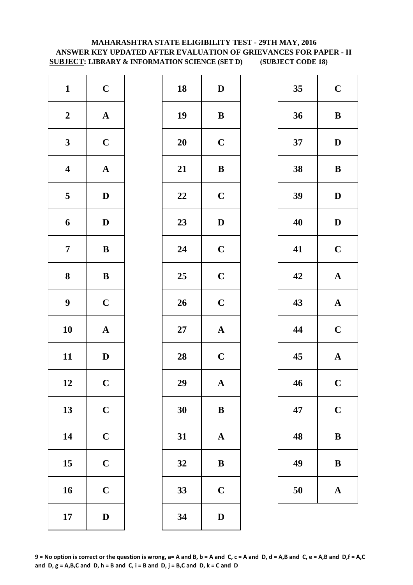# **ANSWER KEY UPDATED AFTER EVALUATION OF GRIEVANCES FOR PAPER - II SUBJECT: LIBRARY & INFORMATION SCIENCE (SET D) (SUBJECT CODE 18) MAHARASHTRA STATE ELIGIBILITY TEST - 29TH MAY, 2016**

| $\mathbf{1}$            | $\mathbf C$           | 18        | $\mathbf{D}$ |
|-------------------------|-----------------------|-----------|--------------|
| $\boldsymbol{2}$        | $\boldsymbol{\rm{A}}$ | 19        | $\bf{B}$     |
| $\mathbf{3}$            | $\mathbf C$           | <b>20</b> | $\mathbf C$  |
| $\overline{\mathbf{4}}$ | $\boldsymbol{\rm{A}}$ | 21        | $\bf{B}$     |
| $\overline{\mathbf{5}}$ | $\mathbf D$           | 22        | $\mathbf C$  |
| 6                       | $\mathbf D$           | 23        | $\mathbf{D}$ |
| $\overline{7}$          | ${\bf B}$             | 24        | $\mathbf C$  |
| 8                       | $\bf{B}$              | 25        | $\mathbf C$  |
| $\boldsymbol{9}$        | $\mathbf C$           | 26        | $\mathbf C$  |
| 10                      | $\boldsymbol{\rm{A}}$ | $27\,$    | $\mathbf A$  |
| 11                      | $\mathbf D$           | 28        | $\mathbf C$  |
| 12                      | $\mathbf C$           | 29        | A            |
| 13                      | $\mathbf C$           | 30        | $\bf{B}$     |
| 14                      | $\mathbf C$           | 31        | $\mathbf{A}$ |
| 15                      | $\mathbf C$           | 32        | $\bf{B}$     |
| 16                      | $\mathbf C$           | 33        | $\mathbf C$  |
| 17                      | $\mathbf D$           | 34        | $\mathbf{D}$ |

| $\mathbf{1}$            | $\mathbf C$  | 18 | $\mathbf D$  | 35 | $\mathbf C$  |
|-------------------------|--------------|----|--------------|----|--------------|
| $\boldsymbol{2}$        | ${\bf A}$    | 19 | $\bf{B}$     | 36 | $\bf{B}$     |
| $\mathbf{3}$            | $\mathbf C$  | 20 | $\mathbf C$  | 37 | $\mathbf{D}$ |
| $\overline{\mathbf{4}}$ | ${\bf A}$    | 21 | $\, {\bf B}$ | 38 | $\bf{B}$     |
| $\overline{\mathbf{5}}$ | $\mathbf D$  | 22 | $\mathbf C$  | 39 | $\mathbf{D}$ |
| $\boldsymbol{6}$        | $\mathbf D$  | 23 | $\mathbf D$  | 40 | $\mathbf{D}$ |
| $\overline{7}$          | ${\bf B}$    | 24 | $\mathbf C$  | 41 | $\mathbf C$  |
| $\boldsymbol{8}$        | ${\bf B}$    | 25 | $\mathbf C$  | 42 | $\mathbf A$  |
| $\boldsymbol{9}$        | $\mathbf C$  | 26 | $\mathbf C$  | 43 | $\mathbf A$  |
| 10                      | ${\bf A}$    | 27 | ${\bf A}$    | 44 | $\mathbf C$  |
| 11                      | $\mathbf{D}$ | 28 | $\mathbf C$  | 45 | $\mathbf A$  |
| 12                      | $\mathbf C$  | 29 | $\mathbf{A}$ | 46 | $\mathbf C$  |
| 13                      | $\mathbf C$  | 30 | $\bf{B}$     | 47 | $\mathbf C$  |
| 14                      | $\mathbf C$  | 31 | $\mathbf{A}$ | 48 | $\bf{B}$     |
| 15                      | $\mathbf C$  | 32 | $\bf{B}$     | 49 | $\bf{B}$     |
| 16                      | $\mathbf C$  | 33 | $\mathbf C$  | 50 | $\mathbf A$  |
| 17                      | $\mathbf D$  | 34 | $\mathbf D$  |    |              |
|                         |              |    |              |    |              |

| 35 | $\mathbf C$             |
|----|-------------------------|
| 36 | B                       |
| 37 | D                       |
| 38 | B                       |
| 39 | D                       |
| 40 | D                       |
| 41 | $\mathbf C$             |
| 42 | $\mathbf A$             |
| 43 | $\mathbf A$             |
| 44 | $\mathbf C$             |
| 45 | $\mathbf{A}$            |
| 46 | $\overline{\mathbf{C}}$ |
| 47 | $\mathbf C$             |
| 48 | B                       |
| 49 | B                       |
| 50 | $\bf A$                 |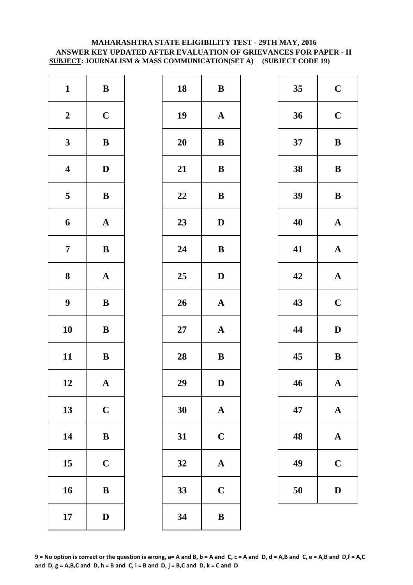#### **MAHARASHTRA STATE ELIGIBILITY TEST - 29TH MAY, 2016 ANSWER KEY UPDATED AFTER EVALUATION OF GRIEVANCES FOR PAPER - II SUBJECT: JOURNALISM & MASS COMMUNICATION(SET A) (SUBJECT CODE 19)**

| $\mathbf{1}$            | $\, {\bf B}$          | 18        | $\bf{B}$     |
|-------------------------|-----------------------|-----------|--------------|
| $\boldsymbol{2}$        | $\mathbf C$           | 19        | $\mathbf A$  |
| $\mathbf{3}$            | $\bf{B}$              | <b>20</b> | $\bf{B}$     |
| $\overline{\mathbf{4}}$ | $\mathbf D$           | 21        | $\bf{B}$     |
| $\overline{\mathbf{5}}$ | $\, {\bf B}$          | 22        | $\bf{B}$     |
| 6                       | $\mathbf A$           | 23        | D            |
| $\overline{7}$          | $\bf{B}$              | 24        | $\bf{B}$     |
| 8                       | $\boldsymbol{\rm{A}}$ | 25        | D            |
| $\boldsymbol{9}$        | $\, {\bf B}$          | 26        | $\mathbf A$  |
| 10                      | $\bf{B}$              | $27\,$    | $\mathbf A$  |
| 11                      | $\, {\bf B}$          | 28        | $\bf{B}$     |
| 12                      | A                     | 29        | D            |
| 13                      | $\mathbf C$           | 30        | $\mathbf{A}$ |
| 14                      | $\bf{B}$              | 31        | $\mathbf C$  |
| 15                      | $\mathbf C$           | 32        | $\mathbf{A}$ |
| 16                      | $\bf{B}$              | 33        | $\mathbf C$  |
| 17                      | $\mathbf D$           | 34        | $\bf{B}$     |

| $\mathbf{1}$            | $\bf{B}$     | 18     | ${\bf B}$    | 35 | $\mathbf C$  |
|-------------------------|--------------|--------|--------------|----|--------------|
| $\boldsymbol{2}$        | $\mathbf C$  | 19     | ${\bf A}$    | 36 | $\mathbf C$  |
| $\mathbf{3}$            | ${\bf B}$    | 20     | ${\bf B}$    | 37 | $\bf{B}$     |
| $\overline{\mathbf{4}}$ | $\mathbf{D}$ | 21     | ${\bf B}$    | 38 | $\bf{B}$     |
| $\overline{\mathbf{5}}$ | ${\bf B}$    | 22     | ${\bf B}$    | 39 | $\bf{B}$     |
| $\boldsymbol{6}$        | ${\bf A}$    | 23     | $\mathbf D$  | 40 | $\mathbf A$  |
| $\overline{7}$          | $\, {\bf B}$ | 24     | $\, {\bf B}$ | 41 | $\mathbf A$  |
| $\boldsymbol{8}$        | ${\bf A}$    | 25     | $\mathbf{D}$ | 42 | $\mathbf A$  |
| $\boldsymbol{9}$        | ${\bf B}$    | 26     | ${\bf A}$    | 43 | $\mathbf C$  |
| 10                      | ${\bf B}$    | $27\,$ | ${\bf A}$    | 44 | $\mathbf{D}$ |
| 11                      | ${\bf B}$    | 28     | ${\bf B}$    | 45 | $\bf{B}$     |
| 12                      | $\mathbf A$  | 29     | $\mathbf D$  | 46 | $\mathbf A$  |
| 13                      | $\mathbf C$  | 30     | $\mathbf A$  | 47 | $\mathbf A$  |
| 14                      | $\, {\bf B}$ | 31     | $\mathbf C$  | 48 | $\mathbf A$  |
| 15                      | $\mathbf C$  | 32     | $\mathbf{A}$ | 49 | $\mathbf C$  |
| 16                      | $\, {\bf B}$ | 33     | $\mathbf C$  | 50 | D            |
| 17                      | $\mathbf D$  | 34     | $\, {\bf B}$ |    |              |
|                         |              |        |              |    |              |

| 35 | $\mathbf C$             |
|----|-------------------------|
| 36 | $\mathbf C$             |
| 37 | B                       |
| 38 | B                       |
| 39 | B                       |
| 40 | $\mathbf A$             |
| 41 | $\mathbf A$             |
| 42 | $\mathbf A$             |
| 43 | $\mathbf C$             |
| 44 | D                       |
| 45 | B                       |
| 46 | $\mathbf A$             |
| 47 | $\mathbf A$             |
| 48 | $\mathbf A$             |
| 49 | $\overline{\mathbf{C}}$ |
| 50 | $\bf{D}$                |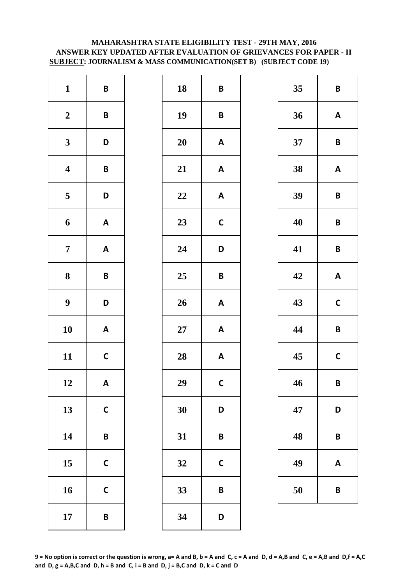# **MAHARASHTRA STATE ELIGIBILITY TEST - 29TH MAY, 2016 ANSWER KEY UPDATED AFTER EVALUATION OF GRIEVANCES FOR PAPER - II SUBJECT: JOURNALISM & MASS COMMUNICATION(SET B) (SUBJECT CODE 19)**

| $\mathbf{1}$            | $\pmb B$                  | 18 | B            |
|-------------------------|---------------------------|----|--------------|
| $\boldsymbol{2}$        | B                         | 19 | B            |
| $\mathbf{3}$            | D                         | 20 | A            |
| $\boldsymbol{4}$        | B                         | 21 | $\mathsf{A}$ |
| $\overline{\mathbf{5}}$ | D                         | 22 | A            |
| 6                       | $\mathsf A$               | 23 | $\mathsf{C}$ |
| $\overline{7}$          | $\boldsymbol{\mathsf{A}}$ | 24 | D            |
| 8                       | B                         | 25 | B            |
| $\boldsymbol{9}$        | D                         | 26 | A            |
| 10                      | $\boldsymbol{\mathsf{A}}$ | 27 | A            |
| 11                      | $\mathsf{C}$              | 28 | $\mathsf{A}$ |
| 12                      | Α                         | 29 | $\mathbf C$  |
| 13                      | $\mathsf{C}$              | 30 | D            |
| 14                      | B                         | 31 | B            |
| 15                      | $\mathbf C$               | 32 | $\mathsf{C}$ |
| 16                      | $\mathbf C$               | 33 | B            |
| 17                      | B                         | 34 | D            |

| 35<br>36<br>37<br>38<br>39<br>40<br>41 | $\overline{B}$<br>A<br>$\overline{\mathsf{B}}$<br>$\mathsf{A}$<br>B<br>$\mathsf{B}$<br>$\mathbf B$ |
|----------------------------------------|----------------------------------------------------------------------------------------------------|
|                                        |                                                                                                    |
|                                        |                                                                                                    |
|                                        |                                                                                                    |
|                                        |                                                                                                    |
|                                        |                                                                                                    |
|                                        |                                                                                                    |
|                                        |                                                                                                    |
|                                        | $\boldsymbol{A}$                                                                                   |
| 43                                     | $\mathbf C$                                                                                        |
| 44                                     | $\mathbf B$                                                                                        |
| 45                                     | $\mathbf C$                                                                                        |
| 46                                     | B                                                                                                  |
| 47                                     | D                                                                                                  |
| 48                                     | B                                                                                                  |
| 49                                     | A                                                                                                  |
| 50                                     | $\mathbf B$                                                                                        |
|                                        |                                                                                                    |
|                                        | 42                                                                                                 |

| 35 | B            |  |  |
|----|--------------|--|--|
| 36 | A            |  |  |
| 37 | B            |  |  |
| 38 | A            |  |  |
| 39 | B            |  |  |
| 40 | B            |  |  |
| 41 | B            |  |  |
| 42 | A            |  |  |
| 43 | $\mathsf{C}$ |  |  |
| 44 | B            |  |  |
| 45 | C            |  |  |
| 46 | B            |  |  |
| 47 | D            |  |  |
| 48 | B            |  |  |
| 49 | A            |  |  |
| 50 | B            |  |  |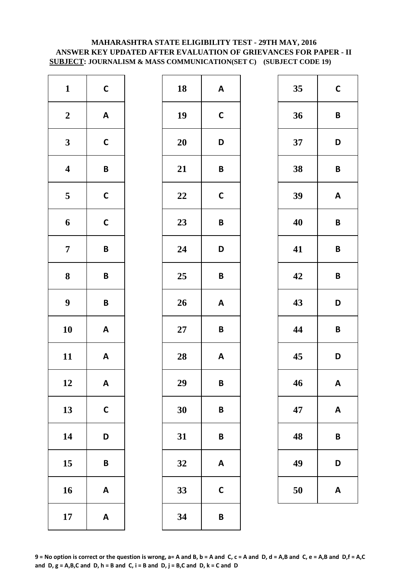# **SUBJECT: JOURNALISM & MASS COMMUNICATION(SET C) (SUBJECT CODE 19) MAHARASHTRA STATE ELIGIBILITY TEST - 29TH MAY, 2016 ANSWER KEY UPDATED AFTER EVALUATION OF GRIEVANCES FOR PAPER - II**

| $\mathbf{1}$            | $\mathsf{C}$              | 18        | A           |
|-------------------------|---------------------------|-----------|-------------|
| $\boldsymbol{2}$        | $\boldsymbol{\mathsf{A}}$ | 19        | $\mathbf C$ |
| $\mathbf{3}$            | $\mathsf{C}$              | <b>20</b> | D           |
| $\overline{\mathbf{4}}$ | $\pmb B$                  | 21        | B           |
| $\overline{\mathbf{5}}$ | $\mathsf{C}$              | 22        | $\mathbf C$ |
| 6                       | $\mathsf{C}$              | 23        | B           |
| $\overline{7}$          | B                         | 24        | D           |
| 8                       | $\pmb B$                  | 25        | B           |
| $\boldsymbol{9}$        | B                         | 26        | A           |
| 10                      | $\boldsymbol{\mathsf{A}}$ | $27\,$    | B           |
| 11                      | $\boldsymbol{\mathsf{A}}$ | 28        | A           |
| 12                      | A                         | 29        | B           |
| 13                      | $\mathsf{C}$              | 30        | B           |
| 14                      | D                         | 31        | B           |
| 15                      | B                         | 32        | A           |
| 16                      | $\boldsymbol{\mathsf{A}}$ | 33        | $\mathbf C$ |
| 17                      | $\boldsymbol{\mathsf{A}}$ | 34        | B           |

| $\mathbf{1}$            | $\mathsf{C}$              | 18     | $\boldsymbol{\mathsf{A}}$ | 35 | $\mathbf C$             |
|-------------------------|---------------------------|--------|---------------------------|----|-------------------------|
| $\boldsymbol{2}$        | $\mathbf{A}$              | 19     | $\mathsf{C}$              | 36 | $\overline{\mathsf{B}}$ |
| $\mathbf{3}$            | $\mathsf C$               | 20     | D                         | 37 | D                       |
| $\overline{\mathbf{4}}$ | $\pmb B$                  | 21     | $\pmb B$                  | 38 | $\mathbf B$             |
| $5\phantom{.0}$         | $\mathsf C$               | 22     | $\mathsf{C}$              | 39 | A                       |
| $\boldsymbol{6}$        | $\mathsf{C}$              | 23     | $\pmb B$                  | 40 | $\mathsf{B}$            |
| $\overline{7}$          | $\pmb B$                  | 24     | D                         | 41 | $\mathsf{B}$            |
| $\boldsymbol{8}$        | $\pmb B$                  | 25     | $\pmb B$                  | 42 | $\overline{\mathsf{B}}$ |
| $\boldsymbol{9}$        | $\pmb B$                  | 26     | $\boldsymbol{\mathsf{A}}$ | 43 | D                       |
| 10                      | $\mathbf{A}$              | $27\,$ | $\pmb B$                  | 44 | $\overline{\mathsf{B}}$ |
| 11                      | $\mathbf{A}$              | 28     | $\boldsymbol{\mathsf{A}}$ | 45 | D                       |
| 12                      | $\boldsymbol{\mathsf{A}}$ | 29     | $\pmb B$                  | 46 | A                       |
| 13                      | $\mathbf C$               | 30     | $\pmb B$                  | 47 | A                       |
| 14                      | D                         | 31     | $\pmb B$                  | 48 | $\overline{B}$          |
| 15                      | $\pmb B$                  | 32     | A                         | 49 | D                       |
| 16                      | $\boldsymbol{\mathsf{A}}$ | 33     | $\mathbf C$               | 50 | A                       |
| 17                      | $\boldsymbol{\mathsf{A}}$ | 34     | $\pmb B$                  |    |                         |
|                         |                           |        |                           |    |                         |

| 35 | $\mathsf{C}$ |
|----|--------------|
| 36 | B            |
| 37 | D            |
| 38 | B            |
| 39 | A            |
| 40 | B            |
| 41 | B            |
| 42 | B            |
| 43 | D            |
| 44 | B            |
| 45 | D            |
| 46 | A            |
| 47 | A            |
| 48 | B            |
| 49 | D            |
| 50 | A            |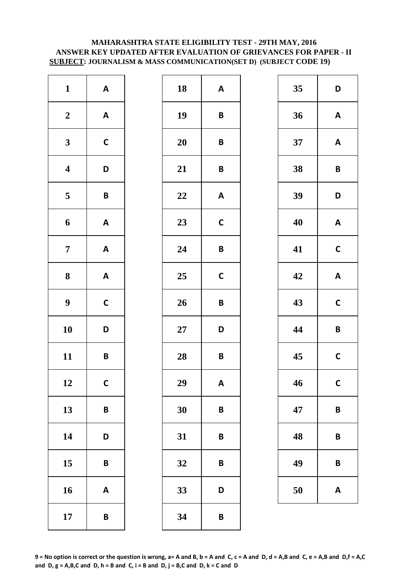# **MAHARASHTRA STATE ELIGIBILITY TEST - 29TH MAY, 2016 ANSWER KEY UPDATED AFTER EVALUATION OF GRIEVANCES FOR PAPER - II SUBJECT: JOURNALISM & MASS COMMUNICATION(SET D) (SUBJECT CODE 19)**

| $\mathbf{1}$            | $\boldsymbol{\mathsf{A}}$ | 18        | A            |
|-------------------------|---------------------------|-----------|--------------|
| $\boldsymbol{2}$        | $\boldsymbol{\mathsf{A}}$ | 19        | B            |
| $\mathbf{3}$            | $\mathsf{C}$              | <b>20</b> | B            |
| $\overline{\mathbf{4}}$ | D                         | 21        | B            |
| $\overline{\mathbf{5}}$ | $\pmb B$                  | 22        | A            |
| 6                       | $\boldsymbol{\mathsf{A}}$ | 23        | $\mathsf{C}$ |
| $\overline{7}$          | $\boldsymbol{\mathsf{A}}$ | 24        | B            |
| 8                       | $\boldsymbol{\mathsf{A}}$ | 25        | $\mathbf c$  |
| $\boldsymbol{9}$        | $\mathsf{C}$              | 26        | B            |
| 10                      | D                         | $27\,$    | D            |
| 11                      | B                         | 28        | B            |
| 12                      | $\mathsf{C}$              | 29        | A            |
| 13                      | B                         | 30        | B            |
| 14                      | D                         | 31        | B            |
| 15                      | B                         | 32        | B            |
| 16                      | $\boldsymbol{\mathsf{A}}$ | 33        | D            |
| 17                      | B                         | 34        | B            |

| $\mathbf{1}$            | $\boldsymbol{\mathsf{A}}$ | 18     | $\boldsymbol{\mathsf{A}}$ | 35 | D                       |
|-------------------------|---------------------------|--------|---------------------------|----|-------------------------|
| $\boldsymbol{2}$        | $\mathbf{A}$              | 19     | $\pmb B$                  | 36 | A                       |
| $\mathbf{3}$            | $\mathsf C$               | 20     | $\pmb B$                  | 37 | A                       |
| $\overline{\mathbf{4}}$ | D                         | 21     | $\pmb B$                  | 38 | $\mathbf B$             |
| $\overline{\mathbf{5}}$ | $\pmb B$                  | 22     | $\boldsymbol{\mathsf{A}}$ | 39 | D                       |
| $\boldsymbol{6}$        | $\mathbf{A}$              | 23     | $\mathsf C$               | 40 | A                       |
| $\overline{7}$          | $\boldsymbol{\mathsf{A}}$ | 24     | $\pmb B$                  | 41 | $\mathbf C$             |
| $\boldsymbol{8}$        | $\mathbf{A}$              | 25     | $\mathbf C$               | 42 | A                       |
| $\boldsymbol{9}$        | $\mathsf{C}$              | 26     | $\pmb B$                  | 43 | $\mathbf C$             |
| 10                      | D                         | $27\,$ | D                         | 44 | $\overline{\mathsf{B}}$ |
| 11                      | $\pmb B$                  | 28     | $\pmb B$                  | 45 | $\mathbf C$             |
| 12                      | $\mathsf{C}$              | 29     | $\boldsymbol{\mathsf{A}}$ | 46 | $\mathbf C$             |
| 13                      | $\pmb B$                  | 30     | $\pmb B$                  | 47 | B                       |
| 14                      | D                         | 31     | $\pmb B$                  | 48 | B                       |
| 15                      | $\pmb B$                  | 32     | $\pmb B$                  | 49 | B                       |
| 16                      | $\boldsymbol{\mathsf{A}}$ | 33     | D                         | 50 | A                       |
| 17                      | $\pmb B$                  | 34     | $\pmb B$                  |    |                         |

| 35 | D            |
|----|--------------|
| 36 | A            |
| 37 | A            |
| 38 | B            |
| 39 | D            |
| 40 | A            |
| 41 | C            |
| 42 | A            |
| 43 | $\mathsf{C}$ |
| 44 | B            |
| 45 | C            |
| 46 | C            |
| 47 | B            |
| 48 | B            |
| 49 | B            |
| 50 | A            |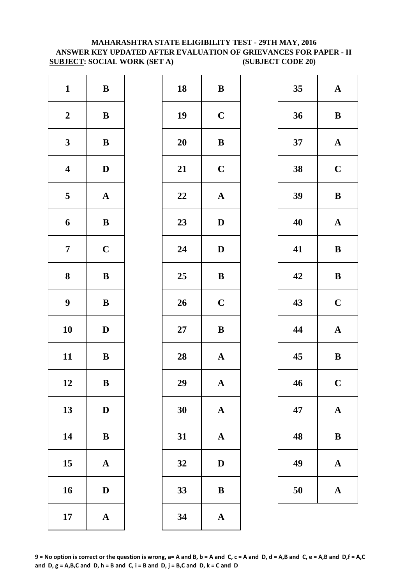# **MAHARASHTRA STATE ELIGIBILITY TEST - 29TH MAY, 2016 ANSWER KEY UPDATED AFTER EVALUATION OF GRIEVANCES FOR PAPER - II SUBJECT: SOCIAL WORK (SET A) (SUBJECT CODE 20)**

| $\mathbf{1}$            | $\, {\bf B}$ | 18        | $\bf{B}$     |
|-------------------------|--------------|-----------|--------------|
| $\boldsymbol{2}$        | $\, {\bf B}$ | 19        | $\mathbf C$  |
| $\mathbf{3}$            | $\, {\bf B}$ | <b>20</b> | $\bf{B}$     |
| $\overline{\mathbf{4}}$ | $\mathbf D$  | 21        | $\mathbf C$  |
| $\overline{\mathbf{5}}$ | ${\bf A}$    | 22        | $\mathbf A$  |
| 6                       | $\, {\bf B}$ | 23        | $\mathbf{D}$ |
| $\overline{7}$          | $\mathbf C$  | 24        | $\mathbf{D}$ |
| ${\bf 8}$               | $\, {\bf B}$ | 25        | $\bf{B}$     |
| $\boldsymbol{9}$        | $\, {\bf B}$ | 26        | $\mathbf C$  |
| 10                      | $\mathbf D$  | $27\,$    | $\bf{B}$     |
| 11                      | $\, {\bf B}$ | 28        | $\mathbf A$  |
| 12                      | B            | 29        | A            |
| 13                      | $\mathbf D$  | 30        | $\mathbf{A}$ |
| 14                      | $\, {\bf B}$ | 31        | $\mathbf{A}$ |
| 15                      | $\mathbf A$  | 32        | $\mathbf{D}$ |
| 16                      | $\mathbf D$  | 33        | $\bf{B}$     |
| 17                      | ${\bf A}$    | 34        | $\mathbf{A}$ |

| $\mathbf{1}$            | $\, {\bf B}$ | 18 | $\, {\bf B}$ | 35 | $\mathbf A$ |
|-------------------------|--------------|----|--------------|----|-------------|
| $\boldsymbol{2}$        | ${\bf B}$    | 19 | $\mathbf C$  | 36 | $\bf{B}$    |
| $\mathbf{3}$            | ${\bf B}$    | 20 | $\, {\bf B}$ | 37 | $\mathbf A$ |
| $\overline{\mathbf{4}}$ | $\mathbf D$  | 21 | $\mathbf C$  | 38 | $\mathbf C$ |
| $\overline{\mathbf{5}}$ | ${\bf A}$    | 22 | ${\bf A}$    | 39 | $\bf{B}$    |
| $\boldsymbol{6}$        | ${\bf B}$    | 23 | $\mathbf D$  | 40 | $\mathbf A$ |
| $\overline{7}$          | $\mathbf C$  | 24 | $\mathbf D$  | 41 | $\bf{B}$    |
| $\boldsymbol{8}$        | $\, {\bf B}$ | 25 | $\, {\bf B}$ | 42 | $\bf{B}$    |
| $\boldsymbol{9}$        | $\, {\bf B}$ | 26 | $\mathbf C$  | 43 | $\mathbf C$ |
| 10                      | $\mathbf D$  | 27 | ${\bf B}$    | 44 | $\mathbf A$ |
| 11                      | $\, {\bf B}$ | 28 | $\mathbf A$  | 45 | $\bf{B}$    |
| 12                      | B            | 29 | $\mathbf{A}$ | 46 | $\mathbf C$ |
| 13                      | $\mathbf D$  | 30 | ${\bf A}$    | 47 | $\mathbf A$ |
| 14                      | $\, {\bf B}$ | 31 | $\mathbf{A}$ | 48 | $\bf{B}$    |
| 15                      | ${\bf A}$    | 32 | $\mathbf D$  | 49 | $\mathbf A$ |
| 16                      | $\mathbf D$  | 33 | $\bf{B}$     | 50 | $\mathbf A$ |
| 17                      | ${\bf A}$    | 34 | $\mathbf A$  |    |             |
|                         |              |    |              |    |             |

| 35 | $\mathbf A$ |
|----|-------------|
| 36 | B           |
| 37 | $\mathbf A$ |
| 38 | $\mathbf C$ |
| 39 | B           |
| 40 | $\mathbf A$ |
| 41 | B           |
| 42 | B           |
| 43 | $\mathbf C$ |
| 44 | $\mathbf A$ |
| 45 | B           |
| 46 | $\mathbf C$ |
| 47 | $\mathbf A$ |
| 48 | B           |
| 49 | A           |
| 50 | $\mathbf A$ |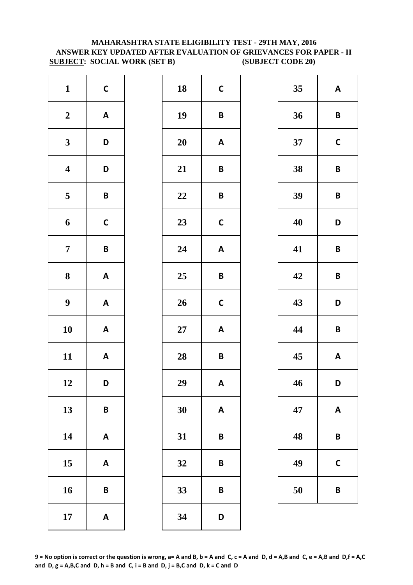# **MAHARASHTRA STATE ELIGIBILITY TEST - 29TH MAY, 2016 ANSWER KEY UPDATED AFTER EVALUATION OF GRIEVANCES FOR PAPER - II SUBJECT: SOCIAL WORK (SET B) (SUBJECT CODE 20)**

| $\mathbf{1}$            | $\mathsf{C}$              | 18        | $\mathsf{C}$ |
|-------------------------|---------------------------|-----------|--------------|
| $\boldsymbol{2}$        | $\boldsymbol{\mathsf{A}}$ | 19        | B            |
| $\mathbf{3}$            | D                         | <b>20</b> | A            |
| $\overline{\mathbf{4}}$ | D                         | 21        | B            |
| $\overline{\mathbf{5}}$ | $\pmb B$                  | 22        | B            |
| 6                       | $\mathsf{C}$              | 23        | $\mathsf{C}$ |
| $\overline{7}$          | $\pmb B$                  | 24        | A            |
| $\bf 8$                 | $\boldsymbol{\mathsf{A}}$ | 25        | B            |
| $\boldsymbol{9}$        | $\boldsymbol{\mathsf{A}}$ | 26        | $\mathsf{C}$ |
| 10                      | $\boldsymbol{\mathsf{A}}$ | $27\,$    | A            |
| 11                      | $\mathsf A$               | 28        | B            |
| 12                      | D                         | 29        | A            |
| 13                      | B                         | 30        | A            |
| 14                      | $\boldsymbol{\mathsf{A}}$ | 31        | B            |
| 15                      | $\boldsymbol{\mathsf{A}}$ | 32        | B            |
| 16                      | B                         | 33        | B            |
| 17                      | $\boldsymbol{\mathsf{A}}$ | 34        | D            |

| $\mathbf{1}$            | $\mathsf{C}$              | 18     | $\mathbf C$               | 35 | A                       |
|-------------------------|---------------------------|--------|---------------------------|----|-------------------------|
| $\boldsymbol{2}$        | $\boldsymbol{\mathsf{A}}$ | 19     | $\pmb B$                  | 36 | $\mathsf{B}$            |
| $\mathbf{3}$            | D                         | 20     | $\boldsymbol{\mathsf{A}}$ | 37 | $\mathbf C$             |
| $\overline{\mathbf{4}}$ | D                         | 21     | $\pmb B$                  | 38 | $\mathbf B$             |
| $\overline{\mathbf{5}}$ | $\pmb B$                  | 22     | $\pmb B$                  | 39 | $\mathbf B$             |
| $\boldsymbol{6}$        | $\mathsf C$               | 23     | $\mathbf C$               | 40 | D                       |
| $\overline{7}$          | $\pmb B$                  | 24     | $\boldsymbol{\mathsf{A}}$ | 41 | $\overline{\mathsf{B}}$ |
| $\boldsymbol{8}$        | $\mathbf{A}$              | 25     | $\pmb B$                  | 42 | $\mathbf B$             |
| $\boldsymbol{9}$        | $\mathbf{A}$              | 26     | $\mathsf{C}$              | 43 | D                       |
| 10                      | $\mathbf{A}$              | $27\,$ | $\boldsymbol{\mathsf{A}}$ | 44 | $\overline{\mathsf{B}}$ |
| 11                      | $\mathsf{A}$              | 28     | $\pmb B$                  | 45 | A                       |
| 12                      | D                         | 29     | A                         | 46 | D                       |
| 13                      | $\pmb B$                  | 30     | $\boldsymbol{\mathsf{A}}$ | 47 | A                       |
| 14                      | $\mathbf{A}$              | 31     | $\pmb B$                  | 48 | B                       |
| 15                      | A                         | 32     | $\pmb B$                  | 49 | $\mathbf C$             |
| 16                      | $\pmb B$                  | 33     | B                         | 50 | $\overline{B}$          |
| 17                      | $\boldsymbol{\mathsf{A}}$ | 34     | D                         |    |                         |

| 35 | A           |
|----|-------------|
| 36 | B           |
| 37 | $\mathbf C$ |
| 38 | B           |
| 39 | B           |
| 40 | D           |
| 41 | B           |
| 42 | B           |
| 43 | D           |
| 44 | B           |
| 45 | A           |
| 46 | D           |
| 47 | Α           |
| 48 | B           |
| 49 | C           |
| 50 | B           |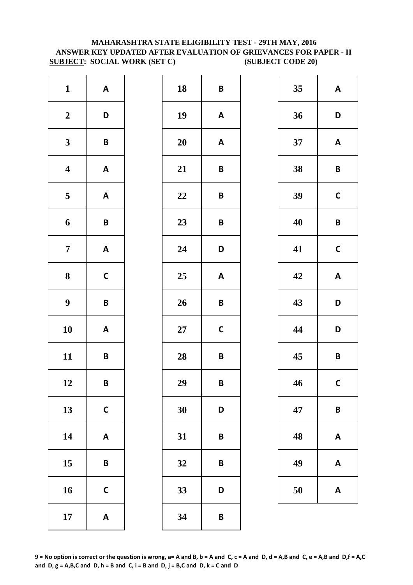# **MAHARASHTRA STATE ELIGIBILITY TEST - 29TH MAY, 2016 ANSWER KEY UPDATED AFTER EVALUATION OF GRIEVANCES FOR PAPER - II SUBJECT: SOCIAL WORK (SET C)** (SUBJECT CODE 20)

| $\mathbf{1}$            | $\boldsymbol{\mathsf{A}}$ | 18        | B            |
|-------------------------|---------------------------|-----------|--------------|
| $\boldsymbol{2}$        | D                         | 19        | A            |
| $\mathbf{3}$            | B                         | <b>20</b> | A            |
| $\overline{\mathbf{4}}$ | $\boldsymbol{\mathsf{A}}$ | 21        | B            |
| $\overline{\mathbf{5}}$ | $\boldsymbol{\mathsf{A}}$ | 22        | B            |
| 6                       | B                         | 23        | B            |
| $\overline{7}$          | $\boldsymbol{\mathsf{A}}$ | 24        | D            |
| 8                       | $\mathbf C$               | 25        | A            |
| $\boldsymbol{9}$        | B                         | 26        | B            |
| 10                      | $\boldsymbol{\mathsf{A}}$ | $27\,$    | $\mathsf{C}$ |
| 11                      | B                         | 28        | B            |
| 12                      | B                         | 29        | B            |
| 13                      | $\mathsf{C}$              | 30        | D            |
| 14                      | $\boldsymbol{\mathsf{A}}$ | 31        | B            |
| 15                      | B                         | 32        | B            |
| 16                      | $\mathsf{C}$              | 33        | D            |
| 17                      | $\boldsymbol{\mathsf{A}}$ | 34        | B            |

| $\mathbf{1}$            | $\mathbf{A}$              | 18     | $\pmb B$                  | 35 | A                       |
|-------------------------|---------------------------|--------|---------------------------|----|-------------------------|
| $\boldsymbol{2}$        | D                         | 19     | $\boldsymbol{\mathsf{A}}$ | 36 | D                       |
| $\mathbf{3}$            | $\pmb B$                  | 20     | $\mathbf{A}$              | 37 | A                       |
| $\overline{\mathbf{4}}$ | $\boldsymbol{\mathsf{A}}$ | 21     | $\pmb B$                  | 38 | $\mathbf B$             |
| $5\phantom{.0}$         | $\boldsymbol{\mathsf{A}}$ | 22     | $\pmb B$                  | 39 | $\mathbf C$             |
| $\boldsymbol{6}$        | $\pmb B$                  | 23     | $\pmb B$                  | 40 | $\mathsf{B}$            |
| $\overline{7}$          | $\mathbf{A}$              | 24     | D                         | 41 | $\mathbf C$             |
| $\boldsymbol{8}$        | $\mathsf C$               | 25     | $\boldsymbol{\mathsf{A}}$ | 42 | $\boldsymbol{A}$        |
| $\boldsymbol{9}$        | $\pmb B$                  | 26     | $\pmb B$                  | 43 | D                       |
| 10                      | $\mathbf{A}$              | $27\,$ | $\mathbf C$               | 44 | D                       |
| 11                      | $\pmb B$                  | 28     | $\pmb B$                  | 45 | $\overline{\mathsf{B}}$ |
| 12                      | $\pmb B$                  | 29     | $\pmb B$                  | 46 | $\mathbf C$             |
| 13                      | $\mathbf C$               | 30     | D                         | 47 | $\boldsymbol{B}$        |
| 14                      | $\mathbf{A}$              | 31     | $\pmb B$                  | 48 | A                       |
| 15                      | $\pmb B$                  | 32     | $\pmb B$                  | 49 | A                       |
| 16                      | $\mathsf{C}$              | 33     | D                         | 50 | A                       |
| 17                      | $\mathbf{A}$              | 34     | $\pmb B$                  |    |                         |

| 35 | A            |
|----|--------------|
| 36 | D            |
| 37 | A            |
| 38 | B            |
| 39 | $\mathsf{C}$ |
| 40 | B            |
| 41 | $\mathbf C$  |
| 42 | A            |
|    |              |
| 43 | D            |
| 44 | D            |
| 45 | B            |
| 46 | C            |
| 47 | B            |
| 48 | A            |
| 49 | A            |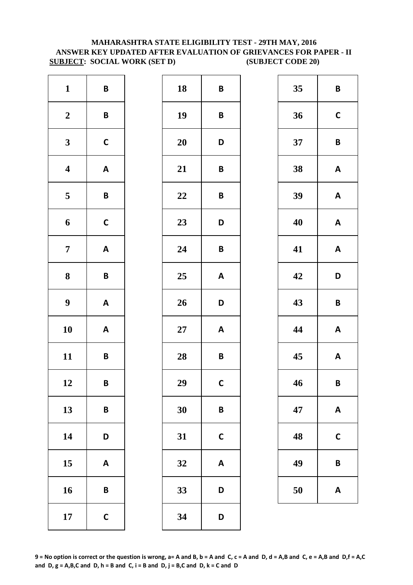# **MAHARASHTRA STATE ELIGIBILITY TEST - 29TH MAY, 2016 ANSWER KEY UPDATED AFTER EVALUATION OF GRIEVANCES FOR PAPER - II SUBJECT: SOCIAL WORK (SET D) (SUBJECT CODE 20)**

| $\mathbf{1}$            | $\pmb B$                  | 18        | B            |
|-------------------------|---------------------------|-----------|--------------|
| $\boldsymbol{2}$        | $\pmb B$                  | 19        | B            |
| $\mathbf{3}$            | $\mathsf{C}$              | <b>20</b> | D            |
| $\overline{\mathbf{4}}$ | $\boldsymbol{\mathsf{A}}$ | 21        | B            |
| $\overline{\mathbf{5}}$ | $\pmb B$                  | 22        | B            |
| 6                       | $\mathsf{C}$              | 23        | D            |
| $\overline{7}$          | $\boldsymbol{\mathsf{A}}$ | 24        | B            |
| 8                       | B                         | 25        | A            |
| $\boldsymbol{9}$        | $\boldsymbol{\mathsf{A}}$ | 26        | D            |
| 10                      | $\boldsymbol{\mathsf{A}}$ | $27\,$    | A            |
| 11                      | B                         | 28        | B            |
| 12                      | B                         | 29        | $\mathbf C$  |
| 13                      | B                         | 30        | B            |
| 14                      | D                         | 31        | $\mathsf{C}$ |
| 15                      | $\boldsymbol{\mathsf{A}}$ | 32        | A            |
| 16                      | B                         | 33        | D            |
| 17                      | $\mathsf{C}$              | 34        | D            |

| $\mathbf{1}$            | $\pmb B$                  | 18        | $\pmb B$                  | 35 | $\mathsf{B}$ |
|-------------------------|---------------------------|-----------|---------------------------|----|--------------|
| $\boldsymbol{2}$        | $\pmb B$                  | 19        | $\pmb B$                  | 36 | $\mathbf C$  |
| $\mathbf{3}$            | $\mathsf C$               | 20        | D                         | 37 | $\mathbf B$  |
| $\overline{\mathbf{4}}$ | $\boldsymbol{\mathsf{A}}$ | 21        | $\pmb B$                  | 38 | A            |
| $\overline{\mathbf{5}}$ | $\pmb B$                  | 22        | $\pmb B$                  | 39 | A            |
| $\boldsymbol{6}$        | $\mathsf{C}$              | 23        | D                         | 40 | A            |
| $\overline{7}$          | $\mathbf{A}$              | 24        | $\pmb B$                  | 41 | A            |
| $\boldsymbol{8}$        | $\pmb B$                  | 25        | $\boldsymbol{\mathsf{A}}$ | 42 | D            |
| $\boldsymbol{9}$        | $\mathbf{A}$              | 26        | D                         | 43 | $\mathsf{B}$ |
| 10                      | $\mathbf{A}$              | <b>27</b> | $\boldsymbol{\mathsf{A}}$ | 44 | A            |
| 11                      | $\pmb B$                  | 28        | $\pmb B$                  | 45 | A            |
| 12                      | B                         | 29        | $\mathsf{C}$              | 46 | $\mathbf B$  |
| 13                      | $\pmb B$                  | 30        | $\pmb B$                  | 47 | A            |
| 14                      | D                         | 31        | $\mathsf{C}$              | 48 | $\mathsf{C}$ |
| 15                      | A                         | 32        | $\boldsymbol{\mathsf{A}}$ | 49 | $\mathsf{B}$ |
| 16                      | $\pmb B$                  | 33        | D                         | 50 | A            |
| 17                      | $\mathsf C$               | 34        | D                         |    |              |

| 35 | B           |
|----|-------------|
| 36 | $\mathbf C$ |
| 37 | B           |
| 38 | A           |
| 39 | A           |
| 40 | A           |
| 41 | A           |
| 42 | D           |
| 43 | B           |
| 44 | A           |
| 45 | A           |
| 46 | B           |
| 47 | A           |
| 48 | C           |
| 49 | B           |
| 50 | A           |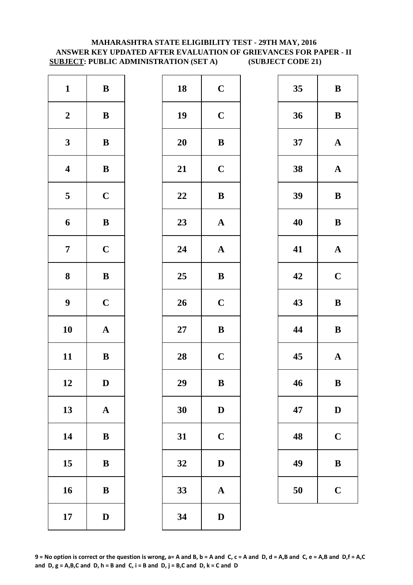# **MAHARASHTRA STATE ELIGIBILITY TEST - 29TH MAY, 2016 ANSWER KEY UPDATED AFTER EVALUATION OF GRIEVANCES FOR PAPER - II SUBJECT: PUBLIC ADMINISTRATION (SET A) (SUBJECT CODE 21)**

| $\mathbf{1}$            | $\, {\bf B}$ | 18        | $\mathbf C$  |
|-------------------------|--------------|-----------|--------------|
| $\boldsymbol{2}$        | $\bf{B}$     | 19        | $\mathbf C$  |
| $\mathbf{3}$            | $\bf{B}$     | <b>20</b> | $\bf{B}$     |
| $\overline{\mathbf{4}}$ | $\, {\bf B}$ | 21        | $\mathbf C$  |
| $\overline{\mathbf{5}}$ | $\mathbf C$  | 22        | $\bf{B}$     |
| 6                       | $\, {\bf B}$ | 23        | $\mathbf{A}$ |
| $\overline{7}$          | $\mathbf C$  | 24        | $\mathbf{A}$ |
| 8                       | $\bf{B}$     | 25        | $\bf{B}$     |
| $\boldsymbol{9}$        | $\mathbf C$  | 26        | $\mathbf C$  |
| 10                      | $\mathbf A$  | $27\,$    | $\bf{B}$     |
| 11                      | $\, {\bf B}$ | 28        | $\mathbf C$  |
| 12                      | D            | 29        | B            |
| 13                      | $\mathbf A$  | 30        | $\mathbf{D}$ |
| 14                      | $\bf{B}$     | 31        | $\mathbf C$  |
| 15                      | $\bf{B}$     | 32        | $\mathbf{D}$ |
| 16                      | $\bf{B}$     | 33        | $\mathbf{A}$ |
| 17                      | $\mathbf D$  | 34        | $\mathbf{D}$ |

| $\mathbf{1}$            | ${\bf B}$    | 18 | $\mathbf C$  | 35 | $\bf{B}$     |
|-------------------------|--------------|----|--------------|----|--------------|
| $\boldsymbol{2}$        | $\, {\bf B}$ | 19 | $\mathbf C$  | 36 | $\bf{B}$     |
| $\mathbf{3}$            | ${\bf B}$    | 20 | $\bf{B}$     | 37 | $\mathbf A$  |
| $\overline{\mathbf{4}}$ | $\, {\bf B}$ | 21 | $\mathbf C$  | 38 | $\mathbf A$  |
| $5\phantom{.0}$         | $\mathbf C$  | 22 | $\, {\bf B}$ | 39 | $\bf{B}$     |
| $\boldsymbol{6}$        | ${\bf B}$    | 23 | ${\bf A}$    | 40 | $\bf{B}$     |
| $\overline{7}$          | $\mathbf C$  | 24 | $\mathbf A$  | 41 | $\mathbf A$  |
| $\boldsymbol{8}$        | $\, {\bf B}$ | 25 | $\, {\bf B}$ | 42 | $\mathbf C$  |
| $\boldsymbol{9}$        | $\mathbf C$  | 26 | $\mathbf C$  | 43 | $\bf{B}$     |
| 10                      | ${\bf A}$    | 27 | $\bf{B}$     | 44 | $\bf{B}$     |
| 11                      | ${\bf B}$    | 28 | $\mathbf C$  | 45 | $\mathbf A$  |
| 12                      | $\mathbf D$  | 29 | $\, {\bf B}$ | 46 | $\bf{B}$     |
| 13                      | ${\bf A}$    | 30 | $\mathbf D$  | 47 | $\mathbf{D}$ |
| 14                      | $\, {\bf B}$ | 31 | $\mathbf C$  | 48 | $\mathbf C$  |
| 15                      | $\bf{B}$     | 32 | $\mathbf D$  | 49 | $\bf{B}$     |
| 16                      | $\, {\bf B}$ | 33 | ${\bf A}$    | 50 | $\mathbf C$  |
| 17                      | $\mathbf D$  | 34 | $\mathbf D$  |    |              |
|                         |              |    |              |    |              |

| 35 | B            |  |  |
|----|--------------|--|--|
| 36 | B            |  |  |
| 37 | $\mathbf A$  |  |  |
| 38 | $\mathbf A$  |  |  |
| 39 | B            |  |  |
| 40 | B            |  |  |
| 41 | $\mathbf A$  |  |  |
| 42 | $\mathbf C$  |  |  |
| 43 | B            |  |  |
| 44 | B            |  |  |
| 45 | $\mathbf{A}$ |  |  |
| 46 | B            |  |  |
| 47 | $\mathbf D$  |  |  |
| 48 | $\mathbf C$  |  |  |
| 49 | B            |  |  |
| 50 | $\mathbf C$  |  |  |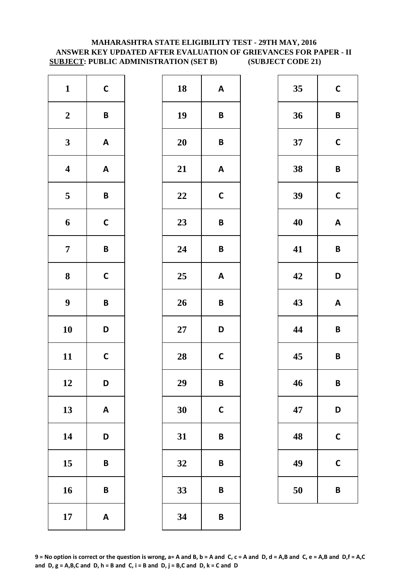# **ANSWER KEY UPDATED AFTER EVALUATION OF GRIEVANCES FOR PAPER - II SUBJECT: PUBLIC ADMINISTRATION (SET B) (SUBJECT CODE 21) MAHARASHTRA STATE ELIGIBILITY TEST - 29TH MAY, 2016**

| $\mathbf{1}$            | $\mathsf{C}$              | 18     | A            |
|-------------------------|---------------------------|--------|--------------|
| $\boldsymbol{2}$        | B                         | 19     | B            |
| $\mathbf{3}$            | $\boldsymbol{\mathsf{A}}$ | 20     | B            |
| $\overline{\mathbf{4}}$ | $\boldsymbol{\mathsf{A}}$ | 21     | A            |
| $\overline{\mathbf{5}}$ | $\pmb B$                  | 22     | $\mathsf{C}$ |
| $\boldsymbol{6}$        | $\mathsf{C}$              | 23     | B            |
| $\overline{7}$          | B                         | 24     | B            |
| 8                       | $\mathbf C$               | 25     | A            |
| $\boldsymbol{9}$        | B                         | 26     | B            |
| 10                      | D                         | $27\,$ | D            |
| 11                      | $\mathsf{C}$              | 28     | $\mathbf C$  |
| 12                      | D                         | 29     | B            |
| 13                      | $\boldsymbol{\mathsf{A}}$ | 30     | $\mathsf{C}$ |
| 14                      | D                         | 31     | B            |
| 15                      | B                         | 32     | B            |
| 16                      | B                         | 33     | B            |
| 17                      | $\boldsymbol{\mathsf{A}}$ | 34     | B            |

| $\mathbf{1}$            | $\mathsf{C}$              | 18     | $\boldsymbol{\mathsf{A}}$ | 35 | $\mathbf C$             |
|-------------------------|---------------------------|--------|---------------------------|----|-------------------------|
| $\boldsymbol{2}$        | $\pmb B$                  | 19     | $\pmb B$                  | 36 | $\mathsf{B}$            |
| $\mathbf{3}$            | $\mathbf{A}$              | 20     | $\pmb B$                  | 37 | $\mathbf C$             |
| $\overline{\mathbf{4}}$ | $\boldsymbol{\mathsf{A}}$ | 21     | $\boldsymbol{\mathsf{A}}$ | 38 | $\mathbf B$             |
| $\overline{\mathbf{5}}$ | $\pmb B$                  | 22     | $\mathbf C$               | 39 | $\mathbf C$             |
| $\boldsymbol{6}$        | $\mathsf C$               | 23     | $\pmb B$                  | 40 | A                       |
| $\overline{7}$          | $\pmb B$                  | 24     | $\pmb B$                  | 41 | $\overline{\mathsf{B}}$ |
| $\boldsymbol{8}$        | $\mathsf C$               | 25     | $\boldsymbol{\mathsf{A}}$ | 42 | D                       |
| $\boldsymbol{9}$        | $\pmb B$                  | 26     | $\pmb B$                  | 43 | $\boldsymbol{A}$        |
| 10                      | D                         | $27\,$ | D                         | 44 | $\overline{\mathsf{B}}$ |
| 11                      | $\mathsf{C}$              | 28     | $\mathsf{C}$              | 45 | $\overline{\mathsf{B}}$ |
| 12                      | D                         | 29     | $\pmb B$                  | 46 | $\mathbf B$             |
| 13                      | $\pmb{\mathsf{A}}$        | 30     | $\mathbf C$               | 47 | D                       |
| 14                      | D                         | 31     | $\pmb B$                  | 48 | $\mathbf C$             |
| 15                      | $\pmb B$                  | 32     | $\pmb B$                  | 49 | $\mathsf{C}$            |
| 16                      | $\pmb B$                  | 33     | B                         | 50 | $\overline{B}$          |
| 17                      | $\mathbf{A}$              | 34     | $\pmb B$                  |    |                         |
|                         |                           |        |                           |    |                         |

| 35 | $\mathbf C$  |
|----|--------------|
| 36 | B            |
| 37 | $\mathsf{C}$ |
| 38 | B            |
| 39 | $\mathsf{C}$ |
| 40 | A            |
| 41 | B            |
| 42 | D            |
| 43 | A            |
| 44 | B            |
| 45 | B            |
| 46 | B            |
| 47 | D            |
| 48 | C            |
| 49 | C            |
| 50 | B            |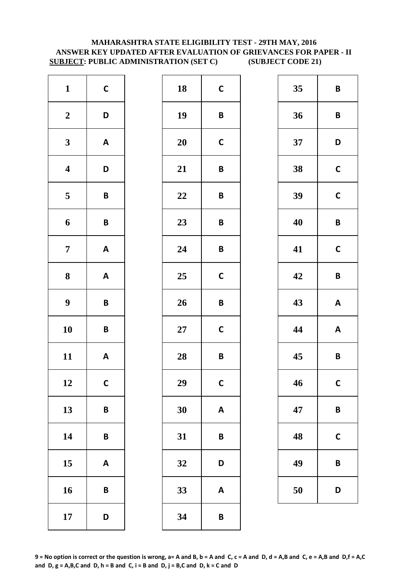# **MAHARASHTRA STATE ELIGIBILITY TEST - 29TH MAY, 2016 ANSWER KEY UPDATED AFTER EVALUATION OF GRIEVANCES FOR PAPER - II SUBJECT: PUBLIC ADMINISTRATION (SET C) (SUBJECT CODE 21)**

| $\mathbf{1}$            | $\mathsf{C}$              | 18        | $\mathbf C$  |
|-------------------------|---------------------------|-----------|--------------|
| $\boldsymbol{2}$        | D                         | 19        | B            |
| $\mathbf{3}$            | $\boldsymbol{\mathsf{A}}$ | <b>20</b> | $\mathsf{C}$ |
| $\overline{\mathbf{4}}$ | D                         | 21        | B            |
| $\overline{\mathbf{5}}$ | $\pmb B$                  | 22        | B            |
| $\boldsymbol{6}$        | $\mathsf B$               | 23        | B            |
| $\overline{7}$          | $\boldsymbol{\mathsf{A}}$ | 24        | B            |
| ${\bf 8}$               | $\boldsymbol{\mathsf{A}}$ | 25        | $\mathbf C$  |
| $\boldsymbol{9}$        | B                         | 26        | B            |
| 10                      | B                         | $27\,$    | $\mathsf{C}$ |
| 11                      | $\mathsf A$               | 28        | B            |
| 12                      | $\mathsf{C}$              | 29        | C            |
| 13                      | B                         | 30        | A            |
| 14                      | B                         | 31        | B            |
| 15                      | $\boldsymbol{\mathsf{A}}$ | 32        | D            |
| 16                      | B                         | 33        | A            |
| 17                      | D                         | 34        | B            |

| $\mathbf{1}$            | $\mathsf{C}$              | 18     | $\mathbf C$               | 35 | $\overline{\mathsf{B}}$ |
|-------------------------|---------------------------|--------|---------------------------|----|-------------------------|
| $\boldsymbol{2}$        | D                         | 19     | $\pmb B$                  | 36 | $\overline{\mathsf{B}}$ |
| $\mathbf{3}$            | $\mathbf{A}$              | 20     | $\mathsf{C}$              | 37 | D                       |
| $\overline{\mathbf{4}}$ | D                         | 21     | $\pmb B$                  | 38 | $\mathbf C$             |
| $\overline{\mathbf{5}}$ | $\pmb B$                  | 22     | $\pmb B$                  | 39 | $\mathbf C$             |
| $\boldsymbol{6}$        | $\pmb B$                  | 23     | $\pmb B$                  | 40 | $\overline{\mathsf{B}}$ |
| $\overline{7}$          | $\mathsf{A}$              | 24     | $\pmb B$                  | 41 | $\mathbf C$             |
| $\boldsymbol{8}$        | $\mathbf{A}$              | 25     | $\mathsf{C}$              | 42 | $\mathbf B$             |
| $\boldsymbol{9}$        | $\pmb B$                  | 26     | $\pmb B$                  | 43 | A                       |
| 10                      | $\pmb B$                  | $27\,$ | $\mathsf C$               | 44 | A                       |
| 11                      | $\mathbf{A}$              | 28     | $\pmb B$                  | 45 | $\mathsf{B}$            |
| 12                      | $\mathsf{C}$              | 29     | $\mathsf{C}$              | 46 | $\mathbf c$             |
| 13                      | $\pmb B$                  | 30     | $\boldsymbol{\mathsf{A}}$ | 47 | $\mathsf{B}$            |
| 14                      | $\pmb B$                  | 31     | $\pmb B$                  | 48 | $\mathsf{C}$            |
| 15                      | $\boldsymbol{\mathsf{A}}$ | 32     | D                         | 49 | $\mathsf{B}$            |
| 16                      | $\pmb B$                  | 33     | $\pmb{\mathsf{A}}$        | 50 | D                       |
| 17                      | D                         | 34     | $\pmb B$                  |    |                         |
|                         |                           |        |                           |    |                         |

| 35 | B            |
|----|--------------|
| 36 | B            |
| 37 | D            |
| 38 | $\mathbf C$  |
| 39 | $\mathsf{C}$ |
| 40 | B            |
| 41 | $\mathsf{C}$ |
| 42 | B            |
| 43 | A            |
| 44 | A            |
| 45 | B            |
| 46 | $\mathsf{C}$ |
| 47 | B            |
| 48 | C            |
| 49 | B            |
| 50 | D            |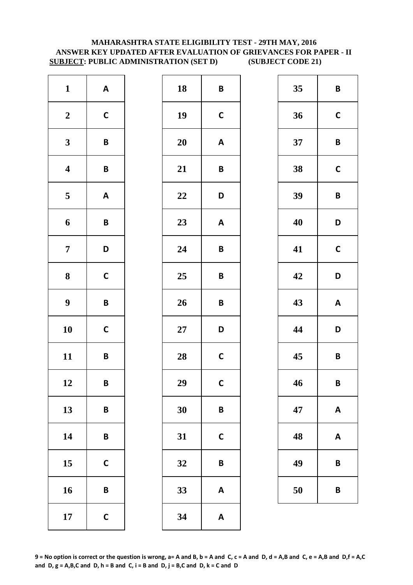# **MAHARASHTRA STATE ELIGIBILITY TEST - 29TH MAY, 2016 ANSWER KEY UPDATED AFTER EVALUATION OF GRIEVANCES FOR PAPER - II SUBJECT: PUBLIC ADMINISTRATION (SET D) (SUBJECT CODE 21)**

| $\mathbf{1}$            | $\boldsymbol{\mathsf{A}}$ | 18        | B            |
|-------------------------|---------------------------|-----------|--------------|
| $\boldsymbol{2}$        | $\mathsf{C}$              | 19        | $\mathbf C$  |
| $\mathbf{3}$            | $\pmb B$                  | <b>20</b> | A            |
| $\overline{\mathbf{4}}$ | B                         | 21        | B            |
| $\overline{\mathbf{5}}$ | $\boldsymbol{\mathsf{A}}$ | 22        | D            |
| $\boldsymbol{6}$        | $\pmb B$                  | 23        | A            |
| $\overline{7}$          | D                         | 24        | B            |
| ${\bf 8}$               | $\mathsf{C}$              | 25        | B            |
| $\boldsymbol{9}$        | B                         | 26        | B            |
| 10                      | $\mathsf{C}$              | $27\,$    | D            |
| 11                      | B                         | 28        | $\mathsf{C}$ |
| 12                      | B                         | 29        | $\mathbf C$  |
| 13                      | B                         | 30        | B            |
| 14                      | B                         | 31        | $\mathsf{C}$ |
| 15                      | $\mathsf{C}$              | 32        | B            |
| 16                      | B                         | 33        | A            |
| 17                      | $\mathsf{C}$              | 34        | A            |

| $\mathbf{1}$            | $\mathbf{A}$ | 18         | $\pmb B$                  | 35 | $\mathsf{B}$     |
|-------------------------|--------------|------------|---------------------------|----|------------------|
| $\boldsymbol{2}$        | $\mathsf C$  | 19         | $\mathbf C$               | 36 | $\mathbf C$      |
| $\mathbf{3}$            | $\pmb B$     | 20         | $\boldsymbol{\mathsf{A}}$ | 37 | $\mathsf{B}$     |
| $\overline{\mathbf{4}}$ | $\pmb B$     | 21         | $\pmb B$                  | 38 | $\mathbf C$      |
| $\overline{\mathbf{5}}$ | $\mathsf{A}$ | 22         | D                         | 39 | $\overline{B}$   |
| $\boldsymbol{6}$        | $\pmb B$     | 23         | $\boldsymbol{\mathsf{A}}$ | 40 | D                |
| $\overline{7}$          | D            | 24         | $\pmb B$                  | 41 | $\mathbf C$      |
| $\boldsymbol{8}$        | $\mathsf{C}$ | 25         | $\pmb B$                  | 42 | D                |
| $\boldsymbol{9}$        | $\pmb B$     | 26         | $\pmb B$                  | 43 | $\boldsymbol{A}$ |
| 10                      | $\mathsf C$  | ${\bf 27}$ | D                         | 44 | D                |
| 11                      | $\pmb B$     | 28         | $\mathsf{C}$              | 45 | $\mathbf B$      |
| 12                      | B            | 29         | $\mathsf{C}$              | 46 | B                |
| 13                      | $\pmb B$     | 30         | $\pmb B$                  | 47 | A                |
| 14                      | $\pmb B$     | 31         | $\mathsf{C}$              | 48 | A                |
| 15                      | $\mathsf{C}$ | 32         | $\pmb B$                  | 49 | $\mathbf B$      |
| 16                      | $\pmb B$     | 33         | $\boldsymbol{\mathsf{A}}$ | 50 | B                |
| 17                      | $\mathsf C$  | 34         | $\boldsymbol{\mathsf{A}}$ |    |                  |
|                         |              |            |                           |    |                  |

| 35 | B            |
|----|--------------|
| 36 | $\mathbf C$  |
| 37 | B            |
| 38 | C            |
| 39 | B            |
| 40 | D            |
| 41 | $\mathsf{C}$ |
| 42 | D            |
| 43 | A            |
| 44 | D            |
| 45 | B            |
| 46 | B            |
| 47 | Α            |
| 48 | A            |
| 49 | B            |
| 50 | B            |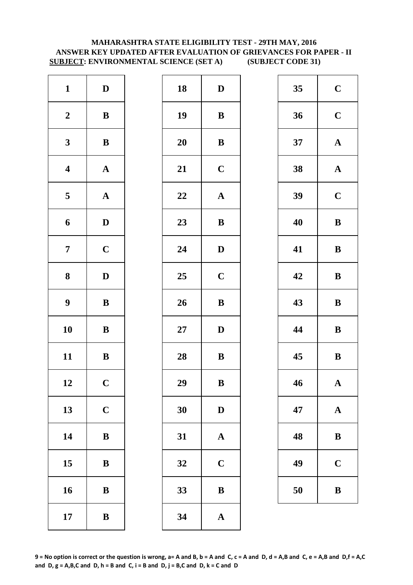# **MAHARASHTRA STATE ELIGIBILITY TEST - 29TH MAY, 2016 ANSWER KEY UPDATED AFTER EVALUATION OF GRIEVANCES FOR PAPER - II SUBJECT: ENVIRONMENTAL SCIENCE (SET A) (SUBJECT CODE 31)**

| $\mathbf{1}$            | $\mathbf D$           | 18        | $\mathbf{D}$ |
|-------------------------|-----------------------|-----------|--------------|
| $\boldsymbol{2}$        | $\bf{B}$              | 19        | $\bf{B}$     |
| $\mathbf{3}$            | $\bf{B}$              | <b>20</b> | $\bf{B}$     |
| $\boldsymbol{4}$        | $\boldsymbol{\rm{A}}$ | 21        | $\mathbf C$  |
| $\overline{\mathbf{5}}$ | ${\bf A}$             | 22        | $\mathbf A$  |
| 6                       | $\mathbf D$           | 23        | $\bf{B}$     |
| $\overline{7}$          | $\mathbf C$           | 24        | $\mathbf{D}$ |
| 8                       | $\mathbf D$           | 25        | $\mathbf C$  |
| $\boldsymbol{9}$        | $\bf{B}$              | 26        | $\bf{B}$     |
| 10                      | $\bf{B}$              | $27\,$    | $\mathbf{D}$ |
| 11                      | $\bf{B}$              | 28        | $\bf{B}$     |
| 12                      | $\mathbf C$           | 29        | B            |
| 13                      | $\mathbf C$           | 30        | $\mathbf{D}$ |
| 14                      | $\bf{B}$              | 31        | $\mathbf{A}$ |
| 15                      | $\bf{B}$              | 32        | $\mathbf C$  |
| 16                      | $\bf{B}$              | 33        | $\bf{B}$     |
| 17                      | $\bf{B}$              | 34        | $\mathbf{A}$ |

| $\mathbf{1}$            | $\mathbf{D}$ | 18     | $\mathbf{D}$          | 35 | $\mathbf C$ |
|-------------------------|--------------|--------|-----------------------|----|-------------|
| $\boldsymbol{2}$        | $\, {\bf B}$ | 19     | $\bf{B}$              | 36 | $\mathbf C$ |
| $\mathbf{3}$            | ${\bf B}$    | 20     | ${\bf B}$             | 37 | $\mathbf A$ |
| $\overline{\mathbf{4}}$ | ${\bf A}$    | 21     | $\mathbf C$           | 38 | $\mathbf A$ |
| $\overline{\mathbf{5}}$ | ${\bf A}$    | $22\,$ | $\boldsymbol{\rm{A}}$ | 39 | $\mathbf C$ |
| $\boldsymbol{6}$        | $\mathbf{D}$ | 23     | ${\bf B}$             | 40 | $\bf{B}$    |
| $\overline{7}$          | $\mathbf C$  | 24     | $\mathbf D$           | 41 | $\bf{B}$    |
| $\boldsymbol{8}$        | $\mathbf D$  | 25     | $\mathbf C$           | 42 | $\bf{B}$    |
| $\boldsymbol{9}$        | $\, {\bf B}$ | 26     | $\, {\bf B}$          | 43 | $\bf{B}$    |
| 10                      | ${\bf B}$    | $27\,$ | $\mathbf{D}$          | 44 | $\bf{B}$    |
| 11                      | ${\bf B}$    | 28     | ${\bf B}$             | 45 | $\bf{B}$    |
| 12                      | $\mathbf C$  | 29     | $\, {\bf B}$          | 46 | $\mathbf A$ |
| 13                      | $\mathbf C$  | 30     | $\mathbf{D}$          | 47 | $\mathbf A$ |
| 14                      | $\, {\bf B}$ | 31     | $\mathbf A$           | 48 | $\bf{B}$    |
| 15                      | ${\bf B}$    | 32     | $\mathbf C$           | 49 | $\mathbf C$ |
| 16                      | ${\bf B}$    | 33     | $\, {\bf B}$          | 50 | $\bf{B}$    |
| 17                      | $\, {\bf B}$ | 34     | $\boldsymbol{\rm{A}}$ |    |             |
|                         |              |        |                       |    |             |

| 35 | $\mathbf C$  |  |  |
|----|--------------|--|--|
| 36 | $\mathbf C$  |  |  |
| 37 | $\mathbf A$  |  |  |
| 38 | $\mathbf{A}$ |  |  |
| 39 | $\mathbf C$  |  |  |
| 40 | B            |  |  |
| 41 | B            |  |  |
| 42 | B            |  |  |
| 43 | B            |  |  |
|    | B            |  |  |
| 44 |              |  |  |
| 45 | B            |  |  |
| 46 | $\mathbf A$  |  |  |
| 47 | $\mathbf A$  |  |  |
| 48 | B            |  |  |
| 49 | $\mathbf C$  |  |  |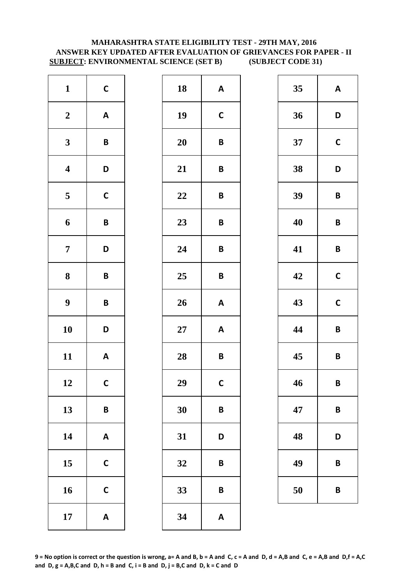# **SUBJECT: ENVIRONMENTAL SCIENCE (SET B) (SUBJECT CODE 31) MAHARASHTRA STATE ELIGIBILITY TEST - 29TH MAY, 2016 ANSWER KEY UPDATED AFTER EVALUATION OF GRIEVANCES FOR PAPER - II**

| $\mathbf{1}$     | $\mathsf{C}$              | 18        | A            |
|------------------|---------------------------|-----------|--------------|
| $\boldsymbol{2}$ | $\boldsymbol{\mathsf{A}}$ | 19        | $\mathsf{C}$ |
| $\mathbf{3}$     | B                         | <b>20</b> | B            |
| $\boldsymbol{4}$ | D                         | 21        | B            |
| 5                | $\mathsf{C}$              | 22        | B            |
| 6                | B                         | 23        | B            |
| $\overline{7}$   | D                         | 24        | B            |
| 8                | B                         | 25        | B            |
| $\boldsymbol{9}$ | B                         | 26        | $\mathsf{A}$ |
| 10               | D                         | $27\,$    | A            |
| 11               | $\boldsymbol{\mathsf{A}}$ | 28        | B            |
| 12               | $\mathsf{C}$              | 29        | $\mathbf C$  |
| 13               | B                         | 30        | B            |
| 14               | $\boldsymbol{\mathsf{A}}$ | 31        | D            |
| 15               | $\mathbf C$               | 32        | B            |
| 16               | $\mathsf{C}$              | 33        | B            |
| 17               | $\boldsymbol{\mathsf{A}}$ | 34        | A            |

| $\mathbf{1}$            | $\mathsf{C}$              | 18        | $\boldsymbol{\mathsf{A}}$ | 35 | A                       |
|-------------------------|---------------------------|-----------|---------------------------|----|-------------------------|
| $\boldsymbol{2}$        | $\boldsymbol{\mathsf{A}}$ | 19        | $\mathsf{C}$              | 36 | D                       |
| $\mathbf{3}$            | $\pmb B$                  | 20        | $\pmb B$                  | 37 | $\mathbf C$             |
| $\overline{\mathbf{4}}$ | D                         | 21        | $\pmb B$                  | 38 | D                       |
| $\overline{\mathbf{5}}$ | $\mathsf C$               | 22        | $\pmb B$                  | 39 | $\mathsf{B}$            |
| $\boldsymbol{6}$        | $\pmb B$                  | 23        | $\pmb B$                  | 40 | $\mathsf{B}$            |
| $\overline{7}$          | D                         | 24        | $\pmb B$                  | 41 | $\overline{\mathsf{B}}$ |
| $\boldsymbol{8}$        | $\pmb B$                  | 25        | $\pmb B$                  | 42 | $\mathbf c$             |
| $\boldsymbol{9}$        | $\pmb B$                  | 26        | $\boldsymbol{\mathsf{A}}$ | 43 | $\mathbf C$             |
| 10                      | D                         | <b>27</b> | $\boldsymbol{\mathsf{A}}$ | 44 | $\overline{\mathsf{B}}$ |
| 11                      | $\boldsymbol{\mathsf{A}}$ | 28        | $\pmb B$                  | 45 | $\overline{\mathsf{B}}$ |
| 12                      | $\mathsf{C}$              | 29        | $\mathsf{C}$              | 46 | $\mathbf B$             |
| 13                      | $\pmb B$                  | 30        | $\pmb B$                  | 47 | $\mathsf{B}$            |
| 14                      | $\boldsymbol{\mathsf{A}}$ | 31        | D                         | 48 | D                       |
| 15                      | $\mathbf C$               | 32        | $\pmb B$                  | 49 | B                       |
| 16                      | $\mathsf{C}$              | 33        | B                         | 50 | B                       |
| 17                      | $\mathbf{A}$              | 34        | $\pmb{\mathsf{A}}$        |    |                         |
|                         |                           |           |                           |    |                         |

| 35 | A            |
|----|--------------|
| 36 | D            |
| 37 | $\mathsf{C}$ |
| 38 | D            |
| 39 | B            |
| 40 | B            |
| 41 | B            |
| 42 | $\mathsf{C}$ |
| 43 | $\mathbf C$  |
| 44 | B            |
| 45 | B            |
| 46 | B            |
| 47 | B            |
| 48 | D            |
| 49 | B            |
| 50 | B            |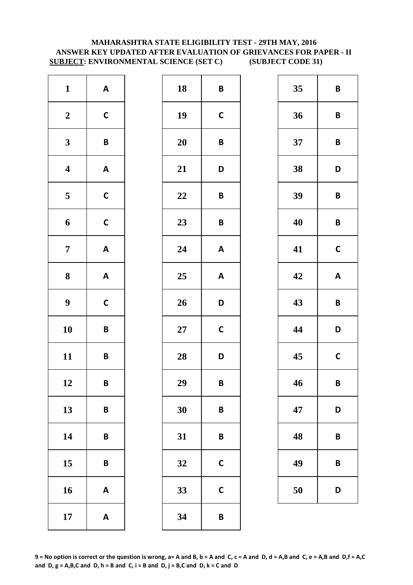# **MAHARASHTRA STATE ELIGIBILITY TEST - 29TH MAY, 2016 ANSWER KEY UPDATED AFTER EVALUATION OF GRIEVANCES FOR PAPER - II SUBJECT: ENVIRONMENTAL SCIENCE (SET C) (SUBJECT CODE 31)**

| $\mathbf{1}$            | $\boldsymbol{\mathsf{A}}$ | 18        | B            |
|-------------------------|---------------------------|-----------|--------------|
| $\boldsymbol{2}$        | $\mathbf C$               | 19        | $\mathbf C$  |
| $\mathbf{3}$            | B                         | <b>20</b> | B            |
| $\overline{\mathbf{4}}$ | $\boldsymbol{\mathsf{A}}$ | 21        | D            |
| $\overline{\mathbf{5}}$ | $\mathsf{C}$              | 22        | B            |
| 6                       | $\mathsf{C}$              | 23        | B            |
| $\overline{7}$          | $\boldsymbol{\mathsf{A}}$ | 24        | A            |
| 8                       | $\boldsymbol{\mathsf{A}}$ | 25        | A            |
| $\boldsymbol{9}$        | $\mathsf{C}$              | 26        | D            |
| 10                      | B                         | $27\,$    | $\mathsf{C}$ |
| 11                      | B                         | 28        | D            |
| 12                      | B                         | 29        | B            |
| 13                      | B                         | 30        | B            |
| 14                      | B                         | 31        | B            |
| 15                      | B                         | 32        | $\mathsf{C}$ |
| 16                      | $\boldsymbol{\mathsf{A}}$ | 33        | $\mathbf C$  |
| 17                      | $\boldsymbol{\mathsf{A}}$ | 34        | B            |

| $\mathbf{1}$            | $\mathbf{A}$              | 18     | $\pmb B$                  | 35 | $\overline{B}$          |
|-------------------------|---------------------------|--------|---------------------------|----|-------------------------|
| $\boldsymbol{2}$        | $\mathsf{C}$              | 19     | $\mathsf{C}$              | 36 | $\overline{\mathsf{B}}$ |
| $\mathbf{3}$            | $\pmb B$                  | 20     | $\pmb B$                  | 37 | $\overline{\mathsf{B}}$ |
| $\overline{\mathbf{4}}$ | $\boldsymbol{\mathsf{A}}$ | 21     | D                         | 38 | D                       |
| $5\overline{)}$         | $\mathsf C$               | 22     | $\pmb B$                  | 39 | B                       |
| $\boldsymbol{6}$        | $\mathsf{C}$              | 23     | $\pmb B$                  | 40 | $\mathsf{B}$            |
| $\overline{7}$          | $\mathbf{A}$              | 24     | $\boldsymbol{\mathsf{A}}$ | 41 | $\mathbf C$             |
| $\boldsymbol{8}$        | $\mathsf{A}$              | 25     | $\boldsymbol{\mathsf{A}}$ | 42 | $\boldsymbol{A}$        |
| $\boldsymbol{9}$        | $\mathsf C$               | 26     | D                         | 43 | B                       |
| 10                      | $\pmb B$                  | $27\,$ | $\mathbf C$               | 44 | D                       |
| 11                      | $\pmb B$                  | 28     | D                         | 45 | $\mathbf C$             |
| 12                      | $\pmb B$                  | 29     | $\pmb B$                  | 46 | B                       |
| 13                      | $\pmb B$                  | 30     | $\pmb B$                  | 47 | D                       |
| 14                      | B                         | 31     | $\pmb B$                  | 48 | B                       |
| 15                      | $\pmb B$                  | 32     | $\mathbf C$               | 49 | $\mathsf{B}$            |
| 16                      | $\boldsymbol{\mathsf{A}}$ | 33     | $\mathbf C$               | 50 | D                       |
| 17                      | $\mathbf{A}$              | 34     | $\pmb B$                  |    |                         |
|                         |                           |        |                           |    |                         |

| 35 | B            |  |  |
|----|--------------|--|--|
| 36 | B            |  |  |
| 37 | B            |  |  |
| 38 | D            |  |  |
| 39 | B            |  |  |
| 40 | B            |  |  |
| 41 | $\mathsf{C}$ |  |  |
| 42 | A            |  |  |
| 43 | B            |  |  |
| 44 | D            |  |  |
| 45 | C            |  |  |
| 46 | B            |  |  |
| 47 | D            |  |  |
| 48 | B            |  |  |
| 49 | B            |  |  |
| 50 | D            |  |  |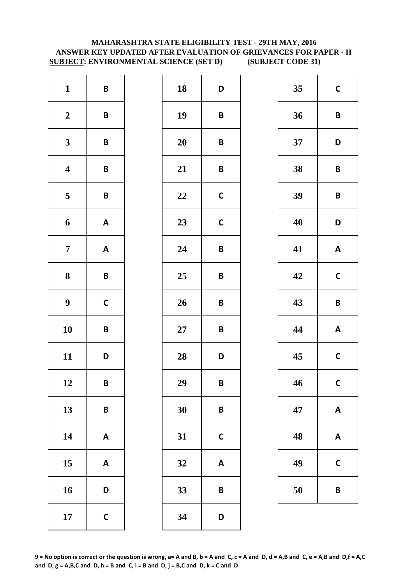# **MAHARASHTRA STATE ELIGIBILITY TEST - 29TH MAY, 2016 ANSWER KEY UPDATED AFTER EVALUATION OF GRIEVANCES FOR PAPER - II SUBJECT: ENVIRONMENTAL SCIENCE (SET D) (SUBJECT CODE 31)**

| $\mathbf{1}$            | $\pmb B$                  | 18     | D            |
|-------------------------|---------------------------|--------|--------------|
| $\boldsymbol{2}$        | B                         | 19     | B            |
| $\mathbf{3}$            | B                         | 20     | B            |
| $\boldsymbol{4}$        | B                         | 21     | B            |
| $\overline{\mathbf{5}}$ | B                         | 22     | $\mathsf{C}$ |
| 6                       | $\boldsymbol{\mathsf{A}}$ | 23     | $\mathsf{C}$ |
| $\overline{7}$          | $\boldsymbol{\mathsf{A}}$ | 24     | B            |
| 8                       | B                         | 25     | B            |
| $\boldsymbol{9}$        | $\mathsf{C}$              | 26     | B            |
| 10                      | B                         | $27\,$ | B            |
| 11                      | D                         | 28     | D            |
| 12                      | B                         | 29     | B            |
| 13                      | B                         | 30     | B            |
| 14                      | $\boldsymbol{\mathsf{A}}$ | 31     | $\mathsf{C}$ |
| 15                      | $\boldsymbol{\mathsf{A}}$ | 32     | A            |
| 16                      | D                         | 33     | B            |
| 17                      | $\mathsf{C}$              | 34     | D            |

| $\mathbf{1}$            | $\pmb B$                  | 18     | D                         | 35 | $\mathsf{C}$            |
|-------------------------|---------------------------|--------|---------------------------|----|-------------------------|
| $\boldsymbol{2}$        | $\pmb B$                  | 19     | $\pmb B$                  | 36 | $\mathsf{B}$            |
| $\mathbf{3}$            | $\pmb B$                  | 20     | $\pmb B$                  | 37 | D                       |
| $\overline{\mathbf{4}}$ | $\pmb B$                  | 21     | $\pmb B$                  | 38 | $\overline{\mathsf{B}}$ |
| $\overline{\mathbf{5}}$ | $\pmb B$                  | 22     | $\mathsf{C}$              | 39 | $\mathbf B$             |
| $\boldsymbol{6}$        | $\mathbf{A}$              | 23     | $\mathbf C$               | 40 | D                       |
| $\overline{7}$          | $\mathbf{A}$              | 24     | $\pmb B$                  | 41 | A                       |
| $\boldsymbol{8}$        | $\pmb B$                  | 25     | $\pmb B$                  | 42 | $\mathbf C$             |
| $\boldsymbol{9}$        | $\mathsf{C}$              | 26     | $\pmb B$                  | 43 | $\mathbf B$             |
| 10                      | $\pmb B$                  | $27\,$ | $\pmb B$                  | 44 | A                       |
| 11                      | D                         | 28     | D                         | 45 | $\mathbf C$             |
| 12                      | $\pmb B$                  | 29     | $\pmb B$                  | 46 | $\mathbf C$             |
| 13                      | $\pmb B$                  | 30     | $\pmb B$                  | 47 | A                       |
| 14                      | $\mathbf{A}$              | 31     | $\mathbf C$               | 48 | A                       |
| 15                      | $\boldsymbol{\mathsf{A}}$ | 32     | $\boldsymbol{\mathsf{A}}$ | 49 | $\mathsf{C}$            |
| 16                      | D                         | 33     | $\pmb B$                  | 50 | B                       |
| 17                      | $\mathsf C$               | 34     | D                         |    |                         |
|                         |                           |        |                           |    |                         |

| 35 | $\mathbf C$  |
|----|--------------|
| 36 | B            |
| 37 | D            |
| 38 | B            |
| 39 | B            |
| 40 | D            |
| 41 | A            |
| 42 | $\mathbf C$  |
| 43 | B            |
| 44 | A            |
| 45 | C            |
| 46 | $\mathsf{C}$ |
| 47 | A            |
| 48 | A            |
| 49 | C            |
| 50 | B            |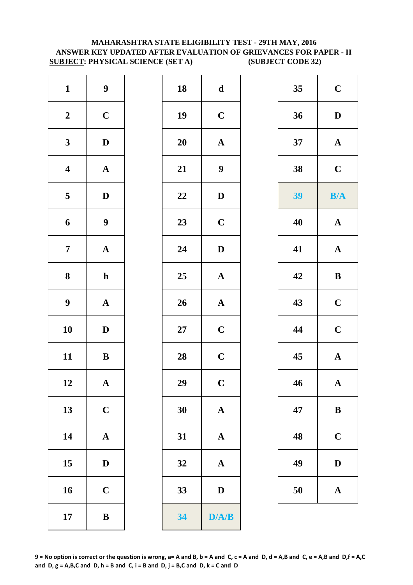### **MAHARASHTRA STATE ELIGIBILITY TEST - 29TH MAY, 2016 ANSWER KEY UPDATED AFTER EVALUATION OF GRIEVANCES FOR PAPER - II SUBJECT: PHYSICAL SCIENCE (SET A) (SUBJECT CODE 32)**

| $\mathbf{1}$            | 9           |  |
|-------------------------|-------------|--|
| $\boldsymbol{2}$        | $\mathbf C$ |  |
| 3                       | D           |  |
| $\overline{\mathbf{4}}$ | ${\bf A}$   |  |
| 5                       | D           |  |
| 6                       | 9           |  |
| 7                       | ${\bf A}$   |  |
| 8                       | $\mathbf h$ |  |
| 9                       | ${\bf A}$   |  |
| 10                      | $\bf{D}$    |  |
| 11                      | B           |  |
| 12                      | A           |  |
| 13                      | $\mathbf C$ |  |
| 14                      | $\mathbf A$ |  |
| 15                      | D           |  |
| 16                      | $\mathbf C$ |  |
|                         |             |  |

| $\mathbf{1}$            | $\boldsymbol{9}$      | 18 | $\mathbf d$           | 35 | $\mathbf C$           |
|-------------------------|-----------------------|----|-----------------------|----|-----------------------|
| $\overline{2}$          | $\mathbf C$           | 19 | $\mathbf C$           | 36 | $\mathbf D$           |
| $\mathbf{3}$            | $\mathbf D$           | 20 | $\boldsymbol{\rm{A}}$ | 37 | ${\bf A}$             |
| $\overline{\mathbf{4}}$ | ${\bf A}$             | 21 | $\boldsymbol{9}$      | 38 | $\mathbf C$           |
| $5\overline{)}$         | $\mathbf D$           | 22 | $\mathbf D$           | 39 | B/A                   |
| $\boldsymbol{6}$        | $\boldsymbol{9}$      | 23 | $\mathbf C$           | 40 | $\boldsymbol{\rm{A}}$ |
| $\overline{7}$          | $\boldsymbol{\rm{A}}$ | 24 | $\mathbf D$           | 41 | $\mathbf{A}$          |
| $\boldsymbol{8}$        | $\mathbf h$           | 25 | ${\bf A}$             | 42 | $\, {\bf B}$          |
| $\boldsymbol{9}$        | ${\bf A}$             | 26 | ${\bf A}$             | 43 | $\mathbf C$           |
| 10                      | $\mathbf{D}$          | 27 | $\mathbf C$           | 44 | $\mathbf C$           |
| 11                      | $\bf{B}$              | 28 | $\mathbf C$           | 45 | ${\bf A}$             |
| 12                      | $\mathbf A$           | 29 | $\mathbf C$           | 46 | $\mathbf{A}$          |
| 13                      | $\mathbf C$           | 30 | ${\bf A}$             | 47 | $\bf{B}$              |
| 14                      | $\mathbf{A}$          | 31 | ${\bf A}$             | 48 | $\mathbf C$           |
| 15                      | $\mathbf{D}$          | 32 | $\mathbf A$           | 49 | $\mathbf{D}$          |
| 16                      | $\mathbf C$           | 33 | $\mathbf D$           | 50 | ${\bf A}$             |
| 17                      | $\bf{B}$              | 34 | D/A/B                 |    |                       |

| 35 | $\mathbf C$             |
|----|-------------------------|
| 36 | D                       |
| 37 | $\mathbf A$             |
| 38 | $\overline{\mathbf{C}}$ |
| 39 | B/A                     |
| 40 | $\mathbf A$             |
| 41 | $\mathbf A$             |
| 42 | B                       |
| 43 | $\overline{\mathbf{C}}$ |
| 44 | $\mathbf C$             |
| 45 | $\mathbf A$             |
| 46 | $\mathbf A$             |
| 47 | B                       |
| 48 | $\mathbf C$             |
| 49 | D                       |
| 50 | $\mathbf A$             |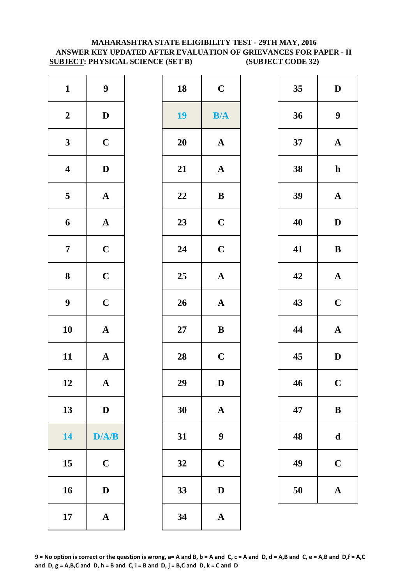### **MAHARASHTRA STATE ELIGIBILITY TEST - 29TH MAY, 2016 ANSWER KEY UPDATED AFTER EVALUATION OF GRIEVANCES FOR PAPER - II SUBJECT: PHYSICAL SCIENCE (SET B) (SUBJECT CODE 32)**

| $\mathbf{1}$            | $\boldsymbol{9}$      | 18        | $\mathbf C$      |
|-------------------------|-----------------------|-----------|------------------|
| $\boldsymbol{2}$        | $\mathbf D$           | 19        | B/4              |
| $\mathbf{3}$            | $\mathbf C$           | <b>20</b> | $\mathbf{A}$     |
| $\overline{\mathbf{4}}$ | $\mathbf D$           | 21        | $\mathbf{A}$     |
| $\overline{\mathbf{5}}$ | $\boldsymbol{\rm{A}}$ | 22        | $\bf{B}$         |
| 6                       | ${\bf A}$             | 23        | $\mathbf C$      |
| $\overline{7}$          | $\mathbf C$           | 24        | $\mathbf C$      |
| 8                       | $\mathbf C$           | 25        | $\mathbf{A}$     |
| $\boldsymbol{9}$        | $\mathbf C$           | 26        | $\mathbf{A}$     |
| 10                      | $\mathbf A$           | $27\,$    | $\bf{B}$         |
| 11                      | ${\bf A}$             | 28        | $\mathbf C$      |
| 12                      | $\mathbf A$           | 29        | D                |
| 13                      | $\mathbf D$           | 30        | $\mathbf{A}$     |
| 14                      | D/A/B                 | 31        | $\boldsymbol{9}$ |
| 15                      | $\mathbf C$           | 32        | $\mathbf C$      |
| 16                      | $\mathbf D$           | 33        | D                |
| 17                      | $\boldsymbol{\rm{A}}$ | 34        | $\mathbf{A}$     |

| $\mathbf{1}$            | $\boldsymbol{9}$ | 18        | $\mathbf C$           | 35 | $\mathbf{D}$     |
|-------------------------|------------------|-----------|-----------------------|----|------------------|
| $\boldsymbol{2}$        | $\mathbf{D}$     | <b>19</b> | B/A                   | 36 | $\boldsymbol{9}$ |
| $\mathbf{3}$            | $\mathbf C$      | 20        | ${\bf A}$             | 37 | $\mathbf A$      |
| $\overline{\mathbf{4}}$ | $\mathbf D$      | 21        | $\boldsymbol{\rm{A}}$ | 38 | $\mathbf h$      |
| $\overline{\mathbf{5}}$ | ${\bf A}$        | 22        | $\, {\bf B}$          | 39 | $\mathbf A$      |
| $\boldsymbol{6}$        | ${\bf A}$        | 23        | $\mathbf C$           | 40 | $\mathbf{D}$     |
| $\overline{7}$          | $\mathbf C$      | 24        | $\mathbf C$           | 41 | $\bf{B}$         |
| $\boldsymbol{8}$        | $\mathbf C$      | 25        | ${\bf A}$             | 42 | $\mathbf A$      |
| $\boldsymbol{9}$        | $\mathbf C$      | 26        | ${\bf A}$             | 43 | $\mathbf C$      |
| 10                      | ${\bf A}$        | $27\,$    | $\bf{B}$              | 44 | $\mathbf A$      |
| 11                      | ${\bf A}$        | 28        | $\mathbf C$           | 45 | $\mathbf{D}$     |
| 12                      | $\mathbf{A}$     | 29        | D                     | 46 | $\mathbf C$      |
| 13                      | $\mathbf D$      | 30        | ${\bf A}$             | 47 | $\bf{B}$         |
| 14                      | D/A/B            | 31        | $\boldsymbol{9}$      | 48 | $\mathbf d$      |
| 15                      | $\mathbf C$      | 32        | $\mathbf C$           | 49 | $\mathbf C$      |
| 16                      | $\mathbf D$      | 33        | ${\bf D}$             | 50 | $\mathbf A$      |
| 17                      | ${\bf A}$        | 34        | $\mathbf A$           |    |                  |
|                         |                  |           |                       |    |                  |

| 35 | D           |
|----|-------------|
| 36 | 9           |
| 37 | $\mathbf A$ |
| 38 | $\mathbf h$ |
| 39 | $\mathbf A$ |
| 40 | D           |
| 41 | $\bf{B}$    |
| 42 | $\mathbf A$ |
| 43 | $\mathbf C$ |
| 44 | $\mathbf A$ |
| 45 | D           |
| 46 | $\mathbf C$ |
| 47 | B           |
| 48 | d           |
| 49 | $\mathbf C$ |
| 50 | $\mathbf A$ |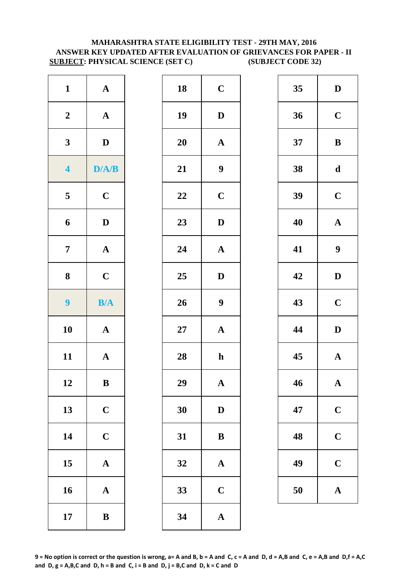### **SUBJECT: PHYSICAL SCIENCE (SET C) (SUBJECT CODE 32) MAHARASHTRA STATE ELIGIBILITY TEST - 29TH MAY, 2016 ANSWER KEY UPDATED AFTER EVALUATION OF GRIEVANCES FOR PAPER - II**

| $\mathbf{1}$            | ${\bf A}$             | 18        | $\mathbf C$      |
|-------------------------|-----------------------|-----------|------------------|
| $\boldsymbol{2}$        | ${\bf A}$             | 19        | $\mathbf{D}$     |
| $\mathbf{3}$            | $\mathbf D$           | <b>20</b> | $\mathbf A$      |
| $\overline{\mathbf{4}}$ | D/A/B                 | 21        | $\boldsymbol{9}$ |
| $\overline{\mathbf{5}}$ | $\mathbf C$           | 22        | $\mathbf C$      |
| 6                       | $\mathbf D$           | 23        | $\mathbf{D}$     |
| $\overline{7}$          | $\boldsymbol{\rm{A}}$ | 24        | $\mathbf{A}$     |
| ${\bf 8}$               | $\mathbf C$           | 25        | $\mathbf{D}$     |
| $\overline{9}$          | B/A                   | 26        | $\boldsymbol{9}$ |
| 10                      | $\boldsymbol{\rm{A}}$ | $27\,$    | $\mathbf{A}$     |
| 11                      | ${\bf A}$             | 28        | $\mathbf h$      |
| 12                      | B                     | 29        | A                |
| 13                      | $\mathbf C$           | 30        | $\mathbf{D}$     |
| 14                      | $\mathbf C$           | 31        | $\bf{B}$         |
| 15                      | $\boldsymbol{\rm{A}}$ | 32        | $\mathbf{A}$     |
| 16                      | $\boldsymbol{\rm{A}}$ | 33        | $\mathbf C$      |
| 17                      | $\, {\bf B}$          | 34        | $\mathbf{A}$     |

| $\mathbf{1}$            | ${\bf A}$    | 18 | $\mathbf C$      | 35 | $\mathbf{D}$     |
|-------------------------|--------------|----|------------------|----|------------------|
| $\boldsymbol{2}$        | ${\bf A}$    | 19 | $\mathbf D$      | 36 | $\mathbf C$      |
| $\mathbf{3}$            | $\mathbf{D}$ | 20 | ${\bf A}$        | 37 | $\bf{B}$         |
| $\overline{\mathbf{4}}$ | D/A/B        | 21 | $\boldsymbol{9}$ | 38 | $\mathbf d$      |
| $\overline{\mathbf{5}}$ | $\mathbf C$  | 22 | $\mathbf C$      | 39 | $\mathbf C$      |
| $\boldsymbol{6}$        | $\mathbf D$  | 23 | $\mathbf D$      | 40 | $\mathbf A$      |
| $\overline{7}$          | ${\bf A}$    | 24 | $\mathbf{A}$     | 41 | $\boldsymbol{9}$ |
| $\boldsymbol{8}$        | $\mathbf C$  | 25 | ${\bf D}$        | 42 | $\mathbf{D}$     |
| $\boldsymbol{9}$        | B/A          | 26 | $\boldsymbol{9}$ | 43 | $\mathbf C$      |
| 10                      | ${\bf A}$    | 27 | $\mathbf A$      | 44 | $\mathbf{D}$     |
| 11                      | ${\bf A}$    | 28 | $\mathbf h$      | 45 | $\mathbf A$      |
| 12                      | $\bf{B}$     | 29 | $\mathbf{A}$     | 46 | $\mathbf A$      |
| 13                      | $\mathbf C$  | 30 | $\mathbf D$      | 47 | $\mathbf C$      |
| 14                      | $\mathbf C$  | 31 | ${\bf B}$        | 48 | $\mathbf C$      |
| 15                      | ${\bf A}$    | 32 | $\mathbf A$      | 49 | $\mathbf C$      |
| 16                      | ${\bf A}$    | 33 | $\mathbf C$      | 50 | $\mathbf A$      |
| 17                      | $\, {\bf B}$ | 34 | $\mathbf A$      |    |                  |

| 35 | D           |
|----|-------------|
| 36 | $\mathbf C$ |
| 37 | B           |
| 38 | $\mathbf d$ |
| 39 | $\mathbf C$ |
| 40 | $\mathbf A$ |
| 41 | 9           |
| 42 | D           |
| 43 | $\mathbf C$ |
| 44 | D           |
| 45 | $\mathbf A$ |
| 46 | $\mathbf A$ |
| 47 | $\mathbf C$ |
| 48 | $\mathbf C$ |
| 49 | $\mathbf C$ |
| 50 | $\mathbf A$ |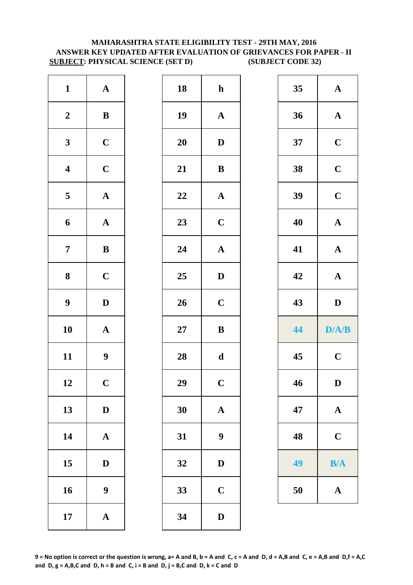### **MAHARASHTRA STATE ELIGIBILITY TEST - 29TH MAY, 2016 ANSWER KEY UPDATED AFTER EVALUATION OF GRIEVANCES FOR PAPER - II SUBJECT: PHYSICAL SCIENCE (SET D) (SUBJECT CODE 32)**

| $\mathbf{1}$            | $\boldsymbol{\rm{A}}$ | 18        | $\mathbf h$      |
|-------------------------|-----------------------|-----------|------------------|
| $\boldsymbol{2}$        | $\, {\bf B}$          | 19        | $\mathbf{A}$     |
| $\mathbf{3}$            | $\mathbf C$           | <b>20</b> | $\mathbf{D}$     |
| $\overline{\mathbf{4}}$ | $\mathbf C$           | 21        | $\bf{B}$         |
| $\overline{\mathbf{5}}$ | $\boldsymbol{\rm{A}}$ | 22        | $\mathbf{A}$     |
| 6                       | $\mathbf A$           | 23        | $\mathbf C$      |
| $\overline{7}$          | $\bf{B}$              | 24        | $\mathbf{A}$     |
| $\bf 8$                 | $\mathbf C$           | 25        | $\mathbf{D}$     |
| $\boldsymbol{9}$        | $\mathbf D$           | 26        | $\mathbf C$      |
| 10                      | $\mathbf A$           | $27\,$    | $\bf{B}$         |
| 11                      | 9                     | 28        | $\mathbf d$      |
| 12                      | $\mathbf C$           | 29        | $\overline{C}$   |
| 13                      | $\mathbf D$           | 30        | $\mathbf{A}$     |
| 14                      | $\mathbf A$           | 31        | $\boldsymbol{9}$ |
| 15                      | $\mathbf D$           | 32        | D                |
| 16                      | 9                     | 33        | $\mathbf C$      |
| 17                      | ${\bf A}$             | 34        | $\mathbf{D}$     |

| $\mathbf{1}$            | ${\bf A}$        | 18     | $\mathbf{h}$     | 35 | ${\bf A}$             |
|-------------------------|------------------|--------|------------------|----|-----------------------|
| $\boldsymbol{2}$        | $\, {\bf B}$     | 19     | ${\bf A}$        | 36 | ${\bf A}$             |
| $\mathbf{3}$            | $\mathbf C$      | 20     | $\mathbf D$      | 37 | $\mathbf C$           |
| $\overline{\mathbf{4}}$ | $\mathbf C$      | 21     | $\, {\bf B}$     | 38 | $\mathbf C$           |
| $5\overline{)}$         | ${\bf A}$        | 22     | ${\bf A}$        | 39 | $\mathbf C$           |
| $\boldsymbol{6}$        | ${\bf A}$        | 23     | $\mathbf C$      | 40 | $\mathbf A$           |
| $\overline{7}$          | $\, {\bf B}$     | 24     | ${\bf A}$        | 41 | $\boldsymbol{\rm{A}}$ |
| $\boldsymbol{8}$        | $\mathbf C$      | 25     | $\mathbf D$      | 42 | $\mathbf A$           |
| $\boldsymbol{9}$        | $\mathbf D$      | 26     | $\mathbf C$      | 43 | $\mathbf D$           |
| 10                      | ${\bf A}$        | $27\,$ | $\, {\bf B}$     | 44 | D/A/B                 |
| 11                      | $\boldsymbol{9}$ | 28     | $\mathbf d$      | 45 | $\mathbf C$           |
| 12                      | $\mathbf C$      | 29     | $\mathbf C$      | 46 | $\mathbf{D}$          |
| 13                      | $\mathbf{D}$     | 30     | $\mathbf{A}$     | 47 | $\mathbf A$           |
| 14                      | ${\bf A}$        | 31     | $\boldsymbol{9}$ | 48 | $\mathbf C$           |
| 15                      | $\mathbf{D}$     | 32     | $\mathbf D$      | 49 | B/A                   |
|                         |                  |        |                  |    |                       |
|                         | $\boldsymbol{9}$ | 33     | $\mathbf C$      | 50 | ${\bf A}$             |
| 16<br>17                | ${\bf A}$        | 34     | ${\bf D}$        |    |                       |

| 35 | $\mathbf A$ |
|----|-------------|
| 36 | $\mathbf A$ |
| 37 | $\mathbf C$ |
| 38 | $\mathbf C$ |
| 39 | $\mathbf C$ |
| 40 | $\mathbf A$ |
| 41 | $\mathbf A$ |
| 42 | $\mathbf A$ |
|    |             |
| 43 | D           |
| 44 | D/A/B       |
| 45 | $\mathbf C$ |
| 46 | $\bf{D}$    |
| 47 | $\mathbf A$ |
| 48 | $\mathbf C$ |
| 49 | B/A         |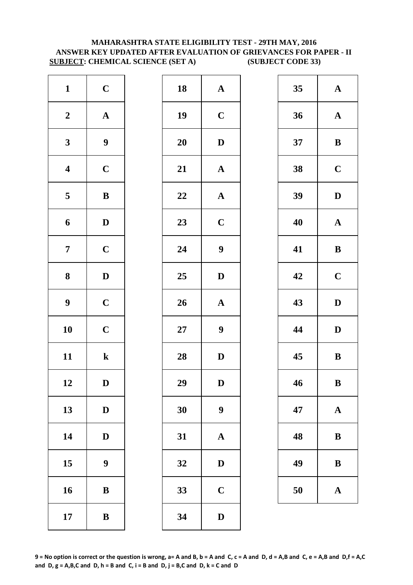### **MAHARASHTRA STATE ELIGIBILITY TEST - 29TH MAY, 2016 ANSWER KEY UPDATED AFTER EVALUATION OF GRIEVANCES FOR PAPER - II SUBJECT: CHEMICAL SCIENCE (SET A) (SUBJECT CODE 33)**

| $\mathbf{1}$            | $\mathbf C$           | 18        | $\mathbf{A}$     |
|-------------------------|-----------------------|-----------|------------------|
| $\boldsymbol{2}$        | $\boldsymbol{\rm{A}}$ | 19        | $\mathbf C$      |
| $\mathbf{3}$            | $\boldsymbol{9}$      | <b>20</b> | $\mathbf{D}$     |
| $\overline{\mathbf{4}}$ | $\mathbf C$           | 21        | $\mathbf{A}$     |
| $\overline{\mathbf{5}}$ | $\bf{B}$              | 22        | $\mathbf{A}$     |
| 6                       | $\mathbf D$           | 23        | $\mathbf C$      |
| $\overline{7}$          | $\mathbf C$           | 24        | $\boldsymbol{9}$ |
| $\bf 8$                 | $\mathbf D$           | 25        | $\mathbf{D}$     |
| $\boldsymbol{9}$        | $\mathbf C$           | 26        | $\mathbf{A}$     |
| 10                      | $\mathbf C$           | $27\,$    | $\boldsymbol{9}$ |
| 11                      | ${\bf k}$             | 28        | $\mathbf{D}$     |
| 12                      | D                     | 29        | D                |
| 13                      | $\mathbf D$           | 30        | $\boldsymbol{9}$ |
| 14                      | $\mathbf D$           | 31        | $\mathbf{A}$     |
| 15                      | 9                     | 32        | D                |
| 16                      | $\, {\bf B}$          | 33        | $\mathbf C$      |
| 17                      | $\, {\bf B}$          | 34        | $\mathbf{D}$     |

| $\mathbf{1}$            | $\mathbf C$      | 18 | ${\bf A}$             | 35 | $\mathbf A$  |
|-------------------------|------------------|----|-----------------------|----|--------------|
| $\boldsymbol{2}$        | ${\bf A}$        | 19 | $\mathbf C$           | 36 | $\mathbf A$  |
| $\mathbf{3}$            | $\boldsymbol{9}$ | 20 | ${\bf D}$             | 37 | $\bf{B}$     |
| $\overline{\mathbf{4}}$ | $\mathbf C$      | 21 | $\boldsymbol{\rm{A}}$ | 38 | $\mathbf C$  |
| $\overline{\mathbf{5}}$ | $\, {\bf B}$     | 22 | ${\bf A}$             | 39 | $\mathbf{D}$ |
| $\boldsymbol{6}$        | $\mathbf D$      | 23 | $\mathbf C$           | 40 | $\mathbf A$  |
| $\overline{7}$          | $\mathbf C$      | 24 | $\boldsymbol{9}$      | 41 | $\bf{B}$     |
| $\boldsymbol{8}$        | $\mathbf D$      | 25 | $\mathbf D$           | 42 | $\mathbf C$  |
| $\boldsymbol{9}$        | $\mathbf C$      | 26 | $\boldsymbol{\rm{A}}$ | 43 | $\mathbf{D}$ |
| 10                      | $\mathbf C$      | 27 | $\boldsymbol{9}$      | 44 | $\mathbf{D}$ |
| 11                      | ${\bf k}$        | 28 | $\mathbf D$           | 45 | $\bf{B}$     |
| 12                      | D                | 29 | D                     | 46 | $\bf{B}$     |
| 13                      | $\mathbf D$      | 30 | $\boldsymbol{9}$      | 47 | $\mathbf A$  |
| 14                      | $\mathbf D$      | 31 | $\mathbf A$           | 48 | $\bf{B}$     |
| 15                      | $\boldsymbol{9}$ | 32 | $\mathbf D$           | 49 | $\bf{B}$     |
| 16                      | $\, {\bf B}$     | 33 | $\mathbf C$           | 50 | $\mathbf A$  |
| 17                      | $\, {\bf B}$     | 34 | $\mathbf D$           |    |              |
|                         |                  |    |                       |    |              |

| 35 | $\mathbf A$ |
|----|-------------|
| 36 | $\mathbf A$ |
| 37 | B           |
| 38 | $\mathbf C$ |
| 39 | D           |
| 40 | $\mathbf A$ |
| 41 | B           |
| 42 | $\mathbf C$ |
| 43 | $\mathbf D$ |
| 44 | D           |
| 45 | B           |
| 46 | B           |
| 47 | $\mathbf A$ |
| 48 | B           |
| 49 | B           |
|    |             |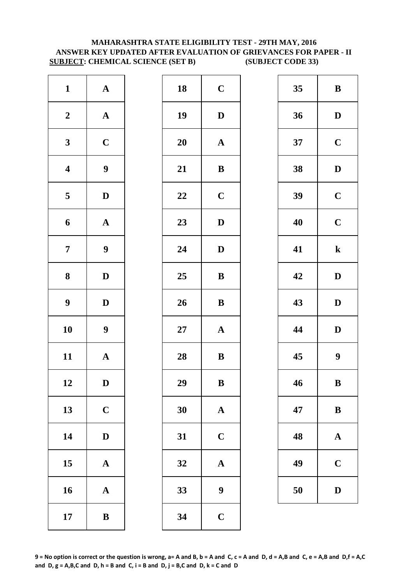### **MAHARASHTRA STATE ELIGIBILITY TEST - 29TH MAY, 2016 ANSWER KEY UPDATED AFTER EVALUATION OF GRIEVANCES FOR PAPER - II SUBJECT: CHEMICAL SCIENCE (SET B) (SUBJECT CODE 33)**

| $\mathbf{1}$            | $\boldsymbol{\rm{A}}$ | 18        | $\mathbf C$      |
|-------------------------|-----------------------|-----------|------------------|
| $\boldsymbol{2}$        | $\boldsymbol{\rm{A}}$ | 19        | $\mathbf{D}$     |
| $\mathbf{3}$            | $\mathbf C$           | <b>20</b> | $\mathbf A$      |
| $\overline{\mathbf{4}}$ | 9                     | 21        | $\bf{B}$         |
| $\overline{\mathbf{5}}$ | $\mathbf D$           | 22        | $\mathbf C$      |
| 6                       | $\mathbf A$           | 23        | $\mathbf{D}$     |
| $\overline{7}$          | $\boldsymbol{9}$      | 24        | $\mathbf{D}$     |
| ${\bf 8}$               | $\mathbf D$           | 25        | $\bf{B}$         |
| $\boldsymbol{9}$        | $\mathbf D$           | 26        | $\bf{B}$         |
| 10                      | $\boldsymbol{9}$      | $27\,$    | $\mathbf{A}$     |
| 11                      | $\mathbf A$           | 28        | $\bf{B}$         |
| 12                      | D                     | 29        | B                |
| 13                      | $\mathbf C$           | 30        | $\mathbf{A}$     |
| 14                      | $\mathbf D$           | 31        | $\mathbf C$      |
| 15                      | $\mathbf A$           | 32        | $\mathbf{A}$     |
| 16                      | ${\bf A}$             | 33        | $\boldsymbol{9}$ |
| 17                      | $\bf{B}$              | 34        | $\mathbf C$      |

| $\mathbf{1}$            | ${\bf A}$        | 18     | $\mathbf C$      | 35 | $\bf{B}$         |
|-------------------------|------------------|--------|------------------|----|------------------|
| $\boldsymbol{2}$        | ${\bf A}$        | 19     | $\mathbf D$      | 36 | $\mathbf{D}$     |
| $\mathbf{3}$            | $\mathbf C$      | 20     | ${\bf A}$        | 37 | $\mathbf C$      |
| $\overline{\mathbf{4}}$ | $\boldsymbol{9}$ | 21     | $\, {\bf B}$     | 38 | $\mathbf{D}$     |
| $5\phantom{.0}$         | $\mathbf{D}$     | 22     | $\mathbf C$      | 39 | $\mathbf C$      |
| $\boldsymbol{6}$        | ${\bf A}$        | 23     | $\mathbf D$      | 40 | $\mathbf C$      |
| $\overline{7}$          | $\boldsymbol{9}$ | 24     | $\mathbf D$      | 41 | $\mathbf k$      |
| $\boldsymbol{8}$        | $\mathbf{D}$     | 25     | $\, {\bf B}$     | 42 | $\mathbf{D}$     |
| $\boldsymbol{9}$        | $\mathbf D$      | 26     | $\, {\bf B}$     | 43 | $\mathbf{D}$     |
| 10                      | $\boldsymbol{9}$ | $27\,$ | ${\bf A}$        | 44 | $\mathbf{D}$     |
| 11                      | ${\bf A}$        | 28     | $\bf{B}$         | 45 | $\boldsymbol{9}$ |
| 12                      | $\mathbf D$      | 29     | $\, {\bf B}$     | 46 | $\bf{B}$         |
| 13                      | $\mathbf C$      | 30     | $\mathbf A$      | 47 | $\bf{B}$         |
| 14                      | $\mathbf D$      | 31     | $\mathbf C$      | 48 | $\mathbf A$      |
| 15                      | ${\bf A}$        | 32     | $\mathbf A$      | 49 | $\mathbf C$      |
| 16                      | ${\bf A}$        | 33     | $\boldsymbol{9}$ | 50 | $\mathbf{D}$     |
| 17                      | $\, {\bf B}$     | 34     | $\mathbf C$      |    |                  |
|                         |                  |        |                  |    |                  |

| 35 | B                |
|----|------------------|
| 36 | D                |
| 37 | $\mathbf C$      |
| 38 | D                |
| 39 | $\mathbf C$      |
| 40 | $\mathbf C$      |
| 41 | $\mathbf k$      |
| 42 | D                |
| 43 | D                |
| 44 | D                |
| 45 | $\boldsymbol{9}$ |
| 46 | B                |
| 47 | B                |
| 48 | $\bf A$          |
| 49 | $\mathbf C$      |
| 50 | $\mathbf{D}$     |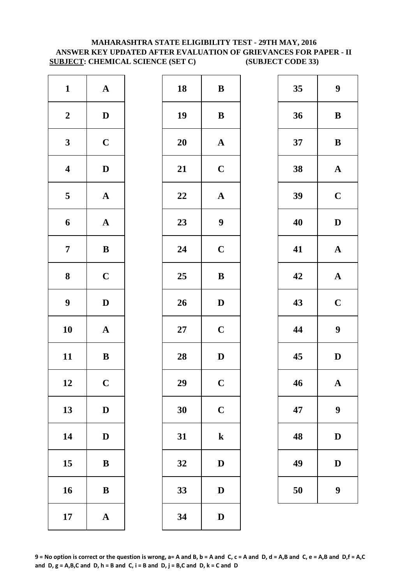### **MAHARASHTRA STATE ELIGIBILITY TEST - 29TH MAY, 2016 ANSWER KEY UPDATED AFTER EVALUATION OF GRIEVANCES FOR PAPER - II SUBJECT: CHEMICAL SCIENCE (SET C) (SUBJECT CODE 33)**

| $\mathbf{1}$            | $\mathbf A$           | 18        | $\bf{B}$         |
|-------------------------|-----------------------|-----------|------------------|
| $\boldsymbol{2}$        | $\mathbf D$           | 19        | $\bf{B}$         |
| $\mathbf{3}$            | $\mathbf C$           | <b>20</b> | $\mathbf A$      |
| $\overline{\mathbf{4}}$ | ${\bf D}$             | 21        | $\mathbf C$      |
| $\overline{\mathbf{5}}$ | $\boldsymbol{\rm{A}}$ | 22        | $\mathbf A$      |
| 6                       | $\mathbf A$           | 23        | $\boldsymbol{9}$ |
| $\overline{7}$          | $\bf{B}$              | 24        | $\mathbf C$      |
| $\bf 8$                 | $\mathbf C$           | 25        | $\bf{B}$         |
| $\boldsymbol{9}$        | $\mathbf D$           | 26        | $\mathbf{D}$     |
| 10                      | $\mathbf A$           | $27\,$    | $\mathbf C$      |
| 11                      | $\bf{B}$              | 28        | $\mathbf{D}$     |
| 12                      | $\mathbf C$           | 29        | $\overline{C}$   |
| 13                      | $\mathbf D$           | 30        | $\mathbf C$      |
| 14                      | $\mathbf D$           | 31        | $\mathbf k$      |
| 15                      | ${\bf B}$             | 32        | D                |
| 16                      | $\, {\bf B}$          | 33        | $\mathbf{D}$     |
| 17                      | $\boldsymbol{\rm{A}}$ | 34        | $\mathbf{D}$     |

| $\mathbf{1}$            | ${\bf A}$    | 18 | $\, {\bf B}$          | 35 | 9                |
|-------------------------|--------------|----|-----------------------|----|------------------|
| $\boldsymbol{2}$        | $\mathbf{D}$ | 19 | ${\bf B}$             | 36 | $\bf{B}$         |
| $\mathbf{3}$            | $\mathbf C$  | 20 | $\boldsymbol{\rm{A}}$ | 37 | $\bf{B}$         |
| $\overline{\mathbf{4}}$ | $\mathbf D$  | 21 | $\mathbf C$           | 38 | $\mathbf A$      |
| $\overline{\mathbf{5}}$ | ${\bf A}$    | 22 | ${\bf A}$             | 39 | $\mathbf C$      |
| $\boldsymbol{6}$        | ${\bf A}$    | 23 | $\boldsymbol{9}$      | 40 | $\mathbf{D}$     |
| $\overline{7}$          | ${\bf B}$    | 24 | $\mathbf C$           | 41 | $\mathbf A$      |
| 8                       | $\mathbf C$  | 25 | $\, {\bf B}$          | 42 | $\mathbf A$      |
| $\boldsymbol{9}$        | $\mathbf D$  | 26 | $\mathbf D$           | 43 | $\mathbf C$      |
| 10                      | ${\bf A}$    | 27 | $\mathbf C$           | 44 | $\boldsymbol{9}$ |
| 11                      | ${\bf B}$    | 28 | $\mathbf D$           | 45 | $\mathbf{D}$     |
| 12                      | $\mathbf C$  | 29 | $\mathbf C$           | 46 | $\mathbf A$      |
| 13                      | $\mathbf D$  | 30 | $\mathbf C$           | 47 | $\boldsymbol{9}$ |
| 14                      | $\mathbf{D}$ | 31 | ${\bf k}$             | 48 | $\mathbf{D}$     |
| 15                      | $\, {\bf B}$ | 32 | $\mathbf D$           | 49 | D                |
| 16                      | $\bf{B}$     | 33 | $\mathbf D$           | 50 | $\boldsymbol{9}$ |
| 17                      | ${\bf A}$    | 34 | ${\bf D}$             |    |                  |

| 35 | 9                       |
|----|-------------------------|
| 36 | B                       |
| 37 | B                       |
| 38 | $\mathbf A$             |
| 39 | $\mathbf C$             |
| 40 | D                       |
| 41 | $\mathbf{A}$            |
| 42 | $\mathbf A$             |
| 43 | $\overline{\mathbf{C}}$ |
| 44 | 9                       |
| 45 | $\mathbf D$             |
| 46 | $\mathbf A$             |
| 47 | 9                       |
| 48 | $\mathbf D$             |
| 49 | D                       |
| 50 | 9                       |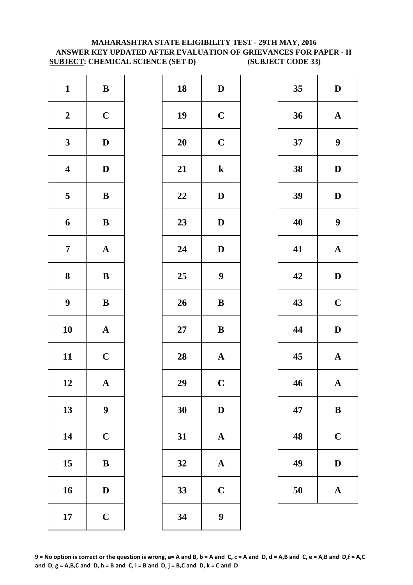### **MAHARASHTRA STATE ELIGIBILITY TEST - 29TH MAY, 2016 ANSWER KEY UPDATED AFTER EVALUATION OF GRIEVANCES FOR PAPER - II SUBJECT: CHEMICAL SCIENCE (SET D) (SUBJECT CODE 33)**

| $\mathbf{1}$            | $\, {\bf B}$          | 18        | $\bf{D}$         |
|-------------------------|-----------------------|-----------|------------------|
| $\boldsymbol{2}$        | $\mathbf C$           | 19        | $\mathbf C$      |
| $\mathbf{3}$            | $\mathbf D$           | <b>20</b> | $\mathbf C$      |
| $\overline{\mathbf{4}}$ | $\mathbf D$           | 21        | $\mathbf k$      |
| $\overline{\mathbf{5}}$ | $\, {\bf B}$          | 22        | D                |
| 6                       | $\, {\bf B}$          | 23        | $\bf{D}$         |
| $\overline{7}$          | $\boldsymbol{\rm{A}}$ | 24        | $\bf{D}$         |
| 8                       | $\, {\bf B}$          | 25        | 9                |
| $\boldsymbol{9}$        | $\, {\bf B}$          | 26        | $\bf{B}$         |
| 10                      | $\boldsymbol{\rm{A}}$ | $27\,$    | $\bf{B}$         |
| 11                      | $\mathbf C$           | 28        | $\mathbf{A}$     |
| 12                      | A                     | 29        | $\mathbf C$      |
| 13                      | $\boldsymbol{9}$      | 30        | $\bf{D}$         |
| 14                      | $\mathbf C$           | 31        | $\boldsymbol{A}$ |
| 15                      | $\, {\bf B}$          | 32        | $\mathbf{A}$     |
| 16                      | $\mathbf D$           | 33        | $\mathbf C$      |
| 17                      | $\mathbf C$           | 34        | 9                |

| $\mathbf{1}$            | $\, {\bf B}$     | 18 | $\mathbf D$           | 35 | $\mathbf{D}$     |
|-------------------------|------------------|----|-----------------------|----|------------------|
| $\boldsymbol{2}$        | $\mathbf C$      | 19 | $\mathbf C$           | 36 | $\mathbf A$      |
| $\mathbf{3}$            | $\mathbf D$      | 20 | $\mathbf C$           | 37 | $\boldsymbol{9}$ |
| $\overline{\mathbf{4}}$ | $\mathbf D$      | 21 | ${\bf k}$             | 38 | $\mathbf{D}$     |
| $\overline{\mathbf{5}}$ | $\, {\bf B}$     | 22 | $\mathbf D$           | 39 | $\mathbf{D}$     |
| $\boldsymbol{6}$        | $\, {\bf B}$     | 23 | $\mathbf D$           | 40 | $\boldsymbol{9}$ |
| $\overline{7}$          | ${\bf A}$        | 24 | $\mathbf{D}$          | 41 | $\mathbf A$      |
| $\boldsymbol{8}$        | ${\bf B}$        | 25 | $\boldsymbol{9}$      | 42 | $\mathbf{D}$     |
| $\boldsymbol{9}$        | $\, {\bf B}$     | 26 | $\, {\bf B}$          | 43 | $\mathbf C$      |
| 10                      | ${\bf A}$        | 27 | $\, {\bf B}$          | 44 | $\mathbf{D}$     |
| 11                      | $\mathbf C$      | 28 | $\boldsymbol{\rm{A}}$ | 45 | $\mathbf A$      |
| 12                      | $\mathbf A$      | 29 | $\mathbf C$           | 46 | $\mathbf A$      |
| 13                      | $\boldsymbol{9}$ | 30 | $\mathbf D$           | 47 | $\bf{B}$         |
| 14                      | $\mathbf C$      | 31 | $\mathbf A$           | 48 | $\mathbf C$      |
| 15                      | $\, {\bf B}$     | 32 | $\mathbf A$           | 49 | $\mathbf{D}$     |
| 16                      | $\mathbf D$      | 33 | $\mathbf C$           | 50 | $\mathbf A$      |
| 17                      | $\mathbf C$      | 34 | $\boldsymbol{9}$      |    |                  |
|                         |                  |    |                       |    |                  |

| 35 | D                       |
|----|-------------------------|
| 36 | $\mathbf A$             |
| 37 | 9                       |
| 38 | $\mathbf{D}$            |
| 39 | $\bf{D}$                |
| 40 | 9                       |
| 41 | $\bf A$                 |
| 42 | D                       |
| 43 | $\overline{\mathbf{C}}$ |
| 44 | $\bf{D}$                |
| 45 | $\overline{\mathbf{A}}$ |
| 46 | Ą                       |
| 47 | $\bf{B}$                |
| 48 | $\mathbf C$             |
| 49 | $\mathbf D$             |
| 50 | $\mathbf A$             |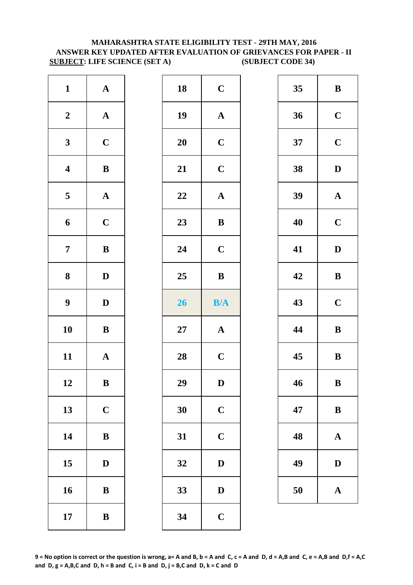### **MAHARASHTRA STATE ELIGIBILITY TEST - 29TH MAY, 2016 ANSWER KEY UPDATED AFTER EVALUATION OF GRIEVANCES FOR PAPER - II SUBJECT: LIFE SCIENCE (SET A) (SUBJECT CODE 34)**

| $\mathbf{1}$            | $\boldsymbol{\rm{A}}$ | 18        | $\mathbf C$  |
|-------------------------|-----------------------|-----------|--------------|
| $\boldsymbol{2}$        | $\boldsymbol{\rm{A}}$ | 19        | $\mathbf{A}$ |
| $\mathbf{3}$            | $\mathbf C$           | <b>20</b> | $\mathbf C$  |
| $\overline{\mathbf{4}}$ | $\, {\bf B}$          | 21        | $\mathbf C$  |
| $\overline{\mathbf{5}}$ | ${\bf A}$             | 22        | $\mathbf A$  |
| 6                       | $\mathbf C$           | 23        | $\bf{B}$     |
| $\overline{7}$          | $\bf{B}$              | 24        | $\mathbf C$  |
| 8                       | $\mathbf D$           | 25        | $\bf{B}$     |
| $\boldsymbol{9}$        | $\mathbf D$           | 26        | B/4          |
| 10                      | $\bf{B}$              | $27\,$    | $\mathbf{A}$ |
| 11                      | $\mathbf A$           | 28        | $\mathbf C$  |
| 12                      | B                     | 29        | D            |
| 13                      | $\mathbf C$           | 30        | $\mathbf C$  |
| 14                      | $\bf{B}$              | 31        | $\mathbf C$  |
| 15                      | $\bf{D}$              | 32        | $\mathbf{D}$ |
| 16                      | $\bf{B}$              | 33        | $\mathbf{D}$ |
| 17                      | $\bf{B}$              | 34        | $\mathbf C$  |

| $\mathbf{1}$            | ${\bf A}$    | 18 | $\mathbf C$           | 35 | $\bf{B}$     |
|-------------------------|--------------|----|-----------------------|----|--------------|
| $\boldsymbol{2}$        | ${\bf A}$    | 19 | $\boldsymbol{\rm{A}}$ | 36 | $\mathbf C$  |
| $\mathbf{3}$            | $\mathbf C$  | 20 | $\mathbf C$           | 37 | $\mathbf C$  |
| $\overline{\mathbf{4}}$ | $\, {\bf B}$ | 21 | $\mathbf C$           | 38 | $\mathbf{D}$ |
| $5\overline{)}$         | ${\bf A}$    | 22 | $\boldsymbol{\rm{A}}$ | 39 | $\mathbf A$  |
| $\boldsymbol{6}$        | $\mathbf C$  | 23 | ${\bf B}$             | 40 | $\mathbf C$  |
| $\overline{7}$          | ${\bf B}$    | 24 | $\mathbf C$           | 41 | $\mathbf{D}$ |
| $\boldsymbol{8}$        | $\mathbf D$  | 25 | $\, {\bf B}$          | 42 | $\bf{B}$     |
| $\boldsymbol{9}$        | $\mathbf D$  | 26 | B/A                   | 43 | $\mathbf C$  |
| 10                      | $\, {\bf B}$ | 27 | ${\bf A}$             | 44 | $\bf{B}$     |
| 11                      | ${\bf A}$    | 28 | $\mathbf C$           | 45 | $\bf{B}$     |
| 12                      | $\, {\bf B}$ | 29 | $\mathbf D$           | 46 | $\bf{B}$     |
| 13                      | $\mathbf C$  | 30 | $\mathbf C$           | 47 | $\bf{B}$     |
| 14                      | $\, {\bf B}$ | 31 | $\mathbf C$           | 48 | $\mathbf A$  |
| 15                      | $\mathbf D$  | 32 | $\mathbf D$           | 49 | $\mathbf{D}$ |
| 16                      | $\, {\bf B}$ | 33 | $\mathbf D$           | 50 | $\mathbf A$  |
| 17                      | $\, {\bf B}$ | 34 | $\mathbf C$           |    |              |
|                         |              |    |                       |    |              |

| 35 | B           |
|----|-------------|
| 36 | $\mathbf C$ |
| 37 | $\mathbf C$ |
| 38 | D           |
| 39 | $\mathbf A$ |
| 40 | $\mathbf C$ |
| 41 | D           |
| 42 | B           |
| 43 | $\mathbf C$ |
| 44 | B           |
| 45 | B           |
| 46 | B           |
| 47 | B           |
| 48 | A           |
| 49 | $\mathbf D$ |
| 50 | $\mathbf A$ |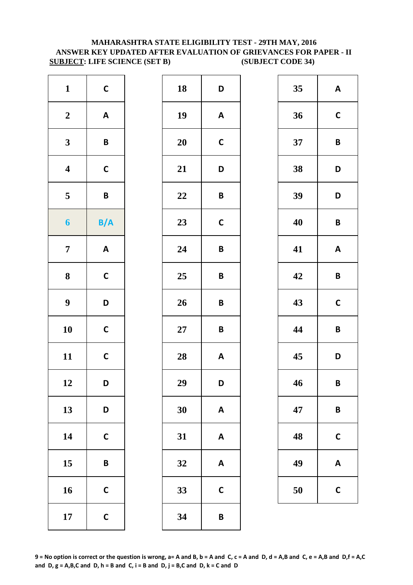### **MAHARASHTRA STATE ELIGIBILITY TEST - 29TH MAY, 2016 ANSWER KEY UPDATED AFTER EVALUATION OF GRIEVANCES FOR PAPER - II SUBJECT: LIFE SCIENCE (SET B) (SUBJECT CODE 34)**

| $\mathbf{1}$            | $\mathsf{C}$              | 18        | D            |
|-------------------------|---------------------------|-----------|--------------|
| $\boldsymbol{2}$        | $\pmb{\mathsf{A}}$        | 19        | A            |
| $\mathbf{3}$            | $\pmb B$                  | <b>20</b> | $\mathbf c$  |
| $\overline{\mathbf{4}}$ | $\mathsf{C}$              | 21        | D            |
| $\overline{\mathbf{5}}$ | $\pmb B$                  | 22        | B            |
| $\boldsymbol{6}$        | B/A                       | 23        | $\mathsf{C}$ |
| $\overline{7}$          | $\boldsymbol{\mathsf{A}}$ | 24        | B            |
| 8                       | $\mathbf C$               | 25        | B            |
| $\boldsymbol{9}$        | D                         | 26        | B            |
| 10                      | $\mathsf{C}$              | $27\,$    | B            |
| 11                      | $\mathsf{C}$              | 28        | A            |
| 12                      | D                         | 29        | D            |
| 13                      | D                         | 30        | A            |
| 14                      | $\mathsf{C}$              | 31        | A            |
| 15                      | B                         | 32        | A            |
| 16                      | $\mathsf{C}$              | 33        | $\mathsf{C}$ |
| 17                      | $\mathsf{C}$              | 34        | B            |

| $\mathbf{1}$            | $\mathsf{C}$              | 18 | D                         | 35 | A                       |
|-------------------------|---------------------------|----|---------------------------|----|-------------------------|
| $\boldsymbol{2}$        | $\boldsymbol{\mathsf{A}}$ | 19 | $\boldsymbol{\mathsf{A}}$ | 36 | $\mathbf C$             |
| $\mathbf{3}$            | $\pmb B$                  | 20 | $\mathbf C$               | 37 | $\mathbf B$             |
| $\overline{\mathbf{4}}$ | $\mathsf C$               | 21 | D                         | 38 | D                       |
| $\overline{\mathbf{5}}$ | $\pmb B$                  | 22 | $\pmb B$                  | 39 | D                       |
| $\boldsymbol{6}$        | B/A                       | 23 | $\mathsf{C}$              | 40 | $\overline{\mathsf{B}}$ |
| $\overline{7}$          | $\mathbf{A}$              | 24 | $\pmb B$                  | 41 | A                       |
| $\boldsymbol{8}$        | $\mathbf C$               | 25 | $\pmb B$                  | 42 | $\mathbf B$             |
| $\boldsymbol{9}$        | D                         | 26 | $\pmb B$                  | 43 | $\mathbf C$             |
| 10                      | $\mathsf C$               | 27 | $\pmb B$                  | 44 | $\overline{\mathsf{B}}$ |
| 11                      | $\mathsf{C}$              | 28 | $\boldsymbol{\mathsf{A}}$ | 45 | D                       |
| 12                      | D                         | 29 | D                         | 46 | $\mathbf B$             |
| 13                      | D                         | 30 | $\boldsymbol{\mathsf{A}}$ | 47 | $\mathsf{B}$            |
| 14                      | $\mathsf C$               | 31 | $\boldsymbol{\mathsf{A}}$ | 48 | $\mathsf{C}$            |
| 15                      | $\pmb B$                  | 32 | $\boldsymbol{\mathsf{A}}$ | 49 | A                       |
| 16                      | $\mathsf C$               | 33 | $\mathsf{C}$              | 50 | $\mathsf{C}$            |
| 17                      | $\mathsf C$               | 34 | $\pmb B$                  |    |                         |
|                         |                           |    |                           |    |                         |

| 35 | A            |
|----|--------------|
| 36 | $\mathsf{C}$ |
| 37 | B            |
| 38 | D            |
| 39 | D            |
| 40 | B            |
| 41 | A            |
| 42 | B            |
| 43 | $\mathsf{C}$ |
| 44 | B            |
| 45 | D            |
| 46 | B            |
| 47 | B            |
| 48 | C            |
| 49 | A            |
| 50 | C            |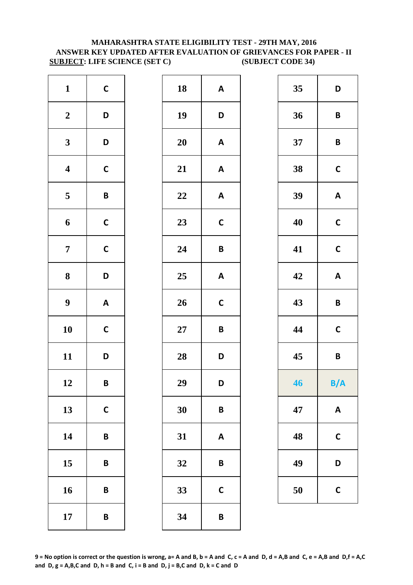### **MAHARASHTRA STATE ELIGIBILITY TEST - 29TH MAY, 2016 ANSWER KEY UPDATED AFTER EVALUATION OF GRIEVANCES FOR PAPER - II SUBJECT: LIFE SCIENCE (SET C) (SUBJECT CODE 34)**

| $\mathbf{1}$            | $\mathsf{C}$              | 18        | A                       |
|-------------------------|---------------------------|-----------|-------------------------|
| $\boldsymbol{2}$        | D                         | 19        | D                       |
| $\mathbf{3}$            | D                         | <b>20</b> | A                       |
| $\overline{\mathbf{4}}$ | $\mathsf{C}$              | 21        | $\overline{\mathsf{A}}$ |
| $\overline{\mathbf{5}}$ | $\pmb B$                  | 22        | A                       |
| 6                       | $\mathsf{C}$              | 23        | $\mathbf C$             |
| $\overline{7}$          | $\mathbf C$               | 24        | B                       |
| $\bf 8$                 | D                         | 25        | A                       |
| $\boldsymbol{9}$        | $\boldsymbol{\mathsf{A}}$ | 26        | $\mathbf C$             |
| 10                      | $\mathsf{C}$              | $27\,$    | B                       |
| 11                      | D                         | 28        | D                       |
| 12                      | B                         | 29        | D                       |
| 13                      | $\mathsf{C}$              | 30        | B                       |
| 14                      | B                         | 31        | A                       |
| 15                      | B                         | 32        | B                       |
| 16                      | B                         | 33        | $\mathsf{C}$            |
| 17                      | $\pmb B$                  | 34        | B                       |

| $\mathbf{1}$            | $\mathsf{C}$              | 18     | $\mathbf{A}$              | 35 | D                         |
|-------------------------|---------------------------|--------|---------------------------|----|---------------------------|
| $\boldsymbol{2}$        | D                         | 19     | D                         | 36 | $\pmb B$                  |
| $\mathbf{3}$            | D                         | 20     | $\mathbf{A}$              | 37 | $\pmb B$                  |
| $\overline{\mathbf{4}}$ | $\mathsf{C}$              | 21     | $\pmb{\mathsf{A}}$        | 38 | $\mathsf{C}$              |
| $5\overline{)}$         | $\pmb B$                  | 22     | $\boldsymbol{\mathsf{A}}$ | 39 | $\boldsymbol{\mathsf{A}}$ |
| 6                       | $\mathsf{C}$              | 23     | $\mathsf{C}$              | 40 | $\mathsf C$               |
| $\overline{7}$          | $\mathsf{C}$              | 24     | $\pmb B$                  | 41 | $\mathsf{C}$              |
| $\boldsymbol{8}$        | D                         | 25     | $\boldsymbol{\mathsf{A}}$ | 42 | $\boldsymbol{\mathsf{A}}$ |
| $\boldsymbol{9}$        | $\boldsymbol{\mathsf{A}}$ | 26     | $\mathsf{C}$              | 43 | $\pmb B$                  |
| 10                      | $\mathsf{C}$              | $27\,$ | $\mathsf B$               | 44 | $\mathsf C$               |
| 11                      | D                         | 28     | D                         | 45 | $\pmb B$                  |
| 12                      | $\pmb B$                  | 29     | D                         | 46 | B/A                       |
| 13                      | $\mathsf{C}$              | 30     | B                         | 47 | $\boldsymbol{\mathsf{A}}$ |
| 14                      | $\pmb B$                  | 31     | $\mathbf{A}$              | 48 | $\mathsf{C}$              |
| 15                      | $\pmb B$                  | 32     | $\pmb B$                  | 49 | D                         |
| 16                      | $\pmb B$                  | 33     | $\mathbf C$               | 50 | $\mathsf{C}$              |
| 17                      | $\pmb B$                  | 34     | $\pmb B$                  |    |                           |
|                         |                           |        |                           |    |                           |

| 35 | D            |
|----|--------------|
| 36 | B            |
| 37 | B            |
| 38 | C            |
| 39 | A            |
| 40 | $\mathbf C$  |
| 41 | $\mathbf C$  |
| 42 | A            |
| 43 | B            |
| 44 | $\mathsf{C}$ |
| 45 | B            |
| 46 | B/A          |
| 47 | A            |
| 48 | C            |
| 49 | D            |
| 50 | C            |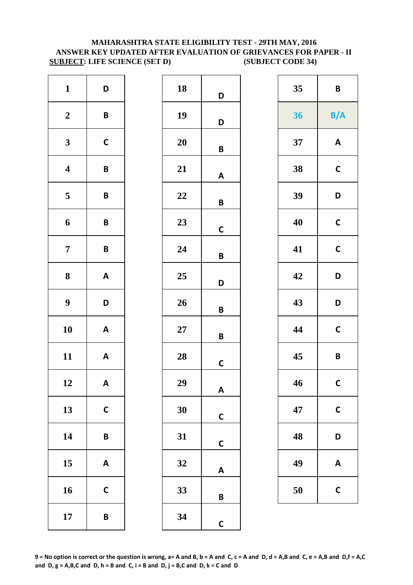### **MAHARASHTRA STATE ELIGIBILITY TEST - 29TH MAY, 2016 ANSWER KEY UPDATED AFTER EVALUATION OF GRIEVANCES FOR PAPER - II SUBJECT: LIFE SCIENCE (SET D) (SUBJECT CODE 34)**

| $\mathbf{1}$            | D                         | 18 |
|-------------------------|---------------------------|----|
| $\boldsymbol{2}$        | B                         | 19 |
| 3                       | $\mathsf{C}$              | 20 |
| $\overline{\mathbf{4}}$ | B                         | 21 |
| 5                       | B                         | 22 |
| 6                       | B                         | 23 |
| $\overline{7}$          | B                         | 24 |
| 8                       | $\boldsymbol{\mathsf{A}}$ | 25 |
| $\boldsymbol{9}$        | D                         | 26 |
| 10                      | $\boldsymbol{\mathsf{A}}$ | 27 |
| 11                      | A                         | 28 |
| 12                      | A                         | 29 |
| 13                      | $\mathbf C$               | 30 |
| 14                      | B                         | 31 |
| 15                      | A                         | 32 |
| 16                      | $\mathsf{C}$              | 33 |
| 17                      | B                         | 34 |

| 18        | D            |
|-----------|--------------|
| 19        | D            |
| 20        | B            |
| 21        | Α            |
| 22        | B            |
| 23        | C            |
| 24        | B            |
| 25        | D            |
| 26        | B            |
| <b>27</b> | B            |
| 28        | C            |
| 29        | A            |
| 30        | C            |
| 31        | $\mathbf c$  |
| 32        | A            |
| 33        | B            |
| 34        | $\mathsf{C}$ |

| 35 | B            |
|----|--------------|
| 36 | B/A          |
| 37 | A            |
| 38 | $\mathsf{C}$ |
| 39 | D            |
| 40 | $\mathbf C$  |
| 41 | C            |
| 42 | D            |
| 43 | D            |
| 44 | $\mathbf C$  |
| 45 | B            |
| 46 | C            |
| 47 | C            |
| 48 | D            |
| 49 | A            |
| 50 | C            |

**9 = No option is correct or the question is wrong, a= A and B, b = A and C, c = A and D, d = A,B and C, e = A,B and D,f = A,C**  and  $D$ ,  $g = A$ ,  $B$ ,  $C$  and  $D$ ,  $h = B$  and  $C$ ,  $i = B$  and  $D$ ,  $j = B$ ,  $C$  and  $D$ ,  $k = C$  and  $D$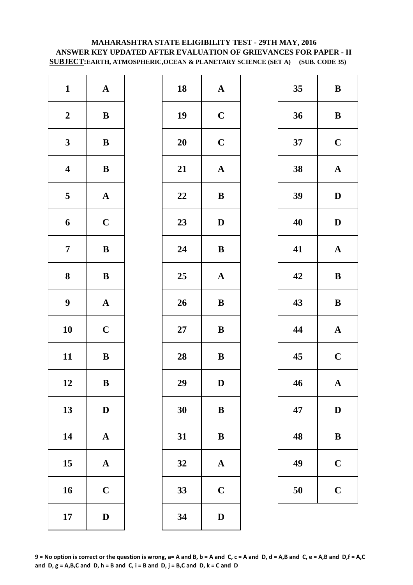### **MAHARASHTRA STATE ELIGIBILITY TEST - 29TH MAY, 2016 ANSWER KEY UPDATED AFTER EVALUATION OF GRIEVANCES FOR PAPER - II SUBJECT:EARTH, ATMOSPHERIC,OCEAN & PLANETARY SCIENCE (SET A) (SUB. CODE 35)**

| $\mathbf{1}$            | ${\bf A}$             | 18        | $\mathbf A$  |
|-------------------------|-----------------------|-----------|--------------|
| $\boldsymbol{2}$        | $\bf{B}$              | 19        | $\mathbf C$  |
| $\mathbf{3}$            | $\bf{B}$              | <b>20</b> | $\mathbf C$  |
| $\overline{\mathbf{4}}$ | $\, {\bf B}$          | 21        | $\mathbf A$  |
| $\overline{\mathbf{5}}$ | ${\bf A}$             | 22        | $\bf{B}$     |
| 6                       | $\mathbf C$           | 23        | $\mathbf{D}$ |
| $\overline{7}$          | ${\bf B}$             | 24        | $\bf{B}$     |
| 8                       | ${\bf B}$             | 25        | $\mathbf{A}$ |
| $\boldsymbol{9}$        | $\boldsymbol{\rm{A}}$ | 26        | $\bf{B}$     |
| 10                      | $\mathbf C$           | $27\,$    | $\bf{B}$     |
| 11                      | $\, {\bf B}$          | 28        | $\bf{B}$     |
| 12                      | B                     | 29        | D            |
| 13                      | $\mathbf D$           | 30        | $\bf{B}$     |
| 14                      | $\boldsymbol{\rm{A}}$ | 31        | $\bf{B}$     |
| 15                      | $\mathbf A$           | 32        | $\mathbf{A}$ |
| 16                      | $\mathbf C$           | 33        | $\mathbf C$  |
| 17                      | $\mathbf D$           | 34        | $\mathbf{D}$ |

| $\mathbf{1}$            | ${\bf A}$    | 18 | ${\bf A}$    | 35 | $\bf{B}$     |
|-------------------------|--------------|----|--------------|----|--------------|
| $\boldsymbol{2}$        | ${\bf B}$    | 19 | $\mathbf C$  | 36 | $\bf{B}$     |
| $\mathbf{3}$            | ${\bf B}$    | 20 | $\mathbf C$  | 37 | $\mathbf C$  |
| $\overline{\mathbf{4}}$ | ${\bf B}$    | 21 | ${\bf A}$    | 38 | $\mathbf{A}$ |
| $\overline{\mathbf{5}}$ | ${\bf A}$    | 22 | $\bf{B}$     | 39 | $\mathbf{D}$ |
| $\boldsymbol{6}$        | $\mathbf C$  | 23 | $\mathbf D$  | 40 | $\mathbf{D}$ |
| $\overline{7}$          | $\, {\bf B}$ | 24 | $\, {\bf B}$ | 41 | $\mathbf A$  |
| $\boldsymbol{8}$        | ${\bf B}$    | 25 | $\mathbf{A}$ | 42 | $\bf{B}$     |
| $\boldsymbol{9}$        | ${\bf A}$    | 26 | $\, {\bf B}$ | 43 | $\bf{B}$     |
| 10                      | $\mathbf C$  | 27 | $\bf{B}$     | 44 | $\mathbf A$  |
| 11                      | ${\bf B}$    | 28 | ${\bf B}$    | 45 | $\mathbf C$  |
| 12                      | $\bf{B}$     | 29 | $\mathbf D$  | 46 | $\mathbf{A}$ |
| 13                      | $\mathbf D$  | 30 | $\bf{B}$     | 47 | $\mathbf{D}$ |
| 14                      | ${\bf A}$    | 31 | $\, {\bf B}$ | 48 | $\bf{B}$     |
| 15                      | ${\bf A}$    | 32 | $\mathbf{A}$ | 49 | $\mathbf C$  |
| 16                      | $\mathbf C$  | 33 | $\mathbf C$  | 50 | $\mathbf C$  |
| 17                      | $\mathbf D$  | 34 | ${\bf D}$    |    |              |
|                         |              |    |              |    |              |

| 35  | B           |
|-----|-------------|
| 36  | B           |
| 37  | $\mathbf C$ |
| 38  | $\mathbf A$ |
| 39  | D           |
| 40  | D           |
| 41  | $\mathbf A$ |
| 42  | $\bf{B}$    |
| 43  | B           |
| 44  | $\mathbf A$ |
| 45  | $\mathbf C$ |
| -46 | $\mathbf A$ |
| 47  | $\bf{D}$    |
| 48  | B           |
| 49  | $\mathbf C$ |
| 50  | $\mathbf C$ |

**9 = No option is correct or the question is wrong, a= A and B, b = A and C, c = A and D, d = A,B and C, e = A,B and D,f = A,C**  and  $D$ ,  $g = A$ ,  $B$ ,  $C$  and  $D$ ,  $h = B$  and  $C$ ,  $i = B$  and  $D$ ,  $j = B$ ,  $C$  and  $D$ ,  $k = C$  and  $D$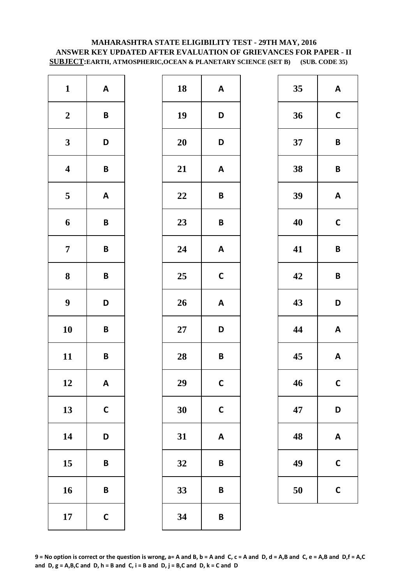### **MAHARASHTRA STATE ELIGIBILITY TEST - 29TH MAY, 2016 ANSWER KEY UPDATED AFTER EVALUATION OF GRIEVANCES FOR PAPER - II SUBJECT:EARTH, ATMOSPHERIC,OCEAN & PLANETARY SCIENCE (SET B) (SUB. CODE 35)**

| $\mathbf{1}$            | $\boldsymbol{\mathsf{A}}$ | 18     | A            |
|-------------------------|---------------------------|--------|--------------|
| $\boldsymbol{2}$        | B                         | 19     | D            |
| $\mathbf{3}$            | D                         | 20     | D            |
| $\overline{\mathbf{4}}$ | $\pmb B$                  | 21     | A            |
| $\overline{\mathbf{5}}$ | $\pmb{\mathsf{A}}$        | 22     | B            |
| 6                       | $\pmb B$                  | 23     | B            |
| $\overline{7}$          | B                         | 24     | A            |
| ${\bf 8}$               | B                         | 25     | $\mathsf{C}$ |
| $\boldsymbol{9}$        | D                         | 26     | A            |
| 10                      | B                         | $27\,$ | D            |
| 11                      | B                         | 28     | B            |
| 12                      | A                         | 29     | $\mathbf C$  |
| 13                      | $\mathsf{C}$              | 30     | $\mathsf{C}$ |
| 14                      | D                         | 31     | A            |
| 15                      | B                         | 32     | B            |
| 16                      | B                         | 33     | B            |
| 17                      | $\mathsf{C}$              | 34     | B            |

| $\mathbf{1}$            | $\boldsymbol{\mathsf{A}}$ | 18     | $\boldsymbol{\mathsf{A}}$ | 35 | A                       |
|-------------------------|---------------------------|--------|---------------------------|----|-------------------------|
| $\boldsymbol{2}$        | $\pmb B$                  | 19     | D                         | 36 | $\mathbf C$             |
| $\mathbf{3}$            | D                         | 20     | D                         | 37 | $\mathsf{B}$            |
| $\overline{\mathbf{4}}$ | $\pmb B$                  | 21     | $\boldsymbol{\mathsf{A}}$ | 38 | $\overline{\mathsf{B}}$ |
| $\overline{\mathbf{5}}$ | $\boldsymbol{\mathsf{A}}$ | 22     | $\pmb B$                  | 39 | $\boldsymbol{A}$        |
| $\boldsymbol{6}$        | $\pmb B$                  | 23     | $\pmb B$                  | 40 | $\mathbf C$             |
| $\overline{7}$          | $\pmb B$                  | 24     | $\boldsymbol{\mathsf{A}}$ | 41 | $\overline{\mathsf{B}}$ |
| $\boldsymbol{8}$        | $\pmb B$                  | 25     | $\mathsf{C}$              | 42 | $\overline{\mathsf{B}}$ |
| $\boldsymbol{9}$        | D                         | 26     | $\boldsymbol{\mathsf{A}}$ | 43 | D                       |
| 10                      | $\pmb B$                  | $27\,$ | D                         | 44 | A                       |
| 11                      | $\pmb B$                  | 28     | $\pmb B$                  | 45 | A                       |
| 12                      | $\boldsymbol{\mathsf{A}}$ | 29     | $\mathsf{C}$              | 46 | $\mathsf{C}$            |
| 13                      | $\mathbf C$               | 30     | $\mathsf{C}$              | 47 | D                       |
| 14                      | D                         | 31     | $\boldsymbol{\mathsf{A}}$ | 48 | A                       |
| 15                      | $\pmb B$                  | 32     | $\pmb B$                  | 49 | $\mathsf{C}$            |
| 16                      | $\pmb B$                  | 33     | $\pmb B$                  | 50 | $\mathsf{C}$            |
| 17                      | $\mathsf C$               | 34     | $\pmb B$                  |    |                         |

| 35 | A            |
|----|--------------|
| 36 | $\mathsf{C}$ |
| 37 | B            |
| 38 | B            |
| 39 | A            |
| 40 | C            |
| 41 | B            |
| 42 | B            |
| 43 | D            |
| 44 | A            |
| 45 | A            |
| 46 | $\mathbf{C}$ |
| 47 | D            |
| 48 | A            |
| 49 | C            |
| 50 | C            |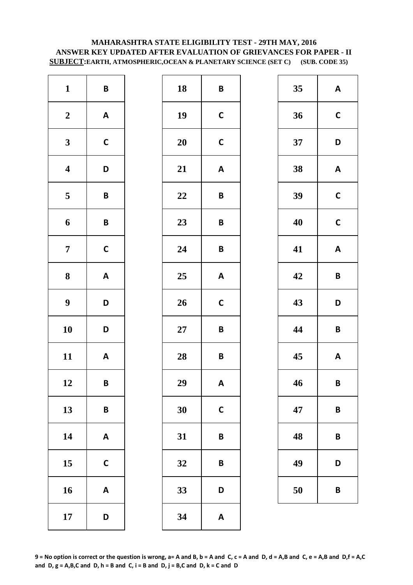### **MAHARASHTRA STATE ELIGIBILITY TEST - 29TH MAY, 2016 ANSWER KEY UPDATED AFTER EVALUATION OF GRIEVANCES FOR PAPER - II SUBJECT:EARTH, ATMOSPHERIC,OCEAN & PLANETARY SCIENCE (SET C) (SUB. CODE 35)**

| $\mathbf{1}$            | $\pmb B$                  | 18 | B            |
|-------------------------|---------------------------|----|--------------|
| $\boldsymbol{2}$        | $\boldsymbol{\mathsf{A}}$ | 19 | $\mathsf{C}$ |
| $\mathbf{3}$            | $\mathsf{C}$              | 20 | $\mathsf{C}$ |
| $\overline{\mathbf{4}}$ | D                         | 21 | $\mathsf{A}$ |
| $\overline{\mathbf{5}}$ | $\pmb B$                  | 22 | B            |
| 6                       | B                         | 23 | B            |
| $\overline{7}$          | $\mathsf{C}$              | 24 | B            |
| 8                       | $\boldsymbol{\mathsf{A}}$ | 25 | A            |
| $\boldsymbol{9}$        | D                         | 26 | $\mathsf{C}$ |
| 10                      | D                         | 27 | B            |
| 11                      | $\boldsymbol{\mathsf{A}}$ | 28 | B            |
| 12                      | B                         | 29 | A            |
| 13                      | B                         | 30 | $\mathsf{C}$ |
| 14                      | $\boldsymbol{\mathsf{A}}$ | 31 | B            |
| 15                      | $\mathbf C$               | 32 | B            |
| 16                      | $\boldsymbol{\mathsf{A}}$ | 33 | D            |
| 17                      | D                         | 34 | A            |

| $\mathbf{1}$            | $\pmb B$                  | 18     | $\pmb B$                  | 35 | $\boldsymbol{A}$        |
|-------------------------|---------------------------|--------|---------------------------|----|-------------------------|
| $\boldsymbol{2}$        | $\mathsf{A}$              | 19     | $\mathbf C$               | 36 | $\mathbf C$             |
| $\mathbf{3}$            | $\mathsf{C}$              | 20     | $\mathsf{C}$              | 37 | D                       |
| $\overline{\mathbf{4}}$ | D                         | 21     | $\boldsymbol{\mathsf{A}}$ | 38 | A                       |
| $\overline{\mathbf{5}}$ | $\pmb B$                  | 22     | $\pmb B$                  | 39 | $\mathbf C$             |
| $\boldsymbol{6}$        | $\pmb B$                  | 23     | $\pmb B$                  | 40 | $\mathbf C$             |
| $\overline{7}$          | $\mathsf C$               | 24     | $\pmb B$                  | 41 | A                       |
| $\boldsymbol{8}$        | $\boldsymbol{\mathsf{A}}$ | 25     | $\boldsymbol{\mathsf{A}}$ | 42 | $\overline{\mathsf{B}}$ |
| $\boldsymbol{9}$        | D                         | 26     | $\mathbf C$               | 43 | D                       |
| 10                      | D                         | $27\,$ | $\pmb B$                  | 44 | $\mathsf{B}$            |
| 11                      | $\mathbf{A}$              | 28     | $\pmb B$                  | 45 | A                       |
| 12                      | $\pmb B$                  | 29     | $\boldsymbol{\mathsf{A}}$ | 46 | $\mathsf{B}$            |
| 13                      | $\pmb B$                  | 30     | $\mathbf C$               | 47 | B                       |
| 14                      | $\mathbf{A}$              | 31     | $\pmb B$                  | 48 | $\mathsf{B}$            |
| 15                      | $\mathsf{C}$              | 32     | $\pmb B$                  | 49 | D                       |
| 16                      | $\boldsymbol{\mathsf{A}}$ | 33     | D                         | 50 | B                       |
| 17                      | D                         | 34     | $\boldsymbol{\mathsf{A}}$ |    |                         |

| 35 | A           |
|----|-------------|
| 36 | C           |
| 37 | D           |
| 38 | A           |
| 39 | $\mathbf C$ |
| 40 | C           |
| 41 | A           |
| 42 | B           |
| 43 | D           |
| 44 | B           |
| 45 | A           |
| 46 | В           |
| 47 | B           |
| 48 | B           |
| 49 | D           |
| 50 | B           |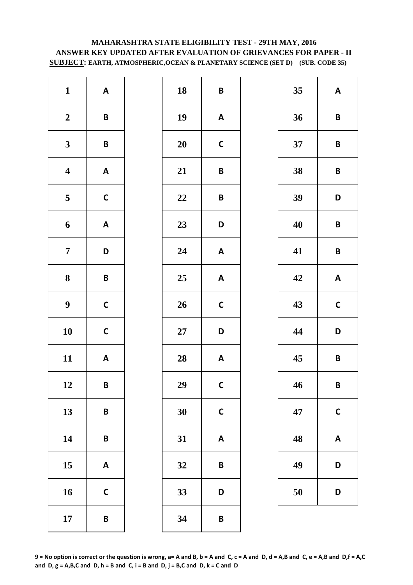# **MAHARASHTRA STATE ELIGIBILITY TEST - 29TH MAY, 2016 ANSWER KEY UPDATED AFTER EVALUATION OF GRIEVANCES FOR PAPER - II SUBJECT: EARTH, ATMOSPHERIC,OCEAN & PLANETARY SCIENCE (SET D) (SUB. CODE 35)**

| $\mathbf{1}$            | $\boldsymbol{\mathsf{A}}$ | 18     | B            |
|-------------------------|---------------------------|--------|--------------|
| $\boldsymbol{2}$        | $\pmb B$                  | 19     | A            |
| $\mathbf{3}$            | B                         | 20     | $\mathsf{C}$ |
| $\overline{\mathbf{4}}$ | $\boldsymbol{\mathsf{A}}$ | 21     | B            |
| $\overline{\mathbf{5}}$ | $\mathsf{C}$              | 22     | B            |
| 6                       | $\boldsymbol{\mathsf{A}}$ | 23     | D            |
| $\boldsymbol{7}$        | D                         | 24     | A            |
| ${\bf 8}$               | B                         | 25     | A            |
| $\boldsymbol{9}$        | $\mathsf{C}$              | 26     | $\mathbf C$  |
| 10                      | $\mathsf{C}$              | $27\,$ | D            |
| 11                      | $\boldsymbol{\mathsf{A}}$ | 28     | A            |
| 12                      | B                         | 29     | $\mathbf C$  |
| 13                      | B                         | 30     | $\mathsf{C}$ |
| 14                      | B                         | 31     | A            |
| 15                      | $\boldsymbol{\mathsf{A}}$ | 32     | B            |
| 16                      | $\mathsf{C}$              | 33     | D            |
| 17                      | B                         | 34     | B            |

| $\mathbf{1}$            | $\mathsf{A}$              | 18     | $\pmb B$                  | 35 | A                       |
|-------------------------|---------------------------|--------|---------------------------|----|-------------------------|
| $\boldsymbol{2}$        | $\pmb B$                  | 19     | $\mathbf{A}$              | 36 | $\overline{\mathsf{B}}$ |
| $\mathbf{3}$            | $\pmb B$                  | 20     | $\mathbf C$               | 37 | $\mathsf{B}$            |
| $\overline{\mathbf{4}}$ | $\boldsymbol{\mathsf{A}}$ | 21     | $\pmb B$                  | 38 | $\mathbf B$             |
| $5\overline{)}$         | $\mathsf{C}$              | 22     | $\pmb B$                  | 39 | D                       |
| $\boldsymbol{6}$        | $\boldsymbol{\mathsf{A}}$ | 23     | D                         | 40 | $\mathsf{B}$            |
| $\overline{7}$          | D                         | 24     | $\boldsymbol{\mathsf{A}}$ | 41 | $\mathsf{B}$            |
| $\boldsymbol{8}$        | $\pmb B$                  | 25     | $\boldsymbol{\mathsf{A}}$ | 42 | $\boldsymbol{A}$        |
| $\boldsymbol{9}$        | $\mathsf{C}$              | 26     | $\mathsf{C}$              | 43 | $\mathbf C$             |
| 10                      | $\mathsf C$               | $27\,$ | D                         | 44 | D                       |
| 11                      | $\mathbf{A}$              | 28     | $\boldsymbol{\mathsf{A}}$ | 45 | $\overline{\mathsf{B}}$ |
| 12                      | $\pmb B$                  | 29     | $\mathsf{C}$              | 46 | B                       |
| 13                      | $\pmb B$                  | 30     | $\mathbf C$               | 47 | $\mathsf{C}$            |
| 14                      | $\pmb B$                  | 31     | $\boldsymbol{\mathsf{A}}$ | 48 | A                       |
| 15                      | $\boldsymbol{\mathsf{A}}$ | 32     | $\pmb B$                  | 49 | D                       |
| 16                      | $\mathsf{C}$              | 33     | D                         | 50 | D                       |
| 17                      | $\pmb B$                  | 34     | $\pmb B$                  |    |                         |
|                         |                           |        |                           |    |                         |

| 35 | A           |  |
|----|-------------|--|
| 36 | B           |  |
| 37 | B           |  |
| 38 | B           |  |
| 39 | D           |  |
| 40 | B           |  |
| 41 | B           |  |
| 42 | A           |  |
| 43 | $\mathbf C$ |  |
| 44 | D           |  |
| 45 | B           |  |
| 46 | B           |  |
| 47 | C           |  |
| 48 | Α           |  |
| 49 | D           |  |
| 50 | D           |  |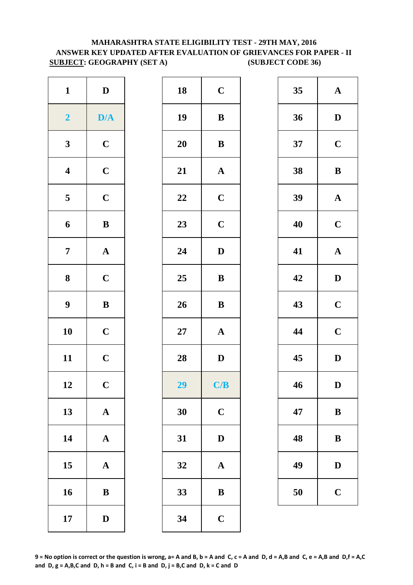# **MAHARASHTRA STATE ELIGIBILITY TEST - 29TH MAY, 2016 ANSWER KEY UPDATED AFTER EVALUATION OF GRIEVANCES FOR PAPER - II SUBJECT: GEOGRAPHY (SET A) (SUBJECT CODE 36)**

| $\mathbf{1}$            | ${\bf D}$             | 18        | $\mathbf C$  |
|-------------------------|-----------------------|-----------|--------------|
| $\overline{2}$          | D/A                   | 19        | $\bf{B}$     |
| $\mathbf{3}$            | $\mathbf C$           | <b>20</b> | $\bf{B}$     |
| $\boldsymbol{4}$        | $\mathbf C$           | 21        | $\mathbf{A}$ |
| $\overline{\mathbf{5}}$ | $\mathbf C$           | 22        | $\mathbf C$  |
| 6                       | $\, {\bf B}$          | 23        | $\mathbf C$  |
| $\overline{7}$          | ${\bf A}$             | 24        | $\mathbf{D}$ |
| 8                       | $\mathbf C$           | 25        | $\bf{B}$     |
| $\boldsymbol{9}$        | $\, {\bf B}$          | 26        | $\bf{B}$     |
| 10                      | $\mathbf C$           | $27\,$    | $\mathbf{A}$ |
| 11                      | $\mathbf C$           | 28        | $\mathbf{D}$ |
| 12                      | $\mathbf C$           | 29        | C/           |
| 13                      | $\mathbf A$           | 30        | $\mathbf C$  |
| 14                      | $\boldsymbol{\rm{A}}$ | 31        | $\mathbf{D}$ |
| 15                      | $\mathbf A$           | 32        | $\mathbf{A}$ |
| 16                      | $\, {\bf B}$          | 33        | $\bf{B}$     |
| 17                      | $\mathbf D$           | 34        | $\mathbf C$  |

| $\mathbf{1}$            | $\mathbf D$  | 18 | $\mathbf C$  | 35 | $\mathbf A$  |
|-------------------------|--------------|----|--------------|----|--------------|
| $\overline{\mathbf{2}}$ | D/A          | 19 | $\bf{B}$     | 36 | $\mathbf{D}$ |
| $\mathbf{3}$            | $\mathbf C$  | 20 | $\, {\bf B}$ | 37 | $\mathbf C$  |
| $\overline{\mathbf{4}}$ | $\mathbf C$  | 21 | ${\bf A}$    | 38 | $\bf{B}$     |
| $5\overline{)}$         | $\mathbf C$  | 22 | $\mathbf C$  | 39 | $\mathbf A$  |
| $\boldsymbol{6}$        | ${\bf B}$    | 23 | $\mathbf C$  | 40 | $\mathbf C$  |
| $\overline{7}$          | ${\bf A}$    | 24 | ${\bf D}$    | 41 | $\mathbf A$  |
| $\boldsymbol{8}$        | $\mathbf C$  | 25 | $\, {\bf B}$ | 42 | $\mathbf{D}$ |
| $\boldsymbol{9}$        | $\, {\bf B}$ | 26 | ${\bf B}$    | 43 | $\mathbf C$  |
| 10                      | $\mathbf C$  | 27 | ${\bf A}$    | 44 | $\mathbf C$  |
| 11                      | $\mathbf C$  | 28 | $\mathbf{D}$ | 45 | $\mathbf{D}$ |
| 12                      | $\mathbf{C}$ | 29 | C/B          | 46 | D            |
| 13                      | ${\bf A}$    | 30 | $\mathbf C$  | 47 | $\bf{B}$     |
| 14                      | ${\bf A}$    | 31 | $\mathbf{D}$ | 48 | $\bf{B}$     |
| 15                      | ${\bf A}$    | 32 | ${\bf A}$    | 49 | $\mathbf{D}$ |
| 16                      | $\, {\bf B}$ | 33 | $\, {\bf B}$ | 50 | $\mathbf C$  |
| 17                      | $\mathbf D$  | 34 | $\mathbf C$  |    |              |

| 35 | $\mathbf A$             |
|----|-------------------------|
| 36 | D                       |
| 37 | $\mathbf C$             |
| 38 | B                       |
| 39 | $\mathbf A$             |
| 40 | $\mathbf C$             |
| 41 | $\mathbf A$             |
| 42 | D                       |
| 43 | $\mathbf C$             |
| 44 | $\mathbf C$             |
| 45 | $\mathbf D$             |
| 46 | D                       |
| 47 | B                       |
| 48 | B                       |
| 49 | $\mathbf D$             |
| 50 | $\overline{\mathbf{C}}$ |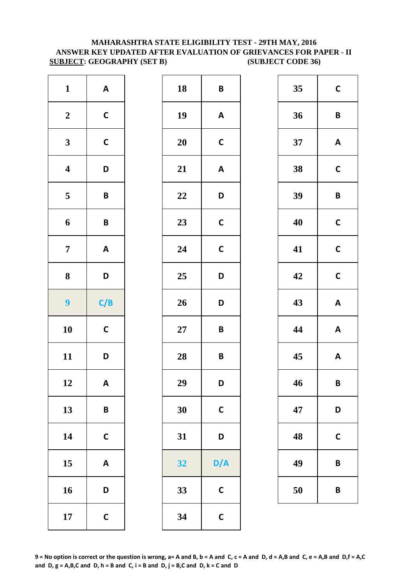### **MAHARASHTRA STATE ELIGIBILITY TEST - 29TH MAY, 2016 ANSWER KEY UPDATED AFTER EVALUATION OF GRIEVANCES FOR PAPER - II SUBJECT: GEOGRAPHY (SET B) (SUBJECT CODE 36)**

| $\mathbf{1}$            | $\boldsymbol{\mathsf{A}}$ | 18        | B            |
|-------------------------|---------------------------|-----------|--------------|
| $\boldsymbol{2}$        | $\mathsf{C}$              | 19        | A            |
| $\mathbf{3}$            | $\mathsf{C}$              | <b>20</b> | $\mathsf{C}$ |
| $\overline{\mathbf{4}}$ | D                         | 21        | A            |
| $\overline{\mathbf{5}}$ | B                         | 22        | D            |
| 6                       | B                         | 23        | $\mathsf{C}$ |
| $\overline{7}$          | $\boldsymbol{\mathsf{A}}$ | 24        | $\mathsf{C}$ |
|                         |                           |           |              |
| $\bf 8$                 | D                         | 25        |              |
| 9                       | C/B                       | 26        |              |
| 10                      | $\mathsf{C}$              | $27\,$    | D<br>D<br>B  |
| 11                      | D                         | 28        | B            |
| 12                      | A                         | 29        | D            |
| 13                      | B                         | 30        | $\mathsf{C}$ |
| 14                      | $\mathsf{C}$              | 31        | D            |
| 15                      | $\boldsymbol{\mathsf{A}}$ | 32        | D/           |
| 16                      | D                         | 33        | $\mathsf{C}$ |

| $\mathbf{1}$            | $\mathsf{A}$              | 18 | $\pmb B$                  | 35 | $\mathbf C$             |
|-------------------------|---------------------------|----|---------------------------|----|-------------------------|
| $\boldsymbol{2}$        | $\mathsf{C}$              | 19 | $\boldsymbol{\mathsf{A}}$ | 36 | $\mathsf{B}$            |
| $\mathbf{3}$            | $\mathsf C$               | 20 | $\mathbf C$               | 37 | A                       |
| $\overline{\mathbf{4}}$ | D                         | 21 | $\boldsymbol{\mathsf{A}}$ | 38 | $\mathbf C$             |
| $\overline{\mathbf{5}}$ | $\pmb B$                  | 22 | D                         | 39 | $\overline{\mathsf{B}}$ |
| $\boldsymbol{6}$        | $\pmb B$                  | 23 | $\mathsf{C}$              | 40 | $\mathbf C$             |
| $\overline{7}$          | $\mathbf{A}$              | 24 | $\mathbf C$               | 41 | $\mathbf C$             |
| $\boldsymbol{8}$        | D                         | 25 | D                         | 42 | $\mathbf c$             |
| $\boldsymbol{9}$        | C/B                       | 26 | D                         | 43 | A                       |
| 10                      | $\mathsf C$               | 27 | $\pmb B$                  | 44 | A                       |
| 11                      | D                         | 28 | $\pmb B$                  | 45 | A                       |
| 12                      | A                         | 29 | D                         | 46 | $\mathbf B$             |
| 13                      | $\pmb B$                  | 30 | $\mathsf{C}$              | 47 | D                       |
| 14                      | $\mathsf C$               | 31 | D                         | 48 | $\mathsf{C}$            |
| 15                      | $\boldsymbol{\mathsf{A}}$ | 32 | D/A                       | 49 | $\mathsf{B}$            |
| 16                      | D                         | 33 | $\mathsf{C}$              | 50 | B                       |
| 17                      | $\mathsf C$               | 34 | $\mathsf{C}$              |    |                         |
|                         |                           |    |                           |    |                         |

| 35 | $\mathsf{C}$ |
|----|--------------|
| 36 | B            |
| 37 | A            |
| 38 | C            |
| 39 | B            |
| 40 | $\mathbf C$  |
| 41 | C            |
| 42 | $\mathbf C$  |
| 43 | A            |
| 44 | A            |
| 45 | A            |
| 46 | В            |
| 47 | D            |
| 48 | C            |
| 49 | B            |
| 50 | B            |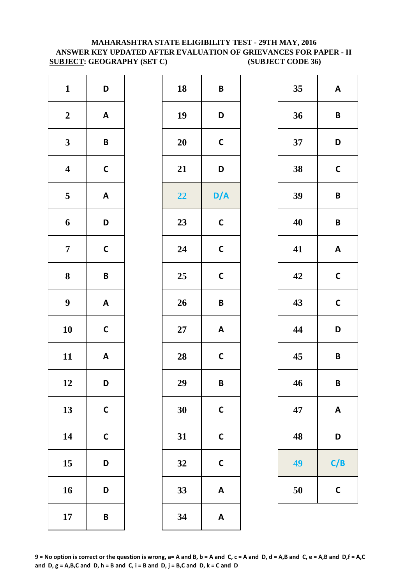### **MAHARASHTRA STATE ELIGIBILITY TEST - 29TH MAY, 2016 ANSWER KEY UPDATED AFTER EVALUATION OF GRIEVANCES FOR PAPER - II SUBJECT: GEOGRAPHY (SET C) (SUBJECT CODE 36)**

| $\mathbf{1}$<br>D<br>18<br>19<br>$\boldsymbol{2}$<br>$\boldsymbol{\mathsf{A}}$<br>$\mathbf{3}$<br>$\pmb B$<br>20<br>$\overline{\mathbf{4}}$<br>$\mathsf{C}$<br>21<br>$\overline{\mathbf{5}}$<br>$\boldsymbol{\mathsf{A}}$<br>22<br>$\boldsymbol{6}$<br>D<br>23<br>$\mathbf C$<br>$\overline{7}$<br>24<br>${\bf 8}$<br>25<br>$\pmb B$<br>$\boldsymbol{9}$<br>$\boldsymbol{\mathsf{A}}$<br>26<br>10<br>$\mathsf{C}$<br>$27\,$<br>11<br>$\mathsf{A}$<br>28<br>29<br>12<br>D<br>13<br>$\mathsf{C}$<br>30<br>14<br>$\mathsf{C}$<br>31<br>15<br>D<br>32<br>16<br>33<br>D<br>34<br>17<br>$\pmb B$ |  |  |              |
|--------------------------------------------------------------------------------------------------------------------------------------------------------------------------------------------------------------------------------------------------------------------------------------------------------------------------------------------------------------------------------------------------------------------------------------------------------------------------------------------------------------------------------------------------------------------------------------------|--|--|--------------|
|                                                                                                                                                                                                                                                                                                                                                                                                                                                                                                                                                                                            |  |  | B            |
|                                                                                                                                                                                                                                                                                                                                                                                                                                                                                                                                                                                            |  |  | D            |
|                                                                                                                                                                                                                                                                                                                                                                                                                                                                                                                                                                                            |  |  | $\mathsf{C}$ |
|                                                                                                                                                                                                                                                                                                                                                                                                                                                                                                                                                                                            |  |  | D            |
|                                                                                                                                                                                                                                                                                                                                                                                                                                                                                                                                                                                            |  |  | D/           |
|                                                                                                                                                                                                                                                                                                                                                                                                                                                                                                                                                                                            |  |  | $\mathbf C$  |
|                                                                                                                                                                                                                                                                                                                                                                                                                                                                                                                                                                                            |  |  | $\mathsf{C}$ |
|                                                                                                                                                                                                                                                                                                                                                                                                                                                                                                                                                                                            |  |  | $\mathbf C$  |
|                                                                                                                                                                                                                                                                                                                                                                                                                                                                                                                                                                                            |  |  | B            |
|                                                                                                                                                                                                                                                                                                                                                                                                                                                                                                                                                                                            |  |  | A            |
|                                                                                                                                                                                                                                                                                                                                                                                                                                                                                                                                                                                            |  |  | $\mathsf{C}$ |
|                                                                                                                                                                                                                                                                                                                                                                                                                                                                                                                                                                                            |  |  | B            |
|                                                                                                                                                                                                                                                                                                                                                                                                                                                                                                                                                                                            |  |  | $\mathsf{C}$ |
|                                                                                                                                                                                                                                                                                                                                                                                                                                                                                                                                                                                            |  |  | $\mathsf{C}$ |
|                                                                                                                                                                                                                                                                                                                                                                                                                                                                                                                                                                                            |  |  | $\mathsf{C}$ |
|                                                                                                                                                                                                                                                                                                                                                                                                                                                                                                                                                                                            |  |  | A            |
|                                                                                                                                                                                                                                                                                                                                                                                                                                                                                                                                                                                            |  |  | A            |

| $\mathbf{1}$            | D                         | 18 | $\boldsymbol{B}$          | 35 | $\mathbf{A}$              |
|-------------------------|---------------------------|----|---------------------------|----|---------------------------|
| $\boldsymbol{2}$        | $\boldsymbol{\mathsf{A}}$ | 19 | D                         | 36 | $\pmb B$                  |
| $\mathbf{3}$            | $\pmb B$                  | 20 | $\mathsf{C}$              | 37 | D                         |
| $\overline{\mathbf{4}}$ | $\mathsf C$               | 21 | D                         | 38 | $\mathsf C$               |
| $5\overline{)}$         | $\boldsymbol{\mathsf{A}}$ | 22 | D/A                       | 39 | $\pmb B$                  |
| $\boldsymbol{6}$        | D                         | 23 | $\mathsf{C}$              | 40 | $\pmb B$                  |
| $\overline{7}$          | $\mathsf{C}$              | 24 | $\mathsf{C}$              | 41 | $\mathbf{A}$              |
| $\boldsymbol{8}$        | $\pmb B$                  | 25 | $\mathsf{C}$              | 42 | $\mathsf C$               |
| $\boldsymbol{9}$        | $\boldsymbol{\mathsf{A}}$ | 26 | $\mathsf B$               | 43 | $\mathsf C$               |
| 10                      | $\mathsf{C}$              | 27 | $\boldsymbol{\mathsf{A}}$ | 44 | D                         |
| 11                      | $\boldsymbol{\mathsf{A}}$ | 28 | $\mathsf{C}$              | 45 | $\pmb B$                  |
| 12                      | D                         | 29 | $\pmb B$                  | 46 | $\pmb B$                  |
| 13                      | $\mathsf C$               | 30 | $\mathsf{C}$              | 47 | $\boldsymbol{\mathsf{A}}$ |
| 14                      | $\mathsf C$               | 31 | $\mathsf{C}$              | 48 | D                         |
| 15                      | D                         | 32 | $\mathsf{C}$              | 49 | C/B                       |
| 16                      | D                         | 33 | $\boldsymbol{\mathsf{A}}$ | 50 | $\mathsf{C}$              |
| 17                      | $\pmb B$                  | 34 | $\boldsymbol{\mathsf{A}}$ |    |                           |
|                         |                           |    |                           |    |                           |

| 35 | A            |
|----|--------------|
| 36 | B            |
| 37 | D            |
| 38 | C            |
| 39 | B            |
| 40 | B            |
| 41 | A            |
| 42 | $\mathbf C$  |
| 43 | $\mathsf{C}$ |
| 44 | D            |
| 45 | B            |
| 46 | B            |
| 47 | A            |
| 48 | D            |
| 49 | C/B          |
| 50 | C            |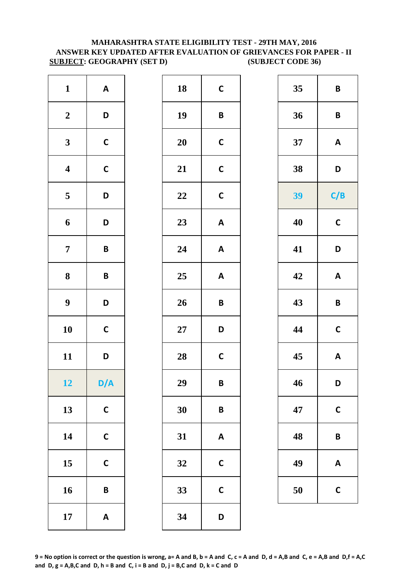### **MAHARASHTRA STATE ELIGIBILITY TEST - 29TH MAY, 2016 ANSWER KEY UPDATED AFTER EVALUATION OF GRIEVANCES FOR PAPER - II SUBJECT: GEOGRAPHY (SET D) (SUBJECT CODE 36)**

| $\mathbf{1}$            | $\boldsymbol{\mathsf{A}}$ | 18     | $\mathsf{C}$ |
|-------------------------|---------------------------|--------|--------------|
| $\boldsymbol{2}$        | D                         | 19     | B            |
| $\mathbf{3}$            | $\mathsf{C}$              | 20     | $\mathsf{C}$ |
| $\overline{\mathbf{4}}$ | $\mathsf{C}$              | 21     | $\mathsf{C}$ |
| $\overline{\mathbf{5}}$ | D                         | 22     | $\mathsf{C}$ |
| $\boldsymbol{6}$        | D                         | 23     | A            |
| $\overline{7}$          | $\pmb B$                  | 24     | A            |
| ${\bf 8}$               | $\pmb B$                  | 25     | A            |
| $\boldsymbol{9}$        | D                         | 26     | B            |
| 10                      | $\mathsf{C}$              | $27\,$ | D            |
| 11                      | D                         | 28     | $\mathsf{C}$ |
| 12                      | D/A                       | 29     | B            |
| 13                      | $\mathsf{C}$              | 30     | B            |
| 14                      | $\mathbf C$               | 31     | A            |
| 15                      | $\mathsf{C}$              | 32     | $\mathsf{C}$ |
| 16                      | B                         | 33     | $\mathsf{C}$ |
| 17                      | $\boldsymbol{\mathsf{A}}$ | 34     | D            |

| $\mathbf{1}$            | $\mathbf{A}$              | 18     | $\mathsf{C}$              | 35 | $\pmb B$                  |
|-------------------------|---------------------------|--------|---------------------------|----|---------------------------|
| $\boldsymbol{2}$        | D                         | 19     | $\pmb B$                  | 36 | $\pmb B$                  |
| $\mathbf{3}$            | $\mathsf C$               | 20     | $\mathsf{C}$              | 37 | A                         |
| $\overline{\mathbf{4}}$ | $\mathsf{C}$              | 21     | $\mathsf{C}$              | 38 | D                         |
| $5\overline{)}$         | D                         | 22     | $\mathsf{C}$              | 39 | C/B                       |
| $\boldsymbol{6}$        | D                         | 23     | $\boldsymbol{\mathsf{A}}$ | 40 | $\mathsf C$               |
| $\overline{7}$          | $\pmb B$                  | 24     | $\boldsymbol{\mathsf{A}}$ | 41 | D                         |
| 8                       | $\pmb B$                  | 25     | $\boldsymbol{\mathsf{A}}$ | 42 | $\mathbf{A}$              |
| $\boldsymbol{9}$        | D                         | 26     | $\mathsf B$               | 43 | $\pmb B$                  |
| 10                      | $\mathsf C$               | $27\,$ | D                         | 44 | $\mathsf C$               |
| 11                      | D                         | 28     | $\mathsf{C}$              | 45 | $\boldsymbol{\mathsf{A}}$ |
| 12                      | D/A                       | 29     | $\mathbf B$               | 46 | D                         |
| 13                      | $\mathsf C$               | 30     | $\pmb B$                  | 47 | $\mathsf{C}$              |
| 14                      | $\mathsf{C}$              | 31     | $\boldsymbol{\mathsf{A}}$ | 48 | $\pmb B$                  |
| 15                      | $\mathsf C$               | 32     | $\mathbf C$               | 49 | A                         |
| 16                      | $\pmb B$                  | 33     | $\mathsf{C}$              | 50 | $\mathsf C$               |
| 17                      | $\boldsymbol{\mathsf{A}}$ | 34     | D                         |    |                           |

| 35 | B            |
|----|--------------|
| 36 | B            |
| 37 | A            |
| 38 | D            |
| 39 | C/B          |
| 40 | C            |
| 41 | D            |
| 42 | A            |
| 43 | B            |
| 44 | $\mathsf{C}$ |
| 45 | Α            |
| 46 | D            |
| 47 | C            |
| 48 | B            |
| 49 | A            |
| 50 | C            |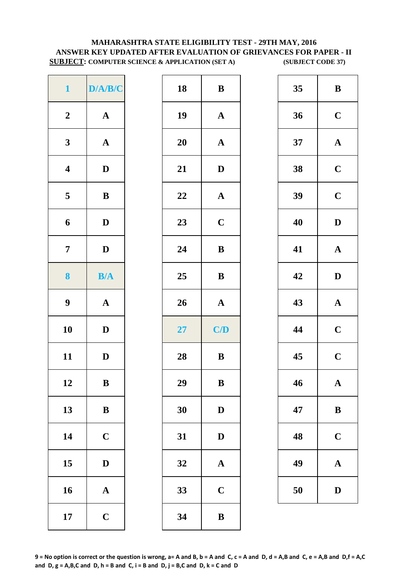# **MAHARASHTRA STATE ELIGIBILITY TEST - 29TH MAY, 2016 ANSWER KEY UPDATED AFTER EVALUATION OF GRIEVANCES FOR PAPER - II SUBJECT: COMPUTER SCIENCE & APPLICATION (SET A)** (SUBJECT CODE 37)

| D/A/B/C               | 18 | $\bf{B}$     |
|-----------------------|----|--------------|
| $\boldsymbol{\rm{A}}$ | 19 | $\mathbf A$  |
| $\boldsymbol{\rm{A}}$ | 20 | $\mathbf{A}$ |
| $\mathbf D$           | 21 | D            |
| $\, {\bf B}$          | 22 | $\mathbf{A}$ |
| $\mathbf D$           | 23 | $\mathbf C$  |
| $\mathbf D$           | 24 | $\bf{B}$     |
| B/A                   | 25 | $\bf{B}$     |
| ${\bf A}$             | 26 | $\mathbf{A}$ |
| $\mathbf D$           | 27 | C/           |
| $\mathbf D$           | 28 | $\bf{B}$     |
| $\bf{B}$              | 29 | $\bf{B}$     |
| $\bf{B}$              | 30 | D            |
| $\mathbf C$           | 31 | D            |
| $\mathbf D$           | 32 | $\mathbf{A}$ |
|                       |    |              |
| $\boldsymbol{\rm{A}}$ | 33 | $\mathbf C$  |
|                       |    |              |

| $\mathbf{1}$            | D/A/B/C      | 18 | ${\bf B}$    | 35 | $\bf{B}$     |
|-------------------------|--------------|----|--------------|----|--------------|
| $\boldsymbol{2}$        | ${\bf A}$    | 19 | ${\bf A}$    | 36 | $\mathbf C$  |
| $\mathbf{3}$            | ${\bf A}$    | 20 | $\mathbf{A}$ | 37 | $\mathbf A$  |
| $\overline{\mathbf{4}}$ | $\mathbf D$  | 21 | $\mathbf D$  | 38 | $\mathbf C$  |
| $\overline{5}$          | $\, {\bf B}$ | 22 | ${\bf A}$    | 39 | $\mathbf C$  |
| $\boldsymbol{6}$        | $\mathbf{D}$ | 23 | $\mathbf C$  | 40 | $\mathbf{D}$ |
| $\overline{7}$          | $\mathbf{D}$ | 24 | $\bf{B}$     | 41 | $\mathbf A$  |
| $\boldsymbol{8}$        | B/A          | 25 | $\, {\bf B}$ | 42 | $\mathbf{D}$ |
| $\boldsymbol{9}$        | ${\bf A}$    | 26 | ${\bf A}$    | 43 | $\mathbf A$  |
| 10                      | $\mathbf{D}$ | 27 | C/D          | 44 | $\mathbf C$  |
| 11                      | $\mathbf D$  | 28 | $\bf{B}$     | 45 | $\mathbf C$  |
| 12                      | $\, {\bf B}$ | 29 | $\, {\bf B}$ | 46 | $\mathbf A$  |
| 13                      | ${\bf B}$    | 30 | $\mathbf D$  | 47 | $\bf{B}$     |
| 14                      | $\mathbf C$  | 31 | ${\bf D}$    | 48 | $\mathbf C$  |
| 15                      | $\mathbf D$  | 32 | $\mathbf A$  | 49 | $\mathbf A$  |
| 16                      | ${\bf A}$    | 33 | $\mathbf C$  | 50 | D            |
| 17                      | $\mathbf C$  | 34 | $\, {\bf B}$ |    |              |
|                         |              |    |              |    |              |

| 35  | B            |
|-----|--------------|
| 36  | $\mathbf C$  |
| 37  | $\mathbf A$  |
| 38  | $\mathbf C$  |
| 39  | $\mathbf C$  |
| 40  | D            |
| 41  | $\mathbf A$  |
| 42  | $\mathbf{D}$ |
| 43  | $\mathbf A$  |
| 44  | $\mathbf C$  |
| 45  | $\mathbf C$  |
| -46 | $\mathbf A$  |
| 47  | B            |
| 48  | $\mathbf C$  |
| 49  | ${\bf A}$    |
| 50  | $\bf{D}$     |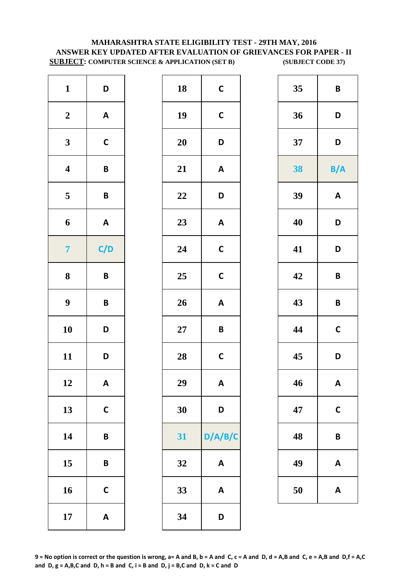# **MAHARASHTRA STATE ELIGIBILITY TEST - 29TH MAY, 2016 ANSWER KEY UPDATED AFTER EVALUATION OF GRIEVANCES FOR PAPER - II SUBJECT: COMPUTER SCIENCE & APPLICATION (SET B) (SUBJECT CODE 37)**

| $\mathbf{1}$            | D                         | 18        | $\mathsf{C}$ |
|-------------------------|---------------------------|-----------|--------------|
| $\boldsymbol{2}$        | $\boldsymbol{\mathsf{A}}$ | 19        | $\mathbf C$  |
| $\mathbf{3}$            | $\mathbf C$               | <b>20</b> | D            |
| $\overline{\mathbf{4}}$ | B                         | 21        | A            |
| $\overline{\mathbf{5}}$ | $\pmb B$                  | 22        | D            |
| $\boldsymbol{6}$        | $\boldsymbol{\mathsf{A}}$ | 23        | A            |
| $\overline{7}$          | C/D                       | 24        | $\mathsf{C}$ |
| $\bf 8$                 | $\pmb B$                  | 25        | $\mathbf C$  |
| $\boldsymbol{9}$        | B                         | 26        | A            |
| 10                      | D                         | $27\,$    | B            |
| 11                      | D                         | 28        | $\mathsf{C}$ |
| 12                      | A                         | 29        | A            |
| 13                      | $\mathsf{C}$              | 30        | D            |
| 14                      | B                         | 31        | D/A/         |
| 15                      | B                         | 32        | A            |
| 16                      | $\mathsf{C}$              | 33        | A            |
| 17                      | $\boldsymbol{\mathsf{A}}$ | 34        | D            |

| $\mathbf{1}$            | D                         | 18     | $\mathsf{C}$              | 35 | $\pmb B$                  |
|-------------------------|---------------------------|--------|---------------------------|----|---------------------------|
| $\boldsymbol{2}$        | $\mathbf{A}$              | 19     | $\mathsf{C}$              | 36 | D                         |
| $\mathbf{3}$            | $\mathsf{C}$              | 20     | D                         | 37 | D                         |
| $\overline{\mathbf{4}}$ | $\pmb B$                  | 21     | $\boldsymbol{\mathsf{A}}$ | 38 | B/A                       |
| $5\overline{)}$         | $\pmb B$                  | 22     | D                         | 39 | $\mathbf{A}$              |
| $\boldsymbol{6}$        | $\boldsymbol{\mathsf{A}}$ | 23     | $\boldsymbol{\mathsf{A}}$ | 40 | D                         |
| $\overline{7}$          | C/D                       | 24     | $\mathsf{C}$              | 41 | D                         |
| $\boldsymbol{8}$        | $\pmb B$                  | 25     | $\mathsf{C}$              | 42 | $\pmb B$                  |
| $\boldsymbol{9}$        | $\pmb B$                  | 26     | $\mathbf{A}$              | 43 | $\pmb B$                  |
| 10                      | D                         | $27\,$ | $\mathsf B$               | 44 | $\mathsf{C}$              |
| 11                      | D                         | 28     | $\mathsf{C}$              | 45 | D                         |
| 12                      | $\mathsf{A}$              | 29     | A                         | 46 | $\mathsf{A}$              |
| 13                      | $\mathsf{C}$              | 30     | D                         | 47 | $\mathsf{C}$              |
| 14                      | $\pmb B$                  | 31     | D/A/B/C                   | 48 | $\pmb B$                  |
| 15                      | $\pmb B$                  | 32     | $\pmb{\mathsf{A}}$        | 49 | $\boldsymbol{\mathsf{A}}$ |
| 16                      | $\mathsf{C}$              | 33     | $\pmb{\mathsf{A}}$        | 50 | $\boldsymbol{\mathsf{A}}$ |
| 17                      | $\mathbf{A}$              | 34     | D                         |    |                           |
|                         |                           |        |                           |    |                           |

| 35 | B            |
|----|--------------|
| 36 | D            |
| 37 | D            |
| 38 | B/A          |
| 39 | A            |
| 40 | D            |
| 41 | D            |
| 42 | B            |
| 43 | B            |
| 44 | $\mathbf C$  |
| 45 | D            |
| 46 | A            |
| 47 | $\mathsf{C}$ |
| 48 | B            |
| 49 | A            |
| 50 | A            |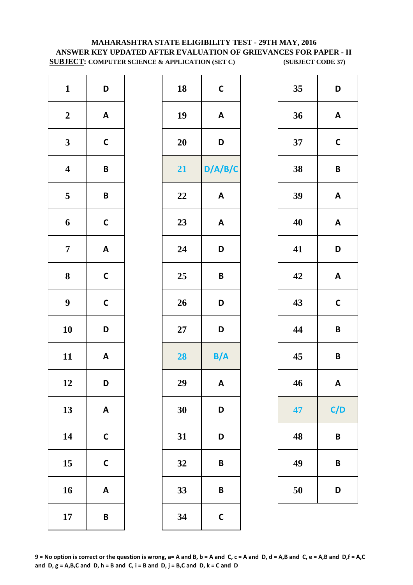# **MAHARASHTRA STATE ELIGIBILITY TEST - 29TH MAY, 2016 ANSWER KEY UPDATED AFTER EVALUATION OF GRIEVANCES FOR PAPER - II SUBJECT: COMPUTER SCIENCE & APPLICATION (SET C) (SUBJECT CODE 37)**

| $\mathbf{1}$            | D                         | 18        | $\mathsf{C}$   |
|-------------------------|---------------------------|-----------|----------------|
| $\boldsymbol{2}$        | $\boldsymbol{\mathsf{A}}$ | 19        | A              |
| $\mathbf{3}$            | $\mathsf{C}$              | <b>20</b> | D              |
| $\overline{\mathbf{4}}$ | B                         | 21        | D/A/           |
| $\overline{\mathbf{5}}$ | B                         | 22        | A              |
| $\boldsymbol{6}$        | $\mathsf{C}$              | 23        | A              |
| $\overline{7}$          | $\boldsymbol{\mathsf{A}}$ | 24        | D              |
| ${\bf 8}$               | $\mathsf{C}$              | 25        | B              |
| $\boldsymbol{9}$        | $\mathsf{C}$              | 26        | D              |
| 10                      | D                         | 27        | D              |
| 11                      | $\mathsf A$               | 28        | B/             |
| 12                      | D                         | 29        | $\overline{A}$ |
| 13                      | $\boldsymbol{\mathsf{A}}$ | 30        | D              |
| 14                      | $\mathsf{C}$              | 31        | D              |
| 15                      | $\mathsf{C}$              | 32        | B              |
| 16                      | $\boldsymbol{\mathsf{A}}$ | 33        | B              |
| 17                      | B                         | 34        | $\mathsf{C}$   |

| $\mathbf{1}$            | D                         | 18     | $\mathsf{C}$              | 35 | D                         |
|-------------------------|---------------------------|--------|---------------------------|----|---------------------------|
| $\boldsymbol{2}$        | $\mathbf{A}$              | 19     | $\boldsymbol{\mathsf{A}}$ | 36 | $\mathbf{A}$              |
| $\mathbf{3}$            | $\mathsf{C}$              | 20     | D                         | 37 | $\mathsf{C}$              |
| $\overline{\mathbf{4}}$ | $\pmb B$                  | 21     | D/A/B/C                   | 38 | $\pmb B$                  |
| $5\overline{)}$         | $\pmb B$                  | 22     | $\boldsymbol{\mathsf{A}}$ | 39 | $\boldsymbol{\mathsf{A}}$ |
| $\boldsymbol{6}$        | $\mathsf{C}$              | 23     | $\boldsymbol{\mathsf{A}}$ | 40 | $\boldsymbol{\mathsf{A}}$ |
| $\overline{7}$          | $\mathbf{A}$              | 24     | D                         | 41 | D                         |
| $\boldsymbol{8}$        | $\mathsf{C}$              | 25     | $\pmb B$                  | 42 | $\mathbf{A}$              |
| $\boldsymbol{9}$        | $\mathsf{C}$              | 26     | D                         | 43 | $\mathsf{C}$              |
| 10                      | D                         | $27\,$ | D                         | 44 | $\pmb B$                  |
| 11                      | $\mathbf{A}$              | 28     | B/A                       | 45 | $\pmb B$                  |
| 12                      | D                         | 29     | $\mathsf{A}$              | 46 | A                         |
| 13                      | $\boldsymbol{\mathsf{A}}$ | 30     | D                         | 47 | C/D                       |
| 14                      | $\mathsf C$               | 31     | D                         | 48 | $\pmb B$                  |
| 15                      | $\mathsf C$               | 32     | $\pmb B$                  | 49 | $\pmb B$                  |
| 16                      | $\mathbf{A}$              | 33     | $\pmb B$                  | 50 | D                         |
| 17                      | $\pmb B$                  | 34     | $\mathsf{C}$              |    |                           |

| 35 | D            |
|----|--------------|
| 36 | A            |
| 37 | $\mathsf{C}$ |
| 38 | B            |
| 39 | A            |
| 40 | A            |
| 41 | D            |
| 42 | A            |
| 43 | $\mathsf{C}$ |
| 44 | B            |
| 45 | B            |
| 46 | A            |
| 47 | C/D          |
| 48 | B            |
| 49 | B            |
| 50 | D            |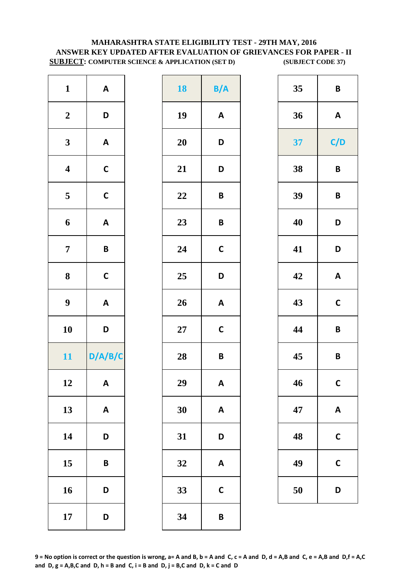# **MAHARASHTRA STATE ELIGIBILITY TEST - 29TH MAY, 2016 ANSWER KEY UPDATED AFTER EVALUATION OF GRIEVANCES FOR PAPER - II SUBJECT: COMPUTER SCIENCE & APPLICATION (SET D) (SUBJECT CODE 37)**

| $\mathbf{1}$            | $\boldsymbol{\mathsf{A}}$ | 18     | B/           |
|-------------------------|---------------------------|--------|--------------|
| $\boldsymbol{2}$        | D                         | 19     | A            |
| $\overline{\mathbf{3}}$ | $\boldsymbol{\mathsf{A}}$ | 20     | D            |
| $\overline{\mathbf{4}}$ | $\mathsf{C}$              | 21     | D            |
| $\overline{\mathbf{5}}$ | $\mathsf{C}$              | 22     | B            |
| 6                       | $\boldsymbol{\mathsf{A}}$ | 23     | B            |
| $\overline{7}$          | B                         | 24     | $\mathsf{C}$ |
| 8                       | $\mathsf{C}$              | 25     | D            |
| $\boldsymbol{9}$        | $\mathsf{A}$              | 26     | A            |
| 10                      | D                         | $27\,$ | $\mathsf{C}$ |
| 11                      | D/A/B/C                   | 28     | B            |
| 12                      | <b>A</b>                  | 29     | A            |
| 13                      | $\boldsymbol{\mathsf{A}}$ | 30     | A            |
| 14                      | D                         | 31     | D            |
| 15                      | B                         | 32     | A            |
| 16                      | D                         | 33     | $\mathsf{C}$ |
| 17                      | D                         | 34     | B            |

| $\mathbf{1}$            | $\boldsymbol{\mathsf{A}}$ | <b>18</b> | B/A                       | 35 | $\pmb B$                  |
|-------------------------|---------------------------|-----------|---------------------------|----|---------------------------|
| $\boldsymbol{2}$        | D                         | 19        | $\boldsymbol{\mathsf{A}}$ | 36 | $\mathbf{A}$              |
| $\mathbf{3}$            | $\boldsymbol{\mathsf{A}}$ | 20        | D                         | 37 | C/D                       |
| $\overline{\mathbf{4}}$ | $\mathsf C$               | 21        | D                         | 38 | $\pmb B$                  |
| $5\phantom{.0}$         | $\mathsf{C}$              | 22        | $\pmb B$                  | 39 | $\pmb B$                  |
| $\boldsymbol{6}$        | $\boldsymbol{\mathsf{A}}$ | 23        | $\pmb B$                  | 40 | D                         |
| $\overline{7}$          | $\pmb B$                  | 24        | $\mathsf{C}$              | 41 | D                         |
| $\boldsymbol{8}$        | $\mathsf C$               | 25        | D                         | 42 | $\boldsymbol{\mathsf{A}}$ |
| $\boldsymbol{9}$        | $\boldsymbol{\mathsf{A}}$ | 26        | $\boldsymbol{\mathsf{A}}$ | 43 | $\mathsf{C}$              |
| 10                      | D                         | $27\,$    | $\mathsf{C}$              | 44 | $\pmb B$                  |
| 11                      | D/A/B/C                   | 28        | $\pmb B$                  | 45 | $\pmb B$                  |
| 12                      | $\mathsf{A}$              | 29        | A                         | 46 | $\mathsf{C}$              |
| 13                      | $\boldsymbol{\mathsf{A}}$ | 30        | $\boldsymbol{\mathsf{A}}$ | 47 | $\mathbf{A}$              |
| 14                      | D                         | 31        | D                         | 48 | $\mathsf{C}$              |
| 15                      | $\pmb B$                  | 32        | $\boldsymbol{\mathsf{A}}$ | 49 | $\mathsf C$               |
| 16                      | D                         | 33        | $\mathsf{C}$              | 50 | D                         |
| 17                      | D                         | 34        | $\pmb B$                  |    |                           |

| 35 | B            |
|----|--------------|
| 36 | A            |
| 37 | C/D          |
| 38 | B            |
| 39 | B            |
| 40 | D            |
| 41 | D            |
| 42 | A            |
| 43 | $\mathbf C$  |
| 44 | B            |
| 45 | B            |
| 46 | $\mathsf{C}$ |
| 47 | A            |
| 48 | C            |
| 49 | C            |
| 50 | D            |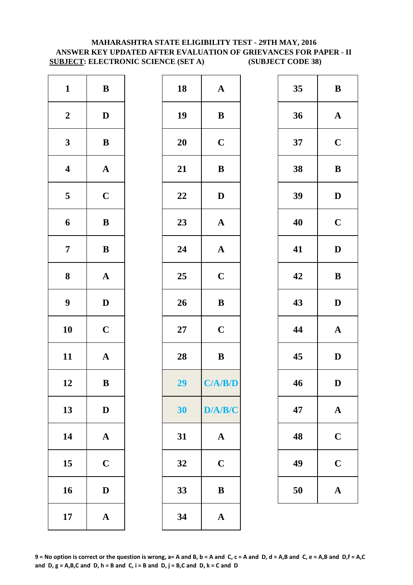### **MAHARASHTRA STATE ELIGIBILITY TEST - 29TH MAY, 2016 ANSWER KEY UPDATED AFTER EVALUATION OF GRIEVANCES FOR PAPER - II SUBJECT: ELECTRONIC SCIENCE (SET A) (SUBJECT CODE 38)**

| $\mathbf{1}$            | $\, {\bf B}$          | 18        | $\mathbf A$  |
|-------------------------|-----------------------|-----------|--------------|
| $\boldsymbol{2}$        | $\mathbf D$           | 19        | $\bf{B}$     |
| $\mathbf{3}$            | $\bf{B}$              | <b>20</b> | $\mathbf C$  |
| $\boldsymbol{4}$        | $\boldsymbol{\rm{A}}$ | 21        | $\bf{B}$     |
| $\overline{\mathbf{5}}$ | $\mathbf C$           | 22        | $\mathbf{D}$ |
| $\boldsymbol{6}$        | $\, {\bf B}$          | 23        | $\mathbf{A}$ |
| $\overline{7}$          | $\, {\bf B}$          | 24        | $\mathbf A$  |
| 8                       | $\boldsymbol{\rm{A}}$ | 25        | $\mathbf C$  |
| $\boldsymbol{9}$        | $\mathbf D$           | 26        | $\bf{B}$     |
| 10                      | $\mathbf C$           | $27\,$    | $\mathbf C$  |
| 11                      | $\mathbf A$           | 28        | $\bf{B}$     |
| 12                      | B                     | 29        | C/A/         |
| 13                      | $\mathbf D$           | 30        | D/A/         |
| 14                      | $\boldsymbol{\rm{A}}$ | 31        | $\mathbf A$  |
| 15                      | $\mathbf C$           | 32        | $\mathbf C$  |
| 16                      | $\mathbf D$           | 33        | $\bf{B}$     |
| 17                      | $\boldsymbol{\rm{A}}$ | 34        | $\mathbf{A}$ |

| $\mathbf{1}$            | $\, {\bf B}$ | 18 | ${\bf A}$                         | 35 | $\bf{B}$     |
|-------------------------|--------------|----|-----------------------------------|----|--------------|
| $\boldsymbol{2}$        | $\mathbf{D}$ | 19 | $\bf{B}$                          | 36 | $\mathbf A$  |
| $\mathbf{3}$            | ${\bf B}$    | 20 | $\mathbf C$                       | 37 | $\mathbf C$  |
| $\overline{\mathbf{4}}$ | ${\bf A}$    | 21 | $\bf{B}$                          | 38 | $\bf{B}$     |
| $\overline{\mathbf{5}}$ | $\mathbf C$  | 22 | $\mathbf D$                       | 39 | $\mathbf{D}$ |
| $\boldsymbol{6}$        | ${\bf B}$    | 23 | ${\bf A}$                         | 40 | $\mathbf C$  |
| $\overline{7}$          | ${\bf B}$    | 24 | ${\bf A}$                         | 41 | $\mathbf{D}$ |
| 8                       | ${\bf A}$    | 25 | $\mathbf C$                       | 42 | $\bf{B}$     |
| $\boldsymbol{9}$        | $\mathbf{D}$ | 26 | $\, {\bf B}$                      | 43 | $\mathbf{D}$ |
| 10                      | $\mathbf C$  | 27 | $\mathbf C$                       | 44 | $\mathbf A$  |
| 11                      | ${\bf A}$    | 28 | ${\bf B}$                         | 45 | $\mathbf{D}$ |
| 12                      | B            | 29 | C/ <b>A</b> / <b>B</b> / <b>D</b> | 46 | D            |
| 13                      | $\mathbf D$  | 30 | D/A/B/C                           | 47 | $\mathbf A$  |
| 14                      | ${\bf A}$    | 31 | $\mathbf{A}$                      | 48 | $\mathbf C$  |
| 15                      | $\mathbf C$  | 32 | $\mathbf C$                       | 49 | $\mathbf C$  |
| 16                      | $\mathbf D$  | 33 | ${\bf B}$                         | 50 | $\mathbf A$  |
| 17                      | ${\bf A}$    | 34 | $\mathbf A$                       |    |              |
|                         |              |    |                                   |    |              |

| 35 | B            |
|----|--------------|
| 36 | $\mathbf A$  |
| 37 | $\mathbf C$  |
| 38 | B            |
| 39 | D            |
| 40 | $\mathbf C$  |
| 41 | D            |
| 42 | B            |
| 43 | D            |
| 44 | $\mathbf{A}$ |
| 45 | D            |
| 46 | $\mathbf D$  |
| 47 | $\mathbf A$  |
| 48 | $\mathbf C$  |
| 49 | $\mathbf C$  |
|    |              |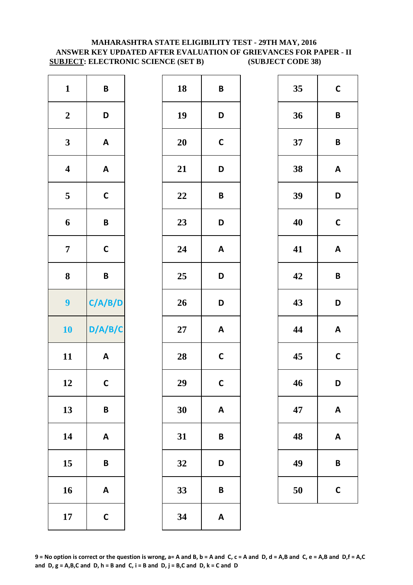### **MAHARASHTRA STATE ELIGIBILITY TEST - 29TH MAY, 2016 ANSWER KEY UPDATED AFTER EVALUATION OF GRIEVANCES FOR PAPER - II SUBJECT: ELECTRONIC SCIENCE (SET B) (SUBJECT CODE 38)**

| $\mathbf{1}$            | $\pmb B$                  | 18     | B                      |
|-------------------------|---------------------------|--------|------------------------|
| $\boldsymbol{2}$        | D                         | 19     | D                      |
| $\mathbf{3}$            | $\boldsymbol{\mathsf{A}}$ | 20     | $\mathsf{C}$           |
| $\overline{\mathbf{4}}$ | $\boldsymbol{\mathsf{A}}$ | 21     | D                      |
| $\overline{\mathbf{5}}$ | $\mathsf{C}$              | 22     | B                      |
| 6                       | B                         | 23     | D                      |
| $\overline{7}$          | $\mathbf C$               | 24     | $\mathsf{A}$           |
|                         |                           | 25     | D                      |
| ${\bf 8}$               | B                         |        |                        |
| 9                       | C/A/B/D                   | 26     |                        |
| 10                      | D/A/B/C                   | $27\,$ |                        |
| 11                      | $\boldsymbol{\mathsf{A}}$ | 28     | D<br>A<br>$\mathsf{C}$ |
| 12                      | $\mathsf{C}$              | 29     | $\mathbf C$            |
| 13                      | B                         | 30     | A                      |
| 14                      | $\boldsymbol{\mathsf{A}}$ | 31     | B                      |
| 15                      | B                         | 32     | D                      |
| 16                      | $\boldsymbol{\mathsf{A}}$ | 33     | B                      |

| $\pmb B$                  | 18     | $\pmb B$                  | 35 | $\mathbf C$             |
|---------------------------|--------|---------------------------|----|-------------------------|
| D                         | 19     | D                         | 36 | $\mathsf{B}$            |
| $\boldsymbol{\mathsf{A}}$ | 20     | $\mathsf{C}$              | 37 | $\mathbf B$             |
| $\boldsymbol{\mathsf{A}}$ | 21     | D                         | 38 | A                       |
| $\mathsf{C}$              | 22     | $\pmb B$                  | 39 | D                       |
| $\pmb B$                  | 23     | D                         | 40 | $\mathbf C$             |
| $\mathsf C$               | 24     | $\boldsymbol{\mathsf{A}}$ | 41 | $\boldsymbol{A}$        |
| $\pmb B$                  | 25     | D                         | 42 | $\overline{\mathbf{B}}$ |
| C/A/B/D                   | 26     | D                         | 43 | D                       |
| D/A/B/C                   | $27\,$ | $\boldsymbol{\mathsf{A}}$ | 44 | A                       |
| $\boldsymbol{\mathsf{A}}$ | 28     | $\mathsf{C}$              | 45 | $\mathbf C$             |
| $\mathsf{C}$              | 29     | $\mathbf{C}$              | 46 | D                       |
| $\pmb B$                  | 30     | $\boldsymbol{\mathsf{A}}$ | 47 | A                       |
| $\boldsymbol{\mathsf{A}}$ | 31     | $\pmb B$                  | 48 | A                       |
| $\pmb B$                  | 32     | D                         | 49 | $\mathbf B$             |
| $\boldsymbol{\mathsf{A}}$ | 33     | $\pmb B$                  | 50 | $\mathbf C$             |
| $\mathsf C$               | 34     | $\pmb{\mathsf{A}}$        |    |                         |
|                           |        |                           |    |                         |

| 35 | C            |
|----|--------------|
| 36 | B            |
| 37 | B            |
| 38 | A            |
| 39 | D            |
| 40 | $\mathsf{C}$ |
| 41 | A            |
| 42 | B            |
| 43 | D            |
| 44 | A            |
| 45 | $\mathsf{C}$ |
| 46 | D            |
| 47 | A            |
| 48 | Α            |
| 49 | B            |
| 50 | C            |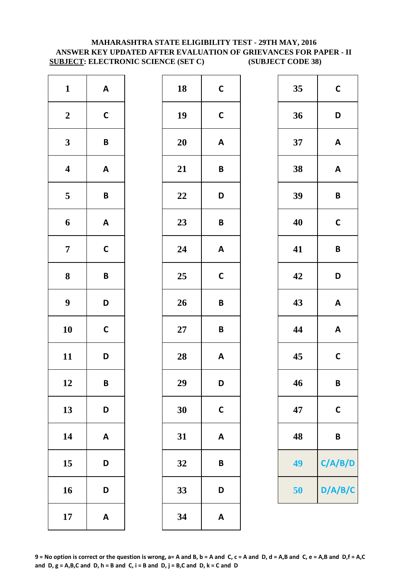### **MAHARASHTRA STATE ELIGIBILITY TEST - 29TH MAY, 2016 ANSWER KEY UPDATED AFTER EVALUATION OF GRIEVANCES FOR PAPER - II SUBJECT: ELECTRONIC SCIENCE (SET C) (SUBJECT CODE 38)**

| $\mathbf{1}$            | $\boldsymbol{\mathsf{A}}$ | 18        | $\mathsf{C}$ |
|-------------------------|---------------------------|-----------|--------------|
| $\boldsymbol{2}$        | $\mathsf{C}$              | 19        | $\mathsf{C}$ |
| $\mathbf{3}$            | $\pmb B$                  | <b>20</b> | A            |
| $\overline{\mathbf{4}}$ | $\boldsymbol{\mathsf{A}}$ | 21        | B            |
| $\overline{\mathbf{5}}$ | $\pmb B$                  | 22        | D            |
| 6                       | $\mathsf A$               | 23        | B            |
| $\overline{7}$          | $\mathbf C$               | 24        | A            |
| $\bf 8$                 | B                         | 25        | $\mathsf{C}$ |
| $\boldsymbol{9}$        | D                         | 26        | B            |
| 10                      | $\mathsf{C}$              | $27\,$    | B            |
| 11                      | D                         | 28        | A            |
| 12                      | B                         | 29        | D            |
| 13                      | D                         | 30        | $\mathsf{C}$ |
| 14                      | $\boldsymbol{\mathsf{A}}$ | 31        | A            |
| 15                      | D                         | 32        | B            |
| 16                      | D                         | 33        | D            |
| 17                      | $\boldsymbol{\mathsf{A}}$ | 34        | A            |

| $\mathbf{1}$            | $\mathsf{A}$              | 18 | $\mathbf C$               | 35 | $\mathbf C$             |
|-------------------------|---------------------------|----|---------------------------|----|-------------------------|
| $\boldsymbol{2}$        | $\mathsf{C}$              | 19 | $\mathsf{C}$              | 36 | D                       |
| $\mathbf{3}$            | $\pmb B$                  | 20 | $\boldsymbol{\mathsf{A}}$ | 37 | A                       |
| $\overline{\mathbf{4}}$ | $\boldsymbol{\mathsf{A}}$ | 21 | $\pmb B$                  | 38 | $\boldsymbol{A}$        |
| $\overline{\mathbf{5}}$ | $\pmb B$                  | 22 | D                         | 39 | $\overline{\mathsf{B}}$ |
| $\boldsymbol{6}$        | $\mathbf{A}$              | 23 | $\pmb B$                  | 40 | $\mathbf C$             |
| $\overline{7}$          | $\mathsf{C}$              | 24 | $\boldsymbol{\mathsf{A}}$ | 41 | $\overline{\mathsf{B}}$ |
| $\boldsymbol{8}$        | $\pmb B$                  | 25 | $\mathsf{C}$              | 42 | D                       |
| $\boldsymbol{9}$        | D                         | 26 | $\pmb B$                  | 43 | A                       |
| 10                      | $\mathsf C$               | 27 | $\pmb B$                  | 44 | A                       |
| 11                      | D                         | 28 | $\boldsymbol{\mathsf{A}}$ | 45 | $\mathbf C$             |
| 12                      | B                         | 29 | D                         | 46 | $\mathbf B$             |
| 13                      | D                         | 30 | $\mathsf{C}$              | 47 | $\mathbf C$             |
| 14                      | $\boldsymbol{\mathsf{A}}$ | 31 | $\boldsymbol{\mathsf{A}}$ | 48 | $\mathsf{B}$            |
| 15                      | D                         | 32 | $\pmb B$                  | 49 | C/A/                    |
| 16                      | D                         | 33 | D                         | 50 | D/A/                    |
| 17                      | $\boldsymbol{\mathsf{A}}$ | 34 | $\pmb{\mathsf{A}}$        |    |                         |
|                         |                           |    |                           |    |                         |

| $\mathbf{1}$            | $\mathsf{A}$              | 18     | $\mathsf{C}$     | 35 | $\mathsf{C}$              |
|-------------------------|---------------------------|--------|------------------|----|---------------------------|
| $\boldsymbol{2}$        | $\mathsf C$               | 19     | $\mathsf{C}$     | 36 | D                         |
| $\mathbf{3}$            | $\pmb B$                  | 20     | A                | 37 | $\boldsymbol{\mathsf{A}}$ |
| $\overline{\mathbf{4}}$ | $\boldsymbol{\mathsf{A}}$ | 21     | $\pmb B$         | 38 | $\boldsymbol{\mathsf{A}}$ |
| $5\overline{)}$         | $\pmb B$                  | 22     | D                | 39 | $\pmb B$                  |
| $\boldsymbol{6}$        | $\boldsymbol{\mathsf{A}}$ | 23     | $\boldsymbol{B}$ | 40 | $\mathbf C$               |
| $\overline{7}$          | $\mathsf{C}$              | 24     | $\mathbf{A}$     | 41 | $\pmb B$                  |
| $\boldsymbol{8}$        | B                         | 25     | $\mathbf C$      | 42 | D                         |
| $\boldsymbol{9}$        | D                         | 26     | $\pmb B$         | 43 | $\boldsymbol{\mathsf{A}}$ |
| 10                      | $\mathsf{C}$              | $27\,$ | $\mathsf B$      | 44 | $\boldsymbol{\mathsf{A}}$ |
| 11                      | D                         | 28     | $\mathbf{A}$     | 45 | $\mathbf C$               |
| 12                      | $\pmb B$                  | 29     | D                | 46 | $\pmb B$                  |
| 13                      | D                         | 30     | $\mathsf{C}$     | 47 | $\mathbf C$               |
| 14                      | $\mathbf{A}$              | 31     | A                | 48 | $\pmb B$                  |
| 15                      | D                         | 32     | B                | 49 | C/A/B/D                   |
| 16                      | D                         | 33     | D                | 50 | D/A/B/C                   |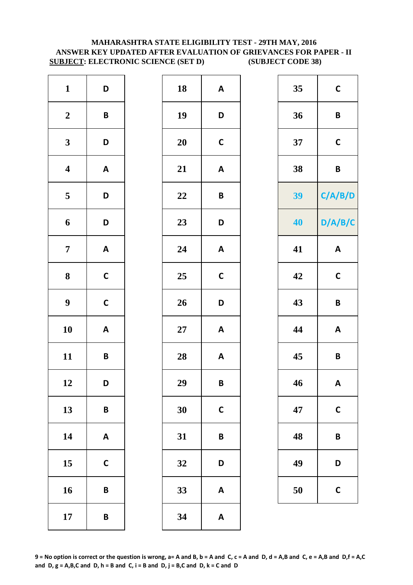### **MAHARASHTRA STATE ELIGIBILITY TEST - 29TH MAY, 2016 ANSWER KEY UPDATED AFTER EVALUATION OF GRIEVANCES FOR PAPER - II SUBJECT: ELECTRONIC SCIENCE (SET D) (SUBJECT CODE 38)**

| $\mathbf{1}$            | D                         | 18        | A            |
|-------------------------|---------------------------|-----------|--------------|
| $\boldsymbol{2}$        | $\pmb B$                  | 19        | D            |
| $\mathbf{3}$            | D                         | <b>20</b> | $\mathsf{C}$ |
| $\overline{\mathbf{4}}$ | $\boldsymbol{\mathsf{A}}$ | 21        | $\mathsf{A}$ |
| $\overline{\mathbf{5}}$ | D                         | 22        | B            |
| 6                       | D                         | 23        | D            |
| $\overline{7}$          | $\boldsymbol{\mathsf{A}}$ | 24        | A            |
| $\bf 8$                 | $\mathsf{C}$              | 25        | $\mathsf{C}$ |
| $\boldsymbol{9}$        | $\mathsf{C}$              | 26        | D            |
| 10                      | $\boldsymbol{\mathsf{A}}$ | $27\,$    | A            |
| 11                      | $\pmb B$                  | 28        | $\mathsf{A}$ |
| 12                      | D                         | 29        | B            |
| 13                      | B                         | 30        | $\mathsf{C}$ |
| 14                      | $\boldsymbol{\mathsf{A}}$ | 31        | B            |
| 15                      | $\mathbf C$               | 32        | D            |
| 16                      | B                         | 33        | A            |
| 17                      | B                         | 34        | A            |

| $\mathbf{1}$            | D                         | 18     | $\mathbf{A}$              | 35 | $\mathbf C$               |
|-------------------------|---------------------------|--------|---------------------------|----|---------------------------|
| $\boldsymbol{2}$        | $\pmb B$                  | 19     | D                         | 36 | $\pmb B$                  |
| $\mathbf{3}$            | D                         | 20     | $\mathbf C$               | 37 | $\mathsf{C}$              |
| $\overline{\mathbf{4}}$ | $\boldsymbol{\mathsf{A}}$ | 21     | $\boldsymbol{\mathsf{A}}$ | 38 | $\pmb B$                  |
| $5\overline{)}$         | D                         | 22     | $\pmb B$                  | 39 | C/A/B/D                   |
| $\boldsymbol{6}$        | D                         | 23     | D                         | 40 | D/A/B/C                   |
| $\overline{7}$          | $\mathbf{A}$              | 24     | $\boldsymbol{\mathsf{A}}$ | 41 | $\boldsymbol{\mathsf{A}}$ |
| 8                       | $\mathsf C$               | 25     | $\mathsf{C}$              | 42 | $\mathsf{C}$              |
| $\boldsymbol{9}$        | $\mathsf C$               | 26     | D                         | 43 | $\pmb B$                  |
| 10                      | $\boldsymbol{\mathsf{A}}$ | $27\,$ | $\mathbf{A}$              | 44 | $\boldsymbol{\mathsf{A}}$ |
| 11                      | $\pmb B$                  | 28     | $\mathbf{A}$              | 45 | $\pmb B$                  |
| 12                      | D                         | 29     | $\pmb B$                  | 46 | A                         |
| 13                      | $\pmb B$                  | 30     | $\mathbf C$               | 47 | $\mathbf C$               |
| 14                      | $\mathsf{A}$              | 31     | $\pmb B$                  | 48 | $\pmb B$                  |
| 15                      | $\mathbf C$               | 32     | D                         | 49 | D                         |
| 16                      | $\pmb B$                  | 33     | $\boldsymbol{\mathsf{A}}$ | 50 | $\mathsf{C}$              |
| 17                      | $\pmb B$                  | 34     | $\boldsymbol{\mathsf{A}}$ |    |                           |

| 35 | C       |
|----|---------|
| 36 | B       |
| 37 | C       |
| 38 | B       |
| 39 | C/A/B/D |
| 40 | D/A/B/C |
| 41 | A       |
| 42 | C       |
| 43 | B       |
| 44 | A       |
| 45 | B       |
| 46 | A       |
| 47 | C       |
| 48 | B       |
| 49 | D       |
| 50 | C       |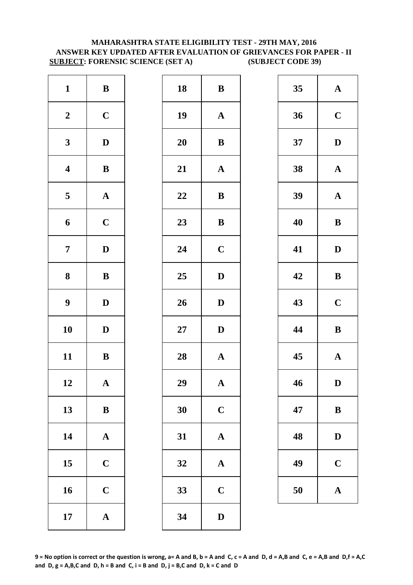### **MAHARASHTRA STATE ELIGIBILITY TEST - 29TH MAY, 2016 ANSWER KEY UPDATED AFTER EVALUATION OF GRIEVANCES FOR PAPER - II SUBJECT: FORENSIC SCIENCE (SET A) (SUBJECT CODE 39)**

| $\mathbf{1}$            | $\, {\bf B}$          | 18        | $\bf{B}$     |
|-------------------------|-----------------------|-----------|--------------|
| $\boldsymbol{2}$        | $\mathbf C$           | 19        | $\mathbf A$  |
| $\mathbf{3}$            | $\mathbf D$           | <b>20</b> | $\bf{B}$     |
| $\overline{\mathbf{4}}$ | $\bf{B}$              | 21        | $\mathbf{A}$ |
| $\overline{\mathbf{5}}$ | $\boldsymbol{\rm{A}}$ | 22        | $\bf{B}$     |
| 6                       | $\mathbf C$           | 23        | $\bf{B}$     |
| $\overline{7}$          | $\mathbf D$           | 24        | $\mathbf C$  |
| 8                       | ${\bf B}$             | 25        | $\mathbf{D}$ |
| $\boldsymbol{9}$        | $\mathbf D$           | 26        | $\mathbf{D}$ |
| 10                      | $\mathbf D$           | $27\,$    | $\mathbf{D}$ |
| 11                      | $\, {\bf B}$          | 28        | $\mathbf{A}$ |
| 12                      | A                     | 29        | A            |
| 13                      | $\, {\bf B}$          | 30        | $\mathbf C$  |
| 14                      | $\boldsymbol{\rm{A}}$ | 31        | $\mathbf{A}$ |
| 15                      | $\mathbf C$           | 32        | $\mathbf{A}$ |
| 16                      | $\mathbf C$           | 33        | $\mathbf C$  |
| 17                      | ${\bf A}$             | 34        | $\mathbf{D}$ |

| $\mathbf{1}$            | ${\bf B}$    | 18 | ${\bf B}$             | 35 | $\mathbf A$  |
|-------------------------|--------------|----|-----------------------|----|--------------|
| $\boldsymbol{2}$        | $\mathbf C$  | 19 | $\mathbf{A}$          | 36 | $\mathbf C$  |
| $\mathbf{3}$            | $\mathbf D$  | 20 | $\, {\bf B}$          | 37 | $\mathbf{D}$ |
| $\overline{\mathbf{4}}$ | $\, {\bf B}$ | 21 | $\boldsymbol{\rm{A}}$ | 38 | $\mathbf A$  |
| $\overline{\mathbf{5}}$ | ${\bf A}$    | 22 | ${\bf B}$             | 39 | $\mathbf A$  |
| $\boldsymbol{6}$        | $\mathbf C$  | 23 | $\, {\bf B}$          | 40 | $\bf{B}$     |
| $\overline{7}$          | $\mathbf D$  | 24 | $\mathbf C$           | 41 | $\mathbf{D}$ |
| $\boldsymbol{8}$        | $\, {\bf B}$ | 25 | $\mathbf D$           | 42 | $\bf{B}$     |
| $\boldsymbol{9}$        | $\mathbf{D}$ | 26 | $\mathbf{D}$          | 43 | $\mathbf C$  |
| 10                      | $\mathbf D$  | 27 | $\mathbf D$           | 44 | $\bf{B}$     |
| 11                      | ${\bf B}$    | 28 | ${\bf A}$             | 45 | $\mathbf A$  |
| 12                      | $\mathbf{A}$ | 29 | $\mathbf{A}$          | 46 | D            |
| 13                      | $\, {\bf B}$ | 30 | $\mathbf C$           | 47 | $\bf{B}$     |
| 14                      | ${\bf A}$    | 31 | ${\bf A}$             | 48 | $\mathbf{D}$ |
| 15                      | $\mathbf C$  | 32 | ${\bf A}$             | 49 | $\mathbf C$  |
| 16                      | $\mathbf C$  | 33 | $\mathbf C$           | 50 | $\mathbf A$  |
| 17                      | ${\bf A}$    | 34 | $\mathbf D$           |    |              |
|                         |              |    |                       |    |              |

| 35 | $\mathbf A$  |
|----|--------------|
| 36 | $\mathbf C$  |
| 37 | $\mathbf D$  |
| 38 | $\mathbf A$  |
| 39 | $\mathbf A$  |
| 40 | B            |
| 41 | D            |
| 42 | B            |
| 43 | $\mathbf C$  |
| 44 | B            |
| 45 | $\mathbf A$  |
| 46 | D            |
| 47 | B            |
| 48 | $\mathbf{D}$ |
| 49 | $\mathbf C$  |
| 50 | A            |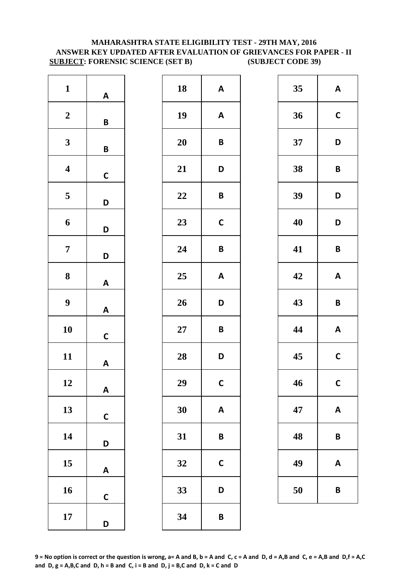### **MAHARASHTRA STATE ELIGIBILITY TEST - 29TH MAY, 2016 ANSWER KEY UPDATED AFTER EVALUATION OF GRIEVANCES FOR PAPER - II SUBJECT: FORENSIC SCIENCE (SET B) (SUBJECT CODE 39)**

| $\mathbf{1}$            | A            |
|-------------------------|--------------|
| $\boldsymbol{2}$        | B            |
| 3                       | B            |
| $\overline{\mathbf{4}}$ | $\mathsf{C}$ |
| 5                       | D            |
| 6                       | D            |
| 7                       | D            |
| 8                       | A            |
| 9                       | A            |
| 10                      | C            |
| 11                      | A            |
| 12                      | A            |
| 13                      | C            |
| 14                      | D            |
| 15                      | Α            |
| 16                      | C            |
| 17                      | D            |

| 18 | A           |
|----|-------------|
| 19 | A           |
| 20 | B           |
| 21 | D           |
| 22 | B           |
| 23 | $\mathbf C$ |
| 24 | B           |
| 25 | A           |
| 26 | D           |
| 27 | B           |
| 28 | D           |
| 29 | C           |
| 30 | A           |
| 31 | B           |
| 32 | C           |
| 33 | D           |
| 34 | B           |

| 18 | $\boldsymbol{\mathsf{A}}$ | 35 | $\boldsymbol{\mathsf{A}}$ |
|----|---------------------------|----|---------------------------|
| 19 | A                         | 36 | $\mathbf C$               |
| 20 | B                         | 37 | D                         |
| 21 | D                         | 38 | B                         |
| 22 | B                         | 39 | D                         |
| 23 | $\mathsf{C}$              | 40 | D                         |
| 24 | $\pmb B$                  | 41 | B                         |
| 25 | A                         | 42 | $\boldsymbol{\mathsf{A}}$ |
| 26 | D                         | 43 | B                         |
| 27 | B                         | 44 | $\boldsymbol{\mathsf{A}}$ |
| 28 | D                         | 45 | $\mathsf{C}$              |
| 29 | $\mathsf{C}$              | 46 | $\mathsf{C}$              |
| 30 | $\boldsymbol{\mathsf{A}}$ | 47 | $\pmb{\mathsf{A}}$        |
| 31 | B                         | 48 | B                         |
| 32 | $\mathbf C$               | 49 | A                         |
| 33 | D                         | 50 | B                         |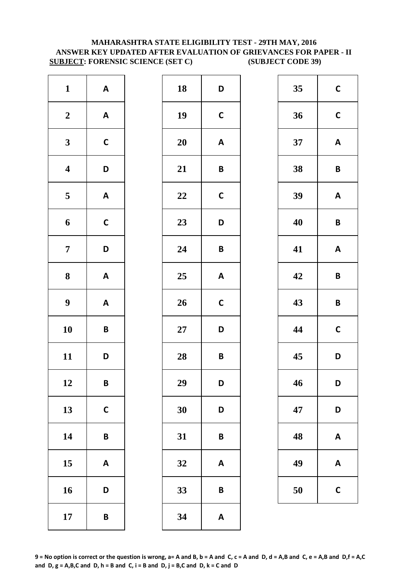### **MAHARASHTRA STATE ELIGIBILITY TEST - 29TH MAY, 2016 ANSWER KEY UPDATED AFTER EVALUATION OF GRIEVANCES FOR PAPER - II SUBJECT: FORENSIC SCIENCE (SET C) (SUBJECT CODE 39)**

| $\mathbf{1}$            | $\boldsymbol{\mathsf{A}}$ | 18        | D            |
|-------------------------|---------------------------|-----------|--------------|
| $\boldsymbol{2}$        | $\boldsymbol{\mathsf{A}}$ | 19        | $\mathbf C$  |
| $\mathbf{3}$            | $\mathsf{C}$              | <b>20</b> | A            |
| $\overline{\mathbf{4}}$ | D                         | 21        | B            |
| $\overline{\mathbf{5}}$ | $\boldsymbol{\mathsf{A}}$ | 22        | $\mathsf{C}$ |
| 6                       | $\mathsf{C}$              | 23        | D            |
| $\overline{7}$          | D                         | 24        | B            |
| $\bf 8$                 | $\boldsymbol{\mathsf{A}}$ | 25        | A            |
| $\boldsymbol{9}$        | $\boldsymbol{\mathsf{A}}$ | 26        | $\mathsf{C}$ |
| 10                      | B                         | $27\,$    | D            |
| 11                      | D                         | 28        | B            |
| 12                      | B                         | 29        | D            |
| 13                      | $\mathsf{C}$              | 30        | D            |
| 14                      | B                         | 31        | B            |
| 15                      | $\boldsymbol{\mathsf{A}}$ | 32        | A            |
| 16                      | D                         | 33        | B            |
| 17                      | B                         | 34        | A            |

| $\mathbf{1}$            | $\mathsf{A}$ | 18 | D                         | 35 | $\mathbf C$             |
|-------------------------|--------------|----|---------------------------|----|-------------------------|
| $\boldsymbol{2}$        | $\mathbf{A}$ | 19 | $\mathsf{C}$              | 36 | $\mathbf C$             |
| $\mathbf{3}$            | $\mathsf C$  | 20 | $\boldsymbol{\mathsf{A}}$ | 37 | $\boldsymbol{A}$        |
| $\overline{\mathbf{4}}$ | D            | 21 | $\pmb B$                  | 38 | $\mathbf B$             |
| $\overline{\mathbf{5}}$ | $\mathbf{A}$ | 22 | $\mathbf C$               | 39 | A                       |
| $\boldsymbol{6}$        | $\mathsf{C}$ | 23 | D                         | 40 | $\overline{\mathsf{B}}$ |
| $\overline{7}$          | D            | 24 | $\pmb B$                  | 41 | A                       |
| $\boldsymbol{8}$        | $\mathbf{A}$ | 25 | $\boldsymbol{\mathsf{A}}$ | 42 | $\mathbf B$             |
| $\boldsymbol{9}$        | $\mathbf{A}$ | 26 | $\mathsf{C}$              | 43 | $\overline{\mathsf{B}}$ |
| 10                      | $\pmb B$     | 27 | D                         | 44 | $\mathbf C$             |
| 11                      | D            | 28 | $\pmb B$                  | 45 | D                       |
| 12                      | B            | 29 | D                         | 46 | D                       |
| 13                      | $\mathbf C$  | 30 | D                         | 47 | D                       |
| 14                      | $\pmb B$     | 31 | $\pmb B$                  | 48 | A                       |
| 15                      | A            | 32 | $\boldsymbol{\mathsf{A}}$ | 49 | A                       |
| 16                      | D            | 33 | $\pmb B$                  | 50 | $\mathsf{C}$            |
| 17                      | $\pmb B$     | 34 | $\boldsymbol{\mathsf{A}}$ |    |                         |
|                         |              |    |                           |    |                         |

| 35 | $\mathbf C$ |
|----|-------------|
| 36 | $\mathbf C$ |
| 37 | A           |
| 38 | B           |
| 39 | A           |
| 40 | B           |
| 41 | A           |
| 42 | B           |
| 43 | B           |
| 44 | $\mathbf C$ |
| 45 | D           |
| 46 | D           |
| 47 | D           |
| 48 | A           |
| 49 | A           |
| 50 | C           |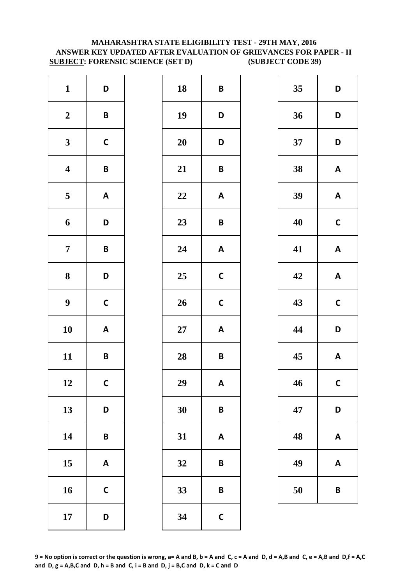### **MAHARASHTRA STATE ELIGIBILITY TEST - 29TH MAY, 2016 ANSWER KEY UPDATED AFTER EVALUATION OF GRIEVANCES FOR PAPER - II SUBJECT: FORENSIC SCIENCE (SET D) (SUBJECT CODE 39)**

| $\mathbf{1}$            | D                         | 18        | B            |
|-------------------------|---------------------------|-----------|--------------|
| $\boldsymbol{2}$        | B                         | 19        | D            |
| $\mathbf{3}$            | $\mathbf C$               | <b>20</b> | D            |
| $\overline{\mathbf{4}}$ | B                         | 21        | B            |
| $\overline{\mathbf{5}}$ | $\boldsymbol{\mathsf{A}}$ | 22        | A            |
| 6                       | D                         | 23        | B            |
| $\overline{7}$          | B                         | 24        | A            |
| $\bf 8$                 | D                         | 25        | $\mathsf{C}$ |
| $\boldsymbol{9}$        | $\mathsf{C}$              | 26        | $\mathsf{C}$ |
| 10                      | $\boldsymbol{\mathsf{A}}$ | $27\,$    | A            |
| 11                      | B                         | 28        | B            |
| 12                      | $\mathsf{C}$              | 29        | A            |
| 13                      | D                         | 30        | B            |
| 14                      | B                         | 31        | A            |
| 15                      | $\boldsymbol{\mathsf{A}}$ | 32        | B            |
| 16                      | $\mathsf{C}$              | 33        | B            |
| 17                      | D                         | 34        | $\mathsf{C}$ |

| $\mathbf{1}$            | D                         | 18     | $\pmb B$                  | 35 | D              |
|-------------------------|---------------------------|--------|---------------------------|----|----------------|
| $\boldsymbol{2}$        | $\pmb B$                  | 19     | D                         | 36 | D              |
| $\mathbf{3}$            | $\mathsf C$               | 20     | D                         | 37 | D              |
| $\overline{\mathbf{4}}$ | $\pmb B$                  | 21     | $\pmb B$                  | 38 | A              |
| $\overline{\mathbf{5}}$ | $\mathsf{A}$              | 22     | $\mathbf{A}$              | 39 | A              |
| $\boldsymbol{6}$        | D                         | 23     | $\pmb B$                  | 40 | $\mathbf C$    |
| $\overline{7}$          | $\pmb B$                  | 24     | $\boldsymbol{\mathsf{A}}$ | 41 | A              |
| $\boldsymbol{8}$        | D                         | 25     | $\mathsf{C}$              | 42 | A              |
| $\boldsymbol{9}$        | $\mathsf C$               | 26     | $\mathsf{C}$              | 43 | $\mathbf C$    |
| 10                      | $\boldsymbol{\mathsf{A}}$ | $27\,$ | $\boldsymbol{\mathsf{A}}$ | 44 | D              |
| 11                      | $\pmb B$                  | 28     | $\pmb B$                  | 45 | A              |
| 12                      | $\mathsf{C}$              | 29     | A                         | 46 | $\mathbf C$    |
| 13                      | D                         | 30     | $\pmb B$                  | 47 | D              |
| 14                      | $\pmb B$                  | 31     | $\boldsymbol{\mathsf{A}}$ | 48 | A              |
| 15                      | A                         | 32     | $\pmb B$                  | 49 | A              |
| 16                      | $\mathsf{C}$              | 33     | B                         | 50 | $\overline{B}$ |
| 17                      | D                         | 34     | $\mathbf C$               |    |                |
|                         |                           |        |                           |    |                |

| 35 | D            |
|----|--------------|
| 36 | D            |
| 37 | D            |
| 38 | A            |
| 39 | A            |
| 40 | $\mathbf C$  |
| 41 | A            |
| 42 | A            |
| 43 | $\mathsf{C}$ |
| 44 | D            |
| 45 | A            |
| 46 | C            |
| 47 | D            |
| 48 | A            |
| 49 | A            |
| 50 | B            |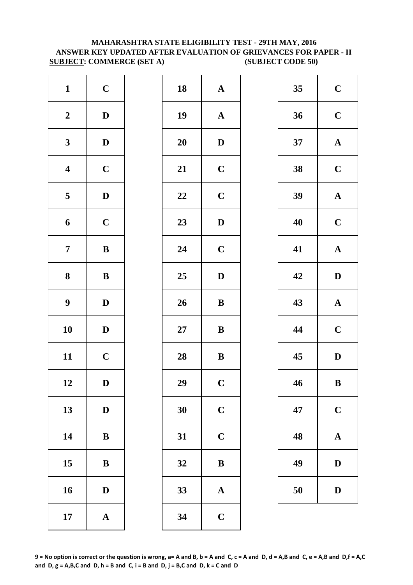### **MAHARASHTRA STATE ELIGIBILITY TEST - 29TH MAY, 2016 ANSWER KEY UPDATED AFTER EVALUATION OF GRIEVANCES FOR PAPER - II SUBJECT: COMMERCE (SET A) (SUBJECT CODE 50)**

| $\mathbf{1}$            | $\mathbf C$           | 18        | $\mathbf{A}$   |
|-------------------------|-----------------------|-----------|----------------|
| $\boldsymbol{2}$        | $\mathbf D$           | 19        | $\mathbf{A}$   |
| $\mathbf{3}$            | $\mathbf D$           | <b>20</b> | $\mathbf{D}$   |
| $\overline{\mathbf{4}}$ | $\mathbf C$           | 21        | $\mathbf C$    |
| $\overline{\mathbf{5}}$ | $\mathbf D$           | 22        | $\mathbf C$    |
| 6                       | $\mathbf C$           | 23        | $\mathbf{D}$   |
| $\overline{7}$          | $\bf{B}$              | 24        | $\mathbf C$    |
| 8                       | ${\bf B}$             | 25        | $\mathbf{D}$   |
| $\boldsymbol{9}$        | $\mathbf D$           | 26        | $\bf{B}$       |
| 10                      | $\mathbf D$           | $27\,$    | $\bf{B}$       |
| 11                      | $\mathbf C$           | 28        | $\bf{B}$       |
| 12                      | D                     | 29        | $\overline{C}$ |
| 13                      | $\mathbf D$           | 30        | $\mathbf C$    |
| 14                      | $\bf{B}$              | 31        | $\mathbf C$    |
| 15                      | ${\bf B}$             | 32        | $\bf{B}$       |
| 16                      | $\mathbf D$           | 33        | $\mathbf{A}$   |
| 17                      | $\boldsymbol{\rm{A}}$ | 34        | $\mathbf C$    |

| $\mathbf{1}$            | $\mathbf C$  | 18 | ${\bf A}$             | 35 | $\mathbf C$  |
|-------------------------|--------------|----|-----------------------|----|--------------|
| $\boldsymbol{2}$        | $\mathbf{D}$ | 19 | $\boldsymbol{\rm{A}}$ | 36 | $\mathbf C$  |
| $\mathbf{3}$            | $\mathbf{D}$ | 20 | $\mathbf D$           | 37 | $\mathbf A$  |
| $\overline{\mathbf{4}}$ | $\mathbf C$  | 21 | $\mathbf C$           | 38 | $\mathbf C$  |
| $\overline{\mathbf{5}}$ | $\mathbf D$  | 22 | $\mathbf C$           | 39 | $\mathbf A$  |
| $\boldsymbol{6}$        | $\mathbf C$  | 23 | $\mathbf D$           | 40 | $\mathbf C$  |
| $\overline{7}$          | $\, {\bf B}$ | 24 | $\mathbf C$           | 41 | $\mathbf A$  |
| $\boldsymbol{8}$        | $\, {\bf B}$ | 25 | $\mathbf{D}$          | 42 | $\mathbf{D}$ |
| $\boldsymbol{9}$        | $\mathbf D$  | 26 | $\bf{B}$              | 43 | $\mathbf A$  |
| 10                      | $\mathbf D$  | 27 | ${\bf B}$             | 44 | $\mathbf C$  |
| 11                      | $\mathbf C$  | 28 | $\, {\bf B}$          | 45 | $\mathbf{D}$ |
| 12                      | D            | 29 | $\mathbf C$           | 46 | $\bf{B}$     |
| 13                      | $\mathbf D$  | 30 | $\mathbf C$           | 47 | $\mathbf C$  |
| 14                      | ${\bf B}$    | 31 | $\mathbf C$           | 48 | $\mathbf A$  |
| 15                      | $\, {\bf B}$ | 32 | $\, {\bf B}$          | 49 | $\mathbf{D}$ |
| 16                      | $\mathbf D$  | 33 | $\boldsymbol{\rm{A}}$ | 50 | $\mathbf{D}$ |
| 17                      | ${\bf A}$    | 34 | $\mathbf C$           |    |              |
|                         |              |    |                       |    |              |

| 35 | $\mathbf C$             |
|----|-------------------------|
| 36 | $\mathbf C$             |
| 37 | $\mathbf A$             |
| 38 | $\overline{\mathbf{C}}$ |
| 39 | $\mathbf A$             |
| 40 | $\mathbf C$             |
| 41 | $\mathbf A$             |
| 42 | D                       |
| 43 | $\mathbf A$             |
| 44 | $\mathbf C$             |
| 45 | $\mathbf D$             |
| 46 | $\bf{B}$                |
| 47 | $\mathbf C$             |
| 48 | A                       |
| 49 | $\bf{D}$                |
| 50 | $\mathbf{D}$            |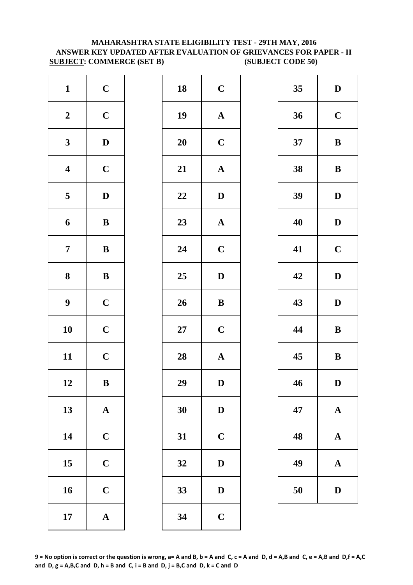### **MAHARASHTRA STATE ELIGIBILITY TEST - 29TH MAY, 2016 ANSWER KEY UPDATED AFTER EVALUATION OF GRIEVANCES FOR PAPER - II SUBJECT: COMMERCE (SET B) (SUBJECT CODE 50)**

| $\mathbf{1}$            | $\mathbf C$           | 18        | $\mathbf C$  |
|-------------------------|-----------------------|-----------|--------------|
| $\boldsymbol{2}$        | $\mathbf C$           | 19        | $\mathbf{A}$ |
| $\mathbf{3}$            | $\mathbf D$           | <b>20</b> | $\mathbf C$  |
| $\overline{\mathbf{4}}$ | $\mathbf C$           | 21        | $\mathbf{A}$ |
| $\overline{\mathbf{5}}$ | $\mathbf D$           | 22        | $\mathbf{D}$ |
| 6                       | $\, {\bf B}$          | 23        | $\mathbf{A}$ |
| $\overline{7}$          | $\, {\bf B}$          | 24        | $\mathbf C$  |
| ${\bf 8}$               | $\, {\bf B}$          | 25        | $\mathbf{D}$ |
| $\boldsymbol{9}$        | $\mathbf C$           | 26        | $\bf{B}$     |
| 10                      | $\mathbf C$           | $27\,$    | $\mathbf C$  |
| 11                      | $\mathbf C$           | 28        | $\mathbf{A}$ |
| 12                      | B                     | 29        | D            |
| 13                      | $\mathbf A$           | 30        | $\mathbf{D}$ |
| 14                      | $\mathbf C$           | 31        | $\mathbf C$  |
| 15                      | $\mathbf C$           | 32        | $\mathbf{D}$ |
| 16                      | $\mathbf C$           | 33        | $\mathbf{D}$ |
| 17                      | $\boldsymbol{\rm{A}}$ | 34        | $\mathbf C$  |

| $\mathbf{1}$            | $\mathbf C$  | 18     | $\mathbf C$           | 35 | $\mathbf{D}$ |
|-------------------------|--------------|--------|-----------------------|----|--------------|
| $\boldsymbol{2}$        | $\mathbf C$  | 19     | ${\bf A}$             | 36 | $\mathbf C$  |
| $\mathbf{3}$            | $\mathbf D$  | 20     | $\mathbf C$           | 37 | $\bf{B}$     |
| $\overline{\mathbf{4}}$ | $\mathbf C$  | 21     | $\boldsymbol{\rm{A}}$ | 38 | $\bf{B}$     |
| $5\overline{)}$         | $\mathbf D$  | 22     | $\mathbf{D}$          | 39 | $\mathbf{D}$ |
| 6                       | $\, {\bf B}$ | 23     | $\mathbf A$           | 40 | $\mathbf{D}$ |
| $\overline{7}$          | ${\bf B}$    | 24     | $\mathbf C$           | 41 | $\mathbf C$  |
| $\boldsymbol{8}$        | ${\bf B}$    | 25     | $\mathbf{D}$          | 42 | $\mathbf{D}$ |
| $\boldsymbol{9}$        | $\mathbf C$  | 26     | $\, {\bf B}$          | 43 | $\mathbf{D}$ |
| 10                      | $\mathbf C$  | $27\,$ | $\mathbf C$           | 44 | $\bf{B}$     |
| 11                      | $\mathbf C$  | 28     | ${\bf A}$             | 45 | $\bf{B}$     |
| 12                      | $\, {\bf B}$ | 29     | $\mathbf D$           | 46 | D            |
| 13                      | ${\bf A}$    | 30     | $\mathbf D$           | 47 | $\mathbf A$  |
| 14                      | $\mathbf C$  | 31     | $\mathbf C$           | 48 | $\mathbf A$  |
| 15                      | $\mathbf C$  | 32     | $\mathbf D$           | 49 | $\mathbf A$  |
| 16                      | $\mathbf C$  | 33     | ${\bf D}$             | 50 | $\mathbf{D}$ |
| 17                      | ${\bf A}$    | 34     | $\mathbf C$           |    |              |
|                         |              |        |                       |    |              |

| 35 | D           |
|----|-------------|
| 36 | $\mathbf C$ |
| 37 | B           |
| 38 | B           |
| 39 | D           |
| 40 | D           |
| 41 | $\mathbf C$ |
| 42 | D           |
| 43 | D           |
| 44 | B           |
| 45 | B           |
| 46 | $\bf{D}$    |
| 47 | $\mathbf A$ |
| 48 | A           |
| 49 | $\mathbf A$ |
| 50 | D           |

**9 = No option is correct or the question is wrong, a= A and B, b = A and C, c = A and D, d = A,B and C, e = A,B and D,f = A,C**  and  $D$ ,  $g = A$ ,  $B$ ,  $C$  and  $D$ ,  $h = B$  and  $C$ ,  $i = B$  and  $D$ ,  $j = B$ ,  $C$  and  $D$ ,  $k = C$  and  $D$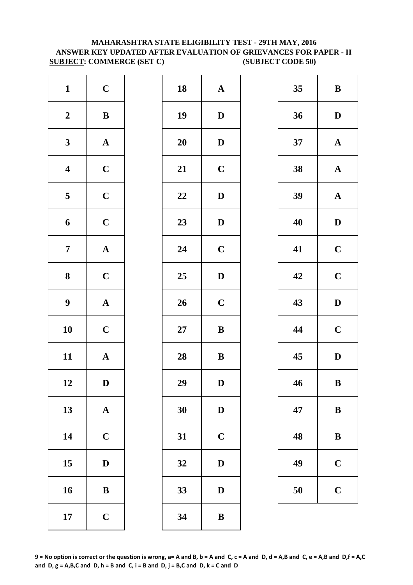### **MAHARASHTRA STATE ELIGIBILITY TEST - 29TH MAY, 2016 ANSWER KEY UPDATED AFTER EVALUATION OF GRIEVANCES FOR PAPER - II SUBJECT: COMMERCE (SET C) (SUBJECT CODE 50)**

| $\mathbf{1}$            | $\mathbf C$           | 18        | $\mathbf A$  |
|-------------------------|-----------------------|-----------|--------------|
| $\boldsymbol{2}$        | $\, {\bf B}$          | 19        | $\mathbf{D}$ |
| $\mathbf{3}$            | $\boldsymbol{\rm{A}}$ | <b>20</b> | D            |
| $\overline{\mathbf{4}}$ | $\mathbf C$           | 21        | $\mathbf C$  |
| $\overline{\mathbf{5}}$ | $\mathbf C$           | 22        | D            |
| 6                       | $\mathbf C$           | 23        | $\mathbf{D}$ |
| $\overline{7}$          | ${\bf A}$             | 24        | $\mathbf C$  |
| $\bf 8$                 | $\mathbf C$           | 25        | D            |
| $\boldsymbol{9}$        | $\boldsymbol{\rm{A}}$ | 26        | $\mathbf C$  |
| 10                      | $\mathbf C$           | $27\,$    | $\bf{B}$     |
| 11                      | $\mathbf A$           | 28        | $\bf{B}$     |
| 12                      | D                     | 29        | D            |
| 13                      | $\mathbf A$           | 30        | D            |
| 14                      | $\mathbf C$           | 31        | $\mathbf C$  |
| 15                      | $\mathbf D$           | 32        | D            |
| 16                      | $\bf{B}$              | 33        | D            |
| 17                      | $\mathbf C$           | 34        | $\bf{B}$     |

| $\mathbf{1}$            | $\mathbf C$  | 18 | $\mathbf A$ | 35 | $\bf{B}$     |
|-------------------------|--------------|----|-------------|----|--------------|
| $\boldsymbol{2}$        | $\, {\bf B}$ | 19 | $\mathbf D$ | 36 | $\mathbf{D}$ |
| $\mathbf{3}$            | ${\bf A}$    | 20 | $\mathbf D$ | 37 | $\mathbf A$  |
| $\overline{\mathbf{4}}$ | $\mathbf C$  | 21 | $\mathbf C$ | 38 | $\mathbf A$  |
| $5\overline{)}$         | $\mathbf C$  | 22 | $\mathbf D$ | 39 | $\mathbf A$  |
| 6                       | $\mathbf C$  | 23 | $\mathbf D$ | 40 | $\mathbf{D}$ |
| $\overline{7}$          | ${\bf A}$    | 24 | $\mathbf C$ | 41 | $\mathbf C$  |
| $\boldsymbol{8}$        | $\mathbf C$  | 25 | ${\bf D}$   | 42 | $\mathbf C$  |
| $\boldsymbol{9}$        | ${\bf A}$    | 26 | $\mathbf C$ | 43 | $\mathbf{D}$ |
| 10                      | $\mathbf C$  | 27 | $\bf{B}$    | 44 | $\mathbf C$  |
| 11                      | ${\bf A}$    | 28 | $\bf{B}$    | 45 | $\mathbf{D}$ |
| 12                      | $\mathbf D$  | 29 | $\mathbf D$ | 46 | $\bf{B}$     |
| 13                      | ${\bf A}$    | 30 | $\mathbf D$ | 47 | $\bf{B}$     |
| 14                      | $\mathbf C$  | 31 | $\mathbf C$ | 48 | $\bf{B}$     |
| 15                      | $\mathbf D$  | 32 | $\mathbf D$ | 49 | $\mathbf C$  |
| 16                      | $\, {\bf B}$ | 33 | $\mathbf D$ | 50 | $\mathbf C$  |
| 17                      | $\mathbf C$  | 34 | $\bf{B}$    |    |              |

| 35 | B           |
|----|-------------|
| 36 | D           |
| 37 | $\mathbf A$ |
| 38 | $\mathbf A$ |
| 39 | $\mathbf A$ |
| 40 | D           |
| 41 | $\mathbf C$ |
| 42 | $\mathbf C$ |
| 43 | $\mathbf D$ |
| 44 | $\mathbf C$ |
| 45 | D           |
| 46 | B           |
| 47 | B           |
| 48 | B           |
| 49 | $\mathbf C$ |
| 50 | $\mathbf C$ |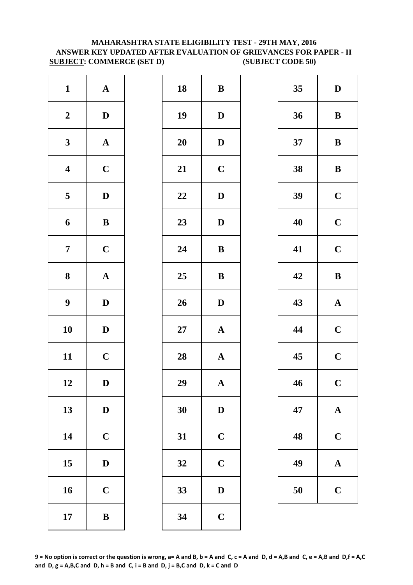### **MAHARASHTRA STATE ELIGIBILITY TEST - 29TH MAY, 2016 ANSWER KEY UPDATED AFTER EVALUATION OF GRIEVANCES FOR PAPER - II SUBJECT: COMMERCE (SET D) (SUBJECT CODE 50)**

| $\mathbf{1}$            | $\mathbf A$           | 18        | $\bf{B}$     |
|-------------------------|-----------------------|-----------|--------------|
| $\boldsymbol{2}$        | $\mathbf D$           | 19        | $\mathbf{D}$ |
| $\mathbf{3}$            | $\boldsymbol{\rm{A}}$ | <b>20</b> | $\mathbf{D}$ |
| $\overline{\mathbf{4}}$ | $\mathbf C$           | 21        | $\mathbf C$  |
| 5                       | $\mathbf D$           | 22        | $\mathbf{D}$ |
| 6                       | $\, {\bf B}$          | 23        | $\mathbf{D}$ |
| $\overline{7}$          | $\mathbf C$           | 24        | $\bf{B}$     |
| ${\bf 8}$               | $\boldsymbol{\rm{A}}$ | 25        | $\bf{B}$     |
| $\boldsymbol{9}$        | $\mathbf D$           | 26        | $\mathbf{D}$ |
| 10                      | $\mathbf D$           | $27\,$    | $\mathbf{A}$ |
| 11                      | $\mathbf C$           | 28        | $\mathbf{A}$ |
| 12                      | D                     | 29        | A            |
| 13                      | $\mathbf D$           | 30        | $\mathbf{D}$ |
| 14                      | $\mathbf C$           | 31        | $\mathbf C$  |
| 15                      | $\mathbf D$           | 32        | $\mathbf C$  |
| 16                      | $\mathbf C$           | 33        | D            |
| 17                      | $\, {\bf B}$          | 34        | $\mathbf C$  |

| $\mathbf{1}$            | ${\bf A}$    | 18 | ${\bf B}$    | 35 | $\mathbf{D}$ |
|-------------------------|--------------|----|--------------|----|--------------|
| $\boldsymbol{2}$        | $\mathbf{D}$ | 19 | $\mathbf D$  | 36 | $\bf{B}$     |
| $\mathbf{3}$            | ${\bf A}$    | 20 | ${\bf D}$    | 37 | $\bf{B}$     |
| $\overline{\mathbf{4}}$ | $\mathbf C$  | 21 | $\mathbf C$  | 38 | $\bf{B}$     |
| $\overline{\mathbf{5}}$ | $\mathbf D$  | 22 | $\mathbf D$  | 39 | $\mathbf C$  |
| $\boldsymbol{6}$        | $\, {\bf B}$ | 23 | $\mathbf D$  | 40 | $\mathbf C$  |
| $\overline{7}$          | $\mathbf C$  | 24 | $\bf{B}$     | 41 | $\mathbf C$  |
| $\boldsymbol{8}$        | ${\bf A}$    | 25 | ${\bf B}$    | 42 | $\bf{B}$     |
| $\boldsymbol{9}$        | $\mathbf D$  | 26 | $\mathbf D$  | 43 | $\mathbf A$  |
| 10                      | $\mathbf D$  | 27 | ${\bf A}$    | 44 | $\mathbf C$  |
| 11                      | $\mathbf C$  | 28 | $\mathbf A$  | 45 | $\mathbf C$  |
| 12                      | D            | 29 | $\mathbf{A}$ | 46 | $\mathbf C$  |
| 13                      | $\mathbf D$  | 30 | $\mathbf D$  | 47 | $\mathbf A$  |
| 14                      | $\mathbf C$  | 31 | $\mathbf C$  | 48 | $\mathbf C$  |
| 15                      | $\mathbf D$  | 32 | $\mathbf C$  | 49 | $\mathbf A$  |
| 16                      | $\mathbf C$  | 33 | $\mathbf D$  | 50 | $\mathbf C$  |
| 17                      | $\, {\bf B}$ | 34 | $\mathbf C$  |    |              |

| 35 | D           |
|----|-------------|
| 36 | B           |
| 37 | B           |
| 38 | B           |
| 39 | $\mathbf C$ |
| 40 | $\mathbf C$ |
| 41 | $\mathbf C$ |
| 42 | B           |
| 43 | $\mathbf A$ |
|    |             |
| 44 | $\mathbf C$ |
| 45 | $\mathbf C$ |
| 46 | $\mathbf C$ |
| 47 | $\mathbf A$ |
| 48 | $\mathbf C$ |
| 49 | A           |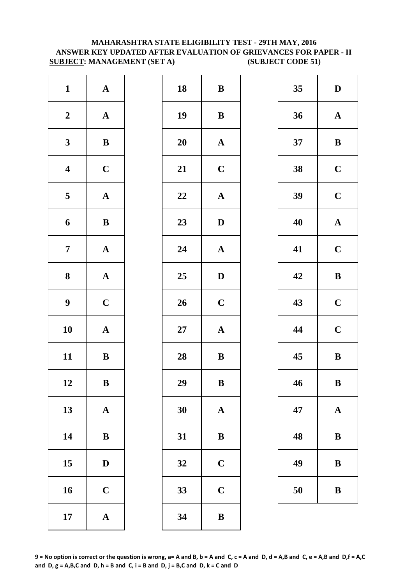# **MAHARASHTRA STATE ELIGIBILITY TEST - 29TH MAY, 2016 ANSWER KEY UPDATED AFTER EVALUATION OF GRIEVANCES FOR PAPER - II SUBJECT: MANAGEMENT (SET A) (SUBJECT CODE 51)**

| $\mathbf{1}$            | ${\bf A}$             | 18        | $\bf{B}$     |
|-------------------------|-----------------------|-----------|--------------|
| $\boldsymbol{2}$        | $\boldsymbol{\rm{A}}$ | 19        | $\bf{B}$     |
| $\mathbf{3}$            | $\bf{B}$              | <b>20</b> | $\mathbf A$  |
| $\overline{\mathbf{4}}$ | $\mathbf C$           | 21        | $\mathbf C$  |
| $\overline{\mathbf{5}}$ | $\mathbf A$           | 22        | $\mathbf A$  |
| 6                       | $\, {\bf B}$          | 23        | $\mathbf{D}$ |
| $\overline{7}$          | $\boldsymbol{\rm{A}}$ | 24        | $\mathbf A$  |
| 8                       | $\boldsymbol{\rm{A}}$ | 25        | D            |
| $\boldsymbol{9}$        | $\mathbf C$           | 26        | $\mathbf C$  |
| 10                      | $\boldsymbol{\rm{A}}$ | $27\,$    | $\mathbf{A}$ |
| 11                      | $\bf{B}$              | 28        | $\bf{B}$     |
| 12                      | B                     | 29        | B            |
| 13                      | ${\bf A}$             | 30        | $\mathbf A$  |
| 14                      | $\bf{B}$              | 31        | $\bf{B}$     |
| 15                      | $\mathbf D$           | 32        | $\mathbf C$  |
| 16                      | $\mathbf C$           | 33        | $\mathbf C$  |
| 17                      | ${\bf A}$             | 34        | $\bf{B}$     |

| $\mathbf{1}$            | ${\bf A}$    | 18 | $\bf{B}$              | 35 | $\mathbf{D}$ |
|-------------------------|--------------|----|-----------------------|----|--------------|
| $\boldsymbol{2}$        | ${\bf A}$    | 19 | $\bf{B}$              | 36 | $\mathbf A$  |
| $\mathbf{3}$            | $\, {\bf B}$ | 20 | $\mathbf{A}$          | 37 | $\bf{B}$     |
| $\overline{\mathbf{4}}$ | $\mathbf C$  | 21 | $\mathbf C$           | 38 | $\mathbf C$  |
| $\overline{\mathbf{5}}$ | ${\bf A}$    | 22 | ${\bf A}$             | 39 | $\mathbf C$  |
| $\boldsymbol{6}$        | $\, {\bf B}$ | 23 | $\mathbf D$           | 40 | $\mathbf A$  |
| $\overline{7}$          | ${\bf A}$    | 24 | $\mathbf A$           | 41 | $\mathbf C$  |
| $\boldsymbol{8}$        | ${\bf A}$    | 25 | $\mathbf D$           | 42 | $\bf{B}$     |
| $\boldsymbol{9}$        | $\mathbf C$  | 26 | $\mathbf C$           | 43 | $\mathbf C$  |
| 10                      | ${\bf A}$    | 27 | $\boldsymbol{\rm{A}}$ | 44 | $\mathbf C$  |
| 11                      | $\, {\bf B}$ | 28 | $\, {\bf B}$          | 45 | $\bf{B}$     |
| 12                      | B            | 29 | $\bf{B}$              | 46 | $\bf{B}$     |
| 13                      | ${\bf A}$    | 30 | ${\bf A}$             | 47 | $\mathbf A$  |
| 14                      | ${\bf B}$    | 31 | ${\bf B}$             | 48 | $\bf{B}$     |
| 15                      | $\mathbf D$  | 32 | $\mathbf C$           | 49 | $\bf{B}$     |
| 16                      | $\mathbf C$  | 33 | $\mathbf C$           | 50 | $\bf{B}$     |
| 17                      | ${\bf A}$    | 34 | $\bf{B}$              |    |              |
|                         |              |    |                       |    |              |

| 35 | D           |
|----|-------------|
| 36 | $\mathbf A$ |
| 37 | B           |
| 38 | $\mathbf C$ |
| 39 | $\mathbf C$ |
| 40 | $\mathbf A$ |
| 41 | $\mathbf C$ |
| 42 | B           |
| 43 | $\mathbf C$ |
| 44 | $\mathbf C$ |
| 45 | $\bf{B}$    |
| 46 | $\bf{B}$    |
| 47 | $\mathbf A$ |
| 48 | B           |
| 49 | B           |
| 50 | B           |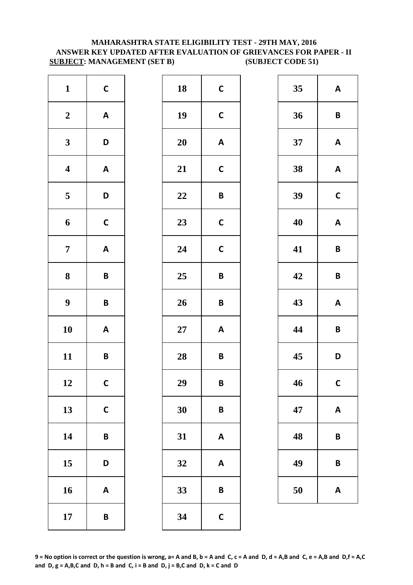# **MAHARASHTRA STATE ELIGIBILITY TEST - 29TH MAY, 2016 ANSWER KEY UPDATED AFTER EVALUATION OF GRIEVANCES FOR PAPER - II SUBJECT: MANAGEMENT (SET B) (SUBJECT CODE 51)**

| $\mathbf{1}$            | $\mathsf{C}$              | 18        | $\mathsf{C}$ |
|-------------------------|---------------------------|-----------|--------------|
| $\boldsymbol{2}$        | $\boldsymbol{\mathsf{A}}$ | 19        | $\mathsf{C}$ |
| $\mathbf{3}$            | D                         | <b>20</b> | A            |
| $\overline{\mathbf{4}}$ | $\boldsymbol{\mathsf{A}}$ | 21        | $\mathsf{C}$ |
| $\overline{\mathbf{5}}$ | D                         | 22        | B            |
| 6                       | $\mathsf{C}$              | 23        | $\mathsf{C}$ |
| $\overline{7}$          | $\boldsymbol{\mathsf{A}}$ | 24        | $\mathsf{C}$ |
| 8                       | $\pmb B$                  | 25        | B            |
| $\boldsymbol{9}$        | $\pmb B$                  | 26        | B            |
| 10                      | $\boldsymbol{\mathsf{A}}$ | 27        | A            |
| 11                      | B                         | 28        | B            |
| 12                      | $\mathsf{C}$              | 29        | B            |
| 13                      | $\mathsf{C}$              | 30        | B            |
| 14                      | $\pmb B$                  | 31        | A            |
| 15                      | D                         | 32        | A            |
| 16                      | $\boldsymbol{\mathsf{A}}$ | 33        | B            |
| 17                      | $\pmb B$                  | 34        | $\mathsf{C}$ |

| $\mathbf{1}$            | $\mathsf C$               | 18     | $\mathbf C$               | 35 | A                       |
|-------------------------|---------------------------|--------|---------------------------|----|-------------------------|
| $\boldsymbol{2}$        | $\boldsymbol{\mathsf{A}}$ | 19     | $\mathsf C$               | 36 | $\overline{\mathsf{B}}$ |
| $\mathbf{3}$            | D                         | 20     | $\boldsymbol{\mathsf{A}}$ | 37 | A                       |
| $\overline{\mathbf{4}}$ | $\boldsymbol{\mathsf{A}}$ | 21     | $\mathsf{C}$              | 38 | $\boldsymbol{A}$        |
| $\overline{\mathbf{5}}$ | D                         | 22     | $\pmb B$                  | 39 | $\mathbf C$             |
| $\boldsymbol{6}$        | $\mathsf{C}$              | 23     | $\mathsf{C}$              | 40 | A                       |
| $\overline{7}$          | $\mathbf{A}$              | 24     | $\mathsf{C}$              | 41 | $\mathsf{B}$            |
| $\boldsymbol{8}$        | $\pmb B$                  | 25     | $\pmb B$                  | 42 | $\mathbf B$             |
| $\boldsymbol{9}$        | $\pmb B$                  | 26     | $\pmb B$                  | 43 | A                       |
| 10                      | $\mathbf{A}$              | $27\,$ | $\boldsymbol{\mathsf{A}}$ | 44 | $\mathbf B$             |
| 11                      | $\pmb B$                  | 28     | $\pmb B$                  | 45 | D                       |
| 12                      | $\mathsf{C}$              | 29     | $\pmb B$                  | 46 | $\mathbf C$             |
| 13                      | $\mathbf C$               | 30     | $\pmb B$                  | 47 | A                       |
| 14                      | $\pmb B$                  | 31     | $\boldsymbol{\mathsf{A}}$ | 48 | B                       |
| 15                      | D                         | 32     | $\boldsymbol{\mathsf{A}}$ | 49 | $\mathsf{B}$            |
| 16                      | $\boldsymbol{\mathsf{A}}$ | 33     | $\pmb B$                  | 50 | A                       |
| 17                      | $\pmb B$                  | 34     | $\mathsf{C}$              |    |                         |
|                         |                           |        |                           |    |                         |

| 35 | A              |
|----|----------------|
| 36 | B              |
| 37 | A              |
| 38 | A              |
| 39 | $\mathsf{C}$   |
| 40 | A              |
| 41 | B              |
| 42 | B              |
| 43 | A              |
| 44 | B              |
| 45 | D              |
| 46 | $\overline{C}$ |
| 47 | A              |
| 48 | B              |
| 49 | B              |
| 50 | A              |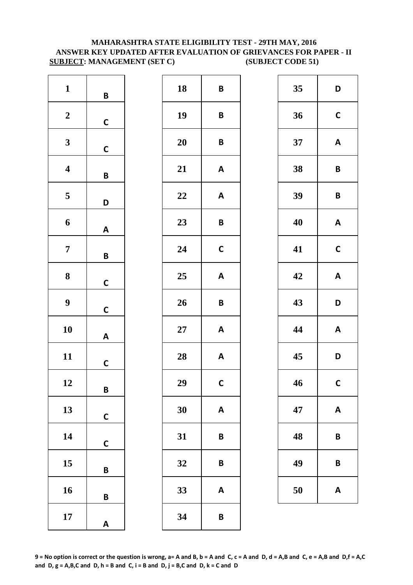# **MAHARASHTRA STATE ELIGIBILITY TEST - 29TH MAY, 2016 ANSWER KEY UPDATED AFTER EVALUATION OF GRIEVANCES FOR PAPER - II SUBJECT: MANAGEMENT (SET C) (SUBJECT CODE 51)**

| $\mathbf{1}$            | B            |  |
|-------------------------|--------------|--|
| $\boldsymbol{2}$        | $\mathsf{C}$ |  |
| 3                       | $\mathsf{C}$ |  |
| $\overline{\mathbf{4}}$ | B            |  |
| 5                       | D            |  |
| 6                       | A            |  |
| 7                       | B            |  |
| 8                       | $\mathsf{C}$ |  |
| 9                       | $\mathsf{C}$ |  |
| 10                      | A            |  |
| 11                      | $\mathsf{C}$ |  |
| 12                      | B            |  |
| 13                      | C            |  |
| 14                      | C            |  |
| 15                      | B            |  |
| 16                      | B            |  |
| 17                      | A            |  |

| 18 | B            |
|----|--------------|
| 19 | B            |
| 20 | B            |
| 21 | A            |
| 22 | A            |
| 23 | B            |
| 24 | $\mathsf{C}$ |
| 25 | A            |
| 26 | B            |
| 27 | A            |
| 28 | A            |
| 29 | C            |
| 30 | A            |
| 31 | B            |
| 32 | B            |
| 33 | A            |
| 34 | B            |

| 18 | $\pmb B$                  | 35 | D                         |
|----|---------------------------|----|---------------------------|
| 19 | B                         | 36 | $\mathsf{C}$              |
| 20 | B                         | 37 | A                         |
| 21 | A                         | 38 | B                         |
| 22 | A                         | 39 | B                         |
| 23 | B                         | 40 | $\boldsymbol{\mathsf{A}}$ |
| 24 | $\mathsf{C}$              | 41 | $\mathbf C$               |
| 25 | A                         | 42 | A                         |
| 26 | B                         | 43 | D                         |
| 27 | $\boldsymbol{\mathsf{A}}$ | 44 | $\boldsymbol{\mathsf{A}}$ |
| 28 | $\mathsf{A}$              | 45 | D                         |
| 29 | $\mathsf{C}$              | 46 | $\mathbf C$               |
| 30 | A                         | 47 | A                         |
| 31 | B                         | 48 | $\pmb B$                  |
| 32 | B                         | 49 | B                         |
| 33 | A                         | 50 | A                         |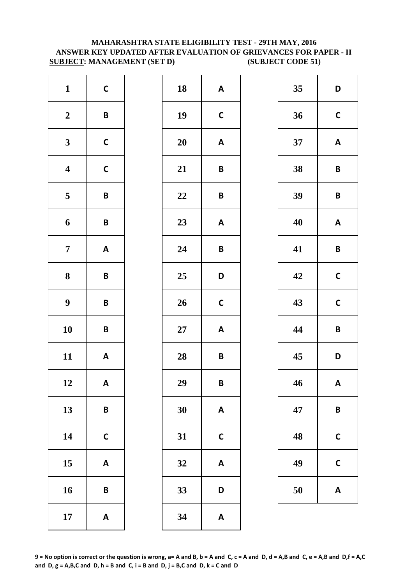# **MAHARASHTRA STATE ELIGIBILITY TEST - 29TH MAY, 2016 ANSWER KEY UPDATED AFTER EVALUATION OF GRIEVANCES FOR PAPER - II SUBJECT: MANAGEMENT (SET D) (SUBJECT CODE 51)**

| $\mathbf{1}$            | $\mathsf{C}$              | 18        | A            |
|-------------------------|---------------------------|-----------|--------------|
| $\boldsymbol{2}$        | $\mathsf B$               | 19        | $\mathsf{C}$ |
| $\mathbf{3}$            | $\mathsf{C}$              | <b>20</b> | A            |
| $\boldsymbol{4}$        | $\mathsf{C}$              | 21        | B            |
| $\overline{\mathbf{5}}$ | $\pmb B$                  | 22        | B            |
| 6                       | B                         | 23        | A            |
| $\overline{7}$          | $\boldsymbol{\mathsf{A}}$ | 24        | B            |
| 8                       | B                         | 25        | D            |
| $\boldsymbol{9}$        | B                         | 26        | $\mathsf{C}$ |
| 10                      | B                         | $27\,$    | A            |
| 11                      | $\boldsymbol{\mathsf{A}}$ | 28        | B            |
| 12                      | Α                         | 29        | B            |
| 13                      | B                         | 30        | A            |
| 14                      | $\mathbf C$               | 31        | $\mathsf{C}$ |
| 15                      | $\boldsymbol{\mathsf{A}}$ | 32        | A            |
| 16                      | B                         | 33        | D            |
| 17                      | $\boldsymbol{\mathsf{A}}$ | 34        | A            |

| $\mathbf{1}$            | $\mathsf{C}$              | 18     | $\boldsymbol{\mathsf{A}}$ | 35 | D                       |
|-------------------------|---------------------------|--------|---------------------------|----|-------------------------|
| $\boldsymbol{2}$        | $\pmb B$                  | 19     | $\mathsf{C}$              | 36 | $\mathbf C$             |
| $\mathbf{3}$            | $\mathsf C$               | 20     | $\boldsymbol{\mathsf{A}}$ | 37 | A                       |
| $\overline{\mathbf{4}}$ | $\mathsf{C}$              | 21     | $\pmb B$                  | 38 | $\mathbf B$             |
| $\overline{\mathbf{5}}$ | $\pmb B$                  | 22     | $\pmb B$                  | 39 | $\mathbf B$             |
| $\boldsymbol{6}$        | $\pmb B$                  | 23     | $\boldsymbol{\mathsf{A}}$ | 40 | A                       |
| $\overline{7}$          | $\boldsymbol{\mathsf{A}}$ | 24     | $\pmb B$                  | 41 | $\overline{\mathsf{B}}$ |
| $\boldsymbol{8}$        | $\pmb B$                  | 25     | D                         | 42 | $\mathbf C$             |
| $\boldsymbol{9}$        | $\pmb B$                  | 26     | $\mathsf{C}$              | 43 | $\mathbf C$             |
| 10                      | $\pmb B$                  | $27\,$ | $\boldsymbol{\mathsf{A}}$ | 44 | $\overline{\mathsf{B}}$ |
| 11                      | $\mathbf{A}$              | 28     | $\pmb B$                  | 45 | D                       |
| 12                      | A                         | 29     | $\pmb B$                  | 46 | A                       |
| 13                      | $\pmb B$                  | 30     | $\boldsymbol{\mathsf{A}}$ | 47 | $\mathsf{B}$            |
| 14                      | $\mathsf C$               | 31     | $\mathsf{C}$              | 48 | $\mathbf C$             |
| 15                      | $\boldsymbol{\mathsf{A}}$ | 32     | $\boldsymbol{\mathsf{A}}$ | 49 | $\mathbf C$             |
| 16                      | $\pmb B$                  | 33     | D                         | 50 | A                       |
| 17                      | $\mathbf{A}$              | 34     | $\boldsymbol{\mathsf{A}}$ |    |                         |
|                         |                           |        |                           |    |                         |

| 35 | D           |
|----|-------------|
| 36 | $\mathbf C$ |
| 37 | A           |
| 38 | B           |
| 39 | B           |
| 40 | A           |
| 41 | B           |
| 42 | $\mathbf C$ |
| 43 | $\mathbf C$ |
| 44 | B           |
| 45 | D           |
| 46 | A           |
| 47 | B           |
| 48 | C           |
| 49 | C           |
| 50 | A           |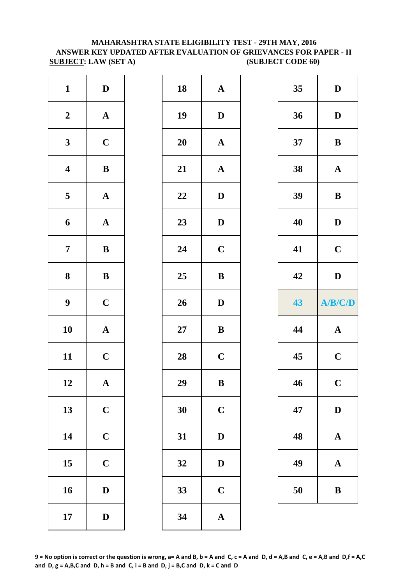# **MAHARASHTRA STATE ELIGIBILITY TEST - 29TH MAY, 2016 ANSWER KEY UPDATED AFTER EVALUATION OF GRIEVANCES FOR PAPER - II SUBJECT: LAW (SET A) (SUBJECT CODE 60)**

| $\mathbf{1}$            | $\mathbf D$           | 18        | $\mathbf{A}$ |
|-------------------------|-----------------------|-----------|--------------|
| $\boldsymbol{2}$        | $\boldsymbol{\rm{A}}$ | 19        | $\mathbf{D}$ |
| $\mathbf{3}$            | $\mathbf C$           | <b>20</b> | $\mathbf A$  |
| $\overline{\mathbf{4}}$ | $\bf{B}$              | 21        | $\mathbf{A}$ |
| $\overline{\mathbf{5}}$ | $\boldsymbol{\rm{A}}$ | 22        | $\mathbf{D}$ |
| 6                       | $\mathbf A$           | 23        | $\mathbf{D}$ |
| $\overline{7}$          | $\bf{B}$              | 24        | $\mathbf C$  |
| ${\bf 8}$               | $\bf{B}$              | 25        | $\bf{B}$     |
| $\boldsymbol{9}$        | $\mathbf C$           | 26        | $\mathbf{D}$ |
| 10                      | $\mathbf A$           | $27\,$    | $\bf{B}$     |
| 11                      | $\mathbf C$           | 28        | $\mathbf C$  |
| 12                      | A                     | 29        | B            |
| 13                      | $\mathbf C$           | 30        | $\mathbf C$  |
| 14                      | $\mathbf C$           | 31        | $\mathbf{D}$ |
| 15                      | $\mathbf C$           | 32        | D            |
| 16                      | $\mathbf D$           | 33        | $\mathbf C$  |
| 17                      | $\mathbf D$           | 34        | $\mathbf{A}$ |

| $\mathbf{1}$            | $\mathbf D$  | 18 | $\mathbf A$  | 35 | $\mathbf{D}$ |
|-------------------------|--------------|----|--------------|----|--------------|
| $\boldsymbol{2}$        | ${\bf A}$    | 19 | $\mathbf D$  | 36 | $\mathbf{D}$ |
| $\mathbf{3}$            | $\mathbf C$  | 20 | $\mathbf{A}$ | 37 | $\bf{B}$     |
| $\overline{\mathbf{4}}$ | $\, {\bf B}$ | 21 | $\mathbf A$  | 38 | $\mathbf A$  |
| $5\phantom{.0}$         | ${\bf A}$    | 22 | $\mathbf D$  | 39 | $\bf{B}$     |
| $\boldsymbol{6}$        | ${\bf A}$    | 23 | $\mathbf D$  | 40 | $\mathbf{D}$ |
| $\overline{7}$          | ${\bf B}$    | 24 | $\mathbf C$  | 41 | $\mathbf C$  |
| $\boldsymbol{8}$        | ${\bf B}$    | 25 | $\, {\bf B}$ | 42 | $\mathbf{D}$ |
| $\boldsymbol{9}$        | $\mathbf C$  | 26 | $\mathbf D$  | 43 | A/B/         |
| 10                      | ${\bf A}$    | 27 | $\bf{B}$     | 44 | $\mathbf A$  |
| 11                      | $\mathbf C$  | 28 | $\mathbf C$  | 45 | $\mathbf C$  |
| 12                      | $\mathbf{A}$ | 29 | $\, {\bf B}$ | 46 | $\mathbf C$  |
| 13                      | $\mathbf C$  | 30 | $\mathbf C$  | 47 | $\mathbf{D}$ |
| 14                      | $\mathbf C$  | 31 | ${\bf D}$    | 48 | $\mathbf A$  |
| 15                      | $\mathbf C$  | 32 | $\mathbf D$  | 49 | $\mathbf A$  |
| 16                      | $\mathbf D$  | 33 | $\mathbf C$  | 50 | $\bf{B}$     |
| 17                      | $\mathbf D$  | 34 | $\mathbf A$  |    |              |
|                         |              |    |              |    |              |

| $\mathbf{1}$               | $\mathbf D$  | 18 | $\boldsymbol{\rm{A}}$ | 35 | $\mathbf D$           |
|----------------------------|--------------|----|-----------------------|----|-----------------------|
| $\overline{\mathbf{2}}$    | ${\bf A}$    | 19 | $\mathbf D$           | 36 | $\mathbf D$           |
| $\overline{\mathbf{3}}$    | $\mathbf C$  | 20 | $\boldsymbol{\rm{A}}$ | 37 | $\, {\bf B}$          |
| 4                          | ${\bf B}$    | 21 | ${\bf A}$             | 38 | ${\bf A}$             |
| 5                          | ${\bf A}$    | 22 | $\mathbf{D}$          | 39 | $\, {\bf B}$          |
| 6                          | ${\bf A}$    | 23 | $\mathbf{D}$          | 40 | $\mathbf{D}$          |
| $\overline{7}$             | ${\bf B}$    | 24 | $\mathbf C$           | 41 | $\mathbf C$           |
| 8                          | $\bf{B}$     | 25 | $\, {\bf B}$          | 42 | $\mathbf D$           |
| 9                          | $\mathbf C$  | 26 | $\mathbf{D}$          | 43 | A/B/C/D               |
| $\overline{\mathbf{0}}$    | ${\bf A}$    | 27 | $\, {\bf B}$          | 44 | $\boldsymbol{\rm{A}}$ |
| $\overline{\mathbf{1}}$    | $\mathbf C$  | 28 | $\mathbf C$           | 45 | $\mathbf C$           |
| $\overline{2}$             | $\mathbf{A}$ | 29 | $\bf{B}$              | 46 | $\mathbf C$           |
| $\overline{3}$             | $\mathbf C$  | 30 | $\mathbf C$           | 47 | $\mathbf D$           |
| $\overline{4}$             |              |    |                       |    |                       |
|                            | $\mathbf C$  | 31 | $\mathbf D$           | 48 | $\mathbf A$           |
|                            | $\mathbf C$  | 32 | $\mathbf{D}%$         | 49 | $\boldsymbol{\rm{A}}$ |
| 15 <sub>1</sub><br>$16 \,$ | $\mathbf D$  | 33 | $\mathbf C$           | 50 | $\, {\bf B}$          |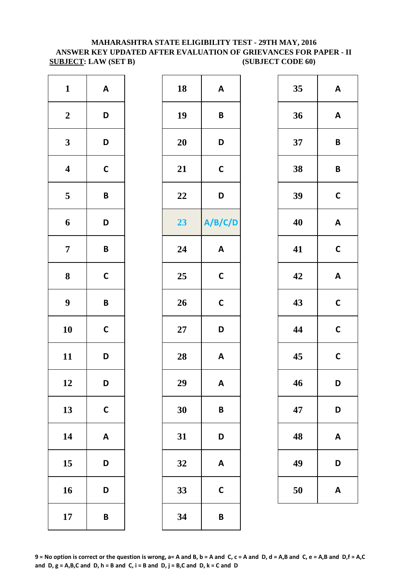# **MAHARASHTRA STATE ELIGIBILITY TEST - 29TH MAY, 2016 ANSWER KEY UPDATED AFTER EVALUATION OF GRIEVANCES FOR PAPER - II SUBJECT: LAW (SET B) (SUBJECT CODE 60)**

| $\mathbf{1}$            | $\boldsymbol{\mathsf{A}}$ | 18        | A            |
|-------------------------|---------------------------|-----------|--------------|
| $\boldsymbol{2}$        | D                         | 19        | B            |
| $\mathbf{3}$            | D                         | <b>20</b> | D            |
| $\overline{\mathbf{4}}$ | $\mathsf{C}$              | 21        | $\mathbf C$  |
| $\overline{\mathbf{5}}$ | $\pmb B$                  | 22        | D            |
| 6                       | D                         | 23        | A/B/         |
| $\overline{7}$          | B                         | 24        | A            |
| 8                       | $\mathbf C$               | 25        | $\mathsf{C}$ |
| $\boldsymbol{9}$        | B                         | 26        | $\mathbf C$  |
| 10                      | $\mathsf{C}$              | $27\,$    | D            |
| 11                      | D                         | 28        | A            |
| 12                      | D                         | 29        | A            |
| 13                      | $\mathsf{C}$              | 30        | B            |
| 14                      | $\boldsymbol{\mathsf{A}}$ | 31        | D            |
| 15                      | D                         | 32        | A            |
| 16                      | D                         | 33        | $\mathbf C$  |
| 17                      | $\pmb B$                  | 34        | B            |

| $\mathbf{1}$            | $\mathbf{A}$ | 18     | $\boldsymbol{\mathsf{A}}$ | 35 | A            |
|-------------------------|--------------|--------|---------------------------|----|--------------|
| $\boldsymbol{2}$        | D            | 19     | $\pmb B$                  | 36 | A            |
| $\mathbf{3}$            | D            | 20     | D                         | 37 | $\mathsf{B}$ |
| $\overline{\mathbf{4}}$ | $\mathsf{C}$ | 21     | $\mathsf{C}$              | 38 | $\mathbf B$  |
| $\overline{\mathbf{5}}$ | $\pmb B$     | 22     | D                         | 39 | $\mathbf C$  |
| $\boldsymbol{6}$        | D            | 23     | A/B/C/D                   | 40 | A            |
| $\overline{7}$          | $\pmb B$     | 24     | $\boldsymbol{\mathsf{A}}$ | 41 | $\mathbf C$  |
| $\boldsymbol{8}$        | $\mathsf C$  | 25     | $\mathbf C$               | 42 | A            |
| $\boldsymbol{9}$        | $\pmb B$     | 26     | $\mathsf{C}$              | 43 | $\mathbf C$  |
| 10                      | $\mathsf{C}$ | $27\,$ | D                         | 44 | $\mathbf C$  |
| 11                      | D            | 28     | $\boldsymbol{\mathsf{A}}$ | 45 | $\mathbf C$  |
| 12                      | D            | 29     | $\pmb{\mathsf{A}}$        | 46 | D            |
| 13                      | $\mathbf C$  | 30     | $\pmb B$                  | 47 | D            |
| 14                      | $\mathbf{A}$ | 31     | D                         | 48 | A            |
| 15                      | D            | 32     | $\boldsymbol{\mathsf{A}}$ | 49 | D            |
| 16                      | D            | 33     | $\mathsf{C}$              | 50 | A            |
| 17                      | $\pmb B$     | 34     | $\pmb B$                  |    |              |

| 35 | A            |
|----|--------------|
| 36 | A            |
| 37 | B            |
| 38 | B            |
| 39 | $\mathsf{C}$ |
| 40 | A            |
| 41 | $\mathsf{C}$ |
| 42 | A            |
| 43 | $\mathsf{C}$ |
| 44 | $\mathsf{C}$ |
| 45 | C            |
| 46 | D            |
| 47 | D            |
| 48 | A            |
| 49 | D            |
| 50 | A            |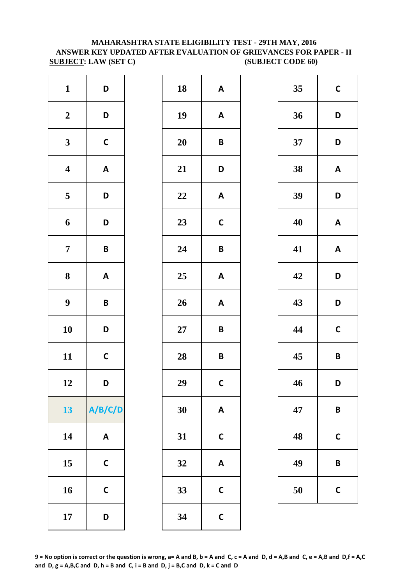# **MAHARASHTRA STATE ELIGIBILITY TEST - 29TH MAY, 2016 ANSWER KEY UPDATED AFTER EVALUATION OF GRIEVANCES FOR PAPER - II SUBJECT: LAW (SET C) (SUBJECT CODE 60)**

| $\mathbf{1}$            | D                         | 18        | A            |
|-------------------------|---------------------------|-----------|--------------|
| $\boldsymbol{2}$        | D                         | 19        | A            |
| $\mathbf{3}$            | $\mathsf{C}$              | <b>20</b> | B            |
| $\overline{\mathbf{4}}$ | $\boldsymbol{\mathsf{A}}$ | 21        | D            |
| $\overline{\mathbf{5}}$ | D                         | 22        | A            |
| 6                       | D                         | 23        | $\mathsf{C}$ |
| $\overline{7}$          | B                         | 24        | B            |
| ${\bf 8}$               | $\boldsymbol{\mathsf{A}}$ | 25        | A            |
| $\boldsymbol{9}$        | B                         | 26        | A            |
| 10                      | D                         | $27\,$    | B            |
| 11                      | $\mathsf{C}$              | 28        | B            |
| 12                      | D                         | 29        | $\mathbf C$  |
| 13                      | A/B/C/D                   | 30        | A            |
| 14                      | $\boldsymbol{\mathsf{A}}$ | 31        | $\mathsf{C}$ |
| 15                      | $\mathsf{C}$              | 32        | A            |
| 16                      | $\mathsf{C}$              | 33        | $\mathsf{C}$ |
| 17                      | D                         | 34        | $\mathsf{C}$ |

| $\mathbf{1}$<br>$\boldsymbol{2}$<br>$\mathbf{3}$<br>$\overline{\mathbf{4}}$<br>$\overline{\mathbf{5}}$ | 18<br>19<br>20 | $\boldsymbol{\mathsf{A}}$<br>$\boldsymbol{\mathsf{A}}$ | 35 | $\mathbf C$             |
|--------------------------------------------------------------------------------------------------------|----------------|--------------------------------------------------------|----|-------------------------|
|                                                                                                        |                |                                                        |    |                         |
|                                                                                                        |                |                                                        | 36 | D                       |
|                                                                                                        |                | $\pmb B$                                               | 37 | D                       |
|                                                                                                        | 21             | D                                                      | 38 | A                       |
|                                                                                                        | 22             | $\boldsymbol{\mathsf{A}}$                              | 39 | D                       |
| $\boldsymbol{6}$                                                                                       | 23             | $\mathbf C$                                            | 40 | A                       |
| $\overline{7}$                                                                                         | 24             | $\pmb B$                                               | 41 | A                       |
| $\boldsymbol{8}$                                                                                       | 25             | $\boldsymbol{\mathsf{A}}$                              | 42 | D                       |
| $\boldsymbol{9}$                                                                                       | 26             | $\boldsymbol{\mathsf{A}}$                              | 43 | D                       |
| 10                                                                                                     | 27             | $\pmb B$                                               | 44 | $\mathbf C$             |
| 11                                                                                                     | 28             | $\pmb B$                                               | 45 | $\overline{\mathsf{B}}$ |
| 12                                                                                                     | 29             | $\mathsf{C}$                                           | 46 | D                       |
| 13                                                                                                     | 30             | $\boldsymbol{\mathsf{A}}$                              | 47 | $\mathsf{B}$            |
| 14                                                                                                     | 31             | $\mathsf{C}$                                           | 48 | $\mathbf C$             |
| 15                                                                                                     | 32             | $\boldsymbol{\mathsf{A}}$                              | 49 | $\mathsf{B}$            |
| 16                                                                                                     | 33             | $\mathsf{C}$                                           | 50 | $\mathbf C$             |
|                                                                                                        | 34             | $\mathbf C$                                            |    |                         |
|                                                                                                        |                |                                                        |    |                         |

| 35 | $\mathsf{C}$ |
|----|--------------|
| 36 | D            |
| 37 | D            |
| 38 | A            |
| 39 | D            |
| 40 | A            |
| 41 | A            |
| 42 | D            |
| 43 | D            |
| 44 | $\mathsf{C}$ |
| 45 | B            |
| 46 | D            |
| 47 | B            |
| 48 | C            |
| 49 | B            |
| 50 | C            |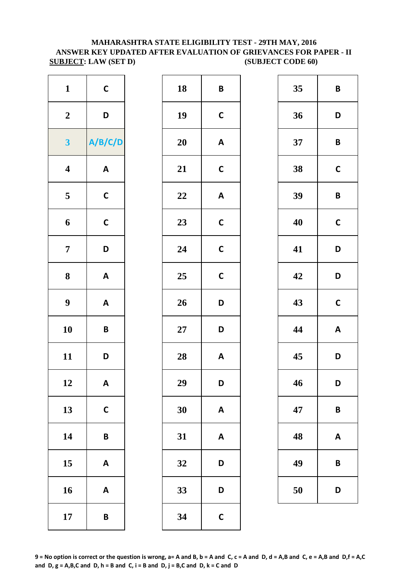# **MAHARASHTRA STATE ELIGIBILITY TEST - 29TH MAY, 2016 ANSWER KEY UPDATED AFTER EVALUATION OF GRIEVANCES FOR PAPER - II SUBJECT: LAW (SET D) (SUBJECT CODE 60)**

| $\mathbf{1}$            | $\mathsf{C}$              | 18        | B            |
|-------------------------|---------------------------|-----------|--------------|
| $\boldsymbol{2}$        | D                         | 19        | $\mathsf{C}$ |
| $\overline{\mathbf{3}}$ | A/B/C/D                   | <b>20</b> | A            |
| $\overline{\mathbf{4}}$ | $\boldsymbol{\mathsf{A}}$ | 21        | $\mathsf{C}$ |
| $\overline{\mathbf{5}}$ | $\mathsf{C}$              | 22        | A            |
| 6                       | $\mathsf{C}$              | 23        | $\mathsf{C}$ |
| $\overline{7}$          | D                         | 24        | $\mathsf{C}$ |
| 8                       | $\boldsymbol{\mathsf{A}}$ | 25        | $\mathsf{C}$ |
| 9                       | $\boldsymbol{\mathsf{A}}$ | 26        | D            |
| 10                      | $\pmb B$                  | $27\,$    | D            |
| 11                      | D                         | 28        | A            |
| 12                      | A                         | 29        | D            |
| 13                      | $\mathsf{C}$              | 30        | A            |
| 14                      | B                         | 31        | A            |
| 15                      | $\boldsymbol{\mathsf{A}}$ | 32        | D            |
| 16                      | $\boldsymbol{\mathsf{A}}$ | 33        | D            |
| 17                      | B                         | 34        | $\mathsf{C}$ |

| $\mathbf{1}$            | $\mathsf{C}$              | 18 | $\pmb B$                  | 35 | $\mathsf{B}$            |
|-------------------------|---------------------------|----|---------------------------|----|-------------------------|
| $\boldsymbol{2}$        | D                         | 19 | $\mathsf{C}$              | 36 | D                       |
| $\mathbf{3}$            | A/B/C/D                   | 20 | $\boldsymbol{\mathsf{A}}$ | 37 | $\mathsf{B}$            |
| $\overline{\mathbf{4}}$ | $\mathbf{A}$              | 21 | $\mathsf{C}$              | 38 | $\mathbf C$             |
| $\overline{\mathbf{5}}$ | $\mathsf C$               | 22 | $\pmb{\mathsf{A}}$        | 39 | $\overline{\mathsf{B}}$ |
| $\boldsymbol{6}$        | $\mathsf{C}$              | 23 | $\mathsf C$               | 40 | $\mathbf C$             |
| $\overline{7}$          | D                         | 24 | $\mathsf{C}$              | 41 | D                       |
| $\boldsymbol{8}$        | $\mathbf{A}$              | 25 | $\mathsf{C}$              | 42 | D                       |
| $\boldsymbol{9}$        | $\boldsymbol{\mathsf{A}}$ | 26 | D                         | 43 | $\mathbf C$             |
| 10                      | $\pmb B$                  | 27 | D                         | 44 | $\boldsymbol{A}$        |
| 11                      | D                         | 28 | $\boldsymbol{\mathsf{A}}$ | 45 | D                       |
| 12                      | A                         | 29 | D                         | 46 | D                       |
| 13                      | $\mathbf C$               | 30 | $\boldsymbol{\mathsf{A}}$ | 47 | $\mathsf{B}$            |
| 14                      | $\pmb B$                  | 31 | $\boldsymbol{\mathsf{A}}$ | 48 | A                       |
| 15                      | A                         | 32 | D                         | 49 | $\mathsf{B}$            |
| 16                      | $\boldsymbol{\mathsf{A}}$ | 33 | D                         | 50 | D                       |
| 17                      | $\pmb B$                  | 34 | $\mathsf{C}$              |    |                         |
|                         |                           |    |                           |    |                         |

| 35 | B           |
|----|-------------|
| 36 | D           |
| 37 | B           |
| 38 | $\mathbf C$ |
| 39 | B           |
| 40 | $\mathbf C$ |
| 41 | D           |
| 42 | D           |
| 43 | $\mathbf C$ |
| 44 | A           |
| 45 | D           |
| 46 | D           |
| 47 | B           |
| 48 | A           |
| 49 | В           |
| 50 | D           |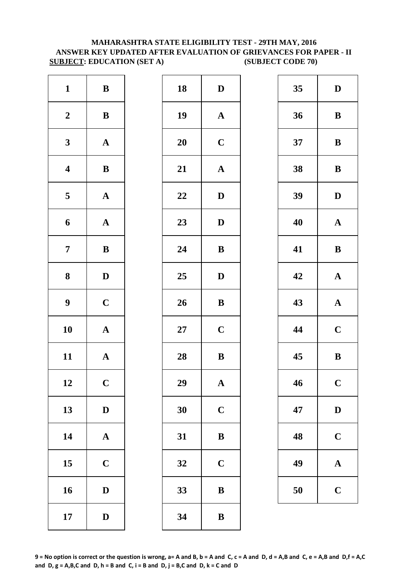# **MAHARASHTRA STATE ELIGIBILITY TEST - 29TH MAY, 2016 ANSWER KEY UPDATED AFTER EVALUATION OF GRIEVANCES FOR PAPER - II SUBJECT: EDUCATION (SET A)** (SUBJECT CODE 70)

| $\mathbf{1}$            | $\, {\bf B}$          | 18        | D            |
|-------------------------|-----------------------|-----------|--------------|
| $\boldsymbol{2}$        | $\bf{B}$              | 19        | $\mathbf A$  |
| $\mathbf{3}$            | $\mathbf A$           | <b>20</b> | $\mathbf C$  |
| $\overline{\mathbf{4}}$ | $\, {\bf B}$          | 21        | $\mathbf A$  |
| $\overline{\mathbf{5}}$ | ${\bf A}$             | 22        | D            |
| 6                       | $\mathbf A$           | 23        | $\mathbf{D}$ |
| $\overline{7}$          | $\bf{B}$              | 24        | $\bf{B}$     |
| 8                       | $\mathbf D$           | 25        | $\mathbf{D}$ |
| $\boldsymbol{9}$        | $\mathbf C$           | 26        | $\bf{B}$     |
| 10                      | $\boldsymbol{\rm{A}}$ | $27\,$    | $\mathbf C$  |
| 11                      | $\mathbf A$           | 28        | $\bf{B}$     |
| 12                      | $\mathbf C$           | 29        | A            |
| 13                      | $\mathbf D$           | 30        | $\mathbf C$  |
| 14                      | $\boldsymbol{\rm{A}}$ | 31        | $\bf{B}$     |
| 15                      | $\mathbf C$           | 32        | $\mathbf C$  |
| 16                      | $\mathbf D$           | 33        | $\bf{B}$     |
| 17                      | $\mathbf D$           | 34        | $\bf{B}$     |

| $\mathbf{1}$            | ${\bf B}$    | 18 | $\mathbf D$           | 35 | $\mathbf{D}$ |
|-------------------------|--------------|----|-----------------------|----|--------------|
| $\boldsymbol{2}$        | ${\bf B}$    | 19 | ${\bf A}$             | 36 | $\bf{B}$     |
| $\mathbf{3}$            | ${\bf A}$    | 20 | $\mathbf C$           | 37 | $\bf{B}$     |
| $\overline{\mathbf{4}}$ | $\, {\bf B}$ | 21 | $\boldsymbol{\rm{A}}$ | 38 | $\bf{B}$     |
| $\overline{\mathbf{5}}$ | ${\bf A}$    | 22 | $\mathbf{D}$          | 39 | $\mathbf{D}$ |
| 6                       | ${\bf A}$    | 23 | $\mathbf D$           | 40 | $\mathbf A$  |
| $\overline{7}$          | ${\bf B}$    | 24 | ${\bf B}$             | 41 | $\bf{B}$     |
| $\boldsymbol{8}$        | $\mathbf{D}$ | 25 | $\mathbf{D}$          | 42 | $\mathbf A$  |
| $\boldsymbol{9}$        | $\mathbf C$  | 26 | $\, {\bf B}$          | 43 | $\mathbf A$  |
| 10                      | ${\bf A}$    | 27 | $\mathbf C$           | 44 | $\mathbf C$  |
| 11                      | ${\bf A}$    | 28 | ${\bf B}$             | 45 | $\bf{B}$     |
| 12                      | $\mathbf C$  | 29 | $\mathbf A$           | 46 | $\mathbf C$  |
| 13                      | $\mathbf D$  | 30 | $\mathbf C$           | 47 | $\mathbf{D}$ |
| 14                      | ${\bf A}$    | 31 | $\, {\bf B}$          | 48 | $\mathbf C$  |
| 15                      | $\mathbf C$  | 32 | $\mathbf C$           | 49 | $\mathbf A$  |
| 16                      | $\mathbf D$  | 33 | $\, {\bf B}$          | 50 | $\mathbf C$  |
| 17                      | $\mathbf D$  | 34 | $\, {\bf B}$          |    |              |

| 35 | $\mathbf D$             |
|----|-------------------------|
| 36 | B                       |
| 37 | B                       |
| 38 | B                       |
| 39 | D                       |
| 40 | $\mathbf A$             |
| 41 | B                       |
| 42 | $\mathbf{A}$            |
| 43 | $\mathbf A$             |
| 44 | $\mathbf C$             |
| 45 | B                       |
| 46 | $\overline{\mathbf{C}}$ |
| 47 | D                       |
| 48 | $\mathbf C$             |
| 49 | $\mathbf A$             |
| 50 | $\mathbf C$             |

**9 = No option is correct or the question is wrong, a= A and B, b = A and C, c = A and D, d = A,B and C, e = A,B and D,f = A,C**  and  $D$ ,  $g = A$ ,  $B$ ,  $C$  and  $D$ ,  $h = B$  and  $C$ ,  $i = B$  and  $D$ ,  $j = B$ ,  $C$  and  $D$ ,  $k = C$  and  $D$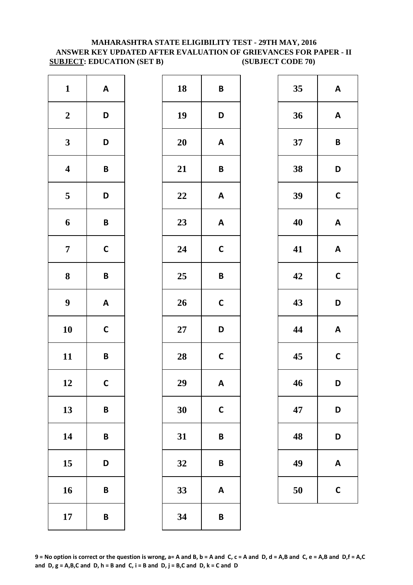# **MAHARASHTRA STATE ELIGIBILITY TEST - 29TH MAY, 2016 ANSWER KEY UPDATED AFTER EVALUATION OF GRIEVANCES FOR PAPER - II SUBJECT: EDUCATION (SET B) (SUBJECT CODE 70)**

| $\mathbf{1}$            | $\boldsymbol{\mathsf{A}}$ | 18     | B            |
|-------------------------|---------------------------|--------|--------------|
| $\boldsymbol{2}$        | D                         | 19     | D            |
| $\mathbf{3}$            | D                         | 20     | A            |
| $\overline{\mathbf{4}}$ | $\pmb B$                  | 21     | B            |
| $\overline{\mathbf{5}}$ | D                         | 22     | A            |
| 6                       | B                         | 23     | A            |
| $\overline{7}$          | $\mathsf{C}$              | 24     | $\mathbf C$  |
| 8                       | $\pmb B$                  | 25     | B            |
| $\boldsymbol{9}$        | $\boldsymbol{\mathsf{A}}$ | 26     | $\mathbf C$  |
| 10                      | $\mathsf{C}$              | $27\,$ | D            |
| 11                      | B                         | 28     | $\mathbf C$  |
| 12                      | $\mathsf{C}$              | 29     | A            |
| 13                      | B                         | 30     | $\mathsf{C}$ |
| 14                      | B                         | 31     | B            |
| 15                      | D                         | 32     | B            |
| 16                      | B                         | 33     | A            |
| 17                      | B                         | 34     | B            |

| $\mathbf{1}$            | $\boldsymbol{\mathsf{A}}$ | 18     | $\pmb B$                  | 35 | A                       |
|-------------------------|---------------------------|--------|---------------------------|----|-------------------------|
| $\boldsymbol{2}$        | D                         | 19     | D                         | 36 | A                       |
| $\mathbf{3}$            | D                         | 20     | $\boldsymbol{\mathsf{A}}$ | 37 | $\overline{\mathsf{B}}$ |
| $\overline{\mathbf{4}}$ | $\pmb B$                  | 21     | $\pmb B$                  | 38 | D                       |
| $\overline{\mathbf{5}}$ | D                         | 22     | $\boldsymbol{\mathsf{A}}$ | 39 | $\mathbf C$             |
| $\boldsymbol{6}$        | $\pmb B$                  | 23     | $\boldsymbol{\mathsf{A}}$ | 40 | A                       |
| $\overline{7}$          | $\mathsf{C}$              | 24     | $\mathsf{C}$              | 41 | A                       |
| $\boldsymbol{8}$        | $\pmb B$                  | 25     | $\pmb B$                  | 42 | $\mathbf C$             |
| $\boldsymbol{9}$        | $\mathbf{A}$              | 26     | $\mathsf{C}$              | 43 | D                       |
| 10                      | $\mathsf{C}$              | $27\,$ | D                         | 44 | $\boldsymbol{A}$        |
| 11                      | $\pmb B$                  | 28     | $\mathsf{C}$              | 45 | $\mathbf C$             |
| 12                      | $\mathsf{C}$              | 29     | $\boldsymbol{\mathsf{A}}$ | 46 | D                       |
| 13                      | $\pmb B$                  | 30     | $\mathbf C$               | 47 | D                       |
| 14                      | $\pmb B$                  | 31     | $\pmb B$                  | 48 | D                       |
| 15                      | D                         | 32     | $\pmb B$                  | 49 | A                       |
| 16                      | $\pmb B$                  | 33     | $\boldsymbol{\mathsf{A}}$ | 50 | $\mathsf{C}$            |
| 17                      | $\pmb B$                  | 34     | $\pmb B$                  |    |                         |

| 35 | A            |
|----|--------------|
| 36 | A            |
| 37 | B            |
| 38 | D            |
| 39 | $\mathsf{C}$ |
| 40 | A            |
| 41 | A            |
| 42 | C            |
| 43 | D            |
| 44 | A            |
| 45 | C            |
| 46 | D            |
| 47 | D            |
| 48 | D            |
| 49 | A            |
| 50 | C            |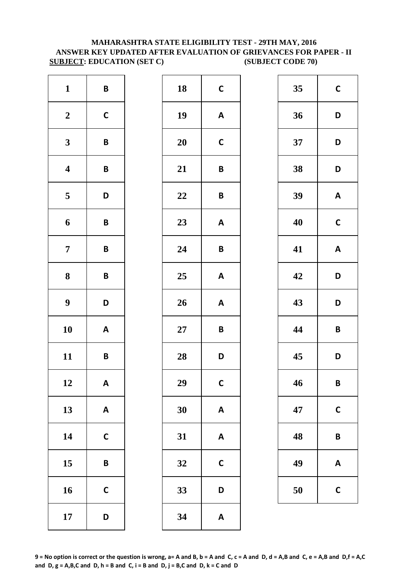# **MAHARASHTRA STATE ELIGIBILITY TEST - 29TH MAY, 2016 ANSWER KEY UPDATED AFTER EVALUATION OF GRIEVANCES FOR PAPER - II SUBJECT: EDUCATION (SET C) (SUBJECT CODE 70)**

| $\mathbf{1}$            | $\pmb B$                  | 18     | $\mathsf{C}$            |
|-------------------------|---------------------------|--------|-------------------------|
| $\boldsymbol{2}$        | $\mathsf{C}$              | 19     | A                       |
| $\mathbf{3}$            | B                         | 20     | $\mathsf{C}$            |
| $\overline{\mathbf{4}}$ | B                         | 21     | B                       |
| $\overline{\mathbf{5}}$ | D                         | 22     | B                       |
| 6                       | B                         | 23     | A                       |
| $\overline{7}$          | B                         | 24     | B                       |
| ${\bf 8}$               | B                         | 25     | A                       |
| $\boldsymbol{9}$        | D                         | 26     | A                       |
| 10                      | $\boldsymbol{\mathsf{A}}$ | $27\,$ | B                       |
| 11                      | B                         | 28     | D                       |
| 12                      | A                         | 29     | $\mathbf C$             |
| 13                      | $\boldsymbol{\mathsf{A}}$ | 30     | A                       |
| 14                      | $\mathbf C$               | 31     | $\overline{\mathsf{A}}$ |
| 15                      | B                         | 32     | $\mathsf{C}$            |
| 16                      | $\mathsf{C}$              | 33     | D                       |
| 17                      | D                         | 34     | A                       |

| $\mathbf{1}$            | $\pmb B$                  | 18     | $\mathsf{C}$              | 35 | $\mathbf C$    |
|-------------------------|---------------------------|--------|---------------------------|----|----------------|
| $\boldsymbol{2}$        | $\mathsf{C}$              | 19     | $\boldsymbol{\mathsf{A}}$ | 36 | D              |
| $\mathbf{3}$            | $\pmb B$                  | 20     | $\mathbf C$               | 37 | D              |
| $\overline{\mathbf{4}}$ | $\pmb B$                  | 21     | $\pmb B$                  | 38 | D              |
| $\overline{\mathbf{5}}$ | D                         | 22     | $\pmb B$                  | 39 | A              |
| $\boldsymbol{6}$        | $\pmb B$                  | 23     | $\mathbf{A}$              | 40 | $\mathbf C$    |
| $\overline{7}$          | $\pmb B$                  | 24     | $\pmb B$                  | 41 | A              |
| $\boldsymbol{8}$        | $\pmb B$                  | 25     | $\mathbf{A}$              | 42 | D              |
| $\boldsymbol{9}$        | D                         | 26     | $\boldsymbol{\mathsf{A}}$ | 43 | D              |
| 10                      | $\boldsymbol{\mathsf{A}}$ | $27\,$ | $\pmb B$                  | 44 | B              |
| 11                      | $\pmb B$                  | 28     | D                         | 45 | D              |
| 12                      | $\mathsf{A}$              | 29     | $\mathsf{C}$              | 46 | $\mathsf{B}$   |
| 13                      | $\mathbf{A}$              | 30     | $\boldsymbol{\mathsf{A}}$ | 47 | $\mathbf C$    |
| 14                      | $\mathsf C$               | 31     | $\pmb{\mathsf{A}}$        | 48 | $\overline{B}$ |
| 15                      | $\pmb B$                  | 32     | $\mathbf C$               | 49 | A              |
| 16                      | $\mathbf C$               | 33     | D                         | 50 | $\mathsf{C}$   |
| 17                      | D                         | 34     | $\boldsymbol{\mathsf{A}}$ |    |                |

| 35 | $\mathbf C$  |  |  |
|----|--------------|--|--|
| 36 | D            |  |  |
| 37 | D            |  |  |
| 38 | D            |  |  |
| 39 | A            |  |  |
| 40 | $\mathsf{C}$ |  |  |
| 41 | A            |  |  |
| 42 | D            |  |  |
| 43 | D            |  |  |
| 44 | B            |  |  |
| 45 | D            |  |  |
| 46 | B            |  |  |
| 47 | $\mathbf C$  |  |  |
| 48 | B            |  |  |
| 49 | A            |  |  |
| 50 | $\mathsf{C}$ |  |  |

**9 = No option is correct or the question is wrong, a= A and B, b = A and C, c = A and D, d = A,B and C, e = A,B and D,f = A,C**  and  $D$ ,  $g = A$ ,  $B$ ,  $C$  and  $D$ ,  $h = B$  and  $C$ ,  $i = B$  and  $D$ ,  $j = B$ ,  $C$  and  $D$ ,  $k = C$  and  $D$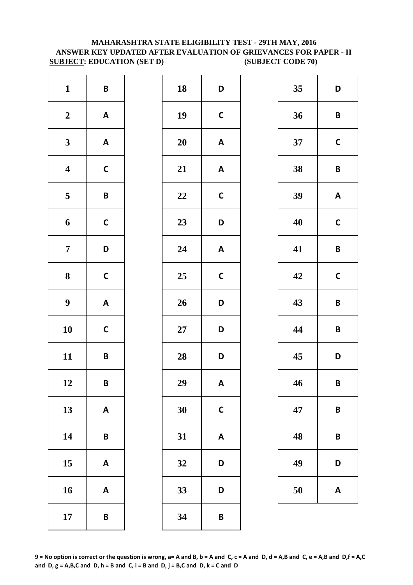# **MAHARASHTRA STATE ELIGIBILITY TEST - 29TH MAY, 2016 ANSWER KEY UPDATED AFTER EVALUATION OF GRIEVANCES FOR PAPER - II SUBJECT: EDUCATION (SET D) (SUBJECT CODE 70)**

| $\mathbf{1}$            | $\pmb B$                  | 18        | D            |
|-------------------------|---------------------------|-----------|--------------|
| $\boldsymbol{2}$        | $\boldsymbol{\mathsf{A}}$ | 19        | $\mathbf C$  |
| $\mathbf{3}$            | $\boldsymbol{\mathsf{A}}$ | <b>20</b> | A            |
| $\overline{\mathbf{4}}$ | $\mathsf{C}$              | 21        | A            |
| $\overline{\mathbf{5}}$ | $\pmb B$                  | 22        | $\mathsf{C}$ |
| 6                       | $\mathsf{C}$              | 23        | D            |
| $\overline{7}$          | D                         | 24        | A            |
| 8                       | $\mathbf C$               | 25        | $\mathbf C$  |
| $\boldsymbol{9}$        | $\boldsymbol{\mathsf{A}}$ | 26        | D            |
| 10                      | $\mathsf{C}$              | $27\,$    | D            |
| 11                      | B                         | 28        | D            |
| 12                      | B                         | 29        | A            |
| 13                      | $\boldsymbol{\mathsf{A}}$ | 30        | $\mathsf{C}$ |
| 14                      | $\pmb B$                  | 31        | A            |
| 15                      | $\boldsymbol{\mathsf{A}}$ | 32        | D            |
| 16                      | $\boldsymbol{\mathsf{A}}$ | 33        | D            |
| 17                      | $\pmb B$                  | 34        | B            |

| $\mathbf{1}$            | $\pmb B$                  | 18     | D                         | 35 | D                       |
|-------------------------|---------------------------|--------|---------------------------|----|-------------------------|
| $\boldsymbol{2}$        | $\mathbf{A}$              | 19     | $\mathsf{C}$              | 36 | $\overline{\mathsf{B}}$ |
| $\mathbf{3}$            | $\mathbf{A}$              | 20     | $\mathbf{A}$              | 37 | $\mathbf C$             |
| $\overline{\mathbf{4}}$ | $\mathsf{C}$              | 21     | $\boldsymbol{\mathsf{A}}$ | 38 | $\mathbf B$             |
| $5\phantom{.0}$         | $\mathsf B$               | 22     | $\mathsf{C}$              | 39 | $\boldsymbol{A}$        |
| $\boldsymbol{6}$        | $\mathsf C$               | 23     | D                         | 40 | $\mathbf C$             |
| $\overline{7}$          | D                         | 24     | $\boldsymbol{\mathsf{A}}$ | 41 | $\overline{\mathsf{B}}$ |
| $\boldsymbol{8}$        | $\mathbf C$               | 25     | $\mathbf C$               | 42 | $\mathbf C$             |
| $\boldsymbol{9}$        | $\boldsymbol{\mathsf{A}}$ | 26     | D                         | 43 | $\mathbf B$             |
| 10                      | $\mathsf{C}$              | $27\,$ | D                         | 44 | $\overline{\mathsf{B}}$ |
| 11                      | $\pmb B$                  | 28     | D                         | 45 | D                       |
| 12                      | $\pmb B$                  | 29     | $\boldsymbol{\mathsf{A}}$ | 46 | B                       |
| 13                      | $\mathbf{A}$              | 30     | $\mathbf C$               | 47 | B                       |
| 14                      | $\pmb B$                  | 31     | $\pmb{\mathsf{A}}$        | 48 | $\mathsf{B}$            |
| 15                      | A                         | 32     | D                         | 49 | D                       |
| 16                      | $\boldsymbol{\mathsf{A}}$ | 33     | D                         | 50 | A                       |
| 17                      | $\pmb B$                  | 34     | $\pmb B$                  |    |                         |

| 35 | D            |
|----|--------------|
| 36 | B            |
| 37 | $\mathbf C$  |
| 38 | B            |
| 39 | A            |
| 40 | C            |
| 41 | B            |
| 42 | $\mathsf{C}$ |
| 43 | B            |
| 44 | B            |
| 45 | D            |
| 46 | B            |
| 47 | B            |
| 48 | B            |
| 49 | D            |
| 50 | A            |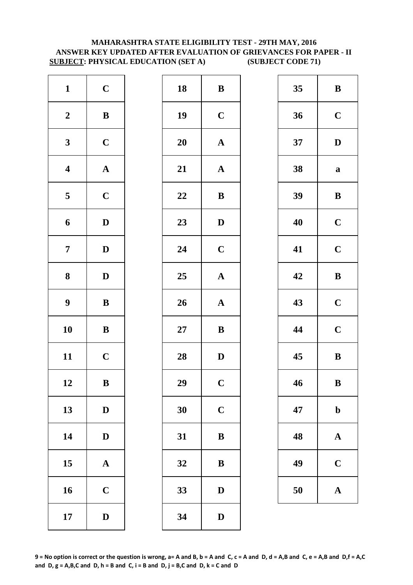# **MAHARASHTRA STATE ELIGIBILITY TEST - 29TH MAY, 2016 ANSWER KEY UPDATED AFTER EVALUATION OF GRIEVANCES FOR PAPER - II SUBJECT: PHYSICAL EDUCATION (SET A) (SUBJECT CODE 71)**

| $\mathbf{1}$            | $\mathbf C$           | 18        | $\bf{B}$       |
|-------------------------|-----------------------|-----------|----------------|
| $\boldsymbol{2}$        | $\, {\bf B}$          | 19        | $\mathbf C$    |
| $\mathbf{3}$            | $\mathbf C$           | <b>20</b> | $\mathbf{A}$   |
| $\overline{\mathbf{4}}$ | $\boldsymbol{\rm{A}}$ | 21        | $\mathbf{A}$   |
| $\overline{\mathbf{5}}$ | $\mathbf C$           | 22        | $\bf{B}$       |
| 6                       | $\mathbf D$           | 23        | $\mathbf{D}$   |
| $\overline{7}$          | $\mathbf D$           | 24        | $\mathbf C$    |
| ${\bf 8}$               | $\mathbf D$           | 25        | $\mathbf{A}$   |
| $\boldsymbol{9}$        | $\bf{B}$              | 26        | $\mathbf{A}$   |
| 10                      | $\bf{B}$              | $27\,$    | $\bf{B}$       |
| 11                      | $\mathbf C$           | 28        | $\mathbf{D}$   |
| 12                      | B                     | 29        | $\overline{C}$ |
| 13                      | $\mathbf D$           | 30        | $\mathbf C$    |
| 14                      | $\mathbf D$           | 31        | $\bf{B}$       |
| 15                      | $\mathbf A$           | 32        | $\bf{B}$       |
| 16                      | $\mathbf C$           | 33        | D              |
| 17                      | $\mathbf D$           | 34        | D              |

| $\mathbf{1}$            | $\mathbf C$  | 18 | $\bf{B}$              | 35 | $\bf{B}$     |
|-------------------------|--------------|----|-----------------------|----|--------------|
| $\boldsymbol{2}$        | ${\bf B}$    | 19 | $\mathbf C$           | 36 | $\mathbf C$  |
| $\mathbf{3}$            | $\mathbf C$  | 20 | ${\bf A}$             | 37 | $\mathbf{D}$ |
| $\overline{\mathbf{4}}$ | ${\bf A}$    | 21 | $\boldsymbol{\rm{A}}$ | 38 | $\mathbf a$  |
| $\overline{\mathbf{5}}$ | $\mathbf C$  | 22 | ${\bf B}$             | 39 | $\bf{B}$     |
| $\boldsymbol{6}$        | $\mathbf D$  | 23 | $\mathbf D$           | 40 | $\mathbf C$  |
| $\overline{7}$          | $\mathbf{D}$ | 24 | $\mathbf C$           | 41 | $\mathbf C$  |
| $\boldsymbol{8}$        | $\mathbf{D}$ | 25 | ${\bf A}$             | 42 | $\bf{B}$     |
| $\boldsymbol{9}$        | $\, {\bf B}$ | 26 | $\boldsymbol{\rm{A}}$ | 43 | $\mathbf C$  |
| 10                      | ${\bf B}$    | 27 | ${\bf B}$             | 44 | $\mathbf C$  |
| 11                      | $\mathbf C$  | 28 | $\mathbf D$           | 45 | $\bf{B}$     |
| 12                      | $\bf{B}$     | 29 | $\mathbf C$           | 46 | $\bf{B}$     |
| 13                      | $\mathbf D$  | 30 | $\mathbf C$           | 47 | $\mathbf b$  |
| 14                      | $\mathbf{D}$ | 31 | $\bf{B}$              | 48 | $\mathbf A$  |
| 15                      | ${\bf A}$    | 32 | $\bf{B}$              | 49 | $\mathbf C$  |
| 16                      | $\mathbf C$  | 33 | ${\bf D}$             | 50 | $\mathbf A$  |
| 17                      | $\mathbf D$  | 34 | $\mathbf D$           |    |              |
|                         |              |    |                       |    |              |

| 35 | B           |
|----|-------------|
| 36 | $\mathbf C$ |
| 37 | D           |
| 38 | a           |
| 39 | B           |
| 40 | $\mathbf C$ |
| 41 | $\mathbf C$ |
| 42 | B           |
| 43 | $\mathbf C$ |
| 44 | $\mathbf C$ |
| 45 | B           |
| 46 | B           |
| 47 | $\mathbf b$ |
| 48 | $\mathbf A$ |
| 49 | $\mathbf C$ |
| 50 | A           |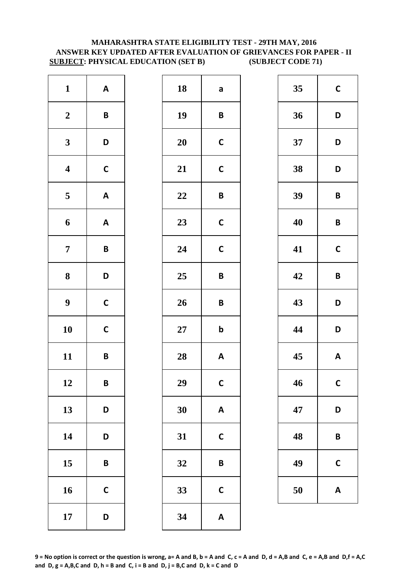# **MAHARASHTRA STATE ELIGIBILITY TEST - 29TH MAY, 2016 ANSWER KEY UPDATED AFTER EVALUATION OF GRIEVANCES FOR PAPER - II SUBJECT: PHYSICAL EDUCATION (SET B) (SUBJECT CODE 71)**

| $\mathbf{1}$            | $\boldsymbol{\mathsf{A}}$ | 18     | a            |
|-------------------------|---------------------------|--------|--------------|
| $\boldsymbol{2}$        | $\pmb B$                  | 19     | B            |
| $\mathbf{3}$            | D                         | 20     | $\mathbf C$  |
| $\boldsymbol{4}$        | $\mathsf{C}$              | 21     | $\mathsf{C}$ |
| $\overline{\mathbf{5}}$ | $\boldsymbol{\mathsf{A}}$ | 22     | B            |
| 6                       | $\boldsymbol{\mathsf{A}}$ | 23     | $\mathsf{C}$ |
| $\overline{7}$          | $\pmb B$                  | 24     | $\mathbf C$  |
| 8                       | D                         | 25     | B            |
| $\boldsymbol{9}$        | $\mathsf{C}$              | 26     | B            |
| 10                      | $\mathsf{C}$              | $27\,$ | $\mathbf b$  |
| 11                      | B                         | 28     | A            |
| 12                      | B                         | 29     | $\mathsf{C}$ |
| 13                      | D                         | 30     | A            |
| 14                      | D                         | 31     | $\mathsf{C}$ |
| 15                      | B                         | 32     | B            |
| 16                      | $\mathbf C$               | 33     | $\mathsf{C}$ |
| 17                      | D                         | 34     | A            |

| $\mathbf{1}$            | $\mathbf{A}$ | 18 | a                         | 35 | $\mathbf C$             |
|-------------------------|--------------|----|---------------------------|----|-------------------------|
| $\boldsymbol{2}$        | $\pmb B$     | 19 | $\pmb B$                  | 36 | D                       |
| $\mathbf{3}$            | D            | 20 | $\mathbf C$               | 37 | D                       |
| $\overline{\mathbf{4}}$ | $\mathsf{C}$ | 21 | $\mathsf{C}$              | 38 | D                       |
| $\overline{\mathbf{5}}$ | $\mathbf{A}$ | 22 | $\pmb B$                  | 39 | $\mathsf{B}$            |
| $\boldsymbol{6}$        | $\mathbf{A}$ | 23 | $\mathsf{C}$              | 40 | $\overline{\mathsf{B}}$ |
| $\overline{7}$          | $\pmb B$     | 24 | $\mathbf C$               | 41 | $\mathbf C$             |
| $\boldsymbol{8}$        | D            | 25 | $\pmb B$                  | 42 | $\mathbf B$             |
| $\boldsymbol{9}$        | $\mathsf C$  | 26 | $\pmb B$                  | 43 | D                       |
| 10                      | $\mathsf C$  | 27 | $\mathbf b$               | 44 | D                       |
| 11                      | $\pmb B$     | 28 | $\boldsymbol{\mathsf{A}}$ | 45 | A                       |
| 12                      | B            | 29 | $\mathsf{C}$              | 46 | $\mathbf C$             |
| 13                      | D            | 30 | $\boldsymbol{\mathsf{A}}$ | 47 | D                       |
| 14                      | D            | 31 | $\mathsf{C}$              | 48 | $\mathsf{B}$            |
| 15                      | $\pmb B$     | 32 | $\pmb B$                  | 49 | $\mathsf{C}$            |
| 16                      | $\mathsf{C}$ | 33 | $\mathsf{C}$              | 50 | A                       |
| 17                      | D            | 34 | $\pmb{\mathsf{A}}$        |    |                         |
|                         |              |    |                           |    |                         |

| 35 | $\mathbf C$ |
|----|-------------|
| 36 | D           |
| 37 | D           |
| 38 | D           |
| 39 | B           |
| 40 | B           |
| 41 | $\mathbf C$ |
| 42 | B           |
| 43 | D           |
| 44 | D           |
| 45 | A           |
| 46 | С           |
| 47 | D           |
| 48 | B           |
| 49 | C           |
| 50 | A           |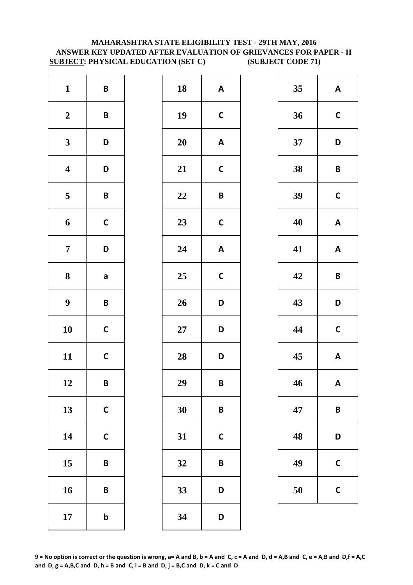# **MAHARASHTRA STATE ELIGIBILITY TEST - 29TH MAY, 2016 ANSWER KEY UPDATED AFTER EVALUATION OF GRIEVANCES FOR PAPER - II SUBJECT: PHYSICAL EDUCATION (SET C) (SUBJECT CODE 71)**

| $\mathbf{1}$            | $\pmb B$     | 18        | A            |
|-------------------------|--------------|-----------|--------------|
| $\boldsymbol{2}$        | $\pmb B$     | 19        | $\mathbf C$  |
| $\mathbf{3}$            | D            | <b>20</b> | A            |
| $\overline{\mathbf{4}}$ | D            | 21        | $\mathsf{C}$ |
| $\overline{\mathbf{5}}$ | $\pmb B$     | 22        | B            |
| 6                       | $\mathsf{C}$ | 23        | $\mathsf{C}$ |
| $\overline{7}$          | D            | 24        | A            |
| $\bf 8$                 | a            | 25        | $\mathbf C$  |
| $\boldsymbol{9}$        | B            | 26        | D            |
| 10                      | $\mathsf{C}$ | $27\,$    | D            |
| 11                      | $\mathsf{C}$ | 28        | D            |
| 12                      | B            | 29        | B            |
| 13                      | $\mathsf{C}$ | 30        | B            |
| 14                      | $\mathsf{C}$ | 31        | $\mathsf{C}$ |
| 15                      | B            | 32        | B            |
| 16                      | B            | 33        | D            |
| 17                      | $\mathbf b$  | 34        | D            |

| $\mathbf{1}$            | $\pmb B$     | 18 | $\boldsymbol{\mathsf{A}}$ | 35 | A            |
|-------------------------|--------------|----|---------------------------|----|--------------|
| $\boldsymbol{2}$        | $\pmb B$     | 19 | $\mathsf{C}$              | 36 | $\mathbf C$  |
| $\mathbf{3}$            | D            | 20 | $\boldsymbol{\mathsf{A}}$ | 37 | D            |
| $\overline{\mathbf{4}}$ | D            | 21 | $\mathsf{C}$              | 38 | $\mathsf{B}$ |
| $\overline{\mathbf{5}}$ | $\pmb B$     | 22 | $\pmb B$                  | 39 | $\mathbf C$  |
| $\boldsymbol{6}$        | $\mathsf{C}$ | 23 | $\mathsf{C}$              | 40 | A            |
| $\overline{7}$          | D            | 24 | $\pmb{\mathsf{A}}$        | 41 | A            |
| $\boldsymbol{8}$        | $\mathsf{a}$ | 25 | $\mathbf C$               | 42 | $\mathbf B$  |
| $\boldsymbol{9}$        | $\mathsf B$  | 26 | D                         | 43 | D            |
| 10                      | $\mathsf{C}$ | 27 | D                         | 44 | $\mathbf C$  |
| 11                      | $\mathsf{C}$ | 28 | D                         | 45 | A            |
| 12                      | B            | 29 | B                         | 46 | $\mathbf{A}$ |
| 13                      | $\mathsf C$  | 30 | $\pmb B$                  | 47 | $\mathsf{B}$ |
| 14                      | $\mathsf{C}$ | 31 | $\mathbf C$               | 48 | D            |
| 15                      | $\pmb B$     | 32 | $\pmb B$                  | 49 | $\mathsf{C}$ |
| 16                      | $\pmb B$     | 33 | D                         | 50 | $\mathsf{C}$ |
| 17                      | $\mathbf b$  | 34 | D                         |    |              |
|                         |              |    |                           |    |              |

| 35 | A            |
|----|--------------|
| 36 | $\mathbf C$  |
| 37 | D            |
| 38 | B            |
| 39 | $\mathsf{C}$ |
| 40 | A            |
| 41 | A            |
| 42 | B            |
| 43 | D            |
| 44 | $\mathbf C$  |
| 45 | A            |
| 46 | A            |
| 47 | B            |
| 48 | D            |
| 49 | C            |
| 50 | C            |